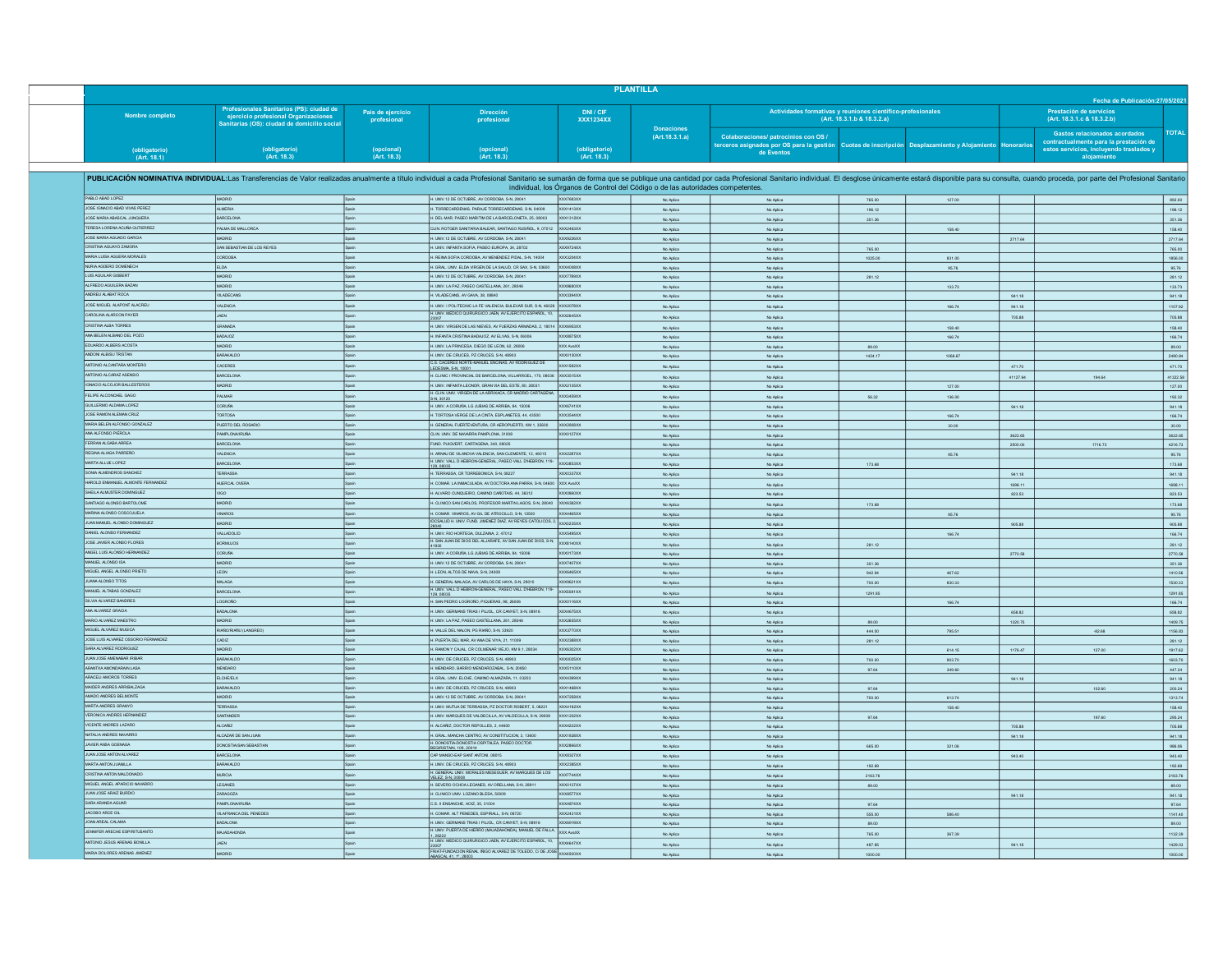|                                                              |                                                                                                                                                                                                                                |                                  |                                                                                                                              |                               | <b>PLANTILLA</b>                                                                |                                                                                                                                                            |                                                                                           |              |           | Fecha de Publicación: 27/05/2021                                                                                                         |
|--------------------------------------------------------------|--------------------------------------------------------------------------------------------------------------------------------------------------------------------------------------------------------------------------------|----------------------------------|------------------------------------------------------------------------------------------------------------------------------|-------------------------------|---------------------------------------------------------------------------------|------------------------------------------------------------------------------------------------------------------------------------------------------------|-------------------------------------------------------------------------------------------|--------------|-----------|------------------------------------------------------------------------------------------------------------------------------------------|
| Nombre completo                                              | Profesionales Sanitarios (PS): ciudad de<br>ejercicio profesional Organizaciones<br>Sanitarias (OS): ciudad de domicilio social                                                                                                | País de ejercicio<br>profesional | <b>Dirección</b><br>profesional                                                                                              | DNI / CIF<br><b>XXX1234XX</b> |                                                                                 |                                                                                                                                                            | Actividades formativas y reuniones científico-profesionales<br>(Art. 18.3.1.b & 18.3.2.a) |              |           | Prestación de servicios<br>(Art. 18.3.1.c & 18.3.2.b)                                                                                    |
| (obligatorio)<br>(Art. 18.1)                                 | (obligatorio)<br>(Art. 18.3)                                                                                                                                                                                                   | (opcional)<br>(Art. 18.3)        | (opcional)<br>(Art. 18.3)                                                                                                    | (obligatorio)<br>(Art. 18.3)  | <b>Donaciones</b><br>(Art. 18.3.1.a)                                            | Colaboraciones/ patrocinios con OS /<br>terceros asignados por OS para la gestión <b>Cuotas de inscripción Desplazamiento y Aloja</b> miento<br>de Eventos |                                                                                           |              | onorarios | <b>Gastos relacionados acordados</b><br>contractualmente para la prestación de<br>estos servicios, incluyendo traslados y<br>alojamiento |
|                                                              |                                                                                                                                                                                                                                |                                  |                                                                                                                              |                               |                                                                                 |                                                                                                                                                            |                                                                                           |              |           |                                                                                                                                          |
|                                                              | PUBLICACIÓN NOMINATIVA INDIVIDUAL:Las Transferencias de Valor realizadas anualmente a título individual a cada Profesional Sanitario se sumarán de forma que se publique una cantidad por cada Profesional Sanitario individua |                                  |                                                                                                                              |                               | individual, los Órganos de Control del Código o de las autoridades competentes. |                                                                                                                                                            |                                                                                           |              |           |                                                                                                                                          |
| PABLO ABAD LOPEZ                                             | MADRID                                                                                                                                                                                                                         | Spain                            | H. UNIV.12 DE OCTUBRE, AV CORDOBA, S-N, 28041                                                                                | <b>XXX7683XX</b>              | No Aplica                                                                       | No Aplica                                                                                                                                                  | 765.00                                                                                    | 127.00       |           |                                                                                                                                          |
| JOSE IGNACIO ABAD VIVAS PEREZ<br>JOSE MARIA ABASCAL JUNQUERA | <b>ALMERIA</b><br><b>BARCELONA</b>                                                                                                                                                                                             | Spain<br>Spain                   | H. TORRECARDENAS, PARAJE TORRECARDENAS, S-N, 04009<br>H. DEL MAR. PASEO MARITIM DE LA BARCELONETA, 25, 08003                 | XXX1413XX<br>XXX1312XX        | No Aplica                                                                       | No Aplica                                                                                                                                                  | 196.12                                                                                    |              |           |                                                                                                                                          |
| TERESA LORENA ACUÑA GUTIERREZ                                | PALMA DE MALLORCA                                                                                                                                                                                                              | Spain                            | CLIN ROTGER SANITARIA BALEAR, SANTIAGO RUSIÑOL, 9, 07012                                                                     | XXX2463XX                     | No Aplica<br>No Aplica                                                          | No Aplica<br>No Aplica                                                                                                                                     | 351.36                                                                                    | 158.40       |           |                                                                                                                                          |
| JOSE MARIA AGUADO GARCIA                                     | MADRID                                                                                                                                                                                                                         | Spain                            | H. UNIV.12 DE OCTUBRE, AV CORDOBA, S-N, 28041                                                                                | XX9236XX                      | No Aplica                                                                       | No Aplica                                                                                                                                                  |                                                                                           |              | 2717.64   |                                                                                                                                          |
| CRISTINA AGUAYO ZAMORA                                       | SAN SEBASTIAN DE LOS REYES                                                                                                                                                                                                     | Spain                            | H. UNIV. INFANTA SOFIA, PASEO EUROPA, 34, 28702                                                                              | XX9724XX                      | No Aplica                                                                       | No Aplica                                                                                                                                                  | 765.00                                                                                    |              |           |                                                                                                                                          |
| MARIA LUISA AGUERA MORALES                                   | CORDOBA                                                                                                                                                                                                                        | Spain                            | H. REINA SOFIA CORDOBA, AV MENENDEZ PIDAL, S-N, 14004                                                                        | XXX3204XX                     | No Aplica                                                                       | No Aplica                                                                                                                                                  | 1025.00                                                                                   | 831.00       |           |                                                                                                                                          |
| NURIA AGÜERO DOMENECH<br>LUIS AGUILAR GISBERT                | ELDA                                                                                                                                                                                                                           |                                  | H. GRAL. UNV. ELDA VIRGEN DE LA SALUD, CR SAX, S-N, 03600                                                                    | XXX400BXX                     | No Aplica                                                                       | No Aplica                                                                                                                                                  |                                                                                           | <b>95.76</b> |           |                                                                                                                                          |
| ALFREDO AGUILERA BAZAN                                       | <b>ALADAM</b><br>MADRID                                                                                                                                                                                                        | Spain                            | H. UNIV.12 DE OCTUBRE, AV CORDOBA, S-N, 28041<br>H. UNIV. LA PAZ, PASEO CASTELLANA, 261, 28046                               | XX7789XX<br>XX08880XX         | No Aplica<br>No Aplica                                                          | No Aplica<br>No Aplica                                                                                                                                     | 281.12                                                                                    | 133.73       |           |                                                                                                                                          |
| ANDREU ALABAT ROCA                                           | VILADECANS                                                                                                                                                                                                                     | Spain                            | H. VILADECANS, AV GAVA, 38, 08840                                                                                            | XX3394XX                      | No Aplica                                                                       | No Aplica                                                                                                                                                  |                                                                                           |              | 941.18    |                                                                                                                                          |
| JOSE MIGUEL ALAPONT ALACREU                                  | <b>VALENCIA</b>                                                                                                                                                                                                                | Spain                            | H. UNIV. I POLITECNIC LA FE VALENCIA, BULEVAR SUR, S-N, 46026                                                                | <b>OCX2078XX</b>              | No Aplica                                                                       | No Aplica                                                                                                                                                  |                                                                                           | 166.74       | 941.18    |                                                                                                                                          |
| CAROLINA ALARCON PAYER                                       | JAEN                                                                                                                                                                                                                           | Snain                            | H. UNIV. MEDICO QUIRURGICO JAEN, AV EJERCITO ESPAÑOL, 10,                                                                    | <b>OCX2645XX</b>              | No Aplica                                                                       | No Aplica                                                                                                                                                  |                                                                                           |              | 705.88    |                                                                                                                                          |
| CRISTINA ALBA TORRES                                         | GRANADA                                                                                                                                                                                                                        | Spain                            | H. UNIV. VIRGEN DE LAS NIEVES, AV FUERZAS ARMADAS, 2, 18014                                                                  | XXX6953XX                     | No Aplica                                                                       | No Aplica                                                                                                                                                  |                                                                                           | 158.40       |           |                                                                                                                                          |
| ANA BELEN ALBANO DEL POZO                                    | BADAJOZ                                                                                                                                                                                                                        | Spain                            | H. INFANTA CRISTINA BADAJOZ, AV ELVAS, S-N, 06006                                                                            | <b>XXX8875XX</b>              | No Aplica                                                                       | No Aplica                                                                                                                                                  |                                                                                           | 166.74       |           |                                                                                                                                          |
| EDUARDO ALBERS ACOSTA                                        | MADRID                                                                                                                                                                                                                         | Spain                            | H. UNIV. LA PRINCESA, DIEGO DE LEON, 62, 28006                                                                               | XXX AvaXX                     | No Aplica                                                                       | No Aplica                                                                                                                                                  | 89.00                                                                                     |              |           |                                                                                                                                          |
| ANDONI ALBISU TRISTAN                                        | <b>BARAKALDO</b>                                                                                                                                                                                                               | Spain                            | H. UNIV. DE CRUCES. PZ CRUCES, S-N, 48903<br>C.S. CACERES NORTE-MANUEL ENCINAS, AV RODRIGUEZ DE                              | XXX0130XX                     | No Aplica                                                                       | No Aplica                                                                                                                                                  | 1424.17                                                                                   | 1066.67      |           |                                                                                                                                          |
| NTONIO ALCANTARA MONTERO                                     | <b>CACERES</b>                                                                                                                                                                                                                 | Spain                            | LEDESMA S-N. 10001                                                                                                           | $\alpha$ x1582XX              | No Aplica                                                                       | No Aplica                                                                                                                                                  |                                                                                           |              | 471.70    |                                                                                                                                          |
| ANTONIO ALCARAZ ASENSIO<br>GNACIO ALCOJOR BALLESTEROS        | <b>BARCELONA</b>                                                                                                                                                                                                               | Spain                            | H. CLINIC I PROVINCIAL DE BARCELONA, VILLARROEL, 170, 08036                                                                  | XXX3515XX                     | No Aplica                                                                       | No Aplica                                                                                                                                                  |                                                                                           |              | 41127.94  | 194.64                                                                                                                                   |
| FELIPE ALCONCHEL GAGO                                        | <b>MADRID</b><br>PALMAR                                                                                                                                                                                                        | Spain                            | H. UNIV. INFANTA LEONOR, GRAN VIA DEL ESTE, 80, 28031<br>H. CLIN. UNIV. VIRGEN DE LA ARRIXACA, CR MADRID CARTAGE             | XXX2135XX<br>OCX3459XX        | No Aplica                                                                       | No Aplica                                                                                                                                                  |                                                                                           | 127.00       |           |                                                                                                                                          |
| GUILLERMO ALDAMA LOPEZ                                       | <b>CORUÑA</b>                                                                                                                                                                                                                  |                                  | S-N, 30120<br>H. UNIV. A CORUÑA, LG JUBIAS DE ARRIBA, 84, 15006                                                              | XX6741XX                      | No Aplica<br>No Aplica                                                          | No Aplica<br>No Aplica                                                                                                                                     | 56.32                                                                                     | 136.00       | 941.18    |                                                                                                                                          |
| JOSE RAMON ALEMAN CRUZ                                       | TORTOSA                                                                                                                                                                                                                        | Spain                            | H. TORTOSA VERGE DE LA CINTA, ESPLANETES, 44, 43500                                                                          | OCX3544XX                     | No Aplica                                                                       | No Aplica                                                                                                                                                  |                                                                                           | 166.74       |           |                                                                                                                                          |
| MARIA BELEN ALFONSO GONZALEZ                                 | PUERTO DEL ROSARIO                                                                                                                                                                                                             | Spain                            | H. GENERAL FUERTEVENTURA, CR AEROPUERTO, KM 1, 35600                                                                         | XXX2808XX                     | No Aplica                                                                       | No Aplica                                                                                                                                                  |                                                                                           | 30.00        |           |                                                                                                                                          |
| ANA ALFONSO PIÉROLA                                          | PAMPLONA/IRUÑA                                                                                                                                                                                                                 | Spain                            | CLIN UNIV. DE NAVARRA PAMPLONA, 31008                                                                                        | OCXD127XX                     | No Aplica                                                                       | No Aplica                                                                                                                                                  |                                                                                           |              | 3622.65   |                                                                                                                                          |
| FERRAN ALGABA ARREA                                          | <b>BARCELONA</b>                                                                                                                                                                                                               | Spain                            | FUND. PUIGVERT, CARTAGENA, 340, 08025                                                                                        |                               | No Aplica                                                                       | No Aplica                                                                                                                                                  |                                                                                           |              | 2500.00   | 1716.73                                                                                                                                  |
| REGINA ALIAGA PARREÑO                                        | <b>VALENCIA</b>                                                                                                                                                                                                                | Spain                            | H. ARNAU DE VILANOVA VALENCIA, SAN CLEMENTE, 12, 46015<br>H. UNIV. VALL D HEBRON-GENERAL, PASEO VALL D'HEBRON, 119-          | <b>XXX2287XX</b>              | No Aplica                                                                       | No Aplica                                                                                                                                                  |                                                                                           | 95.76        |           |                                                                                                                                          |
| MARTA ALLUE LOPEZ                                            | <b>BARCELONA</b>                                                                                                                                                                                                               | Spain                            | 129.08035                                                                                                                    | XXX3853XX                     | No Aplica                                                                       | No Aplica                                                                                                                                                  | 173.68                                                                                    |              |           |                                                                                                                                          |
| SONIA ALMENDROS SANCHEZ<br>AROLD ENMANUEL ALMONTE FERNANDEZ  | TERRASSA                                                                                                                                                                                                                       | Spain                            | H. TERRASSA, CR TORREBONICA, S-N, 08227                                                                                      | 00337XX                       | No Aplica                                                                       | No Aplica                                                                                                                                                  |                                                                                           |              | 941.18    |                                                                                                                                          |
| SHEILA ALMUSTER DOMINGUEZ                                    | HUERCAL OVERA                                                                                                                                                                                                                  |                                  | H. COMAR. LA INMACULADA, AV DOCTORA ANA PARRA, S-N, 04600<br>H. ALVARO CUNQUEIRO, CAMINO CAÑOTAIS, 44, 36312                 | XXX AvaXX<br>XX0960XX         | No Aplica                                                                       | No Aplica                                                                                                                                                  |                                                                                           |              | 1698.11   |                                                                                                                                          |
| SANTIAGO ALONSO BARTOLOME                                    | <b>VIGO</b><br><b>MADRID</b>                                                                                                                                                                                                   |                                  | H. CLINICO SAN CARLOS, PROFESOR MARTIN LAGOS, S-N, 28040                                                                     | XX6382XX                      | No Aplica<br>No Aplica                                                          | No Aplica<br>No Aplica                                                                                                                                     | 173.68                                                                                    |              | 823.53    |                                                                                                                                          |
| MARINA ALONSO COSCOLLELA                                     | VINAROS                                                                                                                                                                                                                        | Spain                            | H. COMAR. VINAROS, AV GIL DE ATROCILLO, S-N, 12500                                                                           | XX4465XX                      | No Aplica                                                                       | No Aplica                                                                                                                                                  |                                                                                           | 95.76        |           |                                                                                                                                          |
| JUAN MANJEL ALONSO DOMINGUEZ                                 | <b>ANDRID</b>                                                                                                                                                                                                                  | Spain                            | IDCSALUD H. UNIV. FUND. JIMENEZ DIAZ, AV REYES CATOLICOS,                                                                    | <b>XXX0235XX</b>              | No Aplica                                                                       | No Aplica                                                                                                                                                  |                                                                                           |              | 905.88    |                                                                                                                                          |
| DANIEL ALONSO FERNANDEZ                                      | VALLADOLID                                                                                                                                                                                                                     | Spain                            | H. UNIV. RIO HORTEGA DULZAINA 2.47012                                                                                        | XXX5495XX                     | No Aplica                                                                       | No Aplica                                                                                                                                                  |                                                                                           | 166.74       |           |                                                                                                                                          |
| JOSE JAVIER ALONSO FLORES                                    | <b>BORMUJOS</b>                                                                                                                                                                                                                | Spain                            | H. SAN JUAN DE DIOS DEL ALJARAFE. AV SAN JUAN DE DIOS. S-N.                                                                  | XXXB140XX                     | No Aplica                                                                       | No Aplica                                                                                                                                                  | 281.12                                                                                    |              |           |                                                                                                                                          |
| ANGEL LUIS ALONSO HERNANDEZ                                  | <b>CORUÑA</b>                                                                                                                                                                                                                  | Spain                            | H. UNIV. A CORUÑA, LG JUBIAS DE ARRIBA, 84, 15006                                                                            | OCXD173XX                     | No Aplica                                                                       | No Aplica                                                                                                                                                  |                                                                                           |              | 2770.58   |                                                                                                                                          |
| MANUEL ALONSO ISA                                            | <b>MADRID</b>                                                                                                                                                                                                                  | Spain                            | H. UNIV.12 DE OCTUBRE, AV CORDOBA, S-N, 28041                                                                                | OCX7407XX                     | No Aplica                                                                       | No Aplica                                                                                                                                                  | 351.36                                                                                    |              |           |                                                                                                                                          |
| MIGUEL ANGEL ALONSO PRIETO                                   | LEON                                                                                                                                                                                                                           | Spain                            | H. LEON, ALTOS DE NAVA, S-N. 24008                                                                                           | XXX6465XX                     | No Aplica                                                                       | No Aplica                                                                                                                                                  | 942.94                                                                                    | 467.62       |           |                                                                                                                                          |
| <b>JUANA ALONSO TITOS</b><br>MANJEL ALTABAS GONZALEZ         | MALAGA                                                                                                                                                                                                                         | Spain                            | H. GENERAL MALAGA, AV CARLOS DE HAYA, S-N, 29010<br>H. UNIV. VALL D HEBRON-GENERAL, PASEO VALL D'HEBRON, 119                 | XX9621XX                      | No Aplica                                                                       | No Aplica                                                                                                                                                  | 700.00                                                                                    | 830.33       |           |                                                                                                                                          |
| SILVIA ALVAREZ BANDRES                                       | <b>BARCELONA</b><br>CORON                                                                                                                                                                                                      | Spain<br>Spain                   | 129, 08035<br>H. SAN PEDRO LOGROÑO, PIQUERAS, 98, 26006                                                                      | XX5081XX<br>XX0116XX          | No Aplica<br>No Aplica                                                          | No Aplica<br>No Aplica                                                                                                                                     | 1291.85                                                                                   | 166.74       |           |                                                                                                                                          |
| ANA ALVAREZ GRACIA                                           | BADALONA                                                                                                                                                                                                                       |                                  | H. UNIV. GERMANS TRIAS I PLUDL, CR CANYET, S-N, 08916                                                                        | OCX4675XX                     | No Aplica                                                                       | No Aplica                                                                                                                                                  |                                                                                           |              | 658.82    |                                                                                                                                          |
| MARIO ALVAREZ MAESTRO                                        | MADRID                                                                                                                                                                                                                         | Spain                            | H. UNIV. LA PAZ. PASEO CASTELLANA, 261. 28046                                                                                | <b>XXX2655XX</b>              | No Aplica                                                                       | No Aplica                                                                                                                                                  | 89.00                                                                                     |              | 1320.75   |                                                                                                                                          |
| MIGUEL ALVAREZ MUGICA                                        | RIAÑO/RIAÑU (LANGREO)                                                                                                                                                                                                          | Spain                            | H. VALLE DEL NALON, PG RIAÑO, S-N, 33920                                                                                     | XXX3770XX                     | No Aplica                                                                       | No Aplica                                                                                                                                                  | 444.00                                                                                    | 795.51       |           | $-82.68$                                                                                                                                 |
| JOSE LUIS ALVAREZ OSSORIO FERNANDEZ                          | CADIZ                                                                                                                                                                                                                          | Spain                            | H. PUERTA DEL MAR, AV ANA DE VIYA, 21, 11009                                                                                 | XX2388XX                      | No Aplica                                                                       | No Aplica                                                                                                                                                  | 281.12                                                                                    |              |           |                                                                                                                                          |
| SARA ALVAREZ RODRIGUEZ                                       | <b>MADRID</b>                                                                                                                                                                                                                  | Spain                            | H. RAMON Y CAJAL, CR COLMENAR VIEJO, KM 9.1, 28034                                                                           | OCX6302XX                     | No Aplica                                                                       | No Aplica                                                                                                                                                  |                                                                                           | 614.15       | 1176.47   | 127.00                                                                                                                                   |
| <b>JUAN JOSE AMENABAR IRIBAR</b><br>ARANTXA AMONDARAIN LASA  | BARAKALDO<br>MENDARO                                                                                                                                                                                                           |                                  | H. UNIV. DE CRUCES, PZ CRUCES, S-N, 48903<br>H. MENDARO, BARRIO MENDAROZABAL, S-N, 20850                                     | XX0025XX                      | No Aplica                                                                       | No Aplica                                                                                                                                                  | 700.00                                                                                    | 903.70       |           |                                                                                                                                          |
| ARACELI AMOROS TORRES                                        | <b>ELCHE/ELX</b>                                                                                                                                                                                                               | Spain                            | H. GRAL. UNV. ELCHE. CAMINO ALMAZARA, 11. 03203                                                                              | XX5110XX<br>XXX4399XX         | No Aplica<br>No Aplica                                                          | No Aplica<br>No Aplica                                                                                                                                     | 97.64                                                                                     | 349.60       | 941.18    |                                                                                                                                          |
| MAIDER ANDRES ARRIBALZAGA                                    | BARAKALDO                                                                                                                                                                                                                      | Spain                            | H. UNIV. DE CRUCES, PZ CRUCES, S-N, 48903                                                                                    | XXX1468XX                     | No Aplica                                                                       | No Aplica                                                                                                                                                  | 97.64                                                                                     |              |           | 102.60                                                                                                                                   |
| AMADO ANDRES BELMONTE                                        | MADRID                                                                                                                                                                                                                         | Spain                            | H. UNIV.12 DE OCTUBRE, AV CORDOBA, S-N, 28041                                                                                | <b>OCX7258XX</b>              | No Aplica                                                                       | No Aplica                                                                                                                                                  | 700.00                                                                                    | 613.74       |           |                                                                                                                                          |
| MARTA ANDRES GRANYO                                          | TERRASSA                                                                                                                                                                                                                       | Spain                            | H. UNIV. MUTUA DE TERRASSA, PZ DOCTOR ROBERT, 5, 08221                                                                       | XXX4182XX                     | No Aplica                                                                       | No Aplica                                                                                                                                                  |                                                                                           | 158.40       |           |                                                                                                                                          |
| VERONICA ANDRES HERNANDEZ                                    | SANTANDER                                                                                                                                                                                                                      | Spain                            | H. UNIV. MARQUES DE VALDECILLA, AV VALDECILLA, S-N, 39008                                                                    | XXX1202XX                     | No Aplica                                                                       | No Aplica                                                                                                                                                  | 97.64                                                                                     |              |           | 197.60                                                                                                                                   |
| VICENTE ANDRES LAZARO<br>NATALIA ANDRES NAVARRO              | <b>ALCAÑZ</b>                                                                                                                                                                                                                  |                                  | H. ALCAÑIZ, DOCTOR REPOLLES, 2, 44600                                                                                        | <b>XX4222XX</b>               | No Aplica                                                                       | No Aplica                                                                                                                                                  |                                                                                           |              | 705.88    |                                                                                                                                          |
| JAVIER ANSA GOENAGA                                          | ALCAZAR DE SAN JUAN<br>DONOSTIA/SAN SEBASTIAN                                                                                                                                                                                  | Spain<br>Spain                   | H. GRAL. MANCHA CENTRO, AV CONSTITUCION, 3, 13600<br>H. DONOSTIA-DONOSTIA OSPITALEA, PASEO DOCTOR<br>BEGIRISTAIN. 109. 20014 | XXX1838XX<br><b>XXX2866XX</b> | No Aplica                                                                       | No Aplica                                                                                                                                                  |                                                                                           |              | 941.18    |                                                                                                                                          |
| JUAN JOSE ANTON ALVAREZ                                      | <b>BARCELONA</b>                                                                                                                                                                                                               | Spain                            | CAP MANSO-EAP SANT ANTONI, 08015                                                                                             | <b>XXX8327XX</b>              | No Aplica<br>No Aplica                                                          | No Aplica<br>No Aplica                                                                                                                                     | 665.00                                                                                    | 321.06       | 943.40    |                                                                                                                                          |
| MARTA ANTON JUANILLA                                         | BARAKALDO                                                                                                                                                                                                                      | Spain                            | H. UNIV. DE CRUCES, PZ CRUCES, S-N, 48903                                                                                    | OX2385XX                      | No Arlina                                                                       | No Aniica                                                                                                                                                  | 192.69                                                                                    |              |           |                                                                                                                                          |
| CRISTINA ANTON MALDONADO                                     | <b>MURCIA</b>                                                                                                                                                                                                                  | Spain                            | H. GENERAL UNIV. MORALES MESEGUER, AV MARQUES DE LOS<br>VELEZ, S-N, 30008                                                    | $\overline{\text{0007744XX}}$ | No Arlina                                                                       | No Aplica                                                                                                                                                  | 2163.76                                                                                   |              |           |                                                                                                                                          |
| MIGUEL ANGEL APARICIO NAVARRO                                | LEGANES                                                                                                                                                                                                                        | Spain                            | H. SEVERO OCHOA LEGANES, AV ORELLANA, S-N, 28911                                                                             | OCXD137XX                     | No Aplica                                                                       | No Aplica                                                                                                                                                  | 89.00                                                                                     |              |           |                                                                                                                                          |
| JUAN JOSE ARAIZ BURDIO                                       | ZARAGOZA                                                                                                                                                                                                                       | Spain                            | H. CLINICO UNIV. LOZANO BLESA, 50009                                                                                         | <b>XXX8577XX</b>              | No Aplica                                                                       | No Aplica                                                                                                                                                  |                                                                                           |              | 941.18    |                                                                                                                                          |
| SARA ARANDA AGUAR                                            | <b>PAMPLONA/IRUÑA</b>                                                                                                                                                                                                          | Spain                            | C.S. II ENSANCHE, ADIZ, 35, 31004                                                                                            | OCX4874XX                     | No Aplica                                                                       | No Aplica                                                                                                                                                  | 97.64                                                                                     |              |           |                                                                                                                                          |
| JACOBO ARCE GIL                                              | VILAFRANCA DEL PENEDES                                                                                                                                                                                                         |                                  | H. COMAR. ALT PENEDES, ESPIRALL, S-N, 08720                                                                                  | OCX2431XX                     | No Aplica                                                                       | No Aplica                                                                                                                                                  | 555.00                                                                                    | 586.40       |           |                                                                                                                                          |
| JOAN AREAL CALAMA<br>JENNIFER ARECHE ESPIRITUSANTO           | BADALONA<br>ма капангила                                                                                                                                                                                                       |                                  | H. UNIV. GERMANS TRIAS I PUJOL. CR CANYET, S-N, 08916<br>H. UNIV. PUERTA DE HERRO (MAJADAHONDA), MANUEL DE FALLA             | XXX6919XX<br><b>XXX AvaXX</b> | No Aplica                                                                       | No Aplica                                                                                                                                                  | 89.00                                                                                     |              |           |                                                                                                                                          |
| ANTONIO JESUS ARENAS BONILLA                                 | JAEN                                                                                                                                                                                                                           | Spain<br><b>Snain</b>            | 1. 28222<br>H. UNIV. MEDICO QUIRURGICO JAEN, AV EJERCITO ESPAÑOL, 10,                                                        | <b>XXX4647XX</b>              | No Aplica                                                                       | No Aplica                                                                                                                                                  | 765.00                                                                                    | 367.39       |           |                                                                                                                                          |
| MARIA DOLORES ARENAS JIMENEZ                                 |                                                                                                                                                                                                                                |                                  | FRIAT-FUNDACION RENAL IÑIGO ALVAREZ DE TOLEDO, C/ DE JOS                                                                     |                               | No Aplica                                                                       | No Aplica                                                                                                                                                  | 487.85                                                                                    |              | 941.18    |                                                                                                                                          |
|                                                              | <b>ANDRID</b>                                                                                                                                                                                                                  |                                  | SCAL 41, 1º, 28003                                                                                                           | <b>XXX4500XX</b>              | No Aplica                                                                       | No Aplica                                                                                                                                                  | 1000.00                                                                                   |              |           |                                                                                                                                          |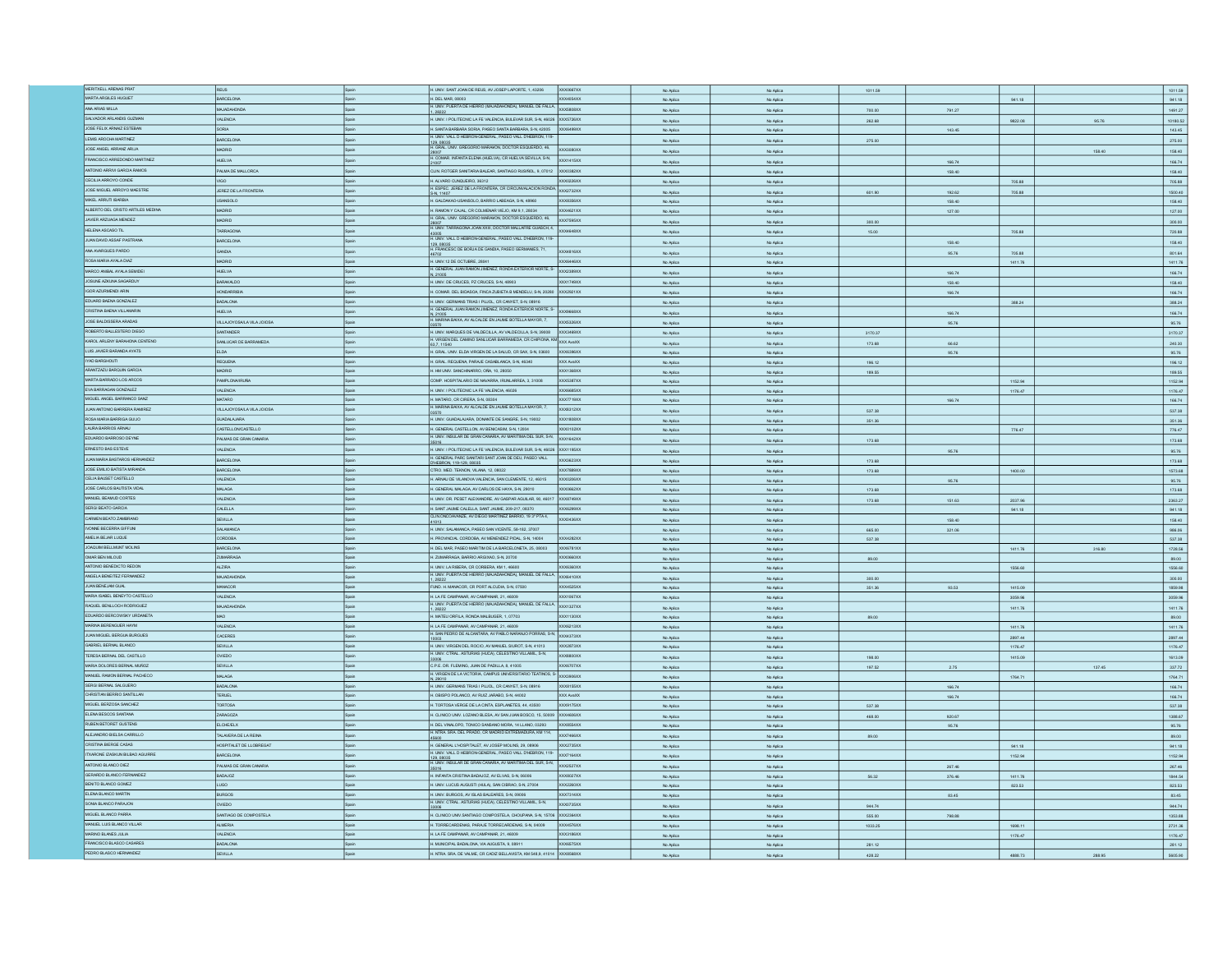| MERITXELL ARENAS PRAT                  |                           |       |                                                                                                                                         |           |           |         |        |         |        |          |
|----------------------------------------|---------------------------|-------|-----------------------------------------------------------------------------------------------------------------------------------------|-----------|-----------|---------|--------|---------|--------|----------|
|                                        | REUS                      |       | H. UNIV. SANT JOAN DE REUS, AV JOSEP LAPORTE, 1, 43206<br>XXX0667XX                                                                     | No Aplica | No Aplica | 1011.59 |        |         |        | 1011.59  |
| MARTA ARGILES HUGUET                   | BARCELONA                 | Spain | H. DEL MAR. 08003<br>XXX4054XX                                                                                                          | No Aplica | No Aplica |         |        | 941.18  |        | 941.18   |
| ANA ARIAS MILLA                        | ACIADAHONDA               |       | H. UNIV. PUERTA DE HIERRO (MAJADAHONDA), MANUEL DE FALLA<br>XXX5808XX                                                                   |           |           |         |        |         |        |          |
|                                        |                           |       |                                                                                                                                         | No Aplica | No Aplica | 700.00  | 791.27 |         |        | 1491.27  |
| SALVADOR ARLANDIS GUZMAN               | <b>VALENCIA</b>           |       | H. UNIV. I POLITECNIC LA FE VALENCIA. BULEVAR SUR. S-N. 46026 XXX5726XX                                                                 | No Aplica | No Aplica | 262.68  |        | 9822.08 | 95.76  | 10180.52 |
| JOSE FELIX ARNAIZ ESTEBAN              | SORIA                     |       | 1. SANTA BARBARA SORIA, PASEO SANTA BARBARA, S-N, 42005 XXX6499XX                                                                       | No Aplica | No Aplica |         | 143.45 |         |        | 143.45   |
|                                        |                           |       | H. UNIV. VALL D HEBRON-GENERAL, PASEO VALL D'HEBRON, 119                                                                                |           |           |         |        |         |        |          |
| LEMIS AROCHA MARTINEZ                  | ARCELONA                  |       | 129.08035                                                                                                                               | No Aplica | No Aplica | 275.00  |        |         |        | 275.00   |
| JOSE ANGEL ARRANZ ARIJA                | ADRID                     |       | 129, 05033<br>H. GRAL UNV, GREGORIO MARAKON, DOCTOR ESQUERDO, 46, XXX3080XX                                                             | No Aplica | No Aplica |         |        |         | 158.40 | 158.40   |
| FRANCISCO ARREDONDO MARTINEZ           |                           |       | H. COMAR. INFANTA ELENA (HUELVA), CR HUELVA SEVILLA, S-N. XXX1415XX                                                                     |           |           |         |        |         |        |          |
|                                        | <b>HUELVA</b>             |       |                                                                                                                                         | No Aplica | No Aplica |         | 166.74 |         |        | 166.74   |
| ANTONIO ARRIVI GARCIA RAMOS            | PALMA DE MALLORCA         |       | CLIN ROTGER SANITARIA BALEAR, SANTIAGO RUSIÑOL, 9, 07012 XXX0382XX                                                                      | No Aplica | No Aplica |         | 158.40 |         |        | 158.40   |
|                                        |                           |       |                                                                                                                                         |           |           |         |        |         |        |          |
| CECILIA ARROYO CONDE                   |                           |       | H. ALVARO CUNQUEIRO, 36312<br>XXX0226XX                                                                                                 | No Aplica | No Aplica |         |        | 705.88  |        | 705.88   |
| JOSE MIGUEL ARROYO MAESTRE             | JEREZ DE LA FRONTERA      |       | H. ESPEC. JEREZ DE LA FRONTERA, CR CIRCUNVALACION RONDA 2002732XX                                                                       | No Aplica | No Aplica | 601.90  | 192.62 | 705.88  |        | 1500.40  |
| MIKEL ARRUTI IBARBIA                   | SANSOLO                   |       | S-N. 11407<br>XXXB356XX                                                                                                                 |           |           |         |        |         |        |          |
|                                        |                           |       | H. GALDAKAO-USANSOLO, BARRIO LABEAGA, S-N, 48960                                                                                        | No Aplica | No Aplica |         | 158.40 |         |        | 158.40   |
| ALBERTO DEL CRISTO ARTILES MEDINA      | <b>AADRID</b>             |       | H. RAMON Y CAJAL, CR COLMENAR VIEJO, KM 9.1, 28034<br>XXX4621XX                                                                         | No Aplica | No Aplica |         | 127.00 |         |        | 127.00   |
| JAVIER ARZUAGA MENDEZ                  | <b>GIRDA</b>              |       | H. GRAL. UNV. GREGORIO MARAKON, DOCTOR ESQUERDO, 46,<br>XXX7595XX                                                                       |           |           |         |        |         |        |          |
|                                        |                           |       |                                                                                                                                         | No Aplica | No Aplica | 300.00  |        |         |        | 300.00   |
| HELENA ASCASO TIL                      | TARRAGONA                 |       | 28007<br>H. UNIV. TARRAGONA JOAN XXIII, DOCTOR MALLAFRE GUASCH, 4, XXX4648XX                                                            | No Aplica | No Aplica | 15.00   |        | 705.88  |        | 720.88   |
| JUAN DAVID ASSAF PASTRANA              | <b>BARCELONA</b>          |       | H. UNIV. VALL D HEBRON-GENERAL, PASEO VALL D'HEBRON, 119-                                                                               |           |           |         |        |         |        |          |
|                                        |                           |       | H. FRANCESC DE BORJA DE GANDIA, PASEO GERMANIES, 71.                                                                                    | No Aplica | No Aplica |         | 158.40 |         |        | 158.40   |
| ANA AVARGUES PARDO                     | <b>AIGNAD</b>             |       | <b>XXX4816XX</b>                                                                                                                        | No Aplica | No Aplica |         | 95.76  | 705.88  |        | 801.64   |
| ROSA MARIA AYALA DIAZ                  | <b>ALDRID</b>             | Spain | H. UNIV.12 DE OCTUBRE, 28041<br>XXX6446XX                                                                                               | No Aplica | No Aplica |         |        | 1411.76 |        | 1411.76  |
|                                        |                           |       | GENERAL JUAN RAMON JIMENEZ, RONDA EXTERIOR NORTE, S-                                                                                    |           |           |         |        |         |        |          |
| MARCO AN BAL AYALA SEMIDEI             | <b>HUELVA</b>             |       | <b>XXX2389XX</b><br>V, 21005                                                                                                            | No Aplica | No Aplica |         | 166.74 |         |        | 166.74   |
| JOSUNE AZKUNA SAGARDUY                 | BARAKALDO                 |       | H. UNIV. DE CRUCES, PZ CRUCES, S-N, 48903<br>XXX1749XX                                                                                  | No Aplica | No Aplica |         | 158.40 |         |        | 158.40   |
|                                        |                           |       |                                                                                                                                         |           |           |         |        |         |        |          |
| IGOR AZURMENDI ARIN                    | <b>HONDARRIBIA</b>        | Spain | H. COMAR. DEL BIDASOA, FINCA ZUBIETA B MENDELU, S-N, 20280 XXX2921XX                                                                    | No Aplica | No Aplica |         | 166.74 |         |        | 166.74   |
| EDUARD BAENA GONZALEZ                  | <b>BADALONA</b>           | Spain | H. UNIV. GERMANS TRIAS I PUJOL, CR CANYET, S-N, 08916                                                                                   | No Aplica | No Aplica |         |        | 388.24  |        | 388.24   |
| CRISTINA BAENA VILLAMARIN              | <b>HUELVA</b>             |       | H. GENERAL JUAN RAMON JIMENEZ, RONDA EXTERIOR NORTE, S- XXX9668XX                                                                       |           |           |         |        |         |        |          |
|                                        |                           |       |                                                                                                                                         | No Aplica | No Aplica |         | 166.74 |         |        | 166.74   |
| JOSE BALDISSERA ARADAS                 | VILLAJOYOSALA VILA JOIOSA | Spain | N. 21005<br>H. MARINA BAIXA, AV ALCALDE EN JAUME BOTELLA MAYOR, 7,<br>XXX5326XX                                                         | No Aplica | No Aplica |         | 95.76  |         |        | 95.76    |
|                                        |                           |       |                                                                                                                                         |           |           |         |        |         |        |          |
| ROBERTO BALLESTERO DIEGO               | SANTANDER                 |       | H. UNIV. MARQUES DE VALDECILLA, AV VALDECILLA, S-N, 39008 XXX3469XX                                                                     | No Aplica | No Aplica | 3170.37 |        |         |        | 3170.37  |
| KAROL ARLENY BARAHONA CENTENC          | SANLUCAR DE BARRAMEDA     |       | H. VIRGEN DEL CAMINO SANLUCAR BARRAMEDA, CR CHIPIONA, KM XXX AvaXX<br>63.7.11540                                                        | No Aplica | No Aplica | 173.68  | 66.62  |         |        | 240.30   |
| LUIS JAVIER BARANDA AYATS              | LDA                       |       | H. GRAL. UNIV. ELDA VIRGEN DE LA SALUD, CR SAX, S-N, 03600 XXX6396XX                                                                    |           |           |         |        |         |        |          |
|                                        |                           |       |                                                                                                                                         | No Aplica | No Aplica |         | 95.76  |         |        | 95.76    |
| <b>TYAD BARGHOUT</b>                   | REQUENA                   |       | H. GRAL. REQUENA, PARAJE CASABLANCA, S-N, 46340<br>XXX AvaXX                                                                            | No Aplica | No Aplica | 196.12  |        |         |        | 196.12   |
| ARANTZAZU BARQUIN GARCIA               | <b>ADRID</b>              | Snain | H. HM UNIV, SANCHINARRO, OÑA, 10, 28050<br>XXX1368XX                                                                                    | No Aplica | No Aplica | 189.55  |        |         |        | 189.55   |
|                                        |                           |       |                                                                                                                                         |           |           |         |        |         |        |          |
| MARTA BARRADO LOS ARCOS                | PAMPLONA/IRUÑA            |       | COMP. HOSPITALARIO DE NAVARRA, IRUNLARREA, 3, 31008<br>XXX5387XX                                                                        | No Aplica | No Aplica |         |        | 1152.94 |        | 1152.94  |
| EVA BARRAGAN GONZALEZ                  | VALENCIA                  |       | H. UNIV. I POLITECNIC LA FE VALENCIA, 46026<br>XXX6685XX                                                                                | No Aplica | No Aplica |         |        | 1176.47 |        | 1176.47  |
| MIGUEL ANGEL BARRANCO SANZ             | <b>MATARO</b>             | Spain | H. MATARO, CR CIRERA, S-N, 08304<br>XXX7719XX                                                                                           |           |           |         |        |         |        |          |
|                                        |                           |       |                                                                                                                                         | No Aplica | No Aplica |         | 166.74 |         |        | 166.74   |
| JUAN ANTONIO BARRERA RAMIREZ           | VILLAJOYOSALA VILA JOIOSA |       | H. MARINA BAIXA, AV ALCALDE EN JAUME BOTELLA MAYOR, 7.<br>XXXB312XX                                                                     | No Aplica | No Aplica | 537.38  |        |         |        | 537.38   |
| ROSA MARIA BARRIGA GUIJO               | <b>JUADALAJARA</b>        |       | I. UNIV. GUADALAJARA, DONANTE DE SANGRE, S-N, 19002<br>XXX1808XX                                                                        | No Aplica | No Aplica | 351.36  |        |         |        | 351.36   |
| LAURA BARRIOS ARNAU                    |                           |       |                                                                                                                                         |           |           |         |        |         |        |          |
|                                        | CASTELLONCASTELLO         |       | I. GENERAL CASTELLON, AV BENICASIM, S-N, 12004<br>XXX0102XX                                                                             | No Aplica | No Aplica |         |        | 776.47  |        | 776.47   |
| EDUARDO BARROSO DEYNE                  | PALMAS DE GRAN CANARIA    | Snain | H. UNIV. INSULAR DE GRAN CANARIA, AV MARITIMA DEL SUR, S-N.<br>XXX1642XX                                                                | No Aplica | No Aplica | 173.68  |        |         |        | 173.68   |
| ERNESTO BAS ESTEVE                     |                           |       |                                                                                                                                         |           |           |         |        |         |        |          |
|                                        | <b>VALENCIA</b>           | Snain | H. UNIV. I POLITECNIC LA FE VALENCIA, BULEVAR SUR, S-N, 46026 XXX1195XX                                                                 | No Aplica | No Aplica |         | 95.76  |         |        | 95.76    |
| JUAN MARIA BASTAROS HERNANDEZ          | ARCELONA                  |       | H. GENERAL PARC SANTARI SANT JOAN DE DEU, PASEO VALL<br>XXX3623XX                                                                       | No Aplica | No Aplica | 173.68  |        |         |        | 173.68   |
|                                        |                           |       | HEBRON, 119-129, 08035                                                                                                                  |           |           |         |        |         |        |          |
| JOSE EMILIO BATISTA MIRANDA            | BARCELONA                 | Snain | CTRO. MED. TEKNON, VILANA, 12, 08022<br>XXX7889XX                                                                                       | No Aplica | No Aplica | 173.68  |        | 1400.00 |        | 1573.68  |
| CELIA BAUSET CASTELLO                  | <b>VALENCIA</b>           | Spain | H. ARNAU DE VILANOVA VALENCIA, SAN CLEMENTE, 12, 46015<br>XXX0206XX                                                                     | No Aplica | No Aplica |         | 95.76  |         |        | 95.76    |
| JOSE CARLOS BAUTISTA VIDAL             | MALAGA                    |       |                                                                                                                                         |           |           |         |        |         |        |          |
|                                        |                           |       | H. GENERAL MALAGA, AV CARLOS DE HAYA, S-N, 29010<br>XXX0662XX                                                                           | No Aplica | No Aplica | 173.68  |        |         |        | 173.68   |
| MANUEL BEAMUD CORTES                   | <b>VALENCIA</b>           | Spain | H. UNIV. DR. PESET ALEIXANDRE, AV GASPAR AGUILAR, 90, 46017<br>XXX8749XX                                                                | No Aplica | No Aplica | 173.68  | 151.63 | 2037.96 |        | 2363.27  |
| SERGI BEATO GARCIA                     | CALELLA                   | Spain | H. SANT JAUME CALELLA, SANT JAUME, 209-217, 08370<br>XXX6299XX                                                                          |           |           |         |        |         |        |          |
|                                        |                           |       | CLIN ONCOAVANZE, AV DIEGO MARTINEZ BARRIO, 19 3º PTA 4.                                                                                 | No Aplica | No Aplica |         |        | 941.18  |        | 941.18   |
| CARMEN BEATO ZAMBRANO                  | SEVILLA                   | Spain | XXXD436XX                                                                                                                               | No Aplica | No Aplica |         | 158.40 |         |        | 158.40   |
| IVONNE BECERRA GIFFUNI                 | SALAMANCA                 | Snain | H. UNIV. SALAMANCA, PASEO SAN VICENTE, 58-182, 37007                                                                                    | No Aplica | No Aplica | 665.00  |        |         |        | 986.06   |
|                                        |                           |       |                                                                                                                                         |           |           |         | 321.06 |         |        |          |
| AMELIA BEJAR LUQUE                     | <b>ORDOBA</b>             |       | PROVINCIAL CORDOBA, AV MENENDEZ PIDAL, S-N, 14004<br>XXX4282XX                                                                          | No Aplica | No Aplica | 537.38  |        |         |        | 537.38   |
| JOAQUIM BELLMUNT MOLINS                | <b>BARCELONA</b>          |       | H. DEL MAR, PASEO MARITIM DE LA BARCELONETA, 25, 08003<br>XXX6781XX                                                                     | No Aplica | No Aplica |         |        | 1411.76 | 316.80 | 1728.56  |
| OMAR BEN MILOUD                        |                           |       | H. ZUMARRAGA, BARRIO ARGIXAO, S-N. 20700<br>XXXD660XX                                                                                   |           |           |         |        |         |        |          |
|                                        |                           |       |                                                                                                                                         |           |           | 89.00   |        |         |        | 89.00    |
|                                        | ZUMARRAGA                 | Snain |                                                                                                                                         | No Aplica | No Aplica |         |        |         |        |          |
|                                        | <b>ALZIRA</b>             |       | H. UNIV. LA RIBERA, CR CORBERA, KM 1, 46600<br>XXX6360XX                                                                                | No Aplica | No Aplica |         |        |         |        |          |
| ANTONIO BENEDICTO REDON                |                           |       |                                                                                                                                         |           |           |         |        | 1556.60 |        | 1556.60  |
| ANGELA BENEITEZ FERNANDEZ              | MAJADAHONDA               | Spain | H. UNIV. PUERTA DE HERRO (MAJADAHONDA), MANUEL DE FALLA. XXX6410XX                                                                      | No Aplica | No Aplica | 300.00  |        |         |        | 300.00   |
| JUAN BENEJAM GUAL                      | MANACOR                   | Spain | FUND. H. MANACOR, CR PORT ALCUDIA, S-N, 07500<br>XXX4525XX                                                                              | No Aplica | No Aplica | 351.36  | 93.53  | 1415.09 |        | 1859.98  |
|                                        | VALENCIA                  | Spain | H. LA FE CAMPANAR, AV CAMPANAR, 21, 46009<br><b>XXX1067XX</b>                                                                           |           |           |         |        |         |        |          |
| MARIA ISABEL BENEYTO CASTELLO          |                           |       |                                                                                                                                         | No Aplica | No Aplica |         |        | 3059.96 |        | 3059.96  |
| RAQUEL BENLLOCH RODRIGUEZ              | ACKOHALIAM                | Snain | H. UNIV. PUERTA DE HERRO (MAJADAHONDA), MANUEL DE FALLA,<br>XXX1327XX<br>1.28222                                                        | No Aplica | No Aplica |         |        | 1411.76 |        | 1411.76  |
| EDUARDO BERCOWSKY URDANETA             |                           |       | .<br>MATEU ORFILA, RONDA MALBUGER, 1, 07703<br><b>XXX1130XX</b>                                                                         | No Aplica | No Aplica | 89.00   |        |         |        | 89.00    |
|                                        |                           |       |                                                                                                                                         |           |           |         |        |         |        |          |
| MARINA BERENGUER HAYM                  | <b>VALENCIA</b>           |       | H. LA FE CAMPANAR, AV CAMPANAR, 21, 46009<br>XXX6213XX                                                                                  | No Aplica | No Aplica |         |        | 1411.76 |        | 1411.76  |
| JUAN MIGUEL BERGUA BURGUES             | CACERES                   |       | H. SAN PEDRO DE ALCANTARA, AV PABLO NARANJO PORRAS, S-N.<br><b>XXX4373XX</b>                                                            | No Aplica | No Aplica |         |        | 2897.44 |        | 2897.44  |
|                                        | SEVILLA                   | Spain | H. UNIV. VIRGEN DEL ROCIO. AV MANUEL SIUROT. S-N. 41013<br><b>XXX2873XX</b>                                                             |           |           |         |        |         |        |          |
| GABRIEL BERNAL BLANCO                  |                           |       |                                                                                                                                         | No Aplica | No Aplica |         |        | 1176.47 |        | 1176.47  |
| TERESA BERNAL DEL CASTILLO             | OVIEDO                    | Snair | H. UNIV. CTRAL. ASTURIAS (HUCA), CELESTINO VILLAMIL, S-N,<br><b>XXXBBDDXX</b>                                                           | No Aplica | No Aplica | 198.00  |        | 1415.09 |        | 1613.09  |
|                                        |                           | Spain |                                                                                                                                         |           |           |         |        |         |        |          |
| MARIA DOLORES BERNAL MUÑOZ             | SEVILLA                   |       | C.P.E. DR. FLEMING, JUAN DE PADILLA, 8, 41005<br>XXX6707XX                                                                              | No Aplica | No Aplica | 197.52  | 2.75   |         | 137.45 | 337.72   |
| MANJEL RAMON BERNAL PACHECO            | MALAGA                    |       | : P.E. Dr. FLEMING, UDREDE I PREDI UNIVERSITARIO TEATINOS, S<br>I. VIRGEN DE LA VICTORIA, CAMPUS UNIVERSITARIO TEATINOS, S-<br>V, 29010 | No Aplica | No Aplica |         |        | 1764.71 |        | 1764.71  |
| SERGI BERNAL SALGUERO                  | BADALON                   |       | XXXB155XX                                                                                                                               | No Aplica | No Aplica |         | 166.74 |         |        | 166.74   |
|                                        |                           |       | H. UNIV. GERMANS TRIAS I PUJOL, CR CANYET, S-N, 08916                                                                                   |           |           |         |        |         |        |          |
| CHRISTIAN BERRIO SANTILLAN             | TERUEL                    | Spain | H. OBISPO POLANCO, AV RUIZ JARABO, S-N, 44002<br>XXX AvaXX                                                                              | No Aplica | No Aplica |         | 166.74 |         |        | 166.74   |
| MIGUEL BERZOSA SANCHEZ                 | TORTOSA                   |       | 1. TORTOSA VERGE DE LA CINTA, ESPLANETES, 44, 43500<br>XXX9175XX                                                                        | No Aplica | No Aplica | 537.38  |        |         |        | 537.38   |
|                                        |                           |       |                                                                                                                                         |           |           |         |        |         |        |          |
| ELENA BESCOS SANTANA                   | ARAGOZA                   |       | CLINICO UNIV. LOZANO BLESA, AV SAN JUAN BOSCO, 15, 50009 XXX4606XX                                                                      | No Aplica | No Aplica | 468.00  | 920.67 |         |        | 1388.67  |
| RUBEN BETORET GUSTENS                  | LCHE/ELX                  |       | I. DEL VINALOPO, TONICO SANSANO MORA, 14 LLANO, 03293<br>XXX8554XX                                                                      | No Aplica | No Aplica |         | 95.76  |         |        | 95.76    |
| ALE MADRO BIELSA CARRILLO              |                           |       | H. NTRA SRA DEL PRADO, CR MADRID EXTREMADURA, KM 114,<br>XXX7466XX                                                                      |           |           |         |        |         |        |          |
|                                        | TALAVERA DE LA REINA      |       |                                                                                                                                         | No Aplica | No Aplica | 89.00   |        |         |        | 89.00    |
| CRISTINA BIERGE CASAS                  | HOSPITALET DE LLOBREGAT   | Spain | H. GENERAL L'HOSPITALET, AV JOSEP MOLINS, 29, 08906<br><b>XXX2735XX</b>                                                                 | No Aplica | No Aplica |         |        | 941.18  |        | 941.18   |
| <b>ITXARONE IZASKUN BILBAD AGUIRRE</b> | ARCELONA                  | Snair | H. UNIV. VALL D HEBRON-GENERAL, PASEO VALL D'HEBRON, 119- XXX7164XX                                                                     |           |           |         |        |         |        |          |
|                                        |                           |       |                                                                                                                                         | No Aplica | No Aplica |         |        | 1152.94 |        | 1152.94  |
| ANTONIO BLANCO DIEZ                    | PALMAS DE GRAN CANARIA    | Spain | 129, UBU35<br>H. UNIV. INSULAR DE GRAN CANARIA, AV MARITIMA DEL SUR, S-N. XXX2527XX                                                     | No Aplica | No Aplica |         | 267.46 |         |        | 267.46   |
| GERARDO BLANCO FERNANDEZ               | SOLADAB                   | Snain | H. INFANTA CRISTINA BADAJOZ. AV ELVAS. S-N. 06006<br>XXX8027XX                                                                          |           |           |         |        |         |        |          |
|                                        |                           |       |                                                                                                                                         | No Aplica | No Aplica | 56.32   | 376.46 | 1411.76 |        | 1844.54  |
| BENTO BLANCO GOMEZ                     | LUGO                      | Spain | H. UNIV. LUCUS AUGUSTI (HULA), SAN CIBRAO, S-N, 27004<br>XXX2260XX                                                                      | No Aplica | No Aplica |         |        | 823.53  |        | 823.53   |
| ELENA BLANCO MARTIN                    | <b>BURGOS</b>             | Spain | H. UNIV. BURGOS, AV ISLAS BALEARES, S-N, 09006<br>XXX7314XX                                                                             | No Aplica | No Aplica |         | 83.45  |         |        | 83.45    |
|                                        | OVIEDO                    |       | XXX0735XX                                                                                                                               |           |           |         |        |         |        |          |
| SONIA BLANCO PARAJON                   |                           |       | H. UNIV. CTRAL. ASTURIAS (HUGA), CELESTINO VILLAMIL, S-N.                                                                               | No Aplica | No Aplica | 944.74  |        |         |        | 944.74   |
| MIGUEL BLANCO PARRA                    | SANTIAGO DE COMPOSTELA    | Spain | H. CLINCO UNIV.SANTIAGO COMPOSTELA, CHOUPANA, S-N, 15706 XXX2364XX                                                                      | No Aplica | No Aplica | 555.00  | 798.88 |         |        | 1353.88  |
| MANUEL LUIS BLANCO VILLAR              | <b>ALMERIA</b>            | Spain | H. TORRECARDENAS, PARAJE TORRECARDENAS, S-N, 04009<br>XXX4576XX                                                                         |           |           |         |        |         |        |          |
|                                        |                           |       |                                                                                                                                         | No Aplica | No Aplica | 1033.25 |        | 1698.11 |        | 2731.36  |
| MARINO BLANES JULIA                    | VALENCIA                  |       | LA FE CAMPANAR, AV CAMPANAR, 21, 46009<br>XXX3186XX                                                                                     | No Aplica | No Aplica |         |        | 1176.47 |        | 1176.47  |
| FRANCISCO BLASCO CASARES               | ADALONA                   |       | MUNICIPAL BADALONA, VIA AUGUSTA, 9, 08911<br><b>XXX6575XX</b>                                                                           | No Aplica | No Aplica | 281.12  |        |         |        | 281.12   |
| PEDRO BLASCO HERNANDEZ                 | SEVILLA                   |       | H. NTRA. SRA. DE VALME, CR CADIZ BELLAVISTA, KM 548,9, 41014 XXX8568XX                                                                  | No Aplica | No Aplica | 428.22  |        | 4888.73 | 288.95 | 5605.90  |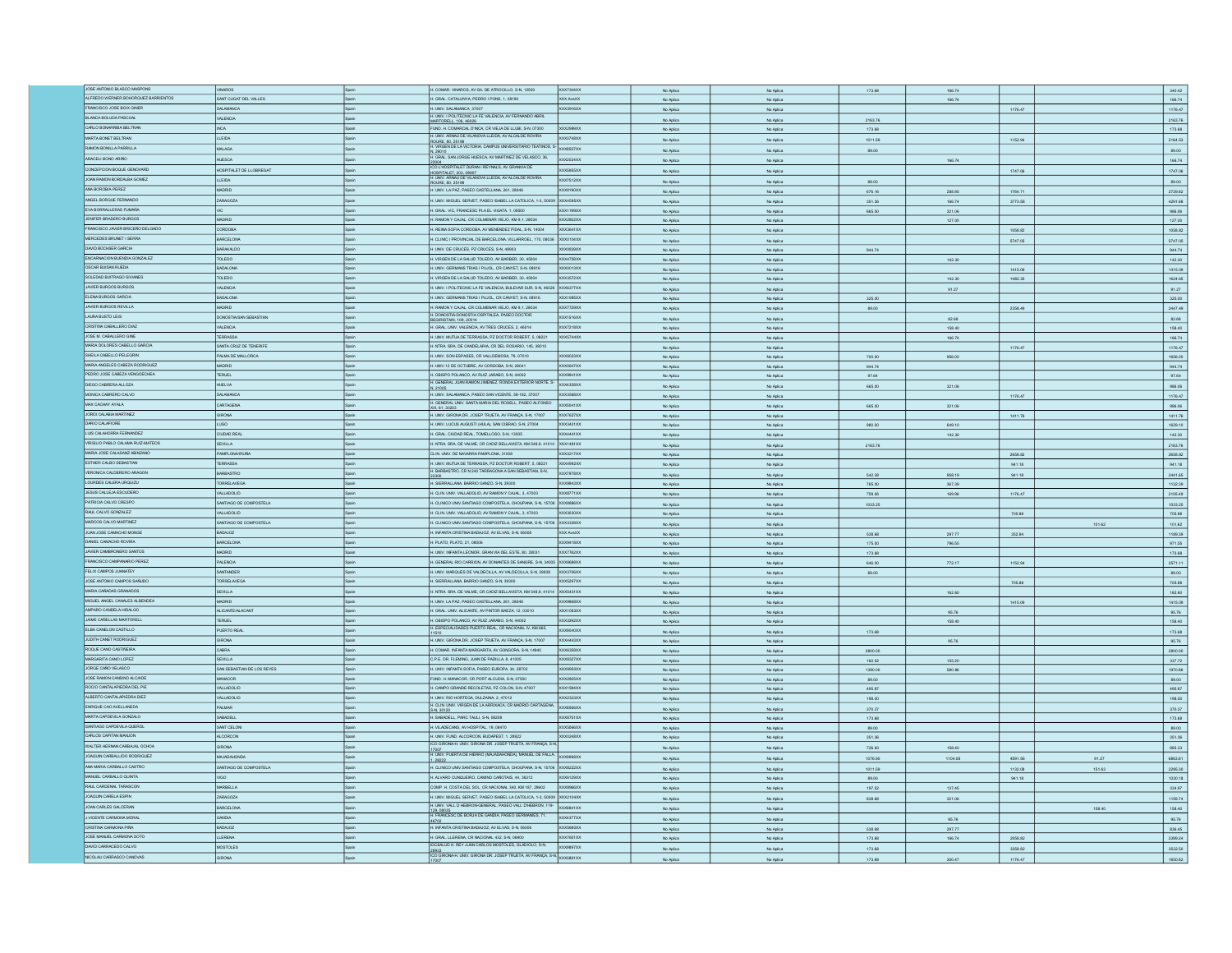| JOSE ANTONO BLASCO MASPONS          | <b>VINAROS</b>             |              | H. COMAR. VINAROS, AV GIL DE ATROCILLO, S-N, 12500                                                                                        | XXX7344XX           | No Aplica              | No Aplica              | 173.68           | 166.74  |                    |        | 340.42                                                                                                                                                                                                                                                             |
|-------------------------------------|----------------------------|--------------|-------------------------------------------------------------------------------------------------------------------------------------------|---------------------|------------------------|------------------------|------------------|---------|--------------------|--------|--------------------------------------------------------------------------------------------------------------------------------------------------------------------------------------------------------------------------------------------------------------------|
| ALFREDO WERNER BOHORQUEZ BARRIENTOS | SANT CUGAT DEL VALLES      | Spain        | H. GRAL CATALUNYA, PEDRO I PONS, 1, 08190                                                                                                 | XXX AvaXX           | No Aplica              | No Aplica              |                  | 166.74  |                    |        | 166.74                                                                                                                                                                                                                                                             |
| FRANCISCO JOSE BOIX GINER           | SALAMANCA                  | Spain        | H. UNIV. SALAMANCA, 37007                                                                                                                 | OCX3916XX           |                        |                        |                  |         | 1176.47            |        | 1176.47                                                                                                                                                                                                                                                            |
|                                     |                            |              | H. UNIV. I POLITECNIC LA FE VALENCIA, AV FERNANDO ABRIL                                                                                   |                     | No Aplica              | No Aplica              |                  |         |                    |        |                                                                                                                                                                                                                                                                    |
| BLANCA BOLUDA PASCUAL               | <b>ALENCIA</b>             |              | MARTORELL. 106. 46026                                                                                                                     |                     | No Aplica              | No Aplica              | 2163.76          |         |                    |        | 2163.76                                                                                                                                                                                                                                                            |
| CARLO BONARRIBA BELTRAN             | <b>INCA</b>                |              | FUND. H. COMARCAL D'INCA, CR VIEJA DE LLUBI, S-N, 07300                                                                                   | XXX2999XX           | No Aplica              | No Aplica              | 173.68           |         |                    |        | 173.68                                                                                                                                                                                                                                                             |
| MARTA BONET BELTRAN                 | LLEIDA                     |              | H. UNIV. ARNAU DE VILANOVA LLEIDA, AV ALCALDE ROVIRA                                                                                      | XXX3748XX           |                        |                        |                  |         | 1152.94            |        |                                                                                                                                                                                                                                                                    |
|                                     |                            |              | ROURE, 80, 25198<br>H. VIRGEN DE LA VICTORIA, CAMPUS UNIVERSITARIO TEATINOS, S-                                                           |                     | No Aplica              | No Aplica              | 1011.59          |         |                    |        | 2164.53                                                                                                                                                                                                                                                            |
| RAMON BONILLA PARRILLA              | MALAGA                     |              |                                                                                                                                           |                     | No Aplica              | No Aplica              | 89.00            |         |                    |        | 89.00                                                                                                                                                                                                                                                              |
| ARACELI BONO ARIÑO                  | <b>HUESCA</b>              |              | N, 29010<br>H. GRAL. SAN JORGE HUESCA, AV MARTINEZ DE VELASCO, 36,                                                                        | XXX2024XX           | No Aplica              | No Aplica              |                  | 166.74  |                    |        | 166.74                                                                                                                                                                                                                                                             |
| CONCEPCION BOOLE GENOVARD           | OSPITALET DE LLOBREGAT     | Snain        | 22004<br>ICO L'HOSPITALET DURAN I REYNALS, AV GRANVIA DE                                                                                  | XXX5955XX           |                        |                        |                  |         |                    |        |                                                                                                                                                                                                                                                                    |
|                                     |                            |              |                                                                                                                                           |                     | No Aplica              | No Aplica              |                  |         | 1747.06            |        | 1747.06                                                                                                                                                                                                                                                            |
| JOAN RAMON RORDALRA GOMEZ           | LLEIDA                     |              | HOSPITALET. 203. 08907<br>H. UNIV. ARNAU DE VILANOVA LLEIDA, AV ALCALDE ROVIRA<br>ROURE. 80. 25198                                        | XXX7512XX           | No Aplica              | No Aplica              | 89.00            |         |                    |        | 89.00                                                                                                                                                                                                                                                              |
| ANA BOROBIA PEREZ                   | <b>MADRID</b>              | .<br>Rhain   | H. UNIV. LA PAZ, PASEO CASTELLANA, 261, 28046                                                                                             | XXXB190XX           |                        |                        |                  |         | 1764.71            |        | 2729.82                                                                                                                                                                                                                                                            |
|                                     |                            |              |                                                                                                                                           |                     | No Aplica              | No Aplica              | 676.16           | 288.95  |                    |        |                                                                                                                                                                                                                                                                    |
| ANGEL BORQUE FERNANDO               | <b>ARAGOZA</b>             | Spain        | H. UNIV. MIGUEL SERVET, PASEO ISABEL LA CATOLICA, 1-3, 50009 XXX4595XX                                                                    |                     | No Aplica              | No Aplica              | 351.36           | 166.74  | 3773.58            |        | 4291.68                                                                                                                                                                                                                                                            |
| EVA BORRALLERAS FUMAÑA              | VIC.                       | Spain        | H. GRAL, VIC. FRANCESC PLA EL VIGATA 1, 08500                                                                                             | XXX1199XX           | No Aplica              | No Aplica              | 665.00           | 321.06  |                    |        | 986.06                                                                                                                                                                                                                                                             |
| JENIFER BRASERO BURGOS              | MADRID                     | Spain        | H. RAMON Y CAJAL, CR COLMENAR VIEJO, KM 9,1, 28034                                                                                        | XXX2802XX           | No Aplica              | No Aplica              |                  | 127.00  |                    |        | 127.00                                                                                                                                                                                                                                                             |
| FRANCISCO JAVIER BRICEÑO DELGADO    |                            |              |                                                                                                                                           |                     |                        |                        |                  |         |                    |        |                                                                                                                                                                                                                                                                    |
|                                     | <b>CORDOBA</b>             | Spain        | H. REINA SOFIA CORDOBA, AV MENENDEZ PIDAL, S-N, 14004                                                                                     | XXX3641XX           | No Aplica              | No Aplica              |                  |         | 1058.82            |        | 1058.82                                                                                                                                                                                                                                                            |
| MERCEDES BRUNET I SERRA             | <b>MRCELONA</b>            | Spain        | H. CLINIC I PROVINCIAL DE BARCELONA VILLARROEL. 170. 08036 XXX0104XX                                                                      |                     | No Aplica              | No Aplica              |                  |         | 5747.05            |        | 5747.05                                                                                                                                                                                                                                                            |
| DAVID BÜCHSER GARCIA                | ARAKALDO                   | Spain        | H. UNIV. DE CRUCES, PZ CRUCES, S-N, 48903                                                                                                 | XXX0839XX           | No Aplica              | No Aplica              | 944.74           |         |                    |        | 944.74                                                                                                                                                                                                                                                             |
| ENCABNACION BLIENDIA GONZALEZ       |                            |              |                                                                                                                                           |                     |                        |                        |                  |         |                    |        |                                                                                                                                                                                                                                                                    |
|                                     | OLEDO                      |              | VIRGEN DE LA SALUD TOLEDO, AV BARBER, 30, 45004                                                                                           | $\alpha$ x4758XX    | No Aplica              | No Aplica              |                  | 142.30  |                    |        | 142.30                                                                                                                                                                                                                                                             |
| OSCAR BUISAN RUEDA                  | BADALONA                   | <b>Scain</b> | H. UNIV. GERMANS TRIAS I PLUOL, CR CANYET, S-N, 08916                                                                                     | XXX0013XX           | No Aplica              | No Aplica              |                  |         | 1415.09            |        | 1415.09                                                                                                                                                                                                                                                            |
| SOLEDAD BUITRAGO SIVIANES           | TOLEDO                     | Spain        | H. VIRGEN DE LA SALUD TOLEDO, AV BARBER, 30, 45004                                                                                        | XXX3572XX           | No Aplica              | No Aplica              |                  | 142.30  | 1482.35            |        | 1624.65                                                                                                                                                                                                                                                            |
| JAVIER BURGOS BURGOS                | <b>VALENCIA</b>            | Boain        | H. UNIV. I POLITECNIC LA FE VALENCIA, BULEVAR SUR, S-N, 46026                                                                             | XXX6377XX           |                        |                        |                  |         |                    |        |                                                                                                                                                                                                                                                                    |
|                                     |                            |              |                                                                                                                                           |                     | No Aplic               | No Aplic               |                  | 91.27   |                    |        | 91.27                                                                                                                                                                                                                                                              |
| ELENA BURGOS GARCIA                 | BADALONA                   |              | H. UNIV. GERMANS TRIAS I PLUOL, CR CANYET, S-N, 08916                                                                                     | XXX1995XX           | No Aplica              | No Aplica              | 325.00           |         |                    |        | 325.00                                                                                                                                                                                                                                                             |
| JAVIER BURGOS REVILLA               | MADRID                     | Spain        | H. RAMON Y CAJAL. CR COLMENAR VIEJO. KM 9.1. 28034                                                                                        | XXX7729XX           | No Aplica              | No Aplica              | 89.00            |         | 2358.49            |        | 2447.49                                                                                                                                                                                                                                                            |
| LAURA BUSTO LEIS                    | DONOSTIA/SAN SEBASTIAN     | Spain        | H. DONOSTIA-DONOSTIA OSPITALEA, PASEO DOCTOR                                                                                              | <b>XXX1516XX</b>    |                        |                        |                  | 82.68   |                    |        | 82.68                                                                                                                                                                                                                                                              |
|                                     |                            |              | <b>IRISTAN. 109, 20014</b>                                                                                                                |                     | No Aplica              | No Aplica              |                  |         |                    |        |                                                                                                                                                                                                                                                                    |
| CRISTINA CABALLERO DIAZ             | VALENCIA                   | Spain        | H. GRAL. UNV. VALENCIA, AV TRES CRUCES, 2, 46014                                                                                          | OCX7218XX           | No Aplica              | No Aplica              |                  | 158.40  |                    |        | 158.40                                                                                                                                                                                                                                                             |
| JOSE M. CABALLERO GINE              | ERRASSA                    |              | H. UNIV. MUTUA DE TERRASSA, PZ DOCTOR ROBERT, 5, 08221                                                                                    | XXX5744XX           | No Aplica              | No Aplica              |                  | 166.74  |                    |        | 166.74                                                                                                                                                                                                                                                             |
| MARIA DOLORES CABELLO GARCIA        | SANTA CRUZ DE TENERIFE     | Spain        | H. NTRA SRA DE CANDELARIA, CR DEL ROSARIO, 145, 38010                                                                                     |                     | No Aplica              | No Aplica              |                  |         | 1176.47            |        | 1176.47                                                                                                                                                                                                                                                            |
|                                     |                            |              |                                                                                                                                           |                     |                        |                        |                  |         |                    |        |                                                                                                                                                                                                                                                                    |
| SHEILA CABELLO PELEGRIN             | PALMA DE MALLORCA          | Spain        | H. UNIV. SON ESPASES, CR VALLDEMOSA, 79, 07010                                                                                            | XXX8023XX           | No Aplica              | No Aplica              | <b>200.00</b>    | 956.00  |                    |        | 1656.00                                                                                                                                                                                                                                                            |
| MARIA ANGELES CABEZA RODRIGUEZ      | MADRID                     |              | H. UNIV.12 DE OCTUBRE, AV CORDOBA, S-N, 28041                                                                                             | XXX0647XX           | No Aplica              | No Aplica              | 944.74           |         |                    |        | 944.74                                                                                                                                                                                                                                                             |
| PEDRO JOSE CABEZA VENGOECHEA        | <b>TERUEL</b>              | Spain        | H. OBISPO POLANCO, AV RUIZ JARABO, S-N, 44002                                                                                             | XXX9941XX           | No Aplica              | No Aplica              | 97.64            |         |                    |        | 97.64                                                                                                                                                                                                                                                              |
| DIEGO CABRERA ALLOZA                | <b>HUELVA</b>              |              | I. GENERAL JUAN RAMON JIMENEZ, RONDA EXTERIOR NORTE, S-                                                                                   | XXX4358XX           |                        |                        |                  |         |                    |        |                                                                                                                                                                                                                                                                    |
|                                     |                            | Spain        |                                                                                                                                           |                     | No Aplica              | No Aplica              | 665.00           | 321.06  |                    |        | 986.06                                                                                                                                                                                                                                                             |
| MONICA CABRERO CALVO                | SALAMANCA                  | <b>Scain</b> | H. UNIV. SALAMANCA, PASEO SAN VICENTE, 58-182, 37007                                                                                      | XXX3568XX           | No Aplica              | No Aplica              |                  |         | 1176.47            |        | 1176.47                                                                                                                                                                                                                                                            |
| AX CACHAY AYALA                     | ARTAGENA                   |              | H. GENERAL UNIV. SANTA MARIA DEL ROSELL, PASEO ALFONSO                                                                                    | XXX5041XX           | No Aplica              | No Aplica              | 665.00           | 321.06  |                    |        | 986.06                                                                                                                                                                                                                                                             |
| JORDI CALABIA MARTINEZ              |                            |              | XIII. 61. 30203                                                                                                                           |                     |                        |                        |                  |         |                    |        |                                                                                                                                                                                                                                                                    |
|                                     | <b>IRONA</b>               |              | H. UNIV. GIRONA DR. JOSEP TRUETA, AV FRANÇA, S-N, 17007                                                                                   | XXX7627XX           | No Aplica              | No Aplica              |                  |         | 1411.76            |        | 1411.76                                                                                                                                                                                                                                                            |
| DARIO CALAFIORE                     | LUGO                       | Spain        | H. UNIV. LUCUS AUGUSTI (HULA), SAN CIBRAO, S-N, 27004                                                                                     | XXX3431XX           | No Aplica              | No Aplica              | 980.00           | 649.10  |                    |        | 1629.10                                                                                                                                                                                                                                                            |
| LUIS CALAHORRA FERNANDEZ            | CIUDAD REAL                | Spain        | H. GRAL. CIUDAD REAL, TOMELLOSO, S-N, 13005                                                                                               | XXX4441XX           | No Aplica              | No Aplica              |                  | 142.30  |                    |        | 142.30                                                                                                                                                                                                                                                             |
| VIRGILIO PABLO CALAMA RUIZ-MATEOS   | SEVILLA                    |              | H. NTRA. SRA. DE VALME, CR CADIZ BELLAVISTA, KM 548,9, 41014 XXX1481XX                                                                    |                     |                        |                        |                  |         |                    |        |                                                                                                                                                                                                                                                                    |
|                                     |                            |              |                                                                                                                                           |                     | No Arling              | No Anked               | 2163.76          |         |                    |        | 2163.76                                                                                                                                                                                                                                                            |
| MARIA JOSE CALASANZ ABINZANO        | <b>AMPLONA/IRUÑA</b>       |              | CLIN UNIV. DE NAVARRA PAMPLONA, 31008                                                                                                     | XXX3217XX           | No Aplica              | No Aplica              |                  |         | 2658.82            |        | 2658.82                                                                                                                                                                                                                                                            |
| ESTHER CALBO SEBASTIAN              | TERRASSA                   | Spain        | H. UNIV. MUTUA DE TERRASSA, PZ DOCTOR ROBERT. 5. 08221                                                                                    | XXX4992XX           | No Aplica              | No Aplica              |                  |         | 941.18             |        | 941.18                                                                                                                                                                                                                                                             |
| VERONICA CALDERERO ARAGON           | OFFICARBA                  |              | H. BARBASTRO, CR N 240 TARRAGONA A SAN SEBASTIAN, S-N.                                                                                    | XXX7978XX           |                        |                        |                  |         |                    |        |                                                                                                                                                                                                                                                                    |
|                                     |                            | Spain        |                                                                                                                                           |                     | No Aplica              | No Aplica              | 542.28           | 958.19  | 941.18             |        | 2441.65                                                                                                                                                                                                                                                            |
| LOURDES CALERA URQUIZL              | <b>DRRELAVEGA</b>          | Spain        | H. SIERRALLANA, BARRIO GANZO, S-N. 39300                                                                                                  | DCX9943XX           | No Aplica              | No Aplica              | 765.00           | 367.39  |                    |        | 1132.39                                                                                                                                                                                                                                                            |
| JESUS CALLEJA ESCUDERO              | <b>ALLADOLID</b>           |              | H. CLIN. UNIV. VALLADOLID, AV RAMON Y CAJAL, 3, 47003                                                                                     | XXX8771XX           | No Aplica              | No Aplica              | 759.06           | 169.96  | 1176.47            |        | 2105.49                                                                                                                                                                                                                                                            |
| PATRICIA CALVO CRESPO               | ANTIAGO DE COMPOSTELA      | Spain        | H. CLINICO UNIV. SANTIAGO COMPOSTELA, CHOUPANA, S.N. 15706 XXX8886XX                                                                      |                     |                        |                        |                  |         |                    |        |                                                                                                                                                                                                                                                                    |
|                                     |                            |              |                                                                                                                                           |                     | No Aplica              | No Aplica              | 1033.25          |         |                    |        | 1033.25                                                                                                                                                                                                                                                            |
| RAUL CALVO GONZALEZ                 | VALLADOLID                 | Spain        | H. CLIN. UNIV. VALLADOLID, AV RAMON Y CAJAL, 3, 47003                                                                                     | XXX3030XX           | No Aplica              | No Aplica              |                  |         | 705.88             |        | 705.88                                                                                                                                                                                                                                                             |
| MARCOS CALVO MARTINEZ               | SANTIAGO DE COMPOSTELA     | Spain        | H. CLINICO UNIV.SANTIAGO COMPOSTELA, CHOUPANA, S-N, 15706 XXX3339XX                                                                       |                     | No Aplica              | No Aplica              |                  |         |                    | 101.62 | 101.62                                                                                                                                                                                                                                                             |
| JUAN JOSE CAMACHO MONGE             | BADAJOZ                    | Spain        | H. INFANTA CRISTINA BADAJOZ, AV ELVAS, S-N, 06006                                                                                         | XXX AvaXX           | No Aplica              | No Aplica              | 538.68           | 207.77  | 352.94             |        | 1189.39                                                                                                                                                                                                                                                            |
|                                     |                            |              |                                                                                                                                           |                     |                        |                        |                  |         |                    |        |                                                                                                                                                                                                                                                                    |
| DANIEL CAMACHO ROVIRA               | <b>BARCELONA</b>           |              | H. PLATO, PLATO, 21, 08006                                                                                                                | XXX9418XX           | No Aplica              | No Aplica              | 175.00           | 796.55  |                    |        | 971.55                                                                                                                                                                                                                                                             |
| JAVIER CAMBRONERO SANTOS            | <b>MADRID</b>              | Spain        | H. UNIV. INFANTA LEONOR, GRAN VIA DEL ESTE, 80, 28031                                                                                     | XXX7762XX           | No Aplica              | No Aplica              | 173.68           |         |                    |        | 173.68                                                                                                                                                                                                                                                             |
| FRANCISCO CAMPANARIO PEREZ          | PALENCIA                   | Spain        | H. GENERAL RIO CARRION, AV DONANTES DE SANGRE, S-N, 34005 XXX8688XX                                                                       |                     |                        |                        |                  |         |                    |        |                                                                                                                                                                                                                                                                    |
|                                     |                            |              |                                                                                                                                           |                     | No Aplica              | No Aplica              | 646.00           | 772.17  | 1152.94            |        | 2571.11                                                                                                                                                                                                                                                            |
| FELIX CAMPOS JUANATEY               | ANTANDER                   |              | H. UNIV. MARQUES DE VALDECILLA, AV VALDECILLA, S-N, 39008                                                                                 | XXX3706XX           |                        |                        |                  |         |                    |        | 89.00                                                                                                                                                                                                                                                              |
| JOSE ANTONIO CAMPOS SAÑUDO          | ORRELAVEGA                 |              | SIERRALLANA, BARRIO GANZO, S-N, 39300                                                                                                     |                     | No Aplica              | No Aplica              | 89.00            |         |                    |        |                                                                                                                                                                                                                                                                    |
| MARIA CAÑADAS GRANADOS              | SEVILLA                    |              |                                                                                                                                           | <b>OCX5297XX</b>    | No Aplica              | No Aplica              |                  |         | 705.88             |        |                                                                                                                                                                                                                                                                    |
| MIGUEL ANGEL CANALES ALBENDEA       |                            |              |                                                                                                                                           |                     |                        |                        |                  |         |                    |        |                                                                                                                                                                                                                                                                    |
|                                     |                            | <b>Spain</b> | I. NTRA. SRA. DE VALME, CR CADIZ BELLAVISTA, KM 548,9, 41014 XXX5431XX                                                                    |                     | No Aplica              | No Aplica              |                  | 162.60  |                    |        |                                                                                                                                                                                                                                                                    |
|                                     | MADRID                     | <b>Spain</b> | H. UNIV. LA PAZ. PASEO CASTELLANA, 261, 28046                                                                                             | XXX9968XX           | No Aplica              | No Aplica              |                  |         | 1415.09            |        |                                                                                                                                                                                                                                                                    |
| AMPARO CANDELA HIDALGO              | ALICANTE/ALACANT           | Spain        | H. GRAL. UNV. ALICANTE, AV PINTOR BAEZA, 12, 03010                                                                                        | XXX1083XX           | No Arling              | No Aniin               |                  | 95.76   |                    |        |                                                                                                                                                                                                                                                                    |
| JAIME CAÑELLAS MARTORELL            |                            | <b>Spain</b> | H. OBISPO POLANCO, AV RUIZ JARABO, S-N, 44002                                                                                             | XXX3392XX           |                        |                        |                  |         |                    |        |                                                                                                                                                                                                                                                                    |
|                                     | TERUEL                     |              | H. ESPECIALIDADES PUERTO REAL, CR NACIONAL IV, KM 665.                                                                                    |                     | No Aplica              | No Aplica              |                  | 158.40  |                    |        |                                                                                                                                                                                                                                                                    |
| ELBA CANELON CASTILLO               | PUERTO REAL                | Spain        |                                                                                                                                           | <b>OCX9040XX</b>    | No Aplica              | No Aplica              | 173.68           |         |                    |        |                                                                                                                                                                                                                                                                    |
| JUDITH CANET RODRIGUEZ              | GIRONA                     | Spain        | H. UNIV. GIRONA DR. JOSEP TRUETA, AV FRANÇA, S-N, 17007                                                                                   | <b>XXX4443XX</b>    | No Aplica              | No Aplica              |                  | 95.76   |                    |        |                                                                                                                                                                                                                                                                    |
| ROQUE CANO CASTIÑEIRA               | ARRA                       | Spain        | H. COMAR. INFANTA MARGARITA, AV GONGORA, S-N, 14940                                                                                       | XXX6358XX           | No Aplica              | No Aplica              | 2800.00          |         |                    |        |                                                                                                                                                                                                                                                                    |
| MARGARITA CANO LOPEZ                |                            |              |                                                                                                                                           |                     |                        |                        |                  |         |                    |        |                                                                                                                                                                                                                                                                    |
|                                     | SEVILLA                    |              | C.P.E. DR. FLEMING, JUAN DE PADILLA, 8, 41005                                                                                             | XXX8327XX           | No Aplica              | No Aplica              | 182.52           | 155.20  |                    |        |                                                                                                                                                                                                                                                                    |
| JORGE CAÑO VELASCO                  | SAN SEBASTIAN DE LOS REYES | Snain        | H. UNIV. INFANTA SOFIA, PASEO EUROPA, 34, 28702                                                                                           | XXX9950XX           | No Aplica              | No Aplica              | 1390.00          | 580.86  |                    |        |                                                                                                                                                                                                                                                                    |
| JOSE RAMON CANSINO ALCAIDE          | MANACOR                    | Spain        | FUND. H. MANACOR, CR PORT ALCUDIA, S-N, 07500                                                                                             | XXX2805XX           | No Aplica              | No Aplica              | 89.00            |         |                    |        |                                                                                                                                                                                                                                                                    |
| ROCIO CANTALAPIEDRA DEL PIE         | VALLADOLID                 |              | H. CAMPO GRANDE RECOLETAS, PZ COLON, S-N, 47007                                                                                           | XXX1594XX           | No Aplica              | No Aplica              | 495.87           |         |                    |        |                                                                                                                                                                                                                                                                    |
| ALBERTO CANTALAPIEDRA DIEZ          | CILIODA LIAV               |              |                                                                                                                                           |                     |                        |                        |                  |         |                    |        |                                                                                                                                                                                                                                                                    |
|                                     |                            | Spain        | H. UNIV. RIO HORTEGA, DULZAINA, 2, 47012                                                                                                  | XXX2333XX           | No Aplica              | No Aplica              | 198.00           |         |                    |        |                                                                                                                                                                                                                                                                    |
| ENRIQUE CAO AVELLANEDA              | ALMAR <sup>-</sup>         |              | H. CLIN. UNIV. VIRGEN DE LA ARRIXACA, CR MADRID CARTAGENA<br>S-N, 30120                                                                   | <b>OCXB566XX</b>    | No Aplica              | No Aplica              | 370.37           |         |                    |        |                                                                                                                                                                                                                                                                    |
|                                     | ABADELL                    | <b>Boain</b> | H. SABADELL, PARC TAULI, S-N, 08208                                                                                                       | O(XB751XX)          |                        |                        | 173.68           |         |                    |        |                                                                                                                                                                                                                                                                    |
| MARTA CAPDEVILA GONZALO             |                            |              |                                                                                                                                           | XXX5066XX           | No Aplica              | No Aplica              |                  |         |                    |        |                                                                                                                                                                                                                                                                    |
|                                     | MAT CELON                  |              | H. VILADECANS, AV HOSPITAL, 19, 08470                                                                                                     |                     | No Aplica              | No Aplica              | 89.00            |         |                    |        |                                                                                                                                                                                                                                                                    |
| CARLOS CAPITAN MANJON               | ALCORDON                   | Snain        | H INV FIND ALCORDON BUDAPEST 1-28922                                                                                                      | XXX0248XX           | No Aplica              | No Aplica              | 351.36           |         |                    |        |                                                                                                                                                                                                                                                                    |
| WALTER HERNAN CARBAJAL OCHOA        | <b>GIRONA</b>              |              | ICO GIRONA-H. UNIV. GIRONA DR. JOSEP TRUETA, AV FRANÇA, S-N                                                                               |                     | No Aplica              | No Aplica              | 726.93           | 158.40  |                    |        |                                                                                                                                                                                                                                                                    |
| JOAQUIN CARBALLIDO RODRIGUEZ        | MAJADAHONDA                | Snair        |                                                                                                                                           |                     |                        |                        |                  |         |                    |        |                                                                                                                                                                                                                                                                    |
|                                     |                            |              | 17007<br>H. UNIV. PUERTA DE HERRO (MAJADAHONDA), MANUEL DE FALLA. XXX9998XX                                                               |                     | No Aplica              | No Aplica              | 1076.90          | 1104.08 | 4591.56            | 91.27  |                                                                                                                                                                                                                                                                    |
| ANA MARIA CARBALLO CASTRO           | MATIAGO DE COMPOSTELA      | Spain        | H. CLINICO UNIV.SANTIAGO COMPOSTELA, CHOUPANA, S-N, 15706 XXX8222XX                                                                       |                     | No Aplica              | No Aplica              | 1011.59          |         | 1132.08            | 151.63 |                                                                                                                                                                                                                                                                    |
| MANJEL CARBALLO QUINTA              | ODW                        | Spain        | H. ALVARO CUNQUEIRO, CAMINO CAÑOTAIS, 44, 36312                                                                                           | XXX6129XX           | No Aplica              | No Aplica              | 89.00            |         | 941.18             |        |                                                                                                                                                                                                                                                                    |
|                                     |                            |              |                                                                                                                                           |                     |                        |                        |                  |         |                    |        |                                                                                                                                                                                                                                                                    |
| RAUL CARDENAL TARASCON              | MARBELLA                   |              | COMP. H. COSTA DEL SOL, CR NACIONAL 340, KM 187, 29602                                                                                    | XXX8966XX           | No Aplica              | No Aplica              | 197.52           | 137.45  |                    |        |                                                                                                                                                                                                                                                                    |
| JOAQUIN CARELA ESPIN                | <b>ARAGOZA</b>             | <b>Spain</b> | H. UNIV. MIGUEL SERVET, PASEO ISABEL LA CATOLICA, 1-3, 50009 XXX2104XX                                                                    |                     | No Aplica              | No Aplica              | 838.68           | 321.06  |                    |        |                                                                                                                                                                                                                                                                    |
| JOAN CARLES GALCERAN                | BARCELONA                  | <b>Scain</b> |                                                                                                                                           |                     | No Aplica              | No Aplica              |                  |         |                    | 158.40 |                                                                                                                                                                                                                                                                    |
| J.VICENTE CARMONA MORAL             | <b>AIGNAD</b>              |              |                                                                                                                                           |                     |                        |                        |                  |         |                    |        | 1159.74                                                                                                                                                                                                                                                            |
|                                     |                            | Spain        | H. UNIV. VALL D HEBRON-GENERAL, PASEO VALL D'HEBRON, 119-<br>129, 08035<br>H. FRANCESC DE BORJA DE GANDIA, PASEO GERMANIES, 71, XXX4377XX |                     | No Aplica              | No Aplica              |                  | 95.76   |                    |        |                                                                                                                                                                                                                                                                    |
| CRISTINA CARMONA PIÑA               | SOLADAB                    | Spain        | H. INFANTA CRISTINA BADAJOZ, AV ELVAS, S-N, 06006                                                                                         | XXX5680XX           | No Aplica              | No Aplica              | 538.68           | 297.77  |                    |        |                                                                                                                                                                                                                                                                    |
| JOSE MANUEL CARMONA SOT             | LERENA                     |              | H. GRAL. LLERENA, CR NACIONAL 432, S-N, 06900                                                                                             | $\alpha$ x 7651 x x | No Aplica              | No Aplica              | 173.68           | 166.74  | 2058.82            |        |                                                                                                                                                                                                                                                                    |
| DAVID CARRACEDO CALVO               | <b>OSTOLES</b>             |              | IDCSALUD H. REY JUAN CARLOS MOSTOLES, GLADIOLO, S-N,                                                                                      | XXX9897XX           |                        |                        |                  |         |                    |        | 705.88<br>162.60<br>1415.09<br>95.76<br>158.40<br>173.68<br>95.76<br>2800.00<br>337.72<br>1970.86<br>89.00<br>495.87<br>198.00<br>370.37<br>173.68<br>89.00<br>351.36<br>885.33<br>6863.81<br>2295.30<br>1030.18<br>334.97<br>158.40<br>95.76<br>836.45<br>2399.24 |
| NICOLAU CARRASCO CANOVAS            | <b>IRONA</b>               |              | 28933<br>ICO GIRONA-H. UNIV. GIRONA DR. JOSEP TRUETA, AV FRANÇA, S-N. XXX0881XX                                                           |                     | No Aplica<br>No Aplica | No Aplica<br>No Aplica | 173.68<br>173.68 | 300.47  | 3358.82<br>1176.47 |        | 3532.50<br>1650.62                                                                                                                                                                                                                                                 |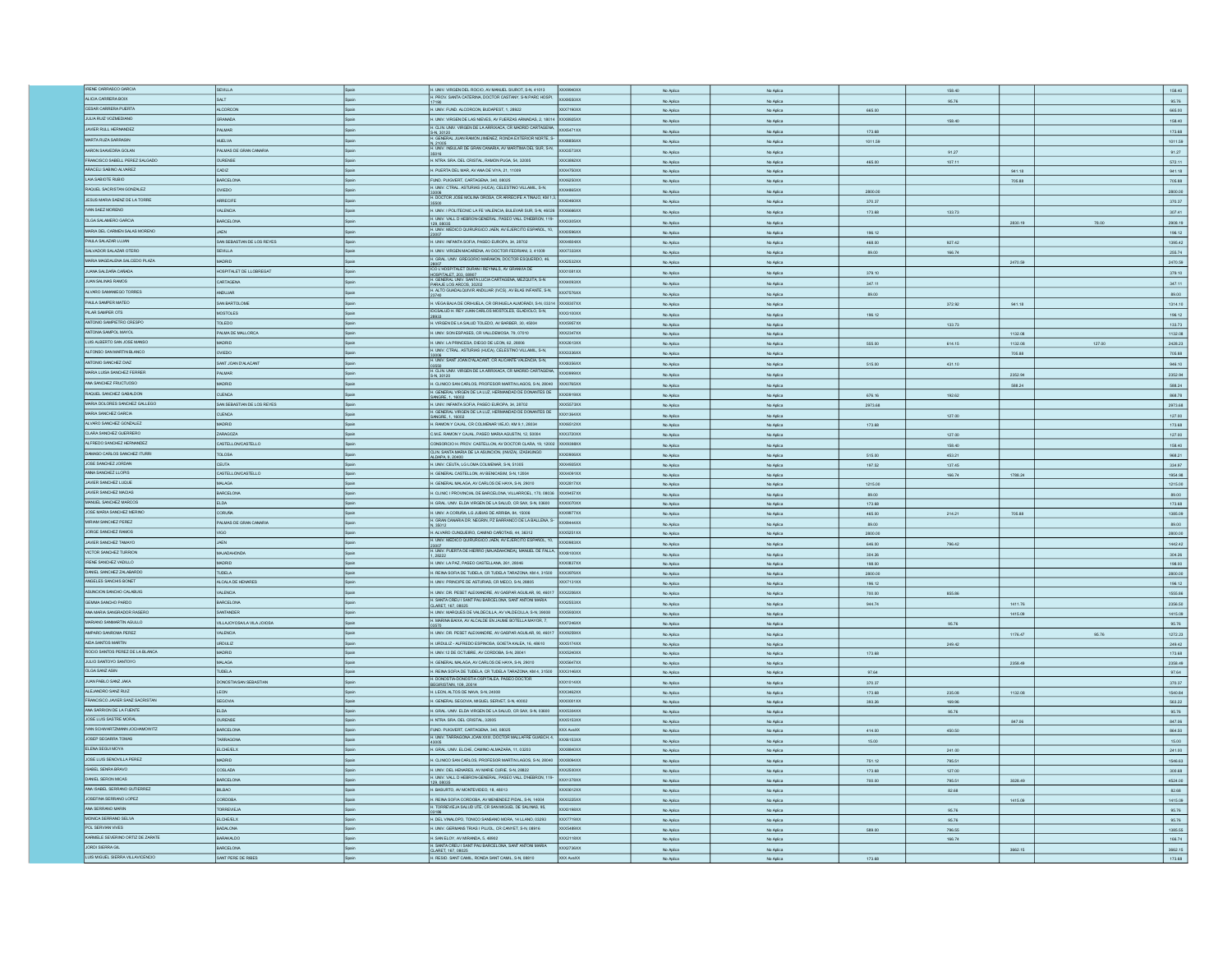| IRENE CARRASCO GARCIA                                | SEVILLA                         |              | H. UNIV. VIRGEN DEL ROCIO, AV MANUEL SIUROT, S-N, 41013                                                                           | XXX9940XX                     | No Aplica | No Aplica |         | 158.40 |         |        | 158.40            |
|------------------------------------------------------|---------------------------------|--------------|-----------------------------------------------------------------------------------------------------------------------------------|-------------------------------|-----------|-----------|---------|--------|---------|--------|-------------------|
| ALICIA CARRERA BOIX                                  | SALT                            | <b>Spain</b> | H. PROV. SANTA CATERINA, DOCTOR CASTANY, S-N PARC HOSPI,                                                                          | XXX9550XX                     | No Aplica | No Aplica |         | 95.76  |         |        | 95.76             |
| CESAR CARRERA PUERTA                                 | <b>ALCORCON</b>                 |              |                                                                                                                                   |                               |           |           |         |        |         |        |                   |
|                                                      |                                 | Spain        | H. UNIV. FUND. ALCORCON, BUDAPEST, 1, 28922                                                                                       | XXX7190XX                     | No Aplica | No Aplica | 665.00  |        |         |        | 665.00            |
| JULIA RUIZ VOZMEDIANO                                | GRANADA                         | Spain        | H. UNIV. VIRGEN DE LAS NIEVES, AV FUERZAS ARMADAS, 2, 18014 XXX8925XX                                                             |                               | No Aplica | No Aplica |         | 158.40 |         |        | 158.40            |
| JAVIER RULL HERNANDEZ                                | PALMAR                          | Spain        | H. CLIN. UNIV. VIRGEN DE LA ARRIXACA, CR MADRID CARTAGENA. XXX5471XX                                                              |                               |           |           |         |        |         |        |                   |
|                                                      |                                 |              |                                                                                                                                   |                               | No Aplica | No Aplica | 173.68  |        |         |        | 173.68            |
| MARTA RUZA SARRASIN                                  | <b>HUELVA</b>                   |              | S.N., 30120<br>S.N., 30120<br>H. GENERAL JUAN RAMON JIMENEZ, RONDA EXTERIOR NORTE, S-<br>XOOGB56XX                                |                               | No Aplica | No Aplica | 1011.59 |        |         |        | 1011.59           |
| AARON SAAVEDRA GOLAN                                 | PALMAS DE GRAN CANARIA          | Spain        | n, 21005<br>H. UNIV. INSULAR DE GRAN CANARIA, AV MARITIMA DEL SUR, S-N,                                                           | <b>XXX3573XX</b>              | No Aplica | No Aplica |         | 91.27  |         |        | 91.27             |
| FRANCISCO SABELL PEREZ SALGADO                       |                                 |              |                                                                                                                                   |                               |           |           |         |        |         |        |                   |
|                                                      | <b>OURENSE</b>                  | Spain        | H. NTRA SRA DEL CRISTAL, RAMON PUGA, 54, 32005                                                                                    | <b>XXX3892XX</b>              | No Aplica | No Aplica | 465.00  | 107.11 |         |        | 572.11            |
| ARACELI SABINO ALVAREZ                               | CADIZ                           |              | H. PUERTA DEL MAR, AV ANA DE VIYA, 21, 11009                                                                                      | XXX4750XX                     | No Aplica | No Aplica |         |        | 941.18  |        | 941.18            |
| LAJA SABIOTE RUBIO                                   | BARCELONA                       |              | FUND, PUIGVERT, CARTAGENA, 340, 08025                                                                                             | XXX6250XX                     | No Aplica | No Aplica |         |        | 705.88  |        | 705.88            |
| RAQUEL SACRISTAN GONZALEZ                            |                                 |              | H INV CTRAL ASTURIAS (HUCA) CELESTINO VILLAMIL SJN                                                                                |                               |           |           |         |        |         |        |                   |
|                                                      | OVIEDO                          |              |                                                                                                                                   | <b>XXX4865XX</b>              | No Aplica | No Aplica | 2800.00 |        |         |        | 2800.00           |
| JESUS MARIA SAENZ DE LA TORRE                        | ARRECIFE                        | anain.       | H. DOCTOR JOSE MOLINA OROSA, CR ARRECIFE A TINAJO, KM 1,3,                                                                        | XXXD460XX                     | No Aplica | No Aplica | 370.37  |        |         |        | 370.37            |
| IVAN SAEZ MORENO                                     | <b>VALENCIA</b>                 | Spain        |                                                                                                                                   |                               |           |           |         |        |         |        |                   |
|                                                      |                                 |              | H. UNIV. I POLITECNIC LA FE VALENCIA, BULEVAR SUR, S-N, 46026 XXX6666XX                                                           |                               | No Aplica | No Aplica | 173.68  | 133.73 |         |        | 307.41            |
| OLGA SALAMERO GARCIA                                 | <b>BARCELONA</b>                | .<br>Shain   | H. UNV. VALL D HEBRON-GENERAL, PASEO VALL D'HEBRON, 119- XXX3305XX                                                                |                               | No Aplica | No Aplica |         |        | 2830.19 | 78.00  | 2908.19           |
| MARIA DEL CARMEN SALAS MORENO                        | <b>JAFN</b>                     |              | 129. USU35<br>H. UNIV. MEDICO QUIRURGICO JAEN, AV EJERCITO ESPAÑOL, 10, XXX0596XX                                                 |                               |           |           |         |        |         |        |                   |
|                                                      |                                 |              |                                                                                                                                   |                               | No Aplica | No Aplica | 196.12  |        |         |        | 196.12            |
| PAULA SALAZAR LUJAN                                  | SAN SEBASTIAN DE LOS REYES      | Spain        | H. UNIV. INFANTA SOFIA, PASEO EUROPA, 34, 28702                                                                                   | XXX4804XX                     | No Aplica | No Aplica | 468.00  | 927.42 |         |        | 1395.42           |
| SALVADOR SALAZAR OTERO                               | SEVILLA                         | <b>Spain</b> | H. UNIV. VIRGEN MACARENA, AV DOCTOR FEDRIAN, 3, 41009                                                                             | <b>XXX7333XX</b>              | No Aplica | No Aplica | 89.00   | 166.74 |         |        | 255.74            |
|                                                      |                                 |              | H. GRAL. UNV. GREGORIO MARAWON, DOCTOR ESQUERDO, 46,                                                                              |                               |           |           |         |        |         |        |                   |
| MARIA MAGDALENA SALCEDO PLAZA                        | MADRID                          | Spain        |                                                                                                                                   | XXX2532XX                     | No Aplica | No Aplica |         |        | 2470.59 |        | 2470.59           |
| JUANA SALDAÑA CAÑADA                                 | HOSPITALET DE LLOBREGAT         | Spain        | 28007<br>ICO L'HOSPITALET DURAN I REYNALS, AV GRANVIA DE                                                                          | XXX1081XX                     | No Aplica | No Aplica | 379.10  |        |         |        | 379.10            |
| JUAN SALINAS RAMOS                                   |                                 | Spain        | HOSPITALET, 203, 08907<br>H. GENERAL UNIV. SANTA LUCIA CARTAGENA, MEZQUITA, S-N                                                   |                               |           |           |         |        |         |        |                   |
|                                                      | CARTAGENA                       |              | PARAJE LOS ARCOS, 30202<br>H. ALTO GUADALQUIVIR ANDUJAR (IVCS), AV BLAS INFANTE, S-N,                                             | XXX4093XX                     | No Aplica | No Aplica | 347.11  |        |         |        | 347.11            |
| ALVARO SAMANIEGO TORRES                              | ANDUJAR                         | <b>Scain</b> |                                                                                                                                   | XXX7576XX                     | No Aplica | No Aplica | 89.00   |        |         |        | 89.00             |
|                                                      |                                 |              |                                                                                                                                   |                               |           |           |         |        |         |        |                   |
| PAULA SAMPER MATEO                                   | SAN BARTOLOME                   | Spain        | H. VEGA BAJA DE ORIHUELA, CR ORIHUELA ALMORADI, S-N, 03314                                                                        | XXXB307XX                     | No Aplica | No Aplica |         | 372.92 | 941.18  |        | 1314.10           |
| PILAR SAMPER OTS                                     | <b>MOSTOLES</b>                 | Spain        | IDCSALUD H. REY JUAN CARLOS MOSTOLES, GLADIOLO, S-N,<br>28933                                                                     | XXX3100XX                     | No Aplica | No Aplica | 196.12  |        |         |        | 196.12            |
| ANTONIO SAMPIETRO CRESPO                             | TOLEDO                          |              | H. VIRGEN DE LA SALUD TOLEDO, AV BARBER, 30, 45004                                                                                | XXX5957XX                     |           |           |         |        |         |        | 133.73            |
|                                                      |                                 |              |                                                                                                                                   |                               | No Aplica | No Aplica |         | 133.73 |         |        |                   |
| ANTONIA SAMPOL MAYOL                                 | PALMA DE MALLORCA               | Spain        | H. UNIV. SON ESPASES, CR VALLDEMOSA, 79, 07010                                                                                    | XXX2347XX                     | No Aplica | No Aplica |         |        | 1132.08 |        | 1132.08           |
| LUIS ALBERTO SAN JOSE MANSO                          | MADRID                          | pain         | H. UNIV. LA PRINCESA, DIEGO DE LEON, 62, 28006                                                                                    | DCX2613XX                     | No Aplica | No Aplica | 555.00  | 614.15 | 1132.08 | 127.00 | 2428.23           |
| ALFONSO SAN MARTIN BLANCO                            | OOBNC                           |              | H. UNIV. CTRAL. ASTURIAS (HUCA), CELESTINO VILLAMIL, S-N,                                                                         | OCX3336XX                     |           |           |         |        |         |        |                   |
|                                                      |                                 |              | 33006<br>H. UNIV. SANT JOAN D'ALACANT, CR ALICANTE VALENCIA, S-N,                                                                 |                               | No Aplica | No Aplica |         |        | 705.88  |        | 705.88            |
| ANTONIO SANCHEZ DIAZ                                 | SANT JOAN D'ALACANT             |              |                                                                                                                                   | XXXB356XX                     | No Aplica | No Aplica | 515.00  | 431.10 |         |        | 946.10            |
| MARIA LUISA SANCHEZ FERRER                           | PALMAR                          |              | 03550<br>H. CLIN, UNIV, VIRGEN DE LA ARRIXACA, CR MADRID CARTAGENA,                                                               | XX0999XX                      |           |           |         |        |         |        |                   |
|                                                      |                                 |              | S-N. 30120                                                                                                                        |                               | No Aplica | No Aplica |         |        | 2352.94 |        | 2352.94           |
| ANA SANCHEZ FRUCTUOSO                                | MADRID                          |              | H. CLINICO SAN CARLOS, PROFESOR MARTIN LAGOS, S-N, 28040 XXX0765XX                                                                |                               | No Aplica | No Aplica |         |        | 588.24  |        | 588.24            |
| RAQUEL SANCHEZ GABALDON                              | <b>CUENCA</b>                   |              | H. GENERAL VIRGEN DE LA LUZ, HERMANDAD DE DONANTES DE XXX0919XX                                                                   |                               |           |           | 676.16  |        |         |        | 868.78            |
|                                                      |                                 |              | SANGRE, 1, 16002                                                                                                                  |                               | No Aplica | No Aplica |         | 192.62 |         |        |                   |
| MARIA DOLORES SANCHEZ GALLEGO                        | SAN SEBASTIAN DE LOS REYES      | Spain        | H. UNIV. INFANTA SOFIA, PASEO EUROPA, 34, 28702                                                                                   | $\alpha$ xss73xx              | No Aplica | No Aplica | 2973.68 |        |         |        | 2973.68           |
| MARIA SANCHEZ GARCIA                                 | <b>CUENCA</b>                   |              | H. GENERAL VIRGEN DE LA LUZ, HERMANDAD DE DONANTES DE                                                                             | XXX1364XX                     | No Aplica | No Aplica |         | 127.00 |         |        | 127.00            |
| ALVARO SANCHEZ GONZALEZ                              | <b>MADRID</b>                   | Spain        | SANGRE, 1, 16002                                                                                                                  | XXX6512XX                     |           |           |         |        |         |        |                   |
|                                                      |                                 |              | H. RAMON Y CAJAL, CR COLMENAR VIEJO, KM 9.1, 28034                                                                                |                               | No Aplica | No Aplica | 173.68  |        |         |        | 173.68            |
| CLARA SANCHEZ GUERRERO                               | ZARAGOZA                        | Spain        | C.M.E. RAMON Y CAJAL, PASEO MARIA AGUSTIN, 12, 50004                                                                              | <b>XXX3720XX</b>              | No Aplica | No Aplica |         | 127.00 |         |        | 127.00            |
| ALFREDO SANCHEZ HERNANDEZ                            | CASTELLONCASTELLO               | Spain        | CONSORCIO H. PROV. CASTELLON, AV DOCTOR CLARA, 19, 12002                                                                          | XXX9398XX                     | No Aplica | No Aplica |         | 158.40 |         |        |                   |
|                                                      |                                 |              | CLIN SANTA MARIA DE LA ASUNCION, (IMAZA), IZASKUNGO                                                                               |                               |           |           |         |        |         |        | 158.40            |
| DAMASO CARLOS SANCHEZ ITURRI                         | TOLOSA                          |              | ALDAPA, 9, 20400                                                                                                                  | XXX0906XX                     | No Aplica | No Aplica | 515.00  | 453.21 |         |        | 968.21            |
| JOSE SANCHEZ JORDAN                                  | CEUTA                           | Spain        | H. UNIV. CEUTA, LG LOMA COLMENAR, S-N, 51005                                                                                      | XXX4935XX                     | No Aplica | No Aplica | 197.52  | 137.45 |         |        | 334.97            |
|                                                      | CASTELLONCASTELLO               |              | H. GENERAL CASTELLON, AV BENICASIM, S-N, 12004                                                                                    | XXX4091XX                     |           |           |         |        |         |        |                   |
| ANNA SANCHEZ LLOPIS                                  |                                 | Spain        |                                                                                                                                   |                               | No Aplica | No Aplica |         | 166.74 | 1788.24 |        | 1954.98           |
| JAVIER SANCHEZ LUQUE                                 | <b>MALAGA</b>                   | Spain        | H. GENERAL MALAGA, AV CARLOS DE HAYA, S-N, 29010                                                                                  | XXX2817XX                     | No Aplica | No Aplica | 1215.00 |        |         |        | 1215.00           |
| JAVIER SANCHEZ MACIAS                                | <b>BARCELONA</b>                |              | H. CLINIC I PROVINCIAL DE BARCELONA, VILLARROEL, 170, 08036 XXX9457XX                                                             |                               |           |           | 89.00   |        |         |        | 89.00             |
|                                                      |                                 |              |                                                                                                                                   |                               | No Aplica | No Aplica |         |        |         |        |                   |
| MANUEL SANCHEZ MARCOS                                | ELDA                            |              | H. GRAL. UNV. ELDA VIRGEN DE LA SALUD, CR SAX, S-N, 03600 XXX0070XX                                                               |                               | No Aplica | No Aplica | 173.68  |        |         |        | 173.68            |
| JOSE MARIA SANCHEZ MERINO                            | <b>CORUÑA</b>                   |              | H. UNIV. A CORUÑA, LG JUBIAS DE ARRIBA, 84, 15006                                                                                 | XXX9977XX                     | No Aplica | No Aplica | 465.00  | 214.21 | 705.88  |        | 1385.09           |
| MIRIAM SANCHEZ PEREZ                                 | PALMAS DE GRAN CANARU           | Spain        | H. GRAN CANARIA DR. NEGRIN, PZ BARRANCO DE LA BALLENA, S- XXX9444XX                                                               |                               |           |           |         |        |         |        |                   |
|                                                      |                                 |              |                                                                                                                                   |                               | No Aplica | No Aplica | 89.00   |        |         |        | 89.00             |
| JORGE SANCHEZ RAMOS                                  | <b>VIGO</b>                     | Spain        | H. ALVARO CUNQUEIRO, CAMINO CAÑOTAIS, 44, 36312                                                                                   | XXX5251XX                     | No Aplica | No Aplica | 2800.00 |        |         |        | 2800.00           |
| JAVIER SANCHEZ TAMAYO                                | JAEN                            |              | H. UNIV. MEDICO QUIRURGICO JAEN, AV EJERCITO ESPAÑOL, 10, XXX0983XX                                                               |                               |           |           |         |        |         |        |                   |
|                                                      |                                 |              | 23007<br>H. UNIV. PUERTA DE HERRO (MAJADAHONDA), MANUEL DE FALLA XXX8100XX                                                        |                               | No Aplica | No Aplica | 646.00  | 796.42 |         |        | 1442.42           |
| VICTOR SANCHEZ TURRION                               | MAJADAHONDA                     | Spain        |                                                                                                                                   |                               | No Aplica | No Aplica | 304.26  |        |         |        | 304.26            |
| IRENE SANCHEZ VADILLO                                | MADRID                          | Spain        | H. UNIV. LA PAZ, PASEO CASTELLANA, 261, 28046                                                                                     | XXX0837XX                     | No Aplica | No Aplica | 198.00  |        |         |        | 198.00            |
| DANIEL SANCHEZ ZALABARDO                             | TUDELA                          |              |                                                                                                                                   |                               |           |           |         |        |         |        |                   |
|                                                      |                                 | Spain        | H. REINA SOFIA DE TUDELA, CR TUDELA TARAZONA, KM 4, 31500 XXX3976XX                                                               |                               | No Aplica | No Aplica | 2800.00 |        |         |        | 2800.00           |
| ANGELES SANCHIS BONET                                | ALCALA DE HENARES               | Spain        | H. UNIV. PRINCIPE DE ASTURIAS. CR MECO. S-N. 28805                                                                                | XXX7131XX                     | No Aplica | No Aplica | 196.12  |        |         |        | 196.12            |
| ASUNCION SANCHO CALABUIG                             | VALENCIA                        | pain         | H. UNIV. DR. PESET ALEIXANDRE, AV GASPAR AGUILAR, 90, 46017 XXX2206XX                                                             |                               | No Aplica | No Aplica | 700.00  | 855.86 |         |        | 1555.86           |
|                                                      |                                 |              | H. SANTA CREU I SANT PAU BARCELONA, SANT ANTONI MARIA                                                                             |                               |           |           |         |        |         |        |                   |
| GEMMA SANCHO PARDO                                   | BARCELONA                       |              | CLARET. 167. 08025                                                                                                                | XXX2553XX                     | No Aplica | No Aplica | 944.74  |        | 1411.76 |        | 2356.50           |
| ANA MARIA SANGRADOR RASERO                           | SANTANDER                       |              | H. UNIV. MARQUES DE VALDECILLA, AV VALDECILLA, S-N, 39008                                                                         | XXX5930XX                     | No Aplica | No Aplica |         |        | 1415.09 |        | 1415.09           |
| MARIANO SANMARTIN AGULLO                             | VILLAJOYOSALA VILA JOIOSA       |              | H. MARINA BAIXA, AV ALCALDE EN JAUME BOTELLA MAYOR, 7,                                                                            | XXX7246XX                     |           |           |         |        |         |        |                   |
|                                                      |                                 |              |                                                                                                                                   |                               | No Aplica | No Aplica |         | 95.76  |         |        | 95.76             |
| AMPARO SANROMA PEREZ                                 | VALENCIA                        |              | H. UNIV. DR. PESET ALEIXANDRE, AV GASPAR AGUILAR, 90, 46017                                                                       | XXX9259XX                     | No Aplica | No Aplica |         |        | 1176.47 | 95.76  | 1272.23           |
| AIDA SANTOS MARTIN                                   | <b>URDULIZ</b>                  | .<br>Shain   | H. URDULIZ - ALFREDO ESPINOSA, GOIETA KALEA, 16, 48610                                                                            | XXX5174XX                     | No Aplica | No Aplica |         | 249.42 |         |        | 249.42            |
| ROCIO SANTOS PEREZ DE LA BLANCA                      | MADRID                          | Spain        | H. UNIV.12 DE OCTUBRE, AV CORDOBA, S-N, 28041                                                                                     | XXX5240XX                     |           |           |         |        |         |        |                   |
|                                                      |                                 |              |                                                                                                                                   |                               | No Aplica | No Aplica | 173.68  |        |         |        | 173.68            |
| JULIO SANTOYO SANTOYO                                | MALAGA                          | Spain        | H. GENERAL MALAGA, AV CARLOS DE HAYA, S-N, 29010                                                                                  | XXX5647XX                     | No Aplica | No Aplica |         |        | 2358.49 |        | 2358.49           |
| OLGA SANZ ASIN                                       | TUDELA                          | Spain        | H. REINA SOFIA DE TUDELA, CR TUDELA TARAZONA, KM 4, 31500 XXX3146XX                                                               |                               | No Aplica | No Aplica | 97.64   |        |         |        | 97.64             |
| JUAN PABLO SANZ JAKA                                 | DONOSTIA/SAN SEBASTIAN          | Spain        | H. DONOSTIA-DONOSTIA OSPITALEA, PASEO DOCTOR<br>BEGIRISTAN. 109. 20014                                                            | XXX1014XX                     |           |           |         |        |         |        |                   |
|                                                      |                                 |              |                                                                                                                                   |                               | No Aplica | No Aplica | 370.37  |        |         |        | 370.37            |
| ALEJANDRO SANZ RUIZ                                  | <b>LEON</b>                     | pain         | H. LEON, ALTOS DE NAVA, S-N, 24008                                                                                                | XXX3462XX                     | No Aplica | No Aplica | 173.68  | 235.08 | 1132.08 |        | 1540.84           |
| FRANCISCO JAVIER SANZ SACRISTAN                      | SEGOVIA                         |              | H. GENERAL SEGOVIA, MIGUEL SERVET, S-N, 40002                                                                                     | DCXD001XX                     | No Aplica | No Aplica | 393.26  | 169.96 |         |        | 563.22            |
| ANA SARRION DE LA FUENTE                             | <b>ELDA</b>                     |              | H. GRAL. UNV. ELDA VIRGEN DE LA SALUD, CR SAX, S-N, 03600                                                                         | XXX5304XX                     |           |           |         |        |         |        |                   |
|                                                      |                                 |              |                                                                                                                                   |                               | No Aplica |           |         |        |         |        | 95.76             |
| JOSE LUIS SASTRE MORAL                               |                                 |              |                                                                                                                                   |                               |           | No Aplica |         | 95.76  |         |        |                   |
|                                                      | OURENSE                         | Spain        | H. NTRA. SRA. DEL CRISTAL, 32005                                                                                                  | XXX5153XX                     | No Aplica | No Aplica |         |        | 847.06  |        | 847.06            |
| IVAN SCHWARTZMANN JOCHAMOWITZ                        |                                 | Spain        | FUND. PUIGVERT, CARTAGENA, 340, 08025                                                                                             |                               |           |           |         |        |         |        |                   |
|                                                      | BARCELONA                       |              |                                                                                                                                   | XXX AvaXX                     | No Aplica | No Aplica | 414.00  | 450.50 |         |        | 864.50            |
| JOSEP SEGARRA TOMAS                                  | TARRAGONA                       | Spain        | H. UNIV. TARRAGONA JOAN XXIII, DOCTOR MALLAFRE GLIASCH, 4. XXX6153XX                                                              |                               | No Aplica | No Aplica | 15.00   |        |         |        | 15.00             |
| ELENA SEGUI MOYA                                     | <b>ELCHE/ELX</b>                | Spain        | H. GRAL. UNV. ELCHE, CAMINO ALMAZARA, 11, 03203                                                                                   | XXXB840XX                     | No Aplica | No Aplica |         | 241.00 |         |        | 241.00            |
|                                                      |                                 |              |                                                                                                                                   |                               |           |           |         |        |         |        |                   |
| JOSE LUIS SENOVILLA PEREZ                            | MADRID                          | Spain        | H. CLINICO SAN CARLOS, PROFESOR MARTIN LAGOS, S-N, 28040 XXX8094XX                                                                |                               | No Aplica | No Aplica | 751.12  | 795.51 |         |        | 1546.63           |
| ISABEL SENRA BRAVO                                   | COSLADA                         | Spain        | H. UNIV. DEL HENARES, AV MARIE CURIE, S-N, 28822                                                                                  | XXX2500XX                     | No Aplica | No Aplica | 173.68  | 127.00 |         |        | 300.68            |
| DANIEL SERON MICAS                                   | <b>BARCELONA</b>                |              |                                                                                                                                   |                               |           |           |         |        |         |        |                   |
|                                                      |                                 |              | H. UNIV. VALL D HEBRON-GENERAL, PASEO VALL D'HEBRON, 119- XXX1378XX<br>129.08035                                                  |                               | No Aplica | No Aplica | 700.00  | 795.51 | 3028.49 |        | 4524.00           |
| ANA ISABEL SERRANO GUTIERREZ                         | BILBAD                          |              | H. BASURTO, AV MONTEVIDEO, 18, 48013                                                                                              | <b>DCXD612XX</b>              | No Aplica | No Aplica |         | 82.68  |         |        | 82.68             |
| JOSEFINA SERRANO LOPEZ                               | CORDOBA                         |              | H. REINA SOFIA CORDOBA, AV MENENDEZ PIDAL, S-N, 14004                                                                             | XXX0225XX                     | No Aplica | No Aplica |         |        | 1415.09 |        | 1415.09           |
| ANA SERRANO MARIN                                    | TORREVIE 14                     | .<br>Roain   | H. TORREVIEJA SALUD UTE, CR SAN MIGUEL DE SALINAS, 95,                                                                            | xxxn198XX                     |           |           |         |        |         |        |                   |
|                                                      |                                 |              |                                                                                                                                   |                               | No Aplica | No Aplica |         | 95.76  |         |        | 95.76             |
| MONICA SERRANO SELVA                                 | <b>ELCHE/ELX</b>                | Spain        | H. DEL VINALOPO, TONICO SANSANO MORA, 14 LLANO, 03293                                                                             | XXX7719XX                     | No Aplica | No Aplica |         | 95.76  |         |        | 95.76             |
| POL SERVIAN VIVES                                    | BADALONA                        | Spain        | H. UNIV. GERMANS TRIAS I PUJOL, CR CANYET, S-N, 08916                                                                             | XXX5489XX                     | No Aplica | No Aplica | 589.00  | 796.55 |         |        | 1385.55           |
|                                                      |                                 |              |                                                                                                                                   |                               |           |           |         |        |         |        |                   |
| KARMELE SEVERINO ORTIZ DE ZARATE                     | <b>BARAKALDO</b>                | Spain        | H. SAN ELOY, AV MIRANDA, 5, 48902                                                                                                 | XXX2118XX                     | No Aplica | No Aplica |         | 166.74 |         |        | 166.74            |
| JORDI SIERRA GIL<br>LUIS MIGLEL SIERRA VILLAVICENCIO | BARCELONA<br>SANT PERE DE RIBES | Spain        | H. SANTA CREU I SANT PAU BARCELONA, SANT ANTONI MARIA<br>CLARET, 167, 08025<br>H. RESID. SANT CAMIL, RONDA SANT CAMIL, S-N, 08810 | <b>XXX2736XX</b><br>XXX AvaXX | No Aplica | No Aplica |         |        | 3662.15 |        | 3662.15<br>173.68 |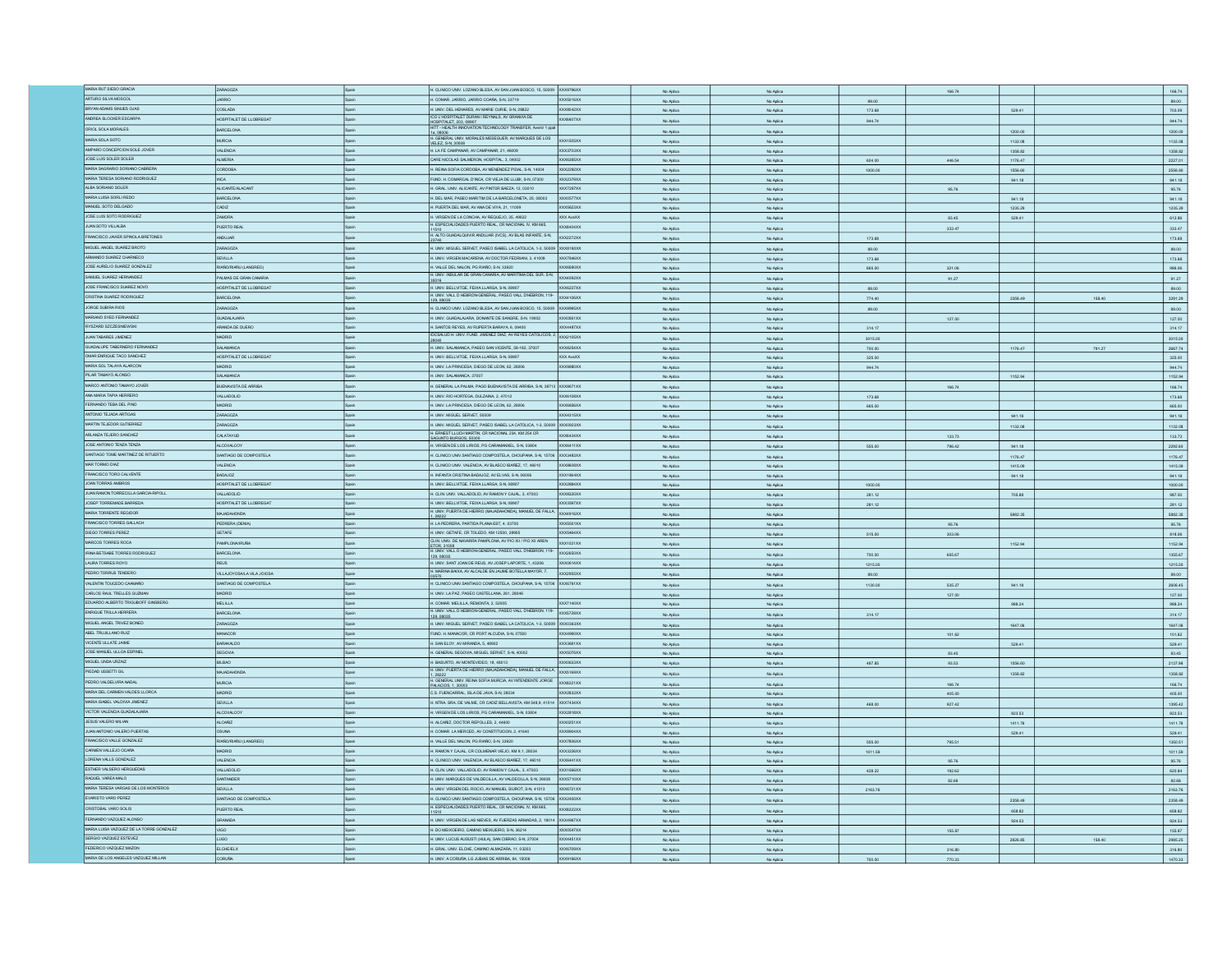| MARIA RUT SIESO GRACIA                                        |                            |       |                                                                                                                                |                        |                        |         |                  |         |        |                   |
|---------------------------------------------------------------|----------------------------|-------|--------------------------------------------------------------------------------------------------------------------------------|------------------------|------------------------|---------|------------------|---------|--------|-------------------|
|                                                               | ZARAGOZA                   |       | H. CLINICO UNIV. LOZANO BLESA, AV SAN JUAN BOSCO, 15, 50009 XXX9796XX                                                          | No Arling              | No Anito               |         |                  |         |        | 166.74            |
| ARTURO SILVA MOSCOL                                           | OIRRAL                     |       | H. COMAR. JARRIO, JARRIO COAÑA, S-N, 33719<br>XXX5016XX                                                                        | No Aplica              | No Aplica              | 89.00   |                  |         |        | 89.00             |
| BRYAN ADAMS SINUES OJAS                                       | COSLADA                    | Spain | H. UNIV. DEL HENARES, AV MARIE CURIE, S-N. 28822<br>XXX8042XX                                                                  | No Aplica              | No Aplica              | 173.68  |                  | 529.41  |        | 703.09            |
| ANDREA SLOCKER ESCARPA                                        | HOSPITALET DE LLOBREGAT    |       | CO L'HOSPITALET DURAN I REYNALS, AV GRANVIA DE<br>XXX6607XX                                                                    | No Aplica              | No Aplica              | 944.74  |                  |         |        | 944.74            |
| ORIOL SOLA MORALES                                            | BARCELONA                  |       | DSPITALET, 203, 08907<br>ITT - HEALTH INNOVATION TECHNOLOGY TRANSFER, Avenir 1 ppal                                            |                        |                        |         |                  |         |        |                   |
|                                                               |                            |       | 1a, 08006<br>H. GENERAL UNIV. MORALES MESEGUER, AV MARQUES DE LOS                                                              | No Aplica              | No Aplica              |         |                  | 1200.00 |        | 1200.00           |
| MARIA SOLA SOTO                                               | <b>MURCIA</b>              |       | <b>XXX1505XX</b><br>VELEZ, S-N, 30008                                                                                          | No Aplica              | No Aplica              |         |                  | 1132.08 |        | 1132.08           |
| AMPARO CONCEPCION SOLE JOVER                                  | VALENCIA                   | Spain | XXX3703XX<br>H. LA FE CAMPANAR, AV CAMPANAR, 21, 46009                                                                         | No Aplica              | No Aplica              |         |                  | 1358.82 |        | 1358.82           |
| JOSE LUIS SOLER SOLER                                         | <b>ALMERIA</b>             |       | CARE NICOLAS SALMERON, HOSPITAL, 3, 04002<br>XXX6385XX                                                                         | No Aplica              | No Aplica              | 604.00  | 446.54           | 1176.47 |        | 2227.01           |
| MARIA SAGRARIO SORIANO CABRERA                                | <b>CORDOBA</b>             | Spain | H. REINA SOFIA CORDOBA, AV MENENDEZ PIDAL, S-N, 14004<br>XXX2292XX                                                             | No Aplica              | No Aplica              | 1000.00 |                  | 1556.60 |        | 2556.60           |
| MARIA TERESA SORIANO RODRIGUEZ                                | <b>INCA</b>                | Spain | FUND. H. COMARCAL D'INCA, CR VIEJA DE LLUBI, S-N, 07300<br>XXX2379XX                                                           | No Aplica              | No Aplica              |         |                  | 941.18  |        | 941.18            |
| ALBA SORIANO SOLER                                            | ALICANTE/ALACANT           |       | H. GRAL. UNV. ALICANTE, AV PINTOR BAEZA, 12, 03010<br>XXX7297XX                                                                | No Aplica              | No Aplica              |         | 95.76            |         |        | 95.76             |
| MARIA LUISA SORLI REDO                                        | BARCELONA                  | Scein | H. DEL MAR, PASEO MARITIM DE LA BARCELONETA, 25, 08003<br><b>XXX0577XX</b>                                                     |                        |                        |         |                  |         |        |                   |
| MANUEL SOTO DELGADO                                           |                            |       |                                                                                                                                | No Aplica              | No Aplica              |         |                  | 941.18  |        | 941.18            |
|                                                               | CADIZ                      |       | PUERTA DEL MAR, AV ANA DE VIYA, 21, 11009<br>XXX5623XX                                                                         | No Aplica              | No Aplica              |         |                  | 1235.29 |        | 1235.29           |
| JOSE LUIS SOTO RODRIGUEZ                                      | ZAMORA                     |       | H. VIRGEN DE LA CONCHA, AV REQUEJO, 35, 4902<br>XXX AvaXX<br>H. ESPECIALIDADES PUERTO REAL, CR NACIONAL IV, KM 665,            | No Aplica              | No Aplica              |         | 83.45            | 529.41  |        | 612.86            |
| JUAN SOTO VILLALBA                                            | PUERTO REAL                | Snain | <b>XXXRANAXX</b>                                                                                                               | No Aplica              | No Aplica              |         | 333.47           |         |        | 333.47            |
| FRANCISCO JAVIER SPINOLA BRETONES                             | <b>ANDUJAR</b>             | Snain | H. ALTO GUADALQUIVIR ANDUJAR (IVCS), AV BLAS INFANTE, S-N,<br><b>XXX2272XX</b>                                                 | No Aplica              | No Aplica              | 173.68  |                  |         |        | 173.68            |
| MIGUEL ANGEL SUAREZ BROTO                                     | ZARAGOZA                   | Snain | H. UNIV. MIGUEL SERVET, PASEO ISABEL LA CATOLICA, 1-3, 50009<br><b>XXX8180XX</b>                                               | No Aplica              | No Aplica              | 89.00   |                  |         |        | 89.00             |
| ARMANDO SUAREZ CHARNECO                                       | SEVILLA                    | Spain | H. UNIV. VIRGEN MACARENA, AV DOCTOR FEDRIAN, 3, 41009<br><b>XXX7846XX</b>                                                      |                        |                        |         |                  |         |        |                   |
| JOSE AURELIO SUAREZ GONZALEZ                                  | RIAÑO/RIAÑU (LANGREO)      | Spain | H. VALLE DEL NALON, PG RIAÑO, S-N, 33920<br>XXX6580XX                                                                          | No Aplica              | No Aplica              | 173.68  |                  |         |        | 173.68            |
|                                                               |                            |       | H. UNIV. INSULAR DE GRAN CANARIA, AV MARITIMA DEL SUR, S-N,                                                                    | No Arling              | No Aniles              | 665.00  | 321.06           |         |        | 986.06            |
| SAMUEL SUAREZ HERNANDEZ                                       | PALMAS DE GRAN CANARIA     |       | XXX4092XX                                                                                                                      | No Arling              | No Aniica              |         | 91.27            |         |        | 91.27             |
| JOSE FRANCISCO SUAREZ NOVO                                    | HOSPITALET DE LLOBREGAT    |       | H. UNIV. BELLVITGE, FEIXA LLARGA, S-N, 08907<br>XXX6237XX                                                                      | No Aplica              | No Aplica              | 89.00   |                  |         |        | 89.00             |
| CRISTINA SUAREZ RODRIGUEZ                                     | BARCELONA                  |       | H. UNIV. VALL D HEBRON-GENERAL, PASEO VALL D'HEBRON, 119-<br>129, 08035<br>XXX4106XX                                           | No Aplica              | No Aplica              | 774.40  |                  | 2358.49 | 158.40 | 3291.29           |
| JORGE SUBIRA RIOS                                             | ZARAGOZA                   | Spain | H. CLINICO UNIV. LOZANO BLESA, AV SAN JUAN BOSCO, 15, 50009 XXXB995XX                                                          | No Aplica              | No Aplica              | 89.00   |                  |         |        | 89.00             |
|                                                               | <b>GUADALAJARA</b>         |       | H. UNIV. GUADALAJARA, DONANTE DE SANGRE, S-N, 19002<br>XXX0561XX                                                               |                        |                        |         |                  |         |        |                   |
| MARIANO SYED FERNANDEZ<br>RYSZARD SZCZESNEWSKI                | <b>RANDA DE DUERO</b>      | Spain | H. SANTOS REYES, AV RUPERTA BARAYA, 6, 09400                                                                                   | No Aplica              | No Aplica              |         | 127.00           |         |        | 127.00            |
|                                                               |                            |       | XXX4487XX                                                                                                                      | No Aplica              | No Aplica              | 314.17  |                  |         |        | 314.17            |
| JUAN TABARES JIMENEZ                                          | ADRID                      |       | IDCSALUD H. UNIV. FUND. JIMENEZ DIAZ, AV REYES CATOLICOS, 2. XXX2105XX<br>28040                                                | No Aplica              | No Aplica              | 3015.00 |                  |         |        | 3015.00           |
| GUADALUPE TABERNERO FERNANDEZ                                 | SALAMANCA                  |       | H. UNIV. SALAMANCA, PASEO SAN VICENTE, 58-182, 37007<br>XXX8254XX                                                              | No Aplica              | No Aplica              | 700.00  |                  | 1176.47 | 791.27 | 2667.74           |
| OMAR ENRIQUE TACO SANCHEZ                                     | HOSPITALET DE LLOBREGAT    | Soain | H. UNIV. BELLVITGE, FEIXA LLARGA, S-N, 08907<br>XXX AvaXX                                                                      | No Aplica              | No Aplica              | 325.00  |                  |         |        | 325.00            |
| MARIA SOL TALAYA ALARCON                                      | <b>ADRID</b>               |       | XXX98BDXX<br>H. UNIV. LA PRINCESA, DIEGO DE LEON, 62, 28006                                                                    | No Aplica              | No Aplica              | 944.74  |                  |         |        | 944.74            |
| PILAR TAMAYO ALONSO                                           | SALAMANCA                  |       | H. UNIV. SALAMANCA, 37007                                                                                                      | No Aplica              | No Aplica              |         |                  | 1152.94 |        | 1152.94           |
| MARCO ANTONIO TAMAYO JOVER                                    |                            |       |                                                                                                                                |                        |                        |         |                  |         |        |                   |
|                                                               | BUENAVISTA DE ARRIBA       |       | H. GENERAL LA PALMA, PAGO BUENAVISTA DE ARRIBA, S-N, 38713 XXX8671XX                                                           | No Aplica              | No Aplica              |         | 166.74           |         |        | 166.74            |
| ANA MARIA TAPIA HERRERO                                       | VALLADOLID                 | Spain | H. UNIV. RIO HORTEGA, DULZAINA, 2, 47012<br>XXX610BXX                                                                          | No Aplica              | No Aplica              | 173.68  |                  |         |        | 173.68            |
| FERNANDO TEBA DEL PINO                                        | <b>ADRID</b>               | Spain | I. UNIV. LA PRINCESA, DIEGO DE LEON, 62, 28006<br>XXX6856XX                                                                    | No Aplica              | No Aplica              | 665.00  |                  |         |        | 665.00            |
| ANTONIO TEJADA ARTIGAS                                        | ZARAGOZA                   |       | I. UNIV. MIGUEL SERVET, 50009<br>XXX4315XX                                                                                     | No Aplica              | No Aplica              |         |                  | 941.18  |        | 941.18            |
| MARTIN TEJEDOR GUTIERREZ                                      | ZARAGOZA                   |       | H. UNIV. MIGUEL SERVET, PASEO ISABEL LA CATOLICA, 1-3, 50009 XXX0923XX                                                         | No Aplica              | No Aplica              |         |                  | 1132.08 |        | 1132.08           |
| ARLANZA TEJERO SANCHEZ                                        | CALATAYUD                  | Spain | H. ERNEST LLUCH MARTIN, CR NACIONAL 234, KM 254 CR<br>XXX6434XX                                                                |                        |                        |         |                  |         |        |                   |
| JOSE ANTONO TENZA TENZA                                       |                            |       | SAGUNTO BURGOS. 50300                                                                                                          | No Aplica              | No Aplica              |         | 133.73           |         |        | 133.73            |
|                                                               | <b>ALCOHALCOY</b>          | Spain | H. VIRGEN DE LOS LIRIOS, PG CARAMANXEL, S-N, 03804<br>XXX6411XX                                                                | No Aplica              | No Aplica              | 555.00  | 796.42           | 941.18  |        | 2292.60           |
| SANTIAGO TOME MARTINEZ DE RITUERTO                            | SANTIAGO DE COMPOSTELA     | Snain | H. CLINICO UNIV.SANTIAGO COMPOSTELA, CHOUPANA, S-N, 15706 XXX3483XX                                                            | No Aplica              | No Aplica              |         |                  | 1176.47 |        | 1176.47           |
| MAR TORMO DIAZ                                                | <b>VALENCIA</b>            | Snain | H. CLINICO UNIV. VALENCIA, AV BLASCO IBAÑEZ. 17. 46010<br>XXXB60BXX                                                            | No Artico              | No Aniica              |         |                  | 1415.09 |        | 1415.09           |
| FRANCISCO TORO CALVENTE                                       | <b>BADAJOZ</b>             |       | H. INFANTA CRISTINA BADAJOZ, AV ELVAS, S-N, 06006<br>XXX1864XX                                                                 | No Aplica              | No Aplica              |         |                  | 941.18  |        | 941.18            |
| JOAN TORRAS AMBROS                                            | HOSPITALET DE LLOBREGAT    | Spain | H. UNIV. BELLVITGE, FEIXA LLARGA, S-N, 08907<br>XXX2884XX                                                                      | No Aplica              | No Aplica              | 1000.00 |                  |         |        | 1000.00           |
| JUAN RAMON TORRECILLA GARCIA-RIPOLL                           | VALLADOLID                 | Spain | H. CLIN, UNIV, VALLADOLID, AV RAMON Y CAJAL, 3, 47003<br>XXXB320XX                                                             | No Aplica              | No Aplica              | 281.12  |                  | 705.88  |        | 987.00            |
| JOSEP TORREMADE BARREDA                                       | OSPITALET DE LLOBREGAT     |       | H. UNIV. BELLVITGE, FEIXA LLARGA, S-N, 08907<br>XXX3597XX                                                                      |                        |                        |         |                  |         |        | 281.12            |
| MARIA TORRENTE REGIDOR                                        |                            |       | H. UNIV. PUERTA DE HERRO (MAJADAHONDA), MANUEL DE FALLA. XXX4916XX                                                             | No Aplica              | No Aplica              | 281.12  |                  |         |        |                   |
| FRANCISCO TORRES GALLACH                                      | ACKHALAM                   |       |                                                                                                                                | No Aplica              | No Aplica              |         |                  | 5882.35 |        | 5882.35           |
|                                                               | PEDRERA (DENIA)            | Snain | H. LA PEDRERA, PARTIDA PLANA EST, 4, 03700<br>XXX5501XX                                                                        | No Aplica              | No Aplica              |         | 95.76            |         |        | 95.76             |
| DIEGO TORRES PEREZ                                            | GETAFE                     |       | H. UNIV. GETAFE, CR TOLEDO, KM 12500, 28905<br>XXX5464XX                                                                       | No Aplica              | No Aplica              | 515.00  | 303.06           |         |        | 818.06            |
| MARCOS TORRES ROCA                                            |                            |       | CLIN UNIV. DE NAVARRA PAMPLONA, AV PIO XII / PIO XII AREN<br>XXX1021XX                                                         |                        | No Aplica              |         |                  | 1152.94 |        | 1152.94           |
|                                                               | <b>AMPLONA/IRUÑA</b>       |       |                                                                                                                                |                        |                        |         |                  |         |        | 1355.67           |
|                                                               |                            |       | ETOR, 31008<br>H. UNIV. VALL D HEBRON-GENERAL, PASEO VALL D'HEBRON, 119-                                                       | No Aplica              |                        |         |                  |         |        |                   |
| <b>IRINA BETSABE TORRES RODRIGUEZ</b>                         | <b>BARCELONA</b>           |       | XXX2650XX<br>29.08035                                                                                                          | No Aplica              | No Aplica              | 700.00  | 655.67           |         |        |                   |
| LAURA TORRES ROYO                                             | REUS                       |       | H. UNIV. SANT JOAN DE REUS, AV JOSEP LAPORTE, 1, 43206<br>XXX0614XX                                                            | No Aplica              | No Aplica              | 1215.00 |                  |         |        | 1215.00           |
| PEDRO TORRUS TENDERO                                          | VILLAJOYOSALA VILA JOIOSA  |       | H. MARINA BAIXA, AV ALCALDE EN JAUME BOTELLA MAYOR, 7,<br><b>XXX2955XX</b>                                                     | No Aplica              | No Aplica              | 89.00   |                  |         |        | 89.00             |
| VALENTIN TOUCEDO CAAMAÑO                                      | SANTIAGO DE COMPOSTELA     | Spain | H. CLINCO UNIV. SANTIAGO COMPOSTELA, CHOUPANA, S-N, 15706 XXX6761XX                                                            | No Aplica              | No Aplica              | 1130.00 | 535.27           | 941.18  |        | 2606.45           |
| CARLOS RAUL TRELLES GUZMAN                                    | MADRID                     | Spain | H. UNIV. LA PAZ, PASEO CASTELLANA, 261, 28046                                                                                  | No Aplica              | No Aplica              |         | 127.00           |         |        | 127.00            |
| EDUARDO ALBERTO TRIGUBOFF GINSBERG                            | <b>MELILLA</b>             | Spain | H. COMAR, MELILLA, REMONTA, 2, 52005<br>XXX7140XX                                                                              |                        |                        |         |                  |         |        |                   |
| ENRIQUE TRILLA HERRERA                                        |                            |       | H. UNIV. VALL D HEBRON-GENERAL, PASEO VALL D'HEBRON, 119-<br><b>XXX5728XX</b>                                                  | No Aplica              | No Aplica              |         |                  | 988.24  |        | 988.24            |
|                                                               | ARCELONA                   |       | 129.08035                                                                                                                      | No Aplica              | No Aplica              | 314.17  |                  |         |        | 314.17            |
| MIGUEL ANGEL TRIVEZ BONED                                     | ARAGOZA                    |       | XXX0363XX<br>H. UNIV. MIGUEL SERVET, PASEO ISABEL LA CATOLICA, 1-3, 50009                                                      | No Aplica              | No Aplica              |         |                  | 1647.06 |        | 1647.06           |
| ABEL TRUJILLANO RUIZ                                          | NACOR                      |       | FUND. H. MANACOR, CR PORT ALCUDIA, S-N, 07500<br>XXX4990XX                                                                     | No Aplica              | No Aplica              |         | 101.62           |         |        | 101.62            |
| VICENTE ULLATE JAIME                                          | BARAKALDO                  |       | H. SAN ELOY, AV MIRANDA, 5, 48902<br>XXX3691XX                                                                                 | No Aplica              | No Aplica              |         |                  | 529.41  |        | 529.41            |
| JOSE MANUEL ULLOA ESPINEL                                     | SEGOVIA                    | Spain | H. GENERAL SEGOVIA MIGUEL SERVET, S-N, 40002<br>XXX5076XX                                                                      | No Aplica              | No Aplica              |         | 83.45            |         |        | 83.45             |
| MIGUEL UNDA URZAIZ                                            | BILBAO                     |       | H. BASURTO, AV MONTEVIDEO, 18, 48013<br>XXXD633XX                                                                              | No Aplica              | No Aplica              | 487.85  | 93.53            | 1556.60 |        | 2137.98           |
| PIEDAD USSETTI GIL                                            | MAJADAHONDA                | Spain | H. UNIV. PUERTA DE HERRO (MAJADAHONDA), MANUEL DE FALLA. XXX5169XX                                                             | No Aplica              | No Aplica              |         |                  | 1358.82 |        |                   |
|                                                               |                            |       |                                                                                                                                |                        |                        |         |                  |         |        | 1358.82           |
| PEDRO VALDELVIRA NADAL                                        | <b>MURCIA</b>              | Spain | H. GENERAL UNIV. REINA SOFIA MURCIA, AV INTENDENTE JORGE<br> PALACIOS. 1. 30003<br>XXX8221XX                                   | No Aplica              | No Aplica              |         | 166.74           |         |        | 166.74            |
| MARIA DEL CARMEN VALDES LLORCA                                | MADRID                     | Spain | C.S. FUENCARRAL, ISLA DE JAVA, S-N, 28034<br><b>XXX2832XX</b>                                                                  | No Aplica              | No Aplica              |         | 405.00           |         |        | 405.00            |
| MARIA ISABEL VALDIVIA JIMENEZ                                 | SEVILLA                    | Spain | H. NTRA. SRA. DE VALME, CR CADIZ BELLAVISTA, KM 548,9, 41014 XXX7434XX                                                         | No Aplica              | No Aplica              | 468.00  | 927.42           |         |        | 1395.42           |
| VICTOR VALENCIA GUADALAJARA                                   | <b>ALCOHALCOY</b>          | Spain | H. VIRGEN DE LOS LIRIOS, PG CARAMANXEL, S-N, 03804<br>XXX2818XX                                                                | No Aplica              | No Aplica              |         |                  | 823.53  |        | 823.53            |
| <b>JESUS VALERO MILIAN</b>                                    | ALCAÑZ                     |       | .<br>ALCAÑIZ, DOCTOR REPOLLES, 2, 44600<br>XXX0251XX                                                                           | No Aplica              | No Aplica              |         |                  | 1411.76 |        | 1411.76           |
| JUAN ANTONO VALERO PUERTAS                                    | OSUNA                      |       | XXXB904XX<br>I. COMAR. LA MERCED, AV CONSTITUCION, 2, 41640                                                                    | No Aplica              | No Aplica              |         |                  | 529.41  |        | 529.41            |
| FRANCISCO VALLE GONZALEZ                                      | RIAÑO/RIAÑU (LANGREO       | Spain | H. VALLE DEL NALON, PG RIAÑO, S-N, 33920<br>XXX7806XX                                                                          | No Aplica              | No Aplica              | 555.00  | 795.51           |         |        | 1350.51           |
|                                                               |                            |       | H. RAMON Y CAJAL, CR COLMENAR VIEJO, KM 9,1, 28034<br>XXX3236XX                                                                |                        |                        |         |                  |         |        |                   |
| CARMEN VALLEJO OCAÑA<br>LORENA VALLS GONZALEZ                 | <b>ADRID</b><br>VALENCIA   |       | XXX6441XX                                                                                                                      | No Aplica              | No Aplica              | 1011.59 |                  |         |        | 1011.59           |
|                                                               |                            |       | H. CLINICO UNIV. VALENCIA, AV BLASCO IBAÑEZ, 17, 46010                                                                         | No Aplica              | No Aplica              |         | 95.76            |         |        | 95.76             |
| ESTHER VALSERO HERGUEDAS                                      | VALLADOLID                 | Spain | H. CLIN. UNIV. VALLADOLID, AV RAMON Y CAJAL, 3, 47003<br>XXX1066XX                                                             | No Aplica              | No Aplica              | 428.22  | 192.62           |         |        | 620.84            |
| RAQUEL VAREA MALO                                             | <b>ANTANDER</b>            |       | I. UNIV. MARQUES DE VALDECILLA, AV VALDECILLA, S-N, 39008<br>XXX5710XX                                                         | No Aplica              | No Aplica              |         | 82.68            |         |        | 82.68             |
| MARIA TERESA VARGAS DE LOS MONTEROS                           | SEVILLA                    |       | .<br>UNIV. VIRGEN DEL ROCIO, AV MANUEL SIUROT, S-N, 41013<br>XXX6721XX                                                         | No Aplica              | No Aplica              | 2163.76 |                  |         |        | 2163.76           |
| EVARISTO VARO PEREZ                                           | SANTIAGO DE COMPOSTELA     | Spain | H. CLINICO UNIV.SANTIAGO COMPOSTELA, CHOUPANA, S-N, 15706 XXX2400XX                                                            | No Aplica              | No Aplica              |         |                  | 2358.49 |        | 2358.49           |
| CRISTOBAL VARO SOLIS                                          | PLERTO REAL                |       | H. ESPECIALIDADES PUERTO REAL, CR NACIONAL IV, KM 665,<br>XXXR222XX                                                            | No Aplica              | No Aplica              |         |                  | 658.82  |        | 658.82            |
| FERNANDO VAZQUEZ ALONSO                                       | <b>ACAMARD</b>             |       |                                                                                                                                |                        |                        |         |                  |         |        |                   |
|                                                               |                            |       | H. UNIV. VIRGEN DE LAS NIEVES, AV FUERZAS ARMADAS, 2, 18014 XXX4967XX                                                          | No Aplica              | No Aplica              |         |                  | 924.53  |        | 924.53            |
| MARIA LUISA VAZQUEZ DE LA TORRE GONZALEZ                      | ODW                        | Scein | H. DO MEIXOEIRO, CAMINO MEIXUEIRO, S-N, 36214<br>XXX0547XX                                                                     | No Aplica              | No Aplica              |         | 155.87           |         |        | 155.87            |
| SERGIO VAZQUEZ ESTEVEZ                                        | LUGO                       | Spain | H. UNIV. LUCUS AUGUSTI (HULA), SAN CIBRAO, S-N, 27004<br>XXX4451XX                                                             | No Aplica              | No Aplica              |         |                  | 2826.85 | 158.40 | 2985.25           |
| FEDERICO VAZQUEZ MAZON<br>MARIA DE LOS ANGELES VAZQUEZ MILLAN | ELCHE/ELX<br><b>CORUÑA</b> |       | H. GRAL. UNV. ELCHE, CAMINO ALMAZARA, 11, 03203<br>XXX6709XX<br>H. UNIV. A CORUÑA, LG JUBIAS DE ARRIBA, 84, 15006<br>XXX9186XX | No Aplica<br>No Aplica | No Aplica<br>No Aplica | 700.00  | 316.80<br>770.33 |         |        | 316.80<br>1470.33 |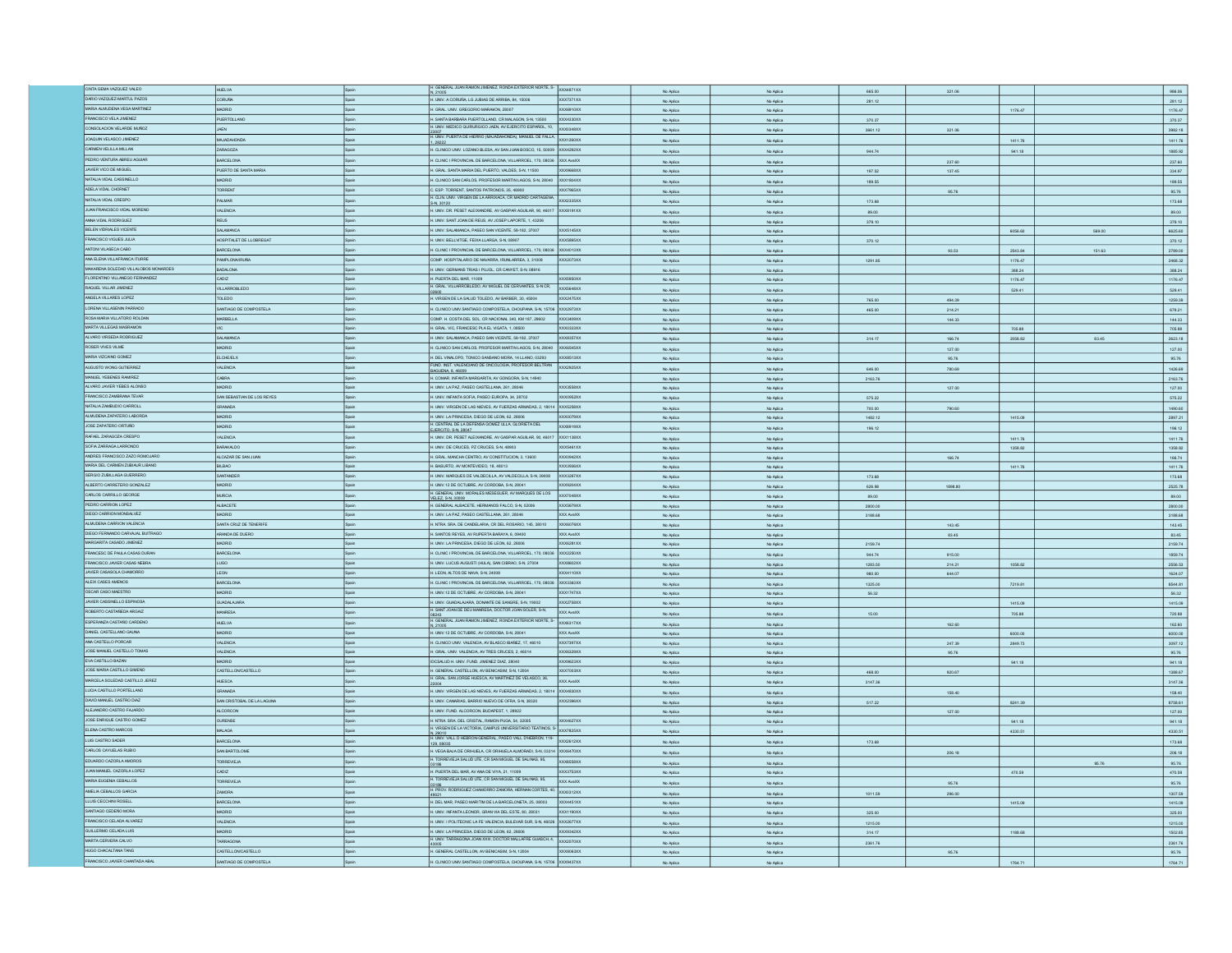| CINTA GEMA VAZQUEZ VALEO                               |                                             |              |                                                                                                                               |                  |                        |                        |         |         |         |        |                                                                                                                                                                                                                                                 |
|--------------------------------------------------------|---------------------------------------------|--------------|-------------------------------------------------------------------------------------------------------------------------------|------------------|------------------------|------------------------|---------|---------|---------|--------|-------------------------------------------------------------------------------------------------------------------------------------------------------------------------------------------------------------------------------------------------|
|                                                        | <b>HUELVA</b>                               |              | GENERAL JUAN RAMON JIMENEZ, RONDA EXTERIOR NORTE, S- XXX4871XX                                                                |                  | No Aplica              | No Aplica              | 665.00  | 321.06  |         |        | 986.06                                                                                                                                                                                                                                          |
| DARIO VAZQUEZ-MARTUL PAZOS                             | <b>CORUÑA</b>                               | Spain        | H. UNIV. A CORUÑA, LG JUBIAS DE ARRIBA, 84, 15006                                                                             | <b>XXX7371XX</b> | No Aplica              | No Aplica              | 281.12  |         |         |        | 281.12                                                                                                                                                                                                                                          |
| MARIA ALMUDENA VEGA MARTINEZ                           | <b>MADRID</b>                               | Spain        | H. GRAL. UNV. GREGORIO MARAKON, 28007                                                                                         | XXX6910XX        | No Aplica              | No Aplica              |         |         | 1176.47 |        | 1176.47                                                                                                                                                                                                                                         |
| FRANCISCO VELA JIMENEZ                                 | PUERTOLLAND                                 |              | SANTA BARBARA PUERTOLLANO, CR MALAGON, S-N, 13500                                                                             | XXX4330XX        | No Aplica              | No Aplica              | 370.37  |         |         |        | 370.37                                                                                                                                                                                                                                          |
| CONSOLACION VELARDE MUÑOZ                              | JAEN                                        |              | H. UNIV. MEDICO QUIRURGICO JAEN, AV EJERCITO ESPAÑOL, 10, XXX0348XX                                                           |                  |                        |                        |         |         |         |        |                                                                                                                                                                                                                                                 |
|                                                        |                                             |              | 23007<br>H. UNIV. PUERTA DE HERRO (MAJADAHONDA), MANUEL DE FALLA. XXX1260XX                                                   |                  | No Aplica              | No Aplica              | 3661.12 | 321.06  |         |        | 3982.18                                                                                                                                                                                                                                         |
| JOAQUIN VELASCO JIMENEZ                                | MAJADAHONDA                                 |              | .28222                                                                                                                        |                  | No Aplica              | No Aplica              |         |         | 1411.76 |        | 1411.76                                                                                                                                                                                                                                         |
| CARMEN VELILLA MILLAN                                  | ZARAGOZA                                    |              | H. CLINICO UNIV. LOZANO BLESA, AV SAN JUAN BOSCO, 15, 50009                                                                   | XXX4292XX        | No Aplica              | No Aplica              | 944.74  |         | 941.18  |        | 1885.92                                                                                                                                                                                                                                         |
| PEDRO VENTURA ABREU AGUIAR                             | BARCELONA                                   |              | H. CLINIC I PROVINCIAL DE BARCELONA, VILLARROEL, 170, 08036                                                                   | XXX AvaXX        | No Aplica              | No Aplica              |         | 237.60  |         |        | 237.60                                                                                                                                                                                                                                          |
| JAVIER VICO DE MIGUEL                                  | PUERTO DE SANTA MARI                        | Spain        | H. GRAL. SANTA MARIA DEL PUERTO, VALDES, S-N, 11500                                                                           | XXX9668XX        |                        |                        |         |         |         |        |                                                                                                                                                                                                                                                 |
|                                                        |                                             |              |                                                                                                                               |                  | No Aplica              | No Aplica              | 197.52  | 137.45  |         |        | 334.97                                                                                                                                                                                                                                          |
| NATALIA VIDAL CASSINELLO                               | MADRID                                      | <b>Snain</b> | H. CLINICO SAN CARLOS, PROFESOR MARTIN LAGOS, S-N, 28040                                                                      | XXX1804XX        | No Aplica              | No Aplica              | 189.55  |         |         |        | 189.55                                                                                                                                                                                                                                          |
| ADELA VIDAL CHORNET                                    | TORRENT                                     | Spain        | C. ESP. TORRENT, SANTOS PATRONOS, 35, 46900                                                                                   | XXX7965XX        | No Aplica              | No Aplica              |         | 95.76   |         |        | 95.76                                                                                                                                                                                                                                           |
| NATALIA VIDAL CRESPO                                   | PALMAR                                      |              | H. CLIN. UNIV. VIRGEN DE LA ARRIXACA, CR MADRID CARTAGENA,                                                                    | XXX2335XX        | No Aplica              | No Aplica              | 173.68  |         |         |        | 173.68                                                                                                                                                                                                                                          |
| JUAN FRANCISCO VIDAL MORENO                            | <b>VALENCIA</b>                             |              | S-N, 30120<br>H. UNIV. DR. PESET ALEIXANDRE, AV GASPAR AGUILAR, 90, 46017                                                     | XXXB191XX        |                        |                        |         |         |         |        |                                                                                                                                                                                                                                                 |
|                                                        |                                             |              |                                                                                                                               |                  | No Aplica              | No Aplica              | 89.00   |         |         |        | 89.00                                                                                                                                                                                                                                           |
| ANNA VIDAL RODRIGUEZ                                   | <b>REUS</b>                                 |              | H. UNIV. SANT JOAN DE REUS, AV JOSEP LAPORTE, 1, 43206                                                                        |                  | No Aplica              | No Aplica              | 379.10  |         |         |        | 379.10                                                                                                                                                                                                                                          |
| BELEN VIDRIALES VICENTE                                | SALAMANCA                                   |              | H. UNIV. SALAMANCA, PASEO SAN VICENTE, 58-182, 37007                                                                          | XXX5145XX        | No Aplica              | No Aplica              |         |         | 6056.60 | 569.00 | 6625.60                                                                                                                                                                                                                                         |
| FRANCISCO VIGUES JULIA                                 | HOSPITALET DE LLOBREGAT                     |              | H. UNIV. BELLVITGE, FEIXA LLARGA, S-N, 08907                                                                                  | <b>OCX5895XX</b> | No Aplica              | No Aplica              | 370.12  |         |         |        | 370.12                                                                                                                                                                                                                                          |
| ANTONI VILASECA CABO                                   | ARCELONA                                    |              | . CLINIC I PROVINCIAL DE BARCELONA, VILLARROEL, 170, 08036                                                                    | XXX4013XX        | No Aplica              | No Aplica              |         | 93.53   | 2543.84 | 151.63 | 2789.00                                                                                                                                                                                                                                         |
| ANA ELENA VILLAFRANCA ITURRE                           | PAMPLONA/IRUÑ                               |              | OMP. HOSPITALARIO DE NAVARRA, IRUNLARREA, 3, 31008                                                                            | XXX2073XX        |                        |                        |         |         |         |        |                                                                                                                                                                                                                                                 |
|                                                        |                                             |              |                                                                                                                               |                  | No Aplica              | No Aplica              | 1291.85 |         | 1176.47 |        | 2468.32                                                                                                                                                                                                                                         |
| MAKARENA SOLEDAD VILLALOBOS MONARDES                   | BADALONA                                    |              | H. UNIV. GERMANS TRIAS I PUJOL. CR CANYET, S-N, 08916                                                                         |                  | No Aplica              | No Aplica              |         |         | 388.24  |        | 388.24                                                                                                                                                                                                                                          |
| FLORENTINO VILLANEGO FERNANDEZ                         | CADIZ                                       | Spain        | H. PUERTA DEL MAR, 11009                                                                                                      | OCX5950XX        | No Aplic               | No Aplic               |         |         | 1176.47 |        | 1176.47                                                                                                                                                                                                                                         |
| RAQUEL VILLAR JIMENEZ                                  | VILLARROBLEDO                               |              | H. GRAL. VILLARROBLEDO, AV MIGUEL DE CERVANTES, S-N CR,                                                                       | <b>OCX5648XX</b> | No Aplica              | No Aplica              |         |         | 529.41  |        | 529.41                                                                                                                                                                                                                                          |
| ANGELA VILLARES LOPEZ                                  | TOLEDO                                      |              | H. VIRGEN DE LA SALUD TOLEDO, AV BARBER, 30, 45004                                                                            | XXX2475XX        | No Aplica              | No Aplica              | 765.00  | 494.39  |         |        | 1259.39                                                                                                                                                                                                                                         |
| LORENA VILLASENIN PARRADO                              | SANTIAGO DE COMPOSTELA                      | Spain        | H. CLINICO UNIV.SANTIAGO COMPOSTELA, CHOUPANA, S-N, 15706 XXX2973XX                                                           |                  |                        |                        |         |         |         |        |                                                                                                                                                                                                                                                 |
|                                                        |                                             |              |                                                                                                                               |                  | No Aplica              | No Aplica              | 465.00  | 214.21  |         |        | 679.21                                                                                                                                                                                                                                          |
| ROSA MARIA VILLATORO ROLDAN                            | MARBELLA                                    |              | COMP. H. COSTA DEL SOL, CR NACIONAL 340, KM 187, 29602                                                                        | XXX3409XX        | No Aplica              | No Aplica              |         | 144.33  |         |        | 144.33                                                                                                                                                                                                                                          |
| MARTA VILLEGAS MASRAMON                                |                                             |              | I. GRAL. VIC, FRANCESC PLA EL VIGATA, 1, 08500                                                                                | <b>OCXD333XX</b> | No Aplica              | No Aplica              |         |         | 705.88  |        | 705.88                                                                                                                                                                                                                                          |
| ALVARO VIRSEDA RODRIGUEZ                               | SALAMANCA                                   |              | I. UNIV. SALAMANCA, PASEO SAN VICENTE, 58-182, 37007                                                                          | XXX8357XX        | No Aplica              | No Aplica              | 314.17  | 166.74  | 2058.82 | 83.45  | 2623.18                                                                                                                                                                                                                                         |
| ROSER VIVES VILME                                      | MADRID                                      |              | H. CLINICO SAN CARLOS, PROFESOR MARTIN LAGOS, S-N, 28040                                                                      | <b>XXX6545XX</b> | No Aplica              | No Aplica              |         | 127.00  |         |        | 127.00                                                                                                                                                                                                                                          |
| MARIA VIZCAINO GOMEZ                                   | ELCHE/ELX                                   |              | H. DEL VINALOPO, TONICO SANSANO MORA, 14 LLANO, 03293                                                                         | XXX8513XX        |                        |                        |         |         |         |        |                                                                                                                                                                                                                                                 |
|                                                        |                                             |              | FUND. INST. VALENCIANO DE ONCOLOGIA, PROFESOR BELTRAN                                                                         |                  | No Aplica              | No Aplica              |         | 95.76   |         |        | 95.76                                                                                                                                                                                                                                           |
| AUGUSTO WONG GUTIERREZ                                 | VALENCIA                                    |              | AGUENA, 8, 46009                                                                                                              | XXX2925XX        | No Aplica              | No Aplica              | 646.00  | 780.69  |         |        | 1426.69                                                                                                                                                                                                                                         |
| MANJEL YEBENES RAMIREZ                                 | CABRA                                       |              | H. COMAR. INFANTA MARGARITA, AV GONGORA, S-N, 14940                                                                           |                  | No Aplica              | No Aplica              | 2163.76 |         |         |        | 2163.76                                                                                                                                                                                                                                         |
| ALVARO JAVIER YEBES ALONSO                             | MADRID                                      |              | H. UNIV. LA PAZ, PASEO CASTELLANA, 261, 28046                                                                                 | XXX3558XX        | No Aplica              | No Aplica              |         | 127.00  |         |        | 127.00                                                                                                                                                                                                                                          |
| FRANCISCO ZAMBRANA TEVAR                               | SAN SEBASTIAN DE LOS REYES                  |              | H. UNIV. INFANTA SOFIA, PASEO EUROPA, 34, 28702                                                                               | XX0952XX         | No Aplica              | No Aplica              | 575.22  |         |         |        | 575.22                                                                                                                                                                                                                                          |
| NATALIA ZAMBUDIO CARROLL                               | GRANADA                                     |              | I. UNIV. VIRGEN DE LAS NIEVES, AV FUERZAS ARMADAS, 2, 18014                                                                   | XXX5258XX        |                        |                        |         |         |         |        |                                                                                                                                                                                                                                                 |
|                                                        |                                             |              |                                                                                                                               |                  | No Aplica              | No Aplica              | 700.00  | 790.60  |         |        | 1490.60                                                                                                                                                                                                                                         |
| ALMUDENA ZAPATERO LABORDA                              | ADRID                                       |              | I. UNIV. LA PRINCESA, DIEGO DE LEON, 62, 28006                                                                                | XX0079XX         | No Aplica              | No Aplica              | 1482.12 |         | 1415.09 |        | 2897.21                                                                                                                                                                                                                                         |
| JOSE ZAPATERO ORTUÑO                                   | <b>ADRID</b>                                |              | I. CENTRAL DE LA DEFENSA GOMEZ ULLA, GLORIETA DEL<br>EJERCITO, S-N, 28047                                                     | XXX8919XX        | No Aplica              | No Aplica              | 196.12  |         |         |        | 196.12                                                                                                                                                                                                                                          |
| RAFAEL ZARAGOZA CRESPO                                 | VALENCIA                                    | Spain        | I. UNIV. DR. PESET ALEIXANDRE, AV GASPAR AGUILAR, 90, 46017                                                                   | XXX1138XX        | No Aplica              | No Aplica              |         |         | 1411.76 |        | 1411.76                                                                                                                                                                                                                                         |
| SOFIA ZARRAGA LARRONDO                                 | <b>BARAKALDO</b>                            |              |                                                                                                                               | XXX5461XX        |                        |                        |         |         |         |        |                                                                                                                                                                                                                                                 |
|                                                        |                                             |              | I. UNIV. DE CRUCES, PZ CRUCES, S-N, 48903                                                                                     |                  | No Aplica              | No Aplica              |         |         | 1358.82 |        | 1358.82                                                                                                                                                                                                                                         |
| ANDRES FRANCISCO ZAZO ROMOJARO                         | ALCAZAR DE SAN JUAN                         | Spain        | H. GRAL. MANCHA CENTRO, AV CONSTITUCION, 3, 13600                                                                             | XXX0942XX        | No Aplica              | No Aplic               |         | 166.74  |         |        | 166.74                                                                                                                                                                                                                                          |
| MARIA DEL CARMEN ZUBIAUR LIBANO                        | <b>BILBAO</b>                               |              | H. BASURTO, AV MONTEVIDEO, 18, 48013                                                                                          | XX3936XX         | No Aplica              | No Aplica              |         |         | 1411.76 |        | 1411.76                                                                                                                                                                                                                                         |
| SERGIO ZUBILLAGA GUERRERO                              | SANTANDER                                   | Spain        | H. UNIV. MARQUES DE VALDECILLA, AV VALDECILLA, S-N, 39008                                                                     | <b>XXX3267XX</b> | No Aplica              | No Aplica              | 173.68  |         |         |        | 173.68                                                                                                                                                                                                                                          |
| ALBERTO CARRETERO GONZALEZ                             | <b>GIRDA</b>                                |              | I. UNIV.12 DE OCTUBRE, AV CORDOBA, S-N, 28041                                                                                 | OCX9204XX        | No Aplica              | No Aplica              | 626.98  | 1898.80 |         |        | 2525.78                                                                                                                                                                                                                                         |
| CARLOS CARRILLO GEORGE                                 | <b>MURCIA</b>                               |              | . GENERAL UNIV. MORALES MESEGUER, AV MARQUES DE LOS                                                                           | <b>OCX7048XX</b> | No Aplica              | No Aplica              | 89.00   |         |         |        | 89.00                                                                                                                                                                                                                                           |
| PEDRO CARRION LOPEZ                                    |                                             |              | VELEZ S-N 30008                                                                                                               |                  |                        |                        |         |         |         |        |                                                                                                                                                                                                                                                 |
|                                                        | ALBACETE                                    |              | I. GENERAL ALBACETE, HERMANOS FALCO, S-N, 02006                                                                               | XXX5679XX        | No Aplica              | No Aplica              | 2800.00 |         |         |        | 2800.00                                                                                                                                                                                                                                         |
|                                                        |                                             |              | H. UNIV. LA PAZ. PASEO CASTELLANA, 261, 28046                                                                                 | XXX AvaXX        | No Aplica              |                        | 3188.68 |         |         |        | 3188.68                                                                                                                                                                                                                                         |
| DIEGO CARRION MONSALVEZ                                | <b>MADRID</b>                               | Snain        |                                                                                                                               |                  |                        | No Aplica              |         |         |         |        |                                                                                                                                                                                                                                                 |
| ALMUDENA CARRION VALENCIA                              | SANTA CRUZ DE TENERIFE                      |              | H. NTRA. SRA. DE CANDELARIA, CR DEL ROSARIO, 145, 38010                                                                       | XXX6076XX        | No Aplica              | No Aplica              |         | 143.45  |         |        |                                                                                                                                                                                                                                                 |
|                                                        | ARANDA DE DUERO                             |              |                                                                                                                               | XXX AvaXX        |                        |                        |         |         |         |        |                                                                                                                                                                                                                                                 |
| DIEGO FERNANDO CARVAJAL BUITRAGO                       |                                             |              | H. SANTOS REYES, AV RUPERTA BARAYA, 6, 09400                                                                                  |                  | No Aplica              | No Aplica              |         | 83.45   |         |        |                                                                                                                                                                                                                                                 |
| MARGARITA CASADO JIMENEZ                               | <b>GIRIDA</b>                               |              | H. UNIV. LA PRINCESA, DIEGO DE LEON, 62, 28006                                                                                | <b>XXX6281XX</b> | No Aplica              | No Aplica              | 2159.74 |         |         |        |                                                                                                                                                                                                                                                 |
| FRANCESC DE PAULA CASAS DURAN                          | BARCELONA                                   |              | H. CLINIC I PROVINCIAL DE BARCELONA, VILLARROEL, 170, 08036                                                                   | XXX2250XX        | No Aplica              | No Aplica              | 944.74  | 915.00  |         |        |                                                                                                                                                                                                                                                 |
| FRANCISCO JAVIER CASAS NEBRA                           | LUGO                                        |              | . UNIV. LUCUS AUGUSTI (HULA), SAN CIBRAO, S-N, 27004                                                                          | XXX8602XX        | No Aplica              | No Aplica              | 1283.50 | 214.21  | 1058.82 |        |                                                                                                                                                                                                                                                 |
| JAVIER CASASOLA CHAMORRO                               | <b>LEON</b>                                 |              | LEON, ALTOS DE NAVA, S-N, 24008                                                                                               | XXX4110XX        | No Aplica              | No Aplica              | 980.00  | 644.07  |         |        |                                                                                                                                                                                                                                                 |
| ALEIX CASES AMENOS                                     | <b>BARCELONA</b>                            |              | H. CLINIC I PROVINCIAL DE BARCELONA, VILLARROEL, 170, 08036                                                                   | XXX3363XX        |                        |                        |         |         |         |        |                                                                                                                                                                                                                                                 |
|                                                        |                                             |              |                                                                                                                               |                  | No Aplica              | No Aplica              | 1325.00 |         | 7219.81 |        |                                                                                                                                                                                                                                                 |
| OSCAR CASO MAESTRO                                     | <b>GIROAM</b>                               | Spain        | H. UNIV.12 DE OCTUBRE, AV CORDOBA, S-N, 28041                                                                                 | XXX1747XX        | No Aplic               | No Aplic               | 56.32   |         |         |        | 56.32                                                                                                                                                                                                                                           |
| JAVIER CASSINELLO ESPINOSA                             | <b>GUADALAJARA</b>                          |              | H. UNIV. GUADALAJARA, DONANTE DE SANGRE, S-N, 19002                                                                           | XXX2758XX        | No Aplica              | No Aplica              |         |         | 1415.09 |        | 1415.09                                                                                                                                                                                                                                         |
| ROBERTO CASTAÑEDA ARGAIZ                               | MANRESA                                     | Spain        | H. SANT JOAN DE DEU MANRESA, DOCTOR JOAN SOLER, S-N,                                                                          | XXX AvaXX        | No Aplica              | No Aplica              | 15.00   |         | 705.88  |        | 720.88                                                                                                                                                                                                                                          |
| ESPERANZA CASTAÑO CARDENO                              | <b>HUELVA</b>                               | Spain        |                                                                                                                               | XXX6317XX        | No Aplica              | No Aplica              |         | 162.60  |         |        | 162.60                                                                                                                                                                                                                                          |
| DANIEL CASTELLANO GAUNA                                | MADRID                                      | Spain        | 08243<br>H. GENERAL JUAN RAMON JIMENEZ, RONDA EXTERIOR NORTE, S-<br>N, 21005<br>H. UNIV.12 DE OCTUBRE, AV CORDOBA, S-N, 28041 | XXX AvaXX        |                        |                        |         |         |         |        |                                                                                                                                                                                                                                                 |
| ANA CASTELLO PORCAR                                    | VALENCIA                                    |              | H. CLINICO UNIV. VALENCIA, AV BLASCO IBAÑEZ, 17, 46010                                                                        | XXT05XXX         | No Aplica              | No Aplica              |         |         | 6000.00 |        |                                                                                                                                                                                                                                                 |
| JOSE MANUEL CASTELLO TOMAS                             |                                             |              |                                                                                                                               |                  | No Aplica              | No Aplica              |         | 247.39  | 2849.73 |        |                                                                                                                                                                                                                                                 |
|                                                        | VALENCIA                                    |              | GRAL. UNV. VALENCIA, AV TRES CRUCES, 2, 46014                                                                                 | XX6329XX         | No Aplica              | No Aplica              |         | 95.76   |         |        | 95.76                                                                                                                                                                                                                                           |
| EVA CASTILLO BAZAN                                     | MADRID                                      | Spain        | IDCSALUD H. UNIV. FUND. JIMENEZ DIAZ, 28040                                                                                   | XXX9623XX        | No Aplica              | No Aplica              |         |         | 941.18  |        |                                                                                                                                                                                                                                                 |
| JOSE MARIA CASTILLO GIMENO                             | CASTELLONCASTELLO                           | Spain        | H. GENERAL CASTELLON, AV BENICASIM, S-N, 12004                                                                                | XXX7003XX        | No Aplica              | No Aplica              | 468.00  | 920.67  |         |        | 1388.67                                                                                                                                                                                                                                         |
| MARCELA SOLEDAD CASTILLO JEREZ                         | <b>HUESCA</b>                               |              | H. GRAL. SAN JORGE HUESCA, AV MARTINEZ DE VELASCO, 36,                                                                        | XXX AvaXX        | No Aplica              | No Aplica              | 3147.36 |         |         |        |                                                                                                                                                                                                                                                 |
| LUCIA CASTILLO PORTELLANO                              | GRANADA                                     |              | H. UNIV. VIRGEN DE LAS NIEVES, AV FUERZAS ARMADAS, 2, 18014                                                                   | XXX4830XX        | No Aplica              | No Aplica              |         | 158.40  |         |        |                                                                                                                                                                                                                                                 |
| DAVID MANUEL CASTRO DIAZ                               |                                             |              |                                                                                                                               | XXX2396XX        |                        |                        |         |         |         |        |                                                                                                                                                                                                                                                 |
|                                                        | SAN CRISTOBAL DE LA LAGUNA                  |              | H. UNIV. CANARIAS, BARRIO NUEVO DE OFRA, S-N, 38320                                                                           |                  | No Aplica              | No Aplica              | 517.22  |         | 8241.39 |        |                                                                                                                                                                                                                                                 |
| ALEJANDRO CASTRO FAJARDO                               | <b>ALCORCON</b>                             | Spain        | H. UNIV. FUND, ALCORCON, BUDAPEST, 1, 28922                                                                                   |                  | No Aplica              | No Aplica              |         | 127.00  |         |        |                                                                                                                                                                                                                                                 |
| JOSE ENRIQUE CASTRO GOMEZ                              | <b>OURENSE</b>                              |              | .<br>NTRA SRA DEL CRISTAL, RAMON PUGA, 54, 32005                                                                              | XX4627XX         | No Aplica              | No Aplica              |         |         | 941.18  |        |                                                                                                                                                                                                                                                 |
| ELENA CASTRO MARCOS                                    | <b>MLAGA</b>                                |              | I. VIRGEN DE LA VICTORIA, CAMPUS UNIVERSITARIO TEATINOS, S                                                                    | XXX7825XX        | No Aplica              | No Aplica              |         |         | 4330.51 |        |                                                                                                                                                                                                                                                 |
| LUIS CASTRO SADER                                      | ARCELONA                                    |              | N. 29010<br>H. UNIV. VALL D HEBRON-GENERAL, PASEO VALL D'HEBRON, 119-                                                         | 00x2612XX        | No Aplica              | No Aplica              | 173.68  |         |         |        |                                                                                                                                                                                                                                                 |
| CARLOS CAYUELAS RUBIO                                  |                                             |              | 129, 08035                                                                                                                    |                  |                        |                        |         |         |         |        |                                                                                                                                                                                                                                                 |
|                                                        | AN BARTOLOME                                |              | H. VEGA BAJA DE ORIHUELA, CR ORIHUELA ALMORADI, S-N, 03314 XXX6470XX                                                          |                  | No Aplica              | No Aplica              |         | 206.18  |         |        |                                                                                                                                                                                                                                                 |
| EDUARDO CAZORLA AMOROS                                 | ORREVIEJA                                   |              | H. TORREVIEJA SALUD UTE, CR SAN MIGUEL DE SALINAS, 95,                                                                        | XXXB558XX        | No Aplica              | No Aplica              |         |         |         | 95.76  | 95.76                                                                                                                                                                                                                                           |
| JUAN MANJEL CAZORLA LOPEZ                              | CADIZ                                       |              | H. PUERTA DEL MAR, AV ANA DE VIYA, 21, 11009                                                                                  | XXX3753XX        | No Aplica              | No Aplica              |         |         | 470.59  |        |                                                                                                                                                                                                                                                 |
| MARIA EUGENIA CEBALLOS                                 | TORREVIE.IA                                 |              | H. TORREVIEJA SALUD UTE, CR SAN MIGUEL DE SALINAS, 95,                                                                        | <b>XXX AvaXX</b> |                        |                        |         |         |         |        |                                                                                                                                                                                                                                                 |
| AMELIA CEBALLOS GARCIA                                 | <b>ZAMORA</b>                               |              | U3186<br>H. PROV. RODRIGUEZ CHAMORRO ZAMORA, HERNAN CORTES, 40,                                                               | XXX0312XX        | No Aplica              | No Aplica              |         | 95.76   |         |        | 95.76                                                                                                                                                                                                                                           |
|                                                        |                                             |              |                                                                                                                               |                  | No Aplica              | No Aplica              | 1011.59 | 296.00  |         |        |                                                                                                                                                                                                                                                 |
| LLUIS CECCHIN ROSELL                                   | <b>BARCELONA</b>                            | Spain        | H. DEL MAR. PASEO MARITIM DE LA BARCELONETA. 25. 08003                                                                        | XXX4451XX        | No Aplica              | No Aplica              |         |         | 1415.09 |        |                                                                                                                                                                                                                                                 |
| SANTIAGO CEDEÑO MORA                                   | MADRID                                      | Spain        | H. UNIV. INFANTA LEONOR, GRAN VIA DEL ESTE, 80, 28031                                                                         | XXX1190XX        | No Aplica              | No Aplica              | 325.00  |         |         |        | 325.00                                                                                                                                                                                                                                          |
| FRANCISCO CELADA ALVAREZ                               | VALENCIA                                    | Spain        | H. UNIV. I POLITECNIC LA FE VALENCIA, BULEVAR SUR, S-N, 46026 XXX2677XX                                                       |                  | No Aplica              | No Aplica              | 1215.00 |         |         |        | 1215.00                                                                                                                                                                                                                                         |
| GUILLERMO CELADA LUIS                                  | MADRID                                      | Spain        | H. UNIV. LA PRINCESA, DIEGO DE LEON, 62, 28006                                                                                | XXX9342XX        |                        |                        |         |         |         |        |                                                                                                                                                                                                                                                 |
| MARTA CERVERA CALVO                                    | TARRAGONA                                   |              | H. UNIV. TARRAGONA JOAN XXIII, DOCTOR MALLAFRE GUASCH, 4.                                                                     | XXX2070XX        | No Aplica              | No Aplica              | 314.17  |         | 1188.68 |        |                                                                                                                                                                                                                                                 |
|                                                        |                                             |              |                                                                                                                               |                  | No Aplica              | No Aplica              | 2361.76 |         |         |        | 143.45<br>83.45<br>2159.74<br>1859.74<br>2556.53<br>1624.07<br>8544.81<br>6000.00<br>3097.12<br>941.18<br>3147.36<br>158.40<br>8758.61<br>127.00<br>941.18<br>4330.51<br>173.68<br>206.18<br>470.59<br>1307.59<br>1415.09<br>1502.85<br>2361.76 |
| HUGO CHACALTANA TANG<br>FRANCISCO JAVIER CHANTADA ABAL | CASTELLONCASTELLO<br>SANTIAGO DE COMPOSTELA |              | H. GENERAL CASTELLON, AV BENICASIM, S-N. 12004<br>H. CLINICO UNIV.SANTIAGO COMPOSTELA, CHOUPANA, S-N, 15706 XXX9437XX         | XXXB063XX        | No Aplica<br>No Aplica | No Aplica<br>No Aplica |         | 95.76   | 1764.71 |        | 95.76<br>1764.71                                                                                                                                                                                                                                |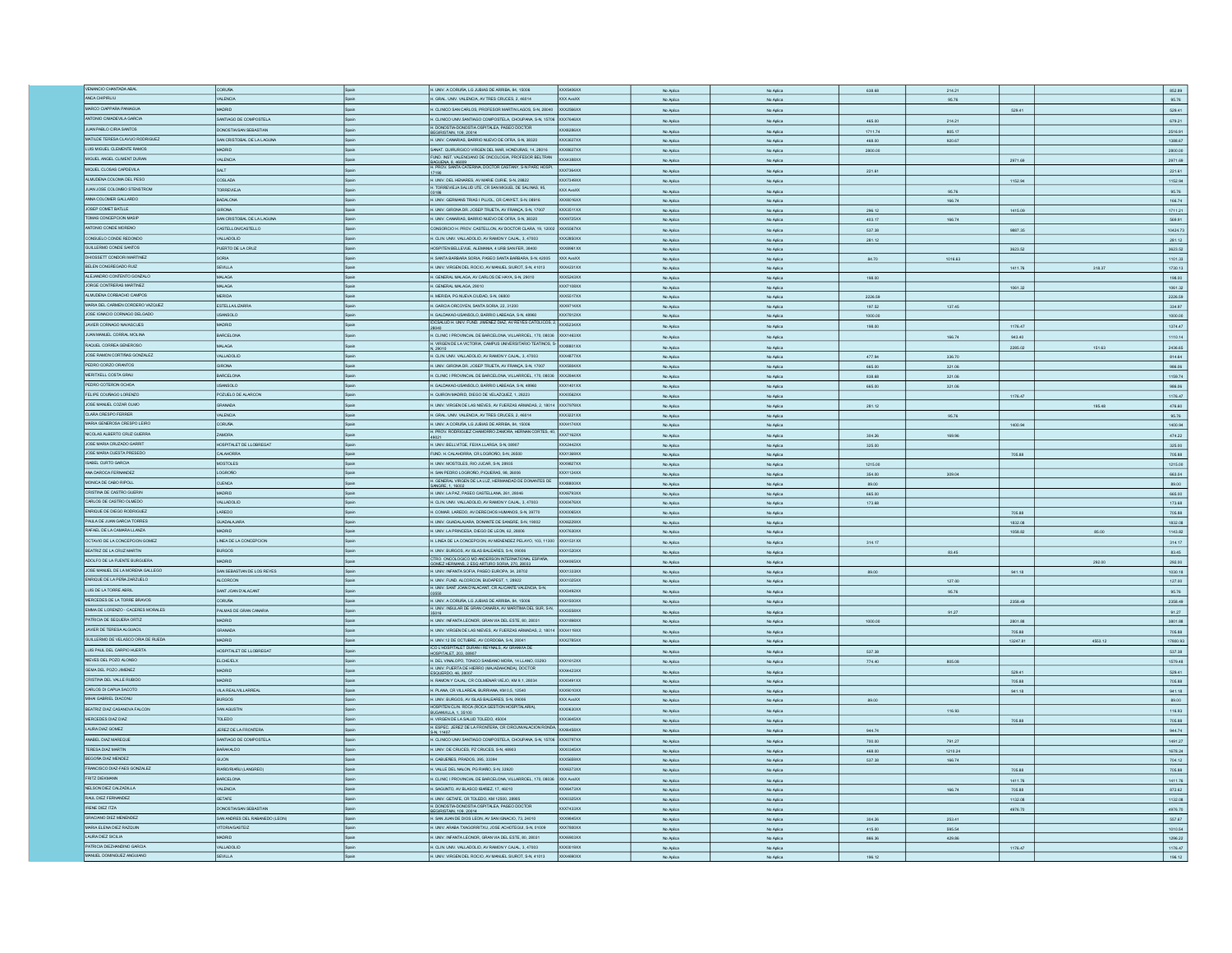| VENANCIO CHANTADA ABAL                                   | <b>CORUÑA</b>                  |       | XXX5406XX<br>H. UNIV. A CORUÑA, LG JUBIAS DE ARRIBA, 84, 15006                                                                             | No Aplica              | No Aplica              | 638.68  | 214.21  |          |         | 852.89            |
|----------------------------------------------------------|--------------------------------|-------|--------------------------------------------------------------------------------------------------------------------------------------------|------------------------|------------------------|---------|---------|----------|---------|-------------------|
| ANCA CHIPIRLIU                                           | <b>VALENCIA</b>                | Spain | H. GRAL. UNIV. VALENCIA, AV TRES CRUCES, 2, 46014<br>XXX AvaXX                                                                             | No Aplica              | No Aplica              |         | 95.76   |          |         | 95.76             |
| MARCO CIAPPARA PANIAGUA                                  | <b>MADRID</b>                  | Spain | H. CLINICO SAN CARLOS, PROFESOR MARTIN LAGOS, S-N, 28040 XXX2566XX                                                                         | No Aplica              | No Aplica              |         |         | 529.41   |         | 529.41            |
| ANTONIO CIMADEVILA GARCIA                                | SANTIAGO DE COMPOSTELA         | Snain | H. CLINICO UNIV.SANTIAGO COMPOSTELA, CHOUPANA, S-N, 15706 XXX7646XX                                                                        | No Aplica              | No Aplica              | 465.00  | 214.21  |          |         | 679.21            |
| JUAN PABLO CIRIA SANTOS                                  | DONOSTIA/SAN SEBASTIAN         |       | H. DONOSTIA-DONOSTIA OSPITALEA, PASEO DOCTOR<br>XXXB2BEXX                                                                                  |                        |                        |         |         |          |         |                   |
|                                                          |                                |       | GIRISTAIN, 109, 20014                                                                                                                      | No Aplica              | No Aplica              | 1711.74 | 805.17  |          |         | 2516.91           |
| MATILDE TERESA CLAVIJO RODRIGUEZ                         | SAN CRISTOBAL DE LA LAGUNA     | Spain | H. UNIV. CANARIAS, BARRIO NUEVO DE OFRA, S-N, 38320<br><b>XXX3637XX</b>                                                                    | No Aplica              | No Aplica              | 468.00  | 920.67  |          |         | 1388.67           |
| LUIS MIGUEL CLEMENTE RAMOS                               | ADRID                          |       | SANAT, QUIRURGICO VIRGEN DEL MAR, HONDURAS, 14, 28016<br>XXX8637XX                                                                         | No Aplica              | No Aplica              | 2800.00 |         |          |         | 2800.00           |
| MIGUEL ANGEL CLIMENT DURAN                               | VALENCIA                       |       | FUND. INST. VALENCIANO DE ONCOLOGIA, PROFESOR BELTRAN XXX4388XX                                                                            | No Aplica              | No Aplica              |         |         | 2971.69  |         | 2971.69           |
| MIQUEL CLOSAS CAPDEVILA                                  | SALT                           |       | BAGUENA, 8, 46009<br>H. PROV, SANTA CATERINA, DOCTOR CASTANY, S-N PARC HOSPI,<br>XXX7364XX                                                 | No Aplica              | No Aplica              | 221.61  |         |          |         | 221.61            |
| ALMUDENA COLOMA DEL PESO                                 | COSLADA                        |       | H. UNIV. DEL HENARES, AV MARIE CURIE, S-N, 28822<br>XXX7349XX                                                                              | No Aplica              | No Aplica              |         |         | 1152.94  |         | 1152.94           |
| JUAN JOSE COLOMBO STENSTROM                              | TORREVIEJA                     |       | H. TORREVIEJA SALUD UTE, CR SAN MIGUEL DE SALINAS, 95.<br>XXX AvaXX                                                                        | No Aplica              | No Aplica              |         | 95.76   |          |         | 95.76             |
| ANNA COLOMER GALLARDO                                    | BADALONA                       | Snain | H. UNIV. GERMANS TRIAS I PUJOL, CR CANYET, S-N, 08916<br><b>XXXR016XX</b>                                                                  |                        |                        |         |         |          |         |                   |
| JOSEP COMET BATLLE                                       | <b>AVORID</b>                  |       | H. UNIV. GIRONA DR. JOSEP TRUETA, AV FRANÇA, S-N, 17007<br>XXX3511XX                                                                       | No Aplica              | No Aplica              |         | 166.74  |          |         | 166.74            |
|                                                          |                                |       |                                                                                                                                            | No Aplica              | No Aplica              | 296.12  |         | 1415.09  |         | 1711.21           |
| TOMAS CONCEPCION MASIP                                   | SAN CRISTOBAL DE LA LAGUNA     |       | H. UNIV. CANARIAS, BARRIO NUEVO DE OFRA, S-N, 38320<br>XXX9725XX                                                                           | No Aplica              | No Aplica              | 403.17  | 166.74  |          |         | 569.91            |
| ANTONIO CONDE MORENO                                     | CASTELLONCASTELLO              |       | CONSORCIO H. PROV. CASTELLON, AV DOCTOR CLARA, 19, 12002 XXX5567XX                                                                         | No Aplica              | No Aplica              | 537.38  |         | 9887.35  |         | 10424.73          |
| CONSUELO CONDE REDONDO                                   | VALLADOLID                     | Spain | H. CLIN, UNIV, VALLADOLID, AV RAMON Y CAJAL, 3, 47003<br>XXX2850XX                                                                         | No Aplica              | No Aplica              | 281.12  |         |          |         | 281.12            |
| GUILLERMO CONDE SANTOS                                   | PUERTO DE LA CRUZ              | Spain | OSPITEN BELLEVUE, ALEMANA, 4 URB SAN FER, 38400<br>XXX8961XX                                                                               | No Aplica              | No Aplica              |         |         | 3623.52  |         | 3623.52           |
| DHOSSETT CONDORI MARTINEZ                                | ORIA                           |       | I. SANTA BARBARA SORIA, PASEO SANTA BARBARA, S-N, 42005<br>XXX AvaXX                                                                       | No Aplica              | No Aplica              | 84.70   | 1016.63 |          |         | 1101.33           |
| BELEN CONGREGADO RUIZ                                    | <b>SEVILLA</b>                 | Spain | H. UNIV. VIRGEN DEL ROCIO. AV MANUEL SIUROT. S-N. 41013<br>XXX4231XX                                                                       | No Aplica              | No Aplica              |         |         | 1411.76  | 318.37  | 1730.13           |
| ALEJANDRO CONTENTO GONZALO                               | MALAGA                         | Spain | H. GENERAL MALAGA, AV CARLOS DE HAYA, S-N, 29010<br>XXX5243XX                                                                              | No Aplica              | No Aplica              | 198.00  |         |          |         | 198.00            |
| JORGE CONTRERAS MARTINEZ                                 | MALAGA                         |       | H. GENERAL MALAGA, 29010<br>XXX7108XX                                                                                                      | No Aplica              | No Aplica              |         |         | 1061.32  |         | 1061.32           |
| ALMUDENA CORBACHO CAMPOS                                 | MERIDA                         | Spain | H. MERIDA PG NUEVA CIUDAD, S-N. 06800<br><b>XXX5517XX</b>                                                                                  |                        |                        |         |         |          |         |                   |
| MARIA DEL CARMEN CORDERO VAZQUEZ                         |                                |       |                                                                                                                                            | No Aplica              | No Aplica              | 2226.59 |         |          |         | 2226.59           |
|                                                          | STELLA/LIZARRA                 |       | .<br>GARCIA ORCOYEN, SANTA SORIA, 22, 31200<br>XXX9714XX                                                                                   | No Aplica              | No Aplica              | 197.52  | 137.45  |          |         | 334.97            |
| JOSE IGNACIO CORNAGO DELGADO                             | SANSOLO                        |       | H. GALDAKAO-USANSOLO, BARRIO LABEAGA, S-N, 48960<br>XXX7812XX                                                                              | No Aplica              | No Aplica              | 1000.00 |         |          |         | 1000.00           |
| JAVIER CORNAGO NAVASCUES                                 | <b>ADRID</b>                   | Snain | DCSALUD H. UNIV. FUND. JIMENEZ DIAZ, AV REYES CATOLICOS, 2<br><b>XXX5234XX</b>                                                             | No Aplica              | No Aplica              | 198.00  |         | 1176.47  |         | 1374.47           |
| JUAN MANJEL CORRAL MOLINA                                | BARCELONA                      | Snain | H. CLINIC I PROVINCIAL DE BARCELONA, VILLARROEL, 170, 08036 XXX1463XX                                                                      | No Aplica              | No Aplica              |         | 166.74  | 943.40   |         | 1110.14           |
| RAQUEL CORREA GENEROSO                                   | AGALAM                         | Snain | H. VIRGEN DE LA VICTORIA, CAMPUS UNIVERSITARIO TEATINOS, S<br>$\frac{1}{2}$ XXX8801XX                                                      | No Aplica              | No Aplica              |         |         | 2285.02  | 151.63  | 2436.65           |
| JOSE RAMON CORTIÑAS GONZALEZ                             | VALLADOLID                     | Spain | H. CLIN. UNIV. VALLADOLID, AV RAMON Y CAJAL, 3, 47003<br>XXX4877XX                                                                         |                        |                        |         |         |          |         |                   |
| PEDRO CORZO ORANTOS                                      | GIRONA                         | Spain | XXX5804XX<br>H. UNIV. GIRONA DR. JOSEP TRUETA, AV FRANÇA, S-N, 17007                                                                       | No Aplica              | No Aplica              | 477.94  | 336.70  |          |         | 814.64            |
|                                                          |                                |       |                                                                                                                                            | No Aplica              | No Aplica              | 665.00  | 321.06  |          |         | 986.06            |
| MERITXELL COSTA GRAU                                     | BARCELONA                      |       | H. CLINIC I PROVINCIAL DE BARCELONA, VILLARROEL, 170, 08036 XXX2844XX                                                                      | No Aplica              | No Aplica              | 838.68  | 321.06  |          |         | 1159.74           |
| PEDRO COTERON OCHOA                                      | SANSOLO                        |       | H. GALDAKAO-USANSOLO, BARRIO LABEAGA, S-N, 48960<br>XXX1401XX                                                                              | No Aplica              | No Aplica              | 665.00  | 321.06  |          |         | 986.06            |
| FELIPE COUÑAGO LORENZO                                   | POZUELO DE ALARCON             | Spain | H. QUIRON MADRID, DIEGO DE VELAZQUEZ, 1, 28223<br><b>XXXD562XX</b>                                                                         | No Aplica              | No Aplica              |         |         | 1176.47  |         | 1176.47           |
| JOSE MANUEL COZAR OLMO                                   | GRANADA                        | Spain | H. UNIV. VIRGEN DE LAS NIEVES, AV FUERZAS ARMADAS, 2, 18014 XXX7979XX                                                                      | No Aplica              | No Aplica              | 281.12  |         |          | 195.48  | 476.60            |
| CLARA CRESPO FERRER                                      | VALENCIA                       |       | I. GRAL. UNIV. VALENCIA, AV TRES CRUCES, 2, 46014<br>XXX3221XX                                                                             | No Aplica              | No Aplica              |         | 95.76   |          |         | 95.76             |
| MARIA GENEROSA CRESPO LEIRO                              | <b>ARURA</b>                   |       | H. UNIV. A CORUÑA, LG JUBIAS DE ARRIBA, 84, 15006<br>XXX4174XX                                                                             | No Aplica              | No Aplica              |         |         | 1400.94  |         | 1400.94           |
| NICOLAS ALBERTO CRUZ GUERRA                              | ZAMORA                         |       | H. PROV. RODRIGUEZ CHAMORRO ZAMORA, HERNAN CORTES, 40<br>XXX7162XX                                                                         |                        |                        |         |         |          |         |                   |
| JOSE MARIA CRUZADO GARRIT                                |                                | Snain |                                                                                                                                            | No Aplica              | No Aplica              | 304.26  | 169.96  |          |         | 474.22            |
|                                                          | HOSPITALET DE LLOBREGAT        |       | H. UNIV. BELLVITGE, FEIXA LLARGA, S-N, 08907<br>XXX2442XX                                                                                  | No Aplica              | No Aplica              | 325.00  |         |          |         | 325.00            |
| JOSE MARIA CUESTA PRESEDO                                | CALAHORRA                      | Spain | FUND. H. CALAHORRA, CR LOGROÑO, S-N, 26500<br>XXX1369XX                                                                                    | No Aplic               |                        |         |         | 705.88   |         | 705.88            |
| ISABEL CURTO GARCIA                                      | MOSTOLES                       |       | H. UNIV. MOSTOLES, RIO JUCAR, S-N, 28935<br>XXX9827XX                                                                                      | No Aplica              | No Aplica              | 1215.00 |         |          |         | 1215.00           |
| ANA DAROCA FERNANDEZ                                     | LOGRONO                        | Spain | H. SAN PEDRO LOGROÑO, PIQUERAS, 98, 26006<br>XXX1124XX                                                                                     | No Aplica              | No Aplica              | 354.00  | 309.04  |          |         | 663.04            |
| MONICA DE CABO RIPOLL                                    | <b>CUENCA</b>                  | Spain | H. GENERAL VIRGEN DE LA LUZ, HERMANDAD DE DONANTES DE<br>XXXB800XX<br>SANGRE, 1, 16002                                                     | No Aplica              | No Aplica              | 89.00   |         |          |         | 89.00             |
| CRISTINA DE CASTRO GUERIN                                | <b>ADRID</b>                   | Spain | H. UNIV. LA PAZ, PASEO CASTELLANA, 261, 28046<br>XXX6793XX                                                                                 | No Aplica              | No Aplica              | 665.00  |         |          |         | 665.00            |
| CARLOS DE CASTRO OLMEDO                                  | VALLADOLID                     |       | H. CLIN. UNIV. VALLADOLID, AV RAMON Y CAJAL, 3, 47003<br>XXX0476XX                                                                         | No Aplica              | No Aplica              | 173.68  |         |          |         | 173.68            |
| ENRIQUE DE DIEGO RODRIGUEZ                               | LAREDO                         |       | H. COMAR. LAREDO, AV DERECHOS HUMANOS, S-N, 39770<br>XXX0065XX                                                                             |                        |                        |         |         | 705.88   |         |                   |
| PAULA DE JUAN GARCIA TORRES                              | GUADALAJARA                    | Spain | H. UNIV. GUADALAJARA, DONANTE DE SANGRE, S-N, 19002<br>XXX6229XX                                                                           | No Aplica              | No Aplica              |         |         |          |         | 705.88            |
|                                                          |                                |       |                                                                                                                                            | No Aplica              | No Aplica              |         |         | 1832.08  |         | 1832.08           |
| RAFAEL DE LA CAMARA LLANZA                               | <b>ADRID</b>                   |       | H. UNIV. LA PRINCESA, DIEGO DE LEON, 62, 28006<br>XXX7630XX                                                                                | No Aplica              | No Aplica              |         |         | 1058.82  | 85.00   | 1143.82           |
| OCTAVIO DE LA CONCEPCION GOMEZ                           | LINEA DE LA CONCEPCIÓN         | Spain | H. LINEA DE LA CONCEPCION, AV MENENDEZ PELAYO, 103, 11300 XXX1531XX                                                                        | No Aplica              | No Aplica              | 314.17  |         |          |         | 314.17            |
| BEATRIZ DE LA CRUZ MARTIN                                | <b>BURGOS</b>                  | Spain | H. UNIV. BURGOS, AV ISLAS BALEARES, S-N, 09006<br>XXX1520XX                                                                                | No Aplica              | No Aplica              |         | 83.45   |          |         | 83.45             |
| ADOLFO DE LA FUENTE BURGUERA                             | <b>MADRID</b>                  |       | CTRO, ONCOLOGICO MD ANDERSON INTERNATIONAL ESPAÑA<br><b>XXX4065XX</b><br>GOMEZ HERMANS, 2 ESQ ARTURO SORIA, 270, 28033                     | No Aplica              | No Aplica              |         |         |          | 292.00  | 292.00            |
| JOSE MANUEL DE LA MORENA GALLEGO                         | SAN SEBASTIAN DE LOS REYES     | Spain | H. UNIV. INFANTA SOFIA, PASED EUROPA, 34, 28702<br>XXX1333XX                                                                               | No Aplica              | No Aplica              | 89.00   |         | 941.18   |         | 1030.18           |
| ENRIQUE DE LA PEÑA ZARZUELO                              | ALCORCON                       |       | I. UNV. FUND. ALCORCON, BUDAPEST, 1, 28922<br>XXX1025XX                                                                                    | No Aplica              | No Aplica              |         | 127.00  |          |         | 127.00            |
| LUS DE LA TORRE ARRIV                                    | SANT JOAN D'ALACANT            |       | H. UNIV. SANT JOAN D'ALACANT, CR ALICANTE VALENCIA, S-N,<br>XXX3492XX                                                                      |                        |                        |         |         |          |         |                   |
| MERCEDES DE LA TORRE BRAVOS                              | ARLIRO                         | Snair | XXX1500XX                                                                                                                                  | No Aplica              | No Aplica              |         | 95.76   |          |         | 95.76             |
|                                                          |                                |       | H. UNIV. A CORUÑA, LG JUBIAS DE ARRIBA, 84, 15006<br>H. UNIV. INSULAR DE GRAN CANARIA, AV MARITIMA DEL SUR, S-N,                           | No Aplica              | No Aplica              |         |         | 2358.49  |         | 2358.49           |
| EMMA DE LORENZO - CACERES MORALES                        | .<br>PALMAS DE GRAN CANARIA    | Snain | XXX3558XX                                                                                                                                  | No Aplica              | No Aplica              |         | 91.27   |          |         | 91.27             |
| PATRICIA DE SEQUERA ORTIZ                                | <b>ADRID</b>                   | Spain | H. UNIV. INFANTA LEONOR, GRAN VIA DEL ESTE, 80, 28031<br>XXX1898XX                                                                         | No Aplica              | No Aplica              | 1000.00 |         | 2801.88  |         | 3801.88           |
| JAVIER DE TERESA ALGUACIL                                | GRANADA                        |       | H. UNIV. VIRGEN DE LAS NIEVES, AV FUERZAS ARMADAS, 2, 18014 XXX4119XX                                                                      | No Aplica              | No Aplica              |         |         | 705.88   |         | 705.88            |
| GUILLERMO DE VELASCO ORIA DE RUEDA                       | <b>ADRID</b>                   |       | H. UNIV.12 DE OCTUBRE, AV CORDOBA, S-N, 28041<br>XXX2785XX                                                                                 | No Aplica              | No Aplica              |         |         | 13247.81 | 4553.12 | 17800.93          |
| LUIS PAUL DEL CARPIO HUERTA                              | HOSPITALET DE LLOBREGAT        |       | ICO L'HOSPITALET DURAN I REYNALS, AV GRANVIA DE                                                                                            | No Aplica              | No Aplica              | 537.38  |         |          |         | 537.38            |
| NEVES DEL POZO ALONSO                                    | <b>ELCHE/ELX</b>               |       | H. DEL VINALOPO, TONICO SANSANO MORA, 14 LLANO, 03293<br>XXX1612XX                                                                         |                        |                        |         |         |          |         | 1579.48           |
| GEMA DEL POZO JIMENEZ                                    | <b>ANDRID</b>                  | Spain | H. UNIV. PUERTA DE HIERRO (MAJADAHONDA), DOCTOR<br>ESQUERDO. 46. 28007<br>XXX4423XX                                                        | No Aplica              | No Aplica              | 774.40  | 805.08  |          |         |                   |
|                                                          |                                |       |                                                                                                                                            | No Aplica              | No Aplica              |         |         | 529.41   |         | 529.41            |
| CRISTINA DEL VALLE RUBIDO                                | <b>GIRDA</b>                   | Snair | H. RAMON Y CAJAL, CR COLMENAR VIEJO, KM 9,1, 28034<br>XXX0491XX                                                                            | No Aplica              | No Aplica              |         |         | 705.88   |         | 705.88            |
| CARLOS DI CAPUA SACOTO                                   | VILA REAL/VILLARREAL           |       | XXX9010XX<br>H. PLANA, CR VILLAREAL BURRIANA, KM 0,5, 12540                                                                                | No Aplica              | No Aplica              |         |         | 941.18   |         | 941.18            |
| MIHA GABRIEL DIACONU                                     | <b>BURGOS</b>                  |       | H. UNIV. BURGOS, AV ISLAS BALEARES, S-N, 09006<br>XXX AvaXX                                                                                | No Aplica              | No Aplica              | 89.00   |         |          |         | 89.00             |
| BEATRIZ DIAZ CASANOVA FALCON                             | SAN AGUSTIN                    |       | HOSPITEN CLIN, ROCA (ROCA GESTION HOSPITALARIA)<br>XXX0630XX<br>ANVILLA 1.35100                                                            | No Aplica              | No Aplica              |         | 116.93  |          |         | 116.93            |
| MERCEDES DIAZ DIAZ                                       | TOLEDO                         |       | H. VIRGEN DE LA SALUD TOLEDO. 45004<br>XXX3645XX                                                                                           | No Aplica              | No Aplica              |         |         | 705.88   |         | 705.88            |
| LAURA DIAZ GOMEZ                                         | JEREZ DE LA FRONTERA           | Spain | H. ESPEC. JEREZ DE LA FRONTERA, CR CIRCUN/ALACION RONDA. XXX6458XX                                                                         | No Aplica              | No Aplica              | 944.74  |         |          |         | 944.74            |
| ANABEL DIAZ MAREQUE                                      |                                |       | <b>S.N 11407</b><br>H. CLINICO UNIV.SANTIAGO COMPOSTELA, CHOUPANA, S-N, 15706 XXX0797XX                                                    | No Aplica              |                        | 700.00  |         |          |         |                   |
|                                                          |                                |       |                                                                                                                                            |                        | No Aplica              |         |         |          |         | 1491.27           |
|                                                          | SANTIAGO DE COMPOSTELA         | Spain |                                                                                                                                            |                        |                        |         | 791.27  |          |         |                   |
| TERESA DIAZ MARTIN                                       | BARAKALDO                      |       | XXX0345XX<br>H. UNIV. DE CRUCES, PZ CRUCES, S-N, 48903                                                                                     | No Aplica              | No Aplica              | 468.00  | 1210.24 |          |         | 1678.24           |
| BEGOÑA DIAZ MENDEZ                                       | MOLID                          |       | H. CABUEÑES, PRADOS, 395, 33394<br>XXX5659XX                                                                                               | No Aplica              | No Aplica              | 537.38  | 166.74  |          |         | 704.12            |
| FRANCISCO DIAZ-FAES GONZALEZ                             | RIAÑO/RIAÑU (LANGREO)          | Spain | I. VALLE DEL NALON, PG RIAÑO, S-N, 33920<br>XXX6373XX                                                                                      | No Aplica              | No Aplica              |         |         | 705.88   |         | 705.88            |
| FRITZ DIEKM                                              | BARCELONA                      | Spain | I. CLINIC I PROVINCIAL DE BARCELONA, VILLARROEL, 170, 08036 XXX AvaXX                                                                      | No Aplica              | No Aplica              |         |         | 1411.76  |         | 1411.76           |
| NELSON DIEZ CALZADILLA                                   | VALENCIA                       |       | .<br>SAGUNTO, AV BLASCO IBAÑEZ, 17, 46010<br>XXX6473XX                                                                                     | No Aplica              | No Aplica              |         | 166.74  | 705.88   |         | 872.62            |
| RAUL DIEZ FERNANDEZ                                      | GETAFE                         |       | I. UNIV. GETAFE, CR TOLEDO, KM 12500, 28905<br>XXX0325XX                                                                                   | No Aplica              | No Aplica              |         |         | 1132.08  |         | 1132.08           |
|                                                          |                                |       | H. DONOSTIA-DONOSTIA OSPITALEA, PASEO DOCTOR                                                                                               |                        |                        |         |         |          |         |                   |
| IRENE DIEZ ITZA                                          | ONOSTIA/SAN SEBASTIA           |       | XXX7433XX<br>GIRISTAIN, 109, 20014                                                                                                         | No Aplica              | No Aplica              |         |         | 4976.70  |         | 4976.70           |
| GRACIANO DIEZ MENENDEZ                                   | SAN ANDRES DEL RABANEDO (LEON) | Spain | H. SAN JUAN DE DIOS LEON, AV SAN IGNACIO, 73, 24010<br>XXX9845XX                                                                           | No Aplica              | No Aplica              | 304.26  | 253.41  |          |         | 557.67            |
| MARIA ELENA DIEZ RAZQUIN                                 | <b>VITORIA/GASTEIZ</b>         | Spain | H. UNIV. ARABA TXAGORRITXU, JOSE ACHOTEGUI, S-N, 01009<br>XXX7800XX                                                                        |                        |                        | 415.00  | 505.54  |          |         | 1010.54           |
| LAURA DIEZ SICILIA                                       | ADRID                          |       | H. UNIV. INFANTA LEONOR, GRAN VIA DEL ESTE, 80, 28031<br>XXX6903XX                                                                         | No Aplica              | No Aplica              | 866.36  | 429.86  |          |         | 1296.22           |
| PATRICIA DIEZHANDINO GARCIA<br>MANUEL DOMINGUEZ ANGUIANO | VALLADOLID<br>SEVILLA          | Snair | H. CLIN. UNIV. VALLADOLID, AV RAMON Y CAJAL, 3, 47003<br>XXX0019XX<br>H. UNIV. VIRGEN DEL ROCIO, AV MANUEL SIUROT, S-N, 41013<br>XXX4690XX | No Aplica<br>No Aplica | No Aplica<br>No Aplica | 196.12  |         | 1176.47  |         | 1176.47<br>196.12 |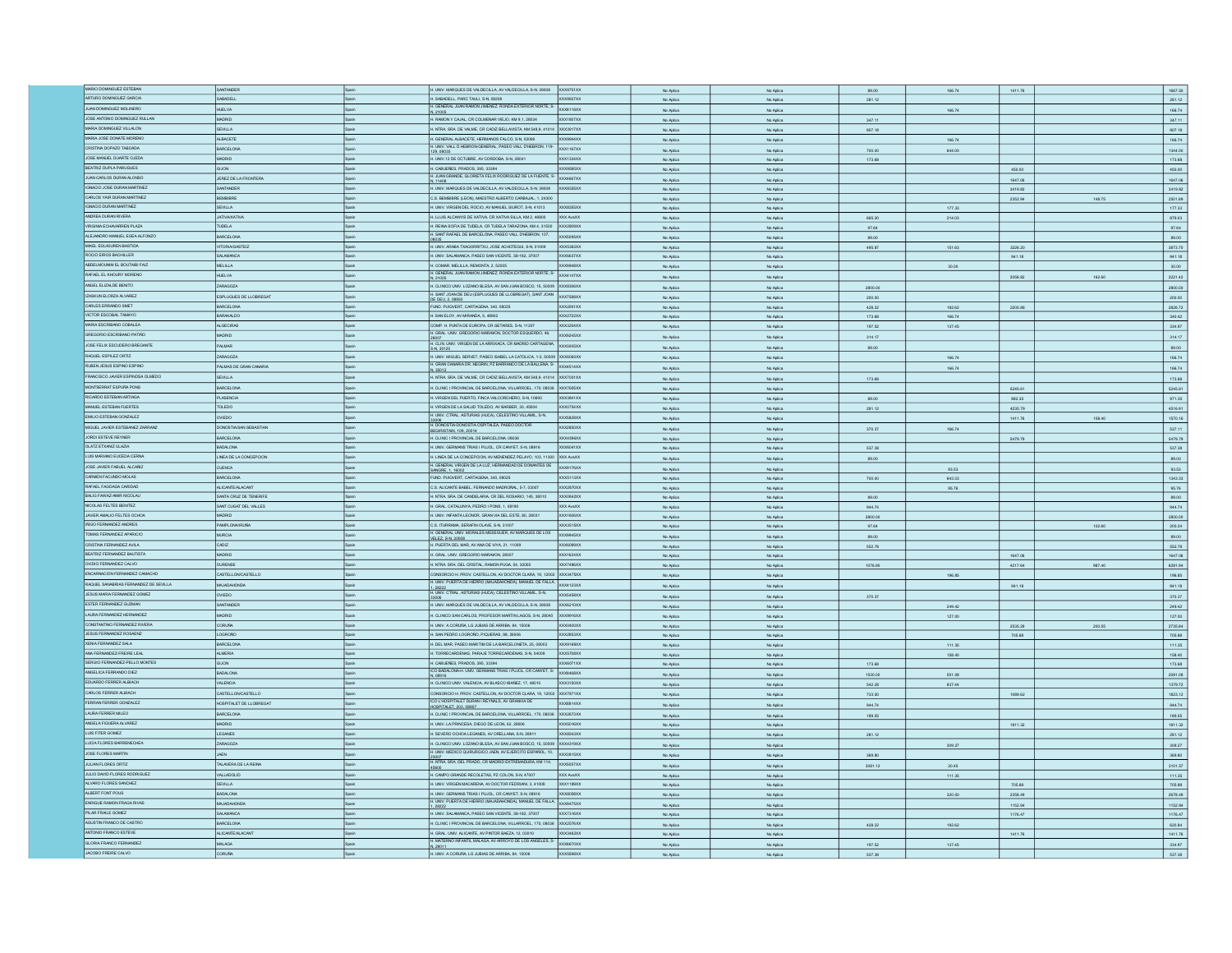| MARIO DOMINGUEZ ESTEBAN               | SANTANDER                    |            | H. UNIV. MARQUES DE VALDECILLA, AV VALDECILLA, S-N, 39008 XXX9751XX                                                                        |                  | No Aplica              | No Aplica              | 89.00            | 166.74 | 1411.76 |        | 1667.50          |
|---------------------------------------|------------------------------|------------|--------------------------------------------------------------------------------------------------------------------------------------------|------------------|------------------------|------------------------|------------------|--------|---------|--------|------------------|
| ARTURO DOMINGUEZ GARCIA               | SABADELL                     |            | H. SABADELL, PARC TAULI, S-N. 08208                                                                                                        | <b>XXX9937XX</b> | No Aplica              | No Aplica              | 281.12           |        |         |        | 281.12           |
| <b>JUAN DOMINGUEZ MOLINERO</b>        | <b>HUELVA</b>                |            | H. GENERAL JUAN RAMON JIMENEZ, RONDA EXTERIOR NORTE, S-                                                                                    | XXXB118XX        | No Aplica              | No Aplica              |                  | 166.74 |         |        | 166.74           |
| JOSE ANTONO DOMINGUEZ RULLAN          | <b>ADRID</b>                 |            | H. RAMON Y CAJAL, CR COLMENAR VIEJO, KM 9,1, 28034                                                                                         | XXX1807XX        | No Aplica              | No Aplica              | 347.11           |        |         |        | 347.11           |
| MARIA DOMINGUEZ VILLALON              | EVILLA                       |            | H. NTRA. SRA. DE VALME, CR CADIZ BELLAVISTA, KM 548,9, 41014 XXX3917XX                                                                     |                  |                        |                        |                  |        |         |        |                  |
|                                       |                              |            |                                                                                                                                            |                  | No Aplica              | No Aplica              | 907.18           |        |         |        | 907.18           |
| MARIA JOSE DONATE MORENO              | <b>ALBACETE</b>              |            | H. GENERAL ALBACETE, HERMANDS FALCO, S-N, 02006                                                                                            | XXX9944XX        | No Aplica              | No Aplica              |                  | 166.74 |         |        | 166.74           |
| CRISTINA DOPAZO TABOADA               | BARCELONA                    |            | H. GENERAL DHEBRON-GENERAL, PASEO VALL DHEBRON, 119-<br>H. UNV. VALL DHEBRON-GENERAL, PASEO VALL DHEBRON, 119-<br>129,08035                |                  | No Aplica              | No Aplica              | 700.00           | 644.00 |         |        | 1344.00          |
| JOSE MANUEL DUARTE OJEDA              | <b>MADRID</b>                | .<br>Shain | H. UNIV.12 DE OCTUBRE, AV CORDOBA, S-N, 28041                                                                                              | XXX1334XX        | No Aplica              | No Aplica              | 173.68           |        |         |        | 173.68           |
| BEATRIZ DUPLA PARUGUES                | <b>GIJON</b>                 |            | H. CABUEÑES, PRADOS, 395, 33394                                                                                                            | XXX9595XX        | No Aplica              | No Aplica              |                  |        | 450.00  |        | 450.00           |
| JUAN CARLOS DURAN ALONSO              | JEREZ DE LA FRONTERA         |            | H. JUAN GRANDE, GLORIETA FELIX RODRIGUEZ DE LA FUENTE, S- XXX4667XX                                                                        |                  | No Aplica              |                        |                  |        | 1647.06 |        |                  |
| IGNACIO JOSE DURAN MARTINEZ           |                              |            | N. 11408                                                                                                                                   |                  |                        | No Aplica              |                  |        |         |        | 1647.06          |
|                                       | SANTANDER                    |            | H. UNIV. MARQUES DE VALDECILLA, AV VALDECILLA, S-N, 39008                                                                                  | XXXB355XX        | No Aplica              | No Aplica              |                  |        | 3419.82 |        | 3419.82          |
| CARLOS YAIR DURAN MARTINEZ            | BEMBIBRE                     |            | C.S. BEMBIBRE (LEON), MAESTRO ALBERTO CARBAJAL, 1, 24300                                                                                   |                  | No Aplica              | No Aplica              |                  |        | 2352.94 | 148.75 | 2501.69          |
| IGNACIO DURAN MARTINEZ                | SEVILLA                      |            | H. UNIV. VIRGEN DEL ROCIO, AV MANUEL SIUROT, S-N, 41013                                                                                    | XXXB355XX        | No Aplica              | No Aplica              |                  | 177.33 |         |        | 177.33           |
| ANDREA DURAN RIVERA                   | ATIVA/XATIVA                 |            | H. LLUIS ALCANYIS DE XATIVA, CR XATIVA SILLA, KM 2, 46800                                                                                  | XXX AvaXX        | No Aplica              | No Aplica              | 665.00           | 214.03 |         |        | 879.03           |
| VIRGINIA ECHAVARREN PLAZA             | TUDELA                       |            | H. REINA SOFIA DE TUDELA, CR TUDELA TARAZONA, KM 4, 31500 XXX2809XX                                                                        |                  | No Aplica              | No Aplica              | 97.64            |        |         |        | 97.64            |
| ALEJANDRO MANUEL EGEA ALFONZO         | BARCELONA                    |            | H. SANT RAFAEL DE BARCELONA, PASEO VALL D'HEBRON, 107,                                                                                     | XXX5095XX        |                        |                        |                  |        |         |        | 89.00            |
| MIKEL EGUIGUREN BASTIDA               | <b>VITORIAIRASTEIZ</b>       | Snain      |                                                                                                                                            | XXX5363XX        | No Aplica              | No Aplica              | 89.00            |        |         |        |                  |
|                                       |                              |            | H. UNIV. ARABA TXAGORRITXU, JOSE ACHOTEGUI, S-N, 01009                                                                                     |                  | No Aplica              | No Aplica              | 495.87           | 151.63 | 3226.20 |        | 3873.70          |
| ROCIO EIROS BACHILLER                 | SALAMANCA                    |            | H. UNIV. SALAMANCA, PASEO SAN VICENTE, 58-182, 37007                                                                                       | XXX6637XX        | No Aplic               | No Aplic               |                  |        | 941.18  |        | 941.18           |
| ABDELMOUNIM EL BOUTAIBI FAIZ          | MELILLA                      |            | H. COMAR. MELILLA, REMONTA, 2, 52005                                                                                                       | XXX9848XX        | No Aplica              | No Aplica              |                  | 30.00  |         |        | 30.00            |
| RAFAEL EL KHOURY MORENO               | HUELVA                       |            | H. GENERAL JUAN RAMON JIMENEZ, RONDA EXTERIOR NORTE, S-<br>N. 21005                                                                        | XXX4147XX        | No Aplica              | No Aplica              |                  |        | 2058.82 | 162.60 | 2221.42          |
| ANGEL ELIZALDE BENITO                 | ZARAGOZA                     | Spain      | H. CLINCO UNIV. LOZANO BLESA, AV SAN JUAN BOSCO, 15, 50009 XXX8306XX                                                                       |                  | No Aplica              | No Aplica              | 2800.00          |        |         |        |                  |
| IZASKUN ELORZA ALVAREZ                |                              | Spain      | H. SANT JOAN DE DEU (ESPLUGUES DE LLOBREGAT), SANT JOAN XXX7588XX                                                                          |                  |                        |                        |                  |        |         |        | 2800.00          |
|                                       | ESPLUGUES DE LLOBREGAT       |            |                                                                                                                                            |                  | No Aplica              | No Aplica              | 200.00           |        |         |        | 200.00           |
| CARLES ERRANDO SMET                   | <b>BARCELONA</b>             |            | FUND. PUIGVERT, CARTAGENA, 340, 08025                                                                                                      | XXX2091XX        | No Aplica              | No Aplica              | 428.22           | 192.62 | 2205.88 |        | 2826.72          |
| VICTOR ESCOBAL TAMAYO                 | BARAKALDO                    |            | H. SAN ELOY, AV MIRANDA, 5, 48902                                                                                                          | <b>XXX2722XX</b> | No Aplica              | No Aplica              | 173.68           | 166.74 |         |        | 340.42           |
| MARIA ESCRIBANO COBALEA               | <b>ALGECIRAS</b>             |            | COMP. H. PUNTA DE EUROPA, CR GETARES, S-N, 11207                                                                                           | XXX3204XX        | No Aplica              | No Aplica              | 197.52           | 137.45 |         |        | 334.97           |
| GREGORIO ESCRIBANO PATIÑO             | <b>ADRID</b>                 |            | H. GRAL. UNV. GREGORIO MARAKON, DOCTOR ESQUERDO, 46,                                                                                       | XXX9245XX        | No Aplica              | No Aplica              | 314.17           |        |         |        | 314.17           |
| JOSE FELIX ESCUDERO BREGANTE          | PALMAR                       |            | H. CLIN, UNIV. VIRGEN DE LA ARRIXACA, CR MADRID CARTAGENA,                                                                                 | ocx3005xx        |                        |                        |                  |        |         |        |                  |
|                                       |                              |            | S-N. 30120                                                                                                                                 |                  | No Aplica              | No Aplica              | 89.00            |        |         |        | 89.00            |
| RAQUEL ESPILEZ ORTIZ                  | ZARAGOZA                     |            | H. UNIV. MIGUEL SERVET, PASEO ISABEL LA CATOLICA, 1-3, 50009 XXX6060XX                                                                     |                  | No Aplica              | No Aplica              |                  | 166.74 |         |        | 166.74           |
| RUBEN JESUS ESPINO ESPINO             | ALMAS DE GRAN CANARIA        |            | H. GRAN CANARIA DR. NEGRIN, PZ BARRANCO DE LA BALLENA, S- XXX4514XX<br>N, 35012                                                            |                  | No Aplica              | No Aplica              |                  | 166.74 |         |        | 166.74           |
| FRANCISCO JAVIER ESPINOSA OLMEDO      | SEVILLA                      |            | H. NTRA SRA. DE VALME, CR CADIZ BELLAVISTA, KM 548,9, 41014 XXX7001XX                                                                      |                  | No Aplica              | No Aplica              | 173.68           |        |         |        | 173.68           |
| MONTSERRAT ESPUÑA PONS                | ARCELONA                     |            | H. CLINIC I PROVINCIAL DE BARCELONA, VILLARROEL, 170, 08036 XXX7655XX                                                                      |                  |                        |                        |                  |        |         |        |                  |
|                                       |                              |            |                                                                                                                                            |                  | No Aplica              | No Aplica              |                  |        | 5245.61 |        | 5245.61          |
| RICARDO ESTEBAN ARTIAGA               | <b>PLASENCIA</b>             |            | I. VIRGEN DEL PUERTO, FINCA VALCORCHERO, S-N, 10600                                                                                        | XXX3841XX        | No Aplica              | No Aplica              | 89.00            |        | 882.35  |        | 971.35           |
| MANJEL ESTEBAN FUERTES                | TOLEDO                       |            | H. VIRGEN DE LA SALUD TOLEDO, AV BARBER, 30, 45004                                                                                         | XXX0754XX        | No Aplica              | No Aplica              | 281.12           |        | 4235.79 |        | 4516.91          |
| EMILIO ESTEBAN GONZALEZ               | OVIEDO                       |            | H. UNV. CTRAL. ASTURIAS (HUCA), CELESTINO VILLAMIL, S-N,                                                                                   | XXX5828XX        | No Aplica              | No Aplica              |                  |        | 1411.76 | 158.40 | 1570.16          |
| MIGUEL JAVIER ESTEBANEZ ZARRANZ       | DONOSTIA/SAN SEBASTIAN       |            | H. DONOSTIA-DONOSTIA OSPITALEA, PASEO DOCTOR                                                                                               | XXX2850XX        | No Aplica              | No Aplica              | 370.37           | 166.74 |         |        | 537.11           |
| JORDI ESTEVE REYNER                   | <b>BARCELONA</b>             |            | RISTAIN, 109, 20014<br>H. CLINC I PROVINCIAL DE BARCELONA, 08036                                                                           | XXX4396XX        |                        |                        |                  |        |         |        |                  |
| OLATZ ETXANIZ ULAZIA                  |                              |            |                                                                                                                                            |                  | No Aplica              | No Aplica              |                  |        | 5479.79 |        | 5479.79          |
|                                       | BADALONA                     |            | H. UNIV. GERMANS TRIAS I PLUOL, CR CANYET, S-N, 08916                                                                                      | XXX6041XX        | No Aplica              | No Aplica              | 537.38           |        |         |        | 537.38           |
| LUIS MARIANO EUCEDA CERNA             | LINEA DE LA CONCEPCION       |            | H. LINEA DE LA CONCEPCION, AV MENENDEZ PELAYO, 103, 11300 XXX AvaXX                                                                        |                  | No Aplica              | No Aplica              | 89.00            |        |         |        | 89.00            |
| JOSE JAVIER FABUEL ALCAÑIZ            | <b>CUENCA</b>                |            | H. GENERAL VIRGEN DE LA LUZ, HERMANDAD DE DONANTES DE<br>SANGRE, 1, 16002                                                                  | XXX9176XX        | No Aplica              | No Aplica              |                  | 93.53  |         |        | 93.53            |
| CARMEN FACUNDO MOLAS                  | <b>BARCELONA</b>             |            | FUND. PUIGVERT, CARTAGENA, 340, 08025                                                                                                      | XXX5113XX        | No Aplica              | No Aplica              | 700.00           | 643.33 |         |        | 1343.33          |
| RAFAEL FAGOAGA CARIDAD                | ALICANTE/ALACANT             |            | C.S. ALICANTE BABEL, FERNANDO MADROÑAL, 5-7, 03007                                                                                         | XXX2870XX        |                        |                        |                  |        |         |        |                  |
|                                       |                              |            |                                                                                                                                            |                  | No Aplica              | No Aplica              |                  | 95.76  |         |        | 95.76            |
|                                       |                              |            |                                                                                                                                            |                  |                        |                        |                  |        |         |        |                  |
| BALIG FAWAZ-AMIR NICOLAU              | <b>ANTA CRUZ DE TENERIFE</b> |            | H. NTRA SRA, DE CANDELARIA, CR DEL ROSARIO, 145, 38010                                                                                     | XXX0842XX        | No Aplica              | No Aplica              | 89.00            |        |         |        | 89.00            |
| NICOLAS FELTES BENITEZ                | MAT CUGAT DEL VALLES         |            | I. GRAL. CATALUNYA, PEDRO I PONS, 1, 08190                                                                                                 | OCX AvaXX        | No Aplica              | No Aplica              | 944.74           |        |         |        | 944.74           |
| JAVIER AMALIO FELTES OCHOA            | <b>MADRID</b>                |            | H. UNIV. INFANTA LEONOR, GRAN VIA DEL ESTE, 80, 28031                                                                                      | <b>XXX1ANAXX</b> | No Aplica              | No Aplica              | 2800.00          |        |         |        | 2800.00          |
| INGO FERNANDEZ ANDRES                 | PAMPLONA/IRUÑA               |            | C.S. ITURRAMA, SERAFIN OLAVE, S-N, 31007                                                                                                   | XXX3515XX        | No Arlin               | No Aniles              | 97.64            |        |         | 102.60 | 200.24           |
|                                       |                              |            | H. GENERAL UNIV. MORALES MESEGUER, AV MARQUES DE LOS                                                                                       |                  |                        |                        |                  |        |         |        |                  |
| TOMAS FERNANDEZ APARICIO              | <b>MURCIA</b>                |            | VELEZ, S-N, 30008                                                                                                                          | XXX9945XX        | No Aplic               | No Aplic               | 89.01            |        |         |        | 89.00            |
| CRISTINA FERNANDEZ AVILA              | CADIZ                        |            | H. PUERTA DEL MAR, AV ANA DE VIYA, 21, 11009                                                                                               | XXX6099XX        | No Aplica              | No Aplica              | 552.78           |        |         |        | 552.78           |
| BEATRIZ FERNANDEZ BAUTISTA            | MADRID                       |            | H. GRAL. UNV. GREGORIO MARAKON, 28007                                                                                                      | XXX1624XX        | No Aplica              | No Aplica              |                  |        | 1647.06 |        | 1647.06          |
| OVIDIO FERNANDEZ CALVO                | OURENSE                      |            | H. NTRA SRA DEL CRISTAL, RAMON PUGA, 54, 32005                                                                                             | XXX7486XX        | No Aplica              | No Aplica              | 1076.90          |        | 4217.64 | 987.40 | 6281.94          |
| ENCARNACION FERNANDEZ CAMACHO         | CASTELLON CASTELLO           |            | CONSORCIO H. PROV. CASTELLON, AV DOCTOR CLARA, 19, 12002 XXX3475XX                                                                         |                  | No Aplica              | No Aplica              |                  |        |         |        | 196.85           |
| RAQUEL SANABRIAS FERNANDEZ DE SEVILLA | MAJADAHONDA                  |            |                                                                                                                                            |                  |                        |                        |                  | 196.85 |         |        |                  |
|                                       |                              |            | H. UNIV. PUERTA DE HERRO (MAJADAHONDA), MANUEL DE FALLA XXX4123XX<br>1. 28222<br>H. UNIV. CTRAL. ASTURIAS (HUCA), CELESTINO VILLAMIL, S-N, |                  | No Aplica              | No Aplica              |                  |        | 941.18  |        | 941.18           |
| JESUS MARIA FERNANDEZ GOMEZ           | <b>VIEDO</b>                 |            |                                                                                                                                            | XXX5458XX        | No Aplica              | No Aplica              | 370.37           |        |         |        | 370.37           |
| ESTER FERNANDEZ GUZMAN                | ANTANDER                     |            | H. UNIV. MARQUES DE VALDECILLA, AV VALDECILLA, S-N, 39008 XXX6210XX                                                                        |                  | No Aplica              | No Aplica              |                  | 249.42 |         |        | 249.42           |
| LAURA FERNANDEZ HERNANDEZ             | <b>ADRID</b>                 |            | H. CLINICO SAN CARLOS, PROFESOR MARTIN LAGOS, S-N, 28040 XXX9916XX                                                                         |                  | No Aplica              | No Aplica              |                  | 127.00 |         |        | 127.00           |
| CONSTANTINO FERNANDEZ RIVERA          | <b>DORUÑA</b>                |            | H. UNIV. A CORUÑA, LG JUBIAS DE ARRIBA, 84, 15006                                                                                          | XXX0400XX        | No Aplica              | No Aplica              |                  |        | 2535.29 | 200.55 | 2735.84          |
| JESUS FERNANDEZ ROSAENZ               | <b>CORDITY</b>               |            | H. SAN PEDRO LOGROÑO, PIQUERAS, 98, 26006                                                                                                  | XXX2953XX        |                        |                        |                  |        | 705.88  |        |                  |
| XENIA FERNANDEZ SALA                  | BARCELONA                    |            | H. DEL MAR, PASEO MARITIM DE LA BARCELONETA, 25, 08003                                                                                     | XXX9169XX        | No Aplica              | No Aplica              |                  | 111.35 |         |        | 705.88           |
|                                       |                              |            |                                                                                                                                            |                  | No Aplica              | No Aplica              |                  |        |         |        | 111.35           |
| ANA FERNANDEZ-FREIRE LEAL             | <b>ALMERIA</b>               |            | H. TORRECARDENAS, PARAJE TORRECARDENAS, S-N, 04009                                                                                         | XXX5708XX        | No Aplica              | No Aplica              |                  | 158.40 |         |        | 158.40           |
| SERGIO FERNANDEZ-PELLO MONTES         | GLJON                        |            | H. CABUEÑES, PRADOS, 395, 33394                                                                                                            | XXX6071XX        | No Aplica              | No Aplica              | 173.68           |        |         |        | 173.68           |
| ANGELICA FERRANDO DIEZ                | BADALONA                     |            | ICO BADALONA-H. UNIV. GERMANS TRIAS I PUJOL, CR CANYET, S- XXX8468XX<br>.08916                                                             |                  | No Aplica              | No Aplica              | 1530.00          | 551.08 |         |        | 2081.08          |
| EDUARDO FERRER ALBIACH                | <b>VALENCIA</b>              |            | H. CLINICO UNIV. VALENCIA, AV BLASCO IBAÑEZ, 17, 46010                                                                                     | O(X3150XX)       | No Aplica              | No Aplica              | 542.28           | 837.44 |         |        | 1379.72          |
| CARLOS FERRER ALBIACH                 | CASTELLONCASTELLO            |            | CONSORCIO H. PROV. CASTELLON, AV DOCTOR CLARA, 19, 12002 XXX7871XX                                                                         |                  |                        |                        |                  |        |         |        |                  |
| FERRAN FERRER GONZALEZ                |                              |            | ICO L'HOSPITALET DURAN I REYNALS, AV GRANVIA DE                                                                                            |                  | No Aplica              | No Aplica              | 733.50           |        | 1089.62 |        | 1823.12          |
|                                       | HOSPITALET DE LLOBREGAT      |            | HOSPITALET, 203, 08907                                                                                                                     | <b>OCXB814XX</b> | No Aplica              | No Aplica              | 944.74           |        |         |        | 944.74           |
| LAURA FERRER MILEO                    | BARCELONA                    |            | H. CLINIC I PROVINCIAL DE BARCELONA, VILLARROEL, 170, 08036 XXX2673XX                                                                      |                  | No Aplica              | No Aplica              | 189.55           |        |         |        | 189.55           |
| ANGELA FIGUERA ALVAREZ                | <b>ADRID</b>                 |            | H. UNIV. LA PRINCESA, DIEGO DE LEON, 62, 28006                                                                                             | OCX5016XX        | No Aplica              | No Aplica              |                  |        | 1811.32 |        | 1811.32          |
| LUIS FITER GOMEZ                      | LEGANES                      |            | H. SEVERO OCHOA LEGANES, AV ORELLANA, S-N, 2891                                                                                            | XXX8543XX        | No Aplica              | No Aplica              | 281.12           |        |         |        | 281.12           |
| LUCIA FLORES BARRENECHEA              | ZARAGOZA                     |            | H. CLINICO UNIV. LOZANO BLESA, AV SAN JUAN BOSCO, 15, 50009 XXX4319XX                                                                      |                  | No Aplica              | No Aplica              |                  | 309.27 |         |        | 309.27           |
| <b>JOSE FLORES MARTIN</b>             | <b>IAFN</b>                  |            |                                                                                                                                            |                  |                        |                        |                  |        |         |        |                  |
|                                       |                              |            | H. CLINICO DIN A LONDON AND THE N. AV EJERCITO ESPAÑOL, 10.<br>H. UNIV. MEDICO QUIRURGICO JAEN, AV EJERCITO ESPAÑOL, 10.                   |                  | No Aplica              | No Aplica              | 369.80           |        |         |        | 369.80           |
| JULIAN FLORES ORTIZ                   | TALAVERA DE LA REINA         |            | 23007<br>H. NTRA SRA DEL PRADO, CR MADRID EXTREMADURA, KM 114,                                                                             | XXX5057XX        | No Aplica              | No Aplica              | 3081.12          | 20.45  |         |        | 3101.57          |
| JULIO DAVID FLORES RODRIGUEZ          | VALLADOLID                   |            | H. CAMPO GRANDE RECOLETAS, PZ COLON, S-N, 47007                                                                                            | XXX AvaXX        | No Aplica              | No Aplica              |                  | 111.35 |         |        | 111.35           |
| ALVARO FLORES SANCHEZ                 | SEVILLA                      |            | H. UNIV. VIRGEN MACARENA, AV DOCTOR FEDRIAN, 3, 41009                                                                                      | <b>XXX1189XX</b> | No Arling              | No Aniica              |                  |        | 705.88  |        | 705.88           |
| ALBERT FONT POUS                      | BADALONA                     |            | H. UNIV. GERMANS TRIAS I PLUDL, CR CANYET, S-N, 08916                                                                                      | XXX8058XX        | No Aplica              | No Aplica              |                  | 320.00 | 2358.49 |        |                  |
|                                       |                              |            |                                                                                                                                            |                  |                        |                        |                  |        |         |        | 2678.49          |
| ENRIQUE RAMON FRAGA RIVAS             | MAJADAHONDA                  | Spain      | H. UNIV. PUERTA DE HERRO (MAJADAHONDA), MANUEL DE FALLA XXX9475XX                                                                          |                  | No Aplica              | No Aplica              |                  |        | 1152.94 |        | 1152.94          |
| PILAR FRAILE GOMEZ                    | SALAMANCA                    |            | H. UNIV. SALAMANCA, PASEO SAN VICENTE, 58-182, 37007                                                                                       | <b>XXX7316XX</b> | No Aplica              | No Aplica              |                  |        | 1176.47 |        | 1176.47          |
| AGUSTIN FRANCO DE CASTRO              | <b>BARCELONA</b>             |            | H. CLINC I PROVINCIAL DE BARCELONA, VILLARROEL, 170, 08036 XXX2576XX                                                                       |                  | No Aplica              | No Aplica              | 428.22           | 192.62 |         |        | 620.84           |
| ANTONIO FRANCO ESTEVE                 | ALICANTE/ALACANT             |            | H. GRAL, UNV. ALICANTE, AV PINTOR BAEZA, 12, 03010                                                                                         | XXX3462XX        | No Aplica              | No Aplica              |                  |        | 1411.76 |        | 1411.76          |
| GLORIA FRANCO FERNANDEZ               | ADA.IAM                      |            | H. MATERINO INFANTIL MALAGA, AV ARROYO DE LOS ANGELES, S- XXX6670XX                                                                        |                  |                        |                        |                  |        |         |        |                  |
| JACOBO FREIRE CALVO                   | <b>CORUÑA</b>                |            | N, 29011<br>H. UNIV. A CORUÑA, LG JUBIAS DE ARRIBA, 84, 15006                                                                              | XXX5598XX        | No Aplica<br>No Aplica | No Aplica<br>No Aplica | 197.52<br>537.38 | 137.45 |         |        | 334.97<br>537.38 |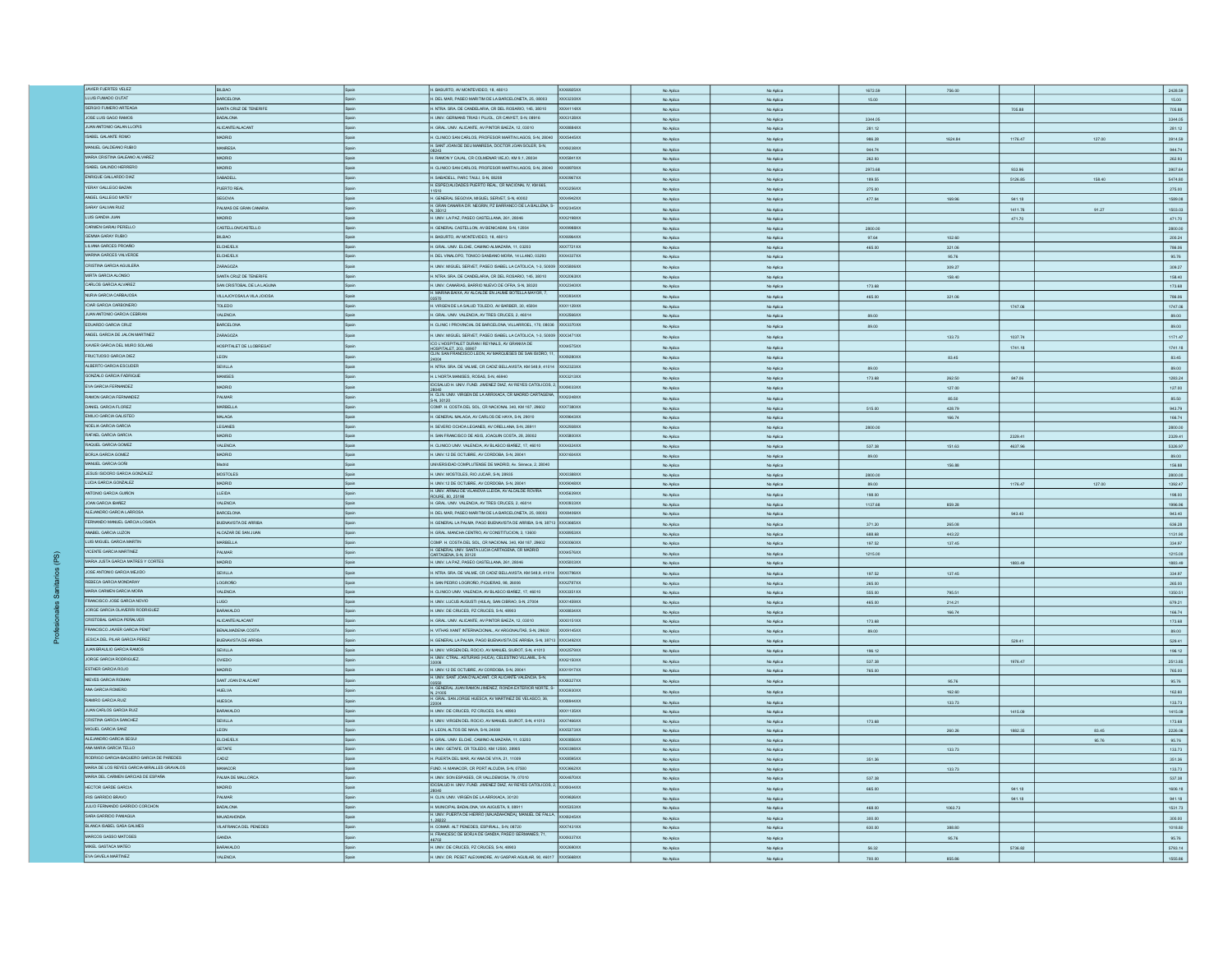| JAMER FUERTES VELEZ                         |                                     |        |                                                                                                          |                  |           |           |         |         |         |        |                    |
|---------------------------------------------|-------------------------------------|--------|----------------------------------------------------------------------------------------------------------|------------------|-----------|-----------|---------|---------|---------|--------|--------------------|
|                                             | BILBAO                              |        | H. BASURTO, AV MONTEVIDEO, 18, 48013                                                                     | XXX6925XX        | No Aplica | No Aplica | 1672.59 | 756.00  |         |        | 2428.59            |
| LLUIS FUMADO CIUTAT                         | <b>BARCELONA</b>                    |        | H. DEL MAR, PASEO MARITIM DE LA BARCELONETA, 25, 08003                                                   | <b>XXX3230XX</b> | No Aplica | No Aplica | 15.00   |         |         |        | 15.00              |
| SERGIO FUMERO ARTEAGA                       | SANTA CRUZ DE TENERIFE              | nisoš  | H. NTRA. SRA. DE CANDELARIA, CR DEL ROSARIO, 145, 38010                                                  | XXX4114XX        |           |           |         |         |         |        |                    |
|                                             |                                     |        |                                                                                                          |                  | No Aplica | No Aplica |         |         | 705.88  |        | 705.88             |
| JOSE LUIS GAGO RAMOS                        | BADALONA                            |        | H. UNIV. GERMANS TRIAS I PUJOL, CR CANYET, S-N, 08916                                                    | XXX3128XX        | No Aplica | No Aplica | 3344.05 |         |         |        | 3344.05            |
| <b>JUAN ANTONO GALAN LLOPIS</b>             | ALICANTE/ALACANT                    |        | H. GRAL. UNV. ALICANTE, AV PINTOR BAEZA, 12, 03010                                                       | <b>OX8884XX</b>  | No Aplica | No Aplica | 281.12  |         |         |        | 281.12             |
| ISABEL GALANTE ROMO                         | MADRID                              |        | H. CLINICO SAN CARLOS, PROFESOR MARTIN LAGOS, S-N. 28040                                                 | X5445XX          |           |           |         |         | 1176.47 |        |                    |
|                                             |                                     |        | H. SANT JOAN DE DEU MANRESA, DOCTOR JOAN SOLER, S-N.                                                     |                  | No Aplica | No Aplica | 986.28  | 1624.84 |         | 127.00 | 3914.59            |
| MANUEL GALDEANO RUBIO                       | MANRESA                             |        |                                                                                                          | <b>XXX923RXX</b> | No Aplica | No Aplica | 944.74  |         |         |        | 944.74             |
| MARIA CRISTINA GALEANO ALVAREZ              | MADRID                              | nicol  | H. RAMON Y CAJAL. CR COLMENAR VIEJO. KM 9.1. 28034                                                       | <b>XXX5841XX</b> | No Aplica | No Aplica | 262.93  |         |         |        | 262.93             |
| ISABEL GALINDO HERRERI                      |                                     |        | H. CLINICO SAN CARLOS, PROFESOR MARTIN LAGOS, S-N, 28040                                                 |                  |           |           |         |         |         |        |                    |
|                                             | MADRID                              |        |                                                                                                          | XXX8978XX        | No Aplica | No Aplica | 2973.68 |         | 933.96  |        | 3907.64            |
| ENRIQUE GALLARDO DIAZ                       | SABADELL                            |        | H. SABADELL, PARC TAULI, S-N, 0820                                                                       | CX0967XX         | No Aplica | No Aglica | 189.55  |         | 5126.85 | 158.40 | 5474.80            |
| YERAY GALLEGO BAZAN                         | PUERTO REAL                         | spain  | H. ESPECIALIDADES PUERTO REAL, CR NACIONAL IV, KM 665,                                                   | XXX3256XX        | No Aplica | No Aplica | 275.00  |         |         |        |                    |
| ANGEL GALLEGO MATEY                         |                                     |        |                                                                                                          |                  |           |           |         |         |         |        | 275.00             |
|                                             | SEGOVIA                             | Snain  | H. GENERAL SEGOVIA MIGUEL SERVET. S-N. 40002                                                             | XXX4942XX        | No Aplica | No Aplica | 477.94  | 169.96  | 941.18  |        | 1589.08            |
| SARAY GALVAN RUIZ                           | PALMAS DE GRAN CANARIA              |        | H. GRAN CANARIA DR. NEGRIN, PZ BARRANCO DE LA BALLENA, S-<br>N 35012                                     | $\alpha$ x2345xx | No Aplica | No Aplica |         |         | 1411.76 | 91.27  | 1503.03            |
| LUIS GANDIA JUAN                            | MADRID                              |        | H. UNIV. LA PAZ, PASEO CASTELLANA, 261, 28046                                                            | 000219800        |           |           |         |         | 471.70  |        | 471.70             |
|                                             |                                     |        |                                                                                                          |                  | No Aplica | No Aplica |         |         |         |        |                    |
| CARMEN GARAU PERELLO                        | CASTELLONCASTELLO                   |        | H. GENERAL CASTELLON, AV BENICASIM, S-N, 12004                                                           | X9988XX          | No Aplica | No Aplica | 2800.00 |         |         |        | 2800.00            |
| GEMMA GARAY RUBIO                           | <b>BILBAO</b>                       |        | H. BASURTO, AV MONTEVIDEO, 18, 48013                                                                     | XXX6964XX        | No Aplica | No Aplica | 97.64   | 102.60  |         |        | 200.24             |
| LILIANA GARCES PROAÑO                       | <b>ELCHE/ELX</b>                    |        | H. GRAL. UNV. ELCHE, CAMINO ALMAZARA, 11, 03203                                                          | <b>XXX7721XX</b> | No Aplica | No Aplica | 465.00  | 321.06  |         |        | 786.06             |
| MARINA GARCES VALVERDE                      |                                     |        |                                                                                                          |                  |           |           |         |         |         |        |                    |
|                                             | ELCHE/ELX                           |        | H. DEL VINALOPO, TONICO SANSANO MORA, 14 LLANO, 03293                                                    | XXX4337XX        | No Aplica | No Aplica |         | 95.76   |         |        | 95.76              |
| CRISTINA GARCIA AGUILERA                    | ZARAGOZA                            |        | H. UNIV. MIGUEL SERVET, PASEO ISABEL LA CATOLICA, 1-3, 50009                                             | <b>OCX5806XX</b> | No Aplica | No Aglica |         | 309.27  |         |        | 309.27             |
| MIRTA GARCIA ALONSO                         | SANTA CRUZ DE TENERIFE              |        | H. NTRA. SRA. DE CANDELARIA, CR. DEL ROSARIO, 145, 38010                                                 | XXX2063XX        |           |           |         | 158.40  |         |        | 158.40             |
|                                             |                                     |        |                                                                                                          |                  | No Aplica | No Aplica |         |         |         |        |                    |
| CARLOS GARCIA ALVAREZ                       | SAN CRISTOBAL DE LA LAGUNA          |        | H. UNIV. CANARIAS, BARRIO NUEVO DE OFRA, S-N, 38320                                                      | XXX2340XX        | No Aplica | No Aplica | 173.68  |         |         |        | 173.68             |
| NURIA GARCIA CARBAJOSA                      | VILLAJOYOSALA VILA JOIOSA           |        | H. MARINA BAIXA, AV ALCALDE EN JAUME BOTELLA MAYOR, 7,<br>03570                                          | DCX3934XX        | No Aplica | No Aplica | 465.00  | 321.06  |         |        | 786.06             |
| ICIAR GARCIA CARBONERO                      | TOLEDO                              |        | H. VIRGEN DE LA SALUD TOLEDO, AV BARBER, 30, 45004                                                       | XXX1129XX        | No Aplica | No Aplica |         |         | 1747.06 |        | 1747.06            |
| JUAN ANTONIO GARCIA CEBRIAN                 |                                     |        |                                                                                                          |                  |           |           |         |         |         |        |                    |
|                                             | <b>VALENCIA</b>                     |        | H. GRAL. UNV. VALENCIA, AV TRES CRUCES, 2, 46014                                                         | XXX2566XX        | No Aplica | No Aplica | 89.00   |         |         |        | 89.00              |
| EDUARDO GARCIA CRUZ                         | BARCELONA                           |        | H. CLINIC I PROVINCIAL DE BARCELONA, VILLARROEL, 170, 08036                                              | XXX3370XX        | No Aplica | No Aplica | 89.00   |         |         |        | 89.00              |
| ANGEL GARCIA DE JALON MARTINEZ              | ZARAGOZA                            |        | H. UNIV. MIGUEL SERVET. PASEO ISABEL LA CATOLICA 1-3, 50009 XXX3471XX                                    |                  |           |           |         |         |         |        |                    |
|                                             |                                     |        |                                                                                                          |                  | No Aplica | No Aplica |         | 133.73  | 1037.74 |        | 1171.47            |
| XAVIER GARCIA DEL MURO SOLANS               | HOSPITALET DE LLOBREGAT             |        | ICO L'HOSPITALET DURAN I REYNALS, AV GRANVIA DE                                                          | <b>XXX4575XX</b> | No Aplica | No Aplica |         |         | 1741.18 |        | 1741.18            |
| <b>FRUCTUOSO GARCIA DIEZ</b>                | <b>LEON</b>                         |        | HOSPITALET, 203, 08907<br>CLIN, SAN FRANCISCO LEON, AV MARQUESES DE SAN ISIDRO, 11                       | XXX9280XX        |           |           |         |         |         |        | 83.45              |
|                                             |                                     |        |                                                                                                          |                  | No Aplica | No Aplica |         | 83.45   |         |        |                    |
| ALBERTO GARCIA ESCUDER                      | SEVILLA                             |        | H. NTRA. SRA. DE VALME, CR CADIZ BELLAVISTA, KM 548,9, 41014                                             | XXX2323XX        | No Aplica | No Aplica | 89.00   |         |         |        | 89.00              |
| GONZALO GARCIA FADRIQUE                     | MANISES                             | cain   | H. L'HORTA MANISES, ROSAS, S-N. 46940                                                                    | XXX3213XX        | No Aplica | No Aplica | 173.68  | 262.50  | 847.06  |        | 1283.24            |
| EVA GARCIA FERNANDEZ                        | MADRID                              | nicoli | IDCSALUD H. UNIV, FUND, JIMENEZ DIAZ, AV REYES CATOLICOS, 2                                              | XXX9033XX        |           |           |         |         |         |        |                    |
|                                             |                                     |        |                                                                                                          |                  | No Aplica | No Aplica |         | 127.00  |         |        | 127.00             |
| RAMON GARCIA FERNANDEZ                      | PALMAR                              |        | H. CLIN. UNIV. VIRGEN DE LA ARRIXACA, CR MADRID CARTAGENA,<br><b>S.N. 3012</b>                           | XXX2248XX        | No Aplica | No Aplica |         | 85.50   |         |        | 85.50              |
| DANIEL GARCIA FLOREZ                        | MARBELLA                            |        | COMP. H. COSTA DEL SOL, CR NACIONAL 340, KM 187, 29602                                                   | <b>XXX7380XX</b> | No Aplica | No Aplica | 515.00  | 428.79  |         |        |                    |
| EMILIO GARCIA GALISTEO                      |                                     |        |                                                                                                          |                  |           |           |         |         |         |        | 943.79             |
|                                             | MALAGA                              |        | H. GENERAL MALAGA, AV CARLOS DE HAYA, S-N, 29010                                                         | XX9643XX         | No Aplica | No Aplica |         | 166.74  |         |        | 166.74             |
| NOELIA GARCIA GARCIA                        | LEGANES                             | Spain  | H. SEVERO OCHOA LEGANES, AV ORELLANA, S-N, 28911                                                         | XXX293BXX        | No Aplica | No Aplica | 2800.00 |         |         |        | 2800.00            |
| RAFAEL GARCIA GARCIA                        | <b>MADRID</b>                       |        | H. SAN FRANCISCO DE ASIS, JOAQUIN COSTA, 28, 28002                                                       | <b>CX5800XX</b>  | No Aplica | No Aplica |         |         | 2329.41 |        | 2329.41            |
| RAQUEL GARCIA GOMEZ                         |                                     |        |                                                                                                          |                  |           |           |         |         |         |        |                    |
|                                             | <b>VALENCIA</b>                     |        | H. CLINICO UNIV. VALENCIA, AV BLASCO IBAÑEZ, 17, 46010                                                   | XXX4324XX        | No Aplica | No Aplica | 537.38  | 151.63  | 4637.96 |        | 5326.97            |
| BORJA GARCIA GOMEZ                          | MADRID                              | nicoli | H. UNIV.12 DE OCTUBRE, AV CORDOBA, S-N, 28041                                                            | XXX1604XX        | No Aplica | No Aplica | 89.00   |         |         |        | 89.00              |
| MANUEL GARCIA GOÑI                          | Madrid                              |        | UNVERSIDAD COMPLUTENSE DE MADRID, Av. Séneca, 2, 28040                                                   |                  | No Arlic  | No Aniic  |         | 156.88  |         |        | 156.88             |
| JESUS ISIDORO GARCIA GONZALEZ               | <b>MOSTOLES</b>                     |        | H. UNIV. MOSTOLES, RIO JUCAR, S-N, 28935                                                                 | DCXD3BBXX        |           |           |         |         |         |        |                    |
|                                             |                                     |        |                                                                                                          |                  | No Aplica | No Aplica | 2800.00 |         |         |        | 2800.00            |
| LUCIA GARCIA GONZALEZ                       | MADRID                              | Inain  | H UNIV 12 DE OCTUBRE AV CORDOBA SJN 28041                                                                | XXX9048XX        | No Aplica | No Aplica | 89.00   |         | 1176.47 | 127.00 | 1392.47            |
| ANTONIO GARCIA GUIÑON                       | LLEIDA                              |        | H. UNIV. ARNAU DE VILANOVA LLEIDA, AV ALCALDE ROVIRA                                                     | XX5639XX         | No Aplica | No Aplica | 198.00  |         |         |        | 198.00             |
| JOAN GARCIA IBAÑEZ                          | <b>VALENCIA</b>                     |        | ROURE, 80, 25198                                                                                         |                  |           |           |         |         |         |        |                    |
|                                             |                                     |        | H. GRAL. UNIV. VALENCIA, AV TRES CRUCES, 2, 46014                                                        | CXD933XX         | No Aplica | No Aplica | 1137.68 | 859.28  |         |        | 1996.96            |
| ALEJANDRO GARCIA LARROSA                    | <b>BARCELON</b>                     |        | H. DEL MAR, PASEO MARITIM DE LA BARCELONETA, 25, 08003                                                   | XB406XX          | No Aplica | No Aplica |         |         | 943.40  |        | 943.40             |
|                                             | BUENAVISTA DE ARRIBA                |        | H. GENERAL LA PALMA, PAGO BUENAVISTA DE ARRIBA, S-N, 38713 XXX3665XX                                     |                  | No Aplica | No Aplica | 371.20  | 265.08  |         |        | 636.28             |
| FERNANDO MANUEL GARCIA LOSADA               |                                     |        |                                                                                                          |                  |           |           |         |         |         |        |                    |
|                                             |                                     |        |                                                                                                          |                  |           |           |         |         |         |        |                    |
| ANABEL GARCIA LUZON                         | ALCAZAR DE SAN JUAN                 | Spain  | H. GRAL. MANCHA CENTRO, AV CONSTITUCION, 3, 13600                                                        | <b>XXX8953XX</b> | No Aplica | No Aplica | 688.68  | 443.22  |         |        | 1131.90            |
| LUIS MIGUEL GARCIA MARTIN                   |                                     |        | COMP. H. COSTA DEL SOL, CR NACIONAL 340, KM 187, 29602                                                   | XXX0060XX        | No Aplica | No Aglica | 197.52  | 137.45  |         |        | 334.97             |
|                                             | MARBELLA                            |        | H. GENERAL UNIV. SANTA LUCIA CARTAGENA, CR MADRID                                                        |                  |           |           |         |         |         |        |                    |
| VICENTE GARCIA MARTINEZ                     | PALMAR                              |        | ARTAGENA S-N 30120                                                                                       | XXX4576XX        | No Aplica | No Aplica | 1215.00 |         |         |        | 1215.00            |
| MARIA JUSTA GARCIA MATRES Y CORTES          | MADRID                              |        | H. UNIV. LA PAZ, PASEO CASTELLANA, 261, 28046                                                            | 005003000        | No Aplica | No Aplica |         |         | 1883.49 |        | 1883.49            |
| JOSE ANTONO GARCIA MEJIDO                   | SEVILLA                             | ainas  | H. NTRA. SRA. DE VALME, CR CADIZ BELLAVISTA, KM 548,9, 41014                                             | XXX0796XX        | No Aplica |           | 197.52  | 137.45  |         |        |                    |
|                                             |                                     |        |                                                                                                          |                  |           | No Aplica |         |         |         |        | 334.97             |
| REBECA GARCIA MONDARAY                      | LOGRONO                             | Spain  | H. SAN PEDRO LOGRONO, PIQUERAS, 98, 26006                                                                | XXX2787XX        | No Aplica | No Aplica | 265.00  |         |         |        | 265.00             |
| ARIA CARMEN GARCIA MORA                     | <b>VALENCIA</b>                     |        | H. CLINICO UNIV. VALENCIA, AV BLASCO IBAÑEZ, 17, 46010                                                   | $\alpha x3351XX$ | No Aplica | No Aplica | 555.00  | 795.51  |         |        | 1350.51            |
| FRANCISCO JOSE GARCIA NOVIC                 | LUGO                                |        | I. UNIV. LUCUS AUGUSTI (HULA), SAN CIBRAO, S-N, 27004                                                    | OCX1459XX        | No Aplica | No Aplica | 465.00  | 214.21  |         |        | 679.21             |
| JORGE GARCIA OLAVERRI RODRIGUEZ             | <b>BARAKALDO</b>                    | scain  | H. UNIV. DE CRUCES, PZ CRUCES, S-N, 48903                                                                | XXXB834XX        |           |           |         |         |         |        |                    |
|                                             |                                     |        |                                                                                                          |                  | No Aplica | No Aplica |         | 166.74  |         |        | 166.74             |
| CRISTOBAL GARCIA PEÑALVER                   | ALICANTE/ALACANT                    |        | H. GRAL. UNV. ALICANTE, AV PINTOR BAEZA, 12, 03010                                                       | XXX0151XX        | No Aplica | No Aplica | 173.68  |         |         |        | 173.68             |
| FRANCISCO JAVIER GARCIA PENT                | BENALMADENA COSTA                   |        | H. VITHAS XANIT INTERNACIONAL, AV ARGONALITAS, S-N, 29630                                                | XXX9145XX        | No Aplica | No Aplica | 89.00   |         |         |        | 89.00              |
| JESICA DEL PILAR GARCIA PEREZ               | BUENAVISTA DE ARRIBA                |        | H. GENERAL LA PALMA, PAGO BUENAVISTA DE ARRIBA, S-N, 38713                                               | XXX3492XX        | No Aplica | No Aplica |         |         | 529.41  |        |                    |
|                                             |                                     |        |                                                                                                          |                  |           |           |         |         |         |        | 529.41             |
| JUAN BRAULIO GARCIA RAMOS                   | SEVILLA                             | loain  | H. UNIV. VIRGEN DEL ROCIO. AV MANUEL SIUROT. S-N. 41013                                                  | XXX2579XX        | No Aplica | No Aplica | 196.12  |         |         |        | 196.12             |
| JORGE GARCIA RODRIGUEZ.                     | OVIEDO                              |        | H. UNIV. CTRAL. ASTURIAS (HUCA), CELESTINO VILLAMIL. S-N.                                                | XXX2150XX        | No Aplica | No Aplica | 537.38  |         | 1976.47 |        | 2513.85            |
| ESTHER GARCIA ROJO                          | MADRID                              |        | H. UNIV.12 DE OCTUBRE, AV CORDOBA, S-N, 28041                                                            | DCX1917XX        | No Aplica | No Aplica | 765.00  |         |         |        | 765.00             |
|                                             |                                     |        | H. UNIV. SANT JOAN D'ALACANT, CR ALICANTE VALENCIA, S-N,                                                 |                  |           |           |         |         |         |        |                    |
| NIEVES GARCIA ROMAN                         | SANT JOAN D'ALACANT                 |        |                                                                                                          | <b>CXB327XX</b>  | No Aplica | No Aplica |         | 95.76   |         |        | 95.76              |
| ANA GARCIA ROMERO                           | <b>HUELVA</b>                       |        | 03550<br>H. GENERAL JUAN RAMON JIMENEZ, RONDA EXTERIOR NORTE, S-<br>.<br>N, 21005                        | CX3930XX         | No Aplica | No Aplica |         | 162.60  |         |        | 162.60             |
| RAMIRO GARCIA RUIZ                          |                                     |        | H. GRAL. SAN JORGE HUESCA, AV MARTINEZ DE VELASCO, 36,                                                   |                  |           |           |         |         |         |        |                    |
|                                             | <b>HUESCA</b>                       |        | 22004                                                                                                    | (8944XX          | No Aplica | No Aplica |         | 133.73  |         |        | 133.73             |
| JUAN CARLOS GARCIA RUIZ                     | BARAKALDO                           |        | H. UNIV. DE CRUCES, PZ CRUCES, S-N, 48903                                                                | $0x$ 1135 $x$    | No Aplica | No Aplica |         |         | 1415.09 |        | 1415.09            |
| CRISTINA GARCIA SANCHEZ                     | SEVILLA                             |        | H. UNIV. VIRGEN DEL ROCIO, AV MANUEL SIUROT, S-N, 41013                                                  | XXX7466XX        | No Aplica | No Aplica | 173.68  |         |         |        | 173.68             |
| MIGUEL GARCIA SANZ                          | <b>LEON</b>                         | cain   | H. LEON, ALTOS DE NAVA, S-N, 24008                                                                       | XXX5373XX        |           |           |         |         |         |        |                    |
| ALEJANDRO GARCIA SEGUI                      |                                     |        |                                                                                                          |                  | No Aplica | No Aplica |         | 260.26  | 1882.35 | 83.45  | 2226.06            |
|                                             | ELCHE/ELX                           |        | H. GRAL. UNV. ELCHE, CAMINO ALMAZARA, 11, 03203                                                          | XXX0856XX        | No Aplica | No Aplica |         |         |         | 95.76  | 95.76              |
| ANA MARIA GARCIA TELLO                      | GETAFE                              |        | H. UNIV. GETAFE, CR TOLEDO, KM 12500, 28905                                                              | XXX0398XX        | No Aplica | No Aplica |         | 133.73  |         |        | 133.73             |
| RODRIGO GARCIA-BAQUERO GARCIA DE PAREDES    | CADIZ                               |        | H. PUERTA DEL MAR, AV ANA DE VIYA, 21, 11009                                                             | OCXB595XX        | No Aplica | No Aplica | 351.36  |         |         |        | 351.36             |
|                                             |                                     |        |                                                                                                          |                  |           |           |         |         |         |        |                    |
| MARIA DE LOS REYES GARCIA-MIRALLES GRAVALOS | MANACOR                             |        | FUND. H. MANACOR, CR PORT ALCUDIA, S-N, 0750                                                             | XXX3662XX        | No Aplica | No Aplica |         | 133.73  |         |        | 133.73             |
| MARIA DEL CARMEN GARCIAS DE ESPAÑA          | PALMA DE MALLORCA                   |        | H. UNIV. SON ESPASES, CR VALLDEMOSA, 79, 07010                                                           | XXX4870XX        | No Aplica | No Aplica | 537.38  |         |         |        | 537.38             |
| HECTOR GARDE GARCIA                         | <b>MADRID</b>                       |        | IDCSALUD H. UNIV. FUND, JIMENEZ DIAZ, AV REYES CATOLICOS. 2                                              | XXX9344XX        | No Aplica | No Aplica | 665.00  |         | 941.18  |        | 1606.18            |
|                                             | PALMAR                              |        | H. CLIN. UNIV. VIRGEN DE LA ARRIXACA, 30120                                                              | 0009826XX        |           |           |         |         |         |        |                    |
| IRIS GARRIDO BRAVO                          |                                     |        |                                                                                                          |                  | No Aplic  | No Aplica |         |         | 941.18  |        | 941.18             |
| JULIO FERNANDO GARRIDO CORCHON              | BADALONA                            |        | H. MUNICIPAL BADALONA, VIA AUGUSTA, 9, 0891                                                              | XXX5353XX        | No Aplica | No Aplica | 468.00  | 1063.73 |         |        | 1531.73            |
| SARA GARRIDO PANIAGUA                       | MAJADAHONDA                         |        | H. UNIV. PUERTA DE HERRO (MAJADAHONDA), MANUEL DE FALLA.<br>1. 28222                                     | XXX8245XX        | No Aplica | No Aplica | 300.00  |         |         |        | 300.00             |
| BLANCA ISABEL GASA GALMES                   | VILAFRANCA DEL PENEDES              | Spain  | H. COMAR. ALT PENEDES, ESPIRALL, S-N, 08720                                                              | XXX7431XX        |           |           |         |         |         |        |                    |
|                                             |                                     |        | H. FRANCESC DE BORJA DE GANDIA, PASEO GERMANIES, 71.                                                     |                  | No Aplica | No Aplica | 630.00  | 388.80  |         |        | 1018.80            |
| MARCOS GASSO MATOSES                        | GANDIA                              |        |                                                                                                          | XXX9337XX        | No Aplica | No Aplica |         | 95.76   |         |        | 95.76              |
| MIKEL GASTACA MATEO<br>EVA GAVELA MARTINEZ  | <b>BARAKALDO</b><br><b>VALENCIA</b> |        | H. UNIV. DE CRUCES, PZ CRUCES, S-N, 48903<br>H. UNIV. DR. PESET ALEIXANDRE, AV GASPAR AGUILAR, 90, 46017 | XXX2690XX        | No Aplica | No Aplica | 56.32   |         | 5736.82 |        | 5793.14<br>1555.86 |

sionales Sanitarios (PS) Profesionales Sanitarios (PS)

Profes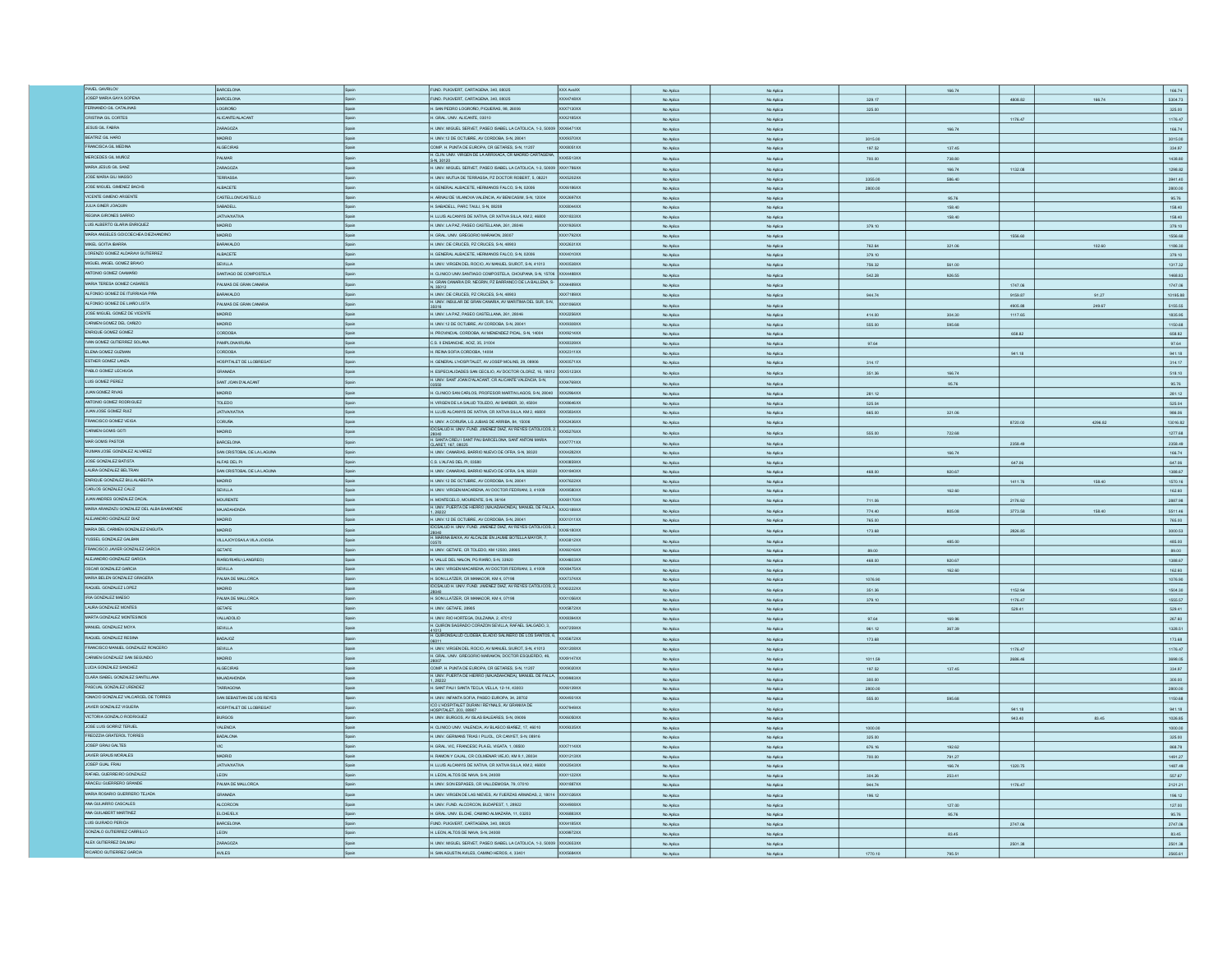| PAVEL GAVRILOV                                       | BARCELONA                  |              | FUND. PUIGVERT, CARTAGENA, 340, 08025                                                                                   | XXX AvaXX        |                        |                        |         | 166.74 |         |         | 166.74             |
|------------------------------------------------------|----------------------------|--------------|-------------------------------------------------------------------------------------------------------------------------|------------------|------------------------|------------------------|---------|--------|---------|---------|--------------------|
| JOSEP MARIA GAYA SOPENA                              | <b>BARCELONA</b>           | Spain        |                                                                                                                         | XXX4748XX        | No Aplica              | No Aplica              |         |        |         |         |                    |
|                                                      |                            |              | FUND. PUIGVERT, CARTAGENA, 340, 08025                                                                                   |                  | No Aplica              | No Aplica              | 329.17  |        | 4808.82 | 166.74  | 5304.73            |
| FERNANDO GIL CATALINAS                               | LOGRONO                    |              | H. SAN PEDRO LOGROÑO, PIQUERAS, 98, 26006                                                                               | XXX7130XX        | No Aplica              | No Aplica              | 325.00  |        |         |         | 325.00             |
| CRISTINA GIL CORTES                                  | ALICANTE/ALACAN            |              | H. GRAL. UNV. ALICANTE, 03010                                                                                           | $\alpha$ x2185xx | No Aplica              | No Aplica              |         |        | 1176.47 |         | 1176.47            |
| JESUS GIL FABRA                                      | ZARAGOZA                   |              | H. UNIV. MIGUEL SERVET, PASEO ISABEL LA CATOLICA, 1-3, 50009 XXX6471XX                                                  |                  | No Aplica              | No Aplica              |         | 166.74 |         |         | 166.74             |
| BEATRIZ GIL HARO                                     | MADRID                     | Spain        |                                                                                                                         | XXX9370XX        |                        |                        |         |        |         |         |                    |
|                                                      |                            |              | H. UNIV.12 DE OCTUBRE, AV CORDOBA, S-N, 28041                                                                           |                  | No Aplica              | No Aplica              | 3015.00 |        |         |         | 3015.00            |
| FRANCISCA GIL MEDIN                                  | <b>ALGECIRAS</b>           | Spain        | COMP. H. PUNTA DE EUROPA, CR GETARES, S-N, 11207                                                                        | XXX8051XX        | No Aplica              | No Aplica              | 197.52  | 137.45 |         |         | 334.97             |
| MERCEDES GIL MUÑOZ                                   | PALMAR                     |              | H. CLIN, UNIV. VIRGEN DE LA ARRIXACA, CR MADRID CARTAGENA. XXX5513XX<br>S-N. 30120                                      |                  | No Aplica              | No Aplica              | 700.00  | 738.80 |         |         | 1438.80            |
| MARIA JESUS GIL SANZ                                 | ZARAGOZA                   |              | H. UNIV. MIGUEL SERVET, PASEO ISABEL LA CATOLICA, 1-3, 50009 XXX1786XX                                                  |                  | No Aplica              | No Aplica              |         | 166.74 | 1132.08 |         | 1298.82            |
| JOSE MARIA GILI MASSO                                | <b>TERRASSA</b>            | Spain        |                                                                                                                         | XXX5202XX        |                        |                        |         |        |         |         |                    |
|                                                      |                            |              | H. UNIV. MUTUA DE TERRASSA, PZ DOCTOR ROBERT, 5, 08221                                                                  |                  | No Aplica              | No Aplica              | 3355.00 | 586.40 |         |         | 3941.40            |
| JOSE MIGUEL GIMENEZ BACHS                            | <b>ALBACETE</b>            | Spain        | H. GENERAL ALBACETE, HERMANDS FALCO, S-N, 02006                                                                         | XXX6186XX        | No Aplica              | No Aplica              | 2800.00 |        |         |         | 2800.00            |
| VICENTE GIMENO ARGENTE                               | CASTELLONCASTELLO          | Spain        | H. ARNAU DE VILANOVA VALENCIA, AV BENICASIM, S-N, 12004                                                                 | XXX2697XX        | No Aplica              | No Aplica              |         | 95.76  |         |         | 95.76              |
| JULIA GINER JOAQUIN                                  | SABADELL                   | cein         | H. SABADELL, PARC TAULI, S-N, 08208                                                                                     | <b>OCXB044XX</b> | No Aplica              | No Aplica              |         | 158.40 |         |         | 158.40             |
| REGINA GIRONES SARRIO                                | <b>JATIVA/XATIVA</b>       |              | H. LLUIS ALCANYIS DE XATIVA, CR XATIVA SILLA, KM 2, 46800                                                               | XXX1833XX        |                        |                        |         |        |         |         | 158.40             |
| LUIS ALBERTO GLARIA ENRIQUEZ                         |                            |              |                                                                                                                         |                  | No Aplica              | No Aplica              |         | 158.40 |         |         |                    |
|                                                      | MADRID                     | Spain        | H. UNIV. LA PAZ, PASEO CASTELLANA, 261, 28046                                                                           | <b>XXX1926XX</b> | No Aplica              | No Aplica              | 379.10  |        |         |         | 379.10             |
| MARIA ANGELES GOICOECHEA DIEZHANDINO                 | MADRID                     | Spain        | H. GRAL. UNIV. GREGORIO MARAKON, 28007                                                                                  | XXX1792XX        |                        |                        |         |        | 1556.60 |         | 1556.60            |
| MIKEL GOITIA IBARRA                                  | <b>BARAKALDO</b>           | Spain        | H. UNIV. DE CRUCES, PZ CRUCES, S-N, 48903                                                                               | XXX2631XX        | No Aplica              | No Aplica              | 762.64  | 321.06 |         | 102.60  | 1186.30            |
| LORENZO GOMEZ ALDARAVI GUTIERREZ                     | <b>ALBACETE</b>            | Spain        | H. GENERAL ALBACETE, HERMANOS FALCO, S-N, 02006                                                                         | XXX4010XX        | No Aplica              | No Aplica              | 379.10  |        |         |         | 379.10             |
| MIGUEL ANGEL GOMEZ BRAVO                             | SEVILLA                    |              | H. UNIV. VIRGEN DEL ROCIO, AV MANUEL SIUROT, S-N, 41013                                                                 | XXX0538XX        |                        |                        |         |        |         |         |                    |
|                                                      |                            |              |                                                                                                                         |                  | No Aplica              | No Aplica              | 756.32  | 561.00 |         |         | 1317.32            |
| ANTONIO GOMEZ CAAMARO                                | SANTIAGO DE COMPOSTELA     |              | H. CLINICO UNIV.SANTIAGO COMPOSTELA, CHOUPANA, S-N, 15706 XXX4488XX                                                     |                  | No Aplica              | No Aplica              | 542.28  | 926.55 |         |         | 1468.83            |
| MARIA TERESA GOMEZ CASARES                           | PALMAS DE GRAN CANARIA     |              | H. GRAN CANARIA DR. NEGRIN, PZ BARRANCO DE LA BALLENA, S- XXX4489XX<br>N. 35012                                         |                  | No Aplica              | No Aplica              |         |        | 1747.06 |         | 1747.06            |
| ALFONSO GOMEZ DE ITURRIAGA PIÑA                      | BARAKALDO                  |              | H. UNIV. DE CRUCES, PZ CRUCES, S-N, 48903                                                                               | XXX7189XX        | No Aplica              | No Aplica              | 944.74  |        | 9159.87 | 91.27   | 10195.88           |
| ALFONSO GOMEZ DE LIAÑO LISTA                         | PALMAS DE GRAN CANARIA     |              | H. UNIV. INSULAR DE GRAN CANARIA, AV MARITIMA DEL SUR, S-N. XXX1066XX                                                   |                  |                        |                        |         |        |         |         |                    |
|                                                      |                            |              |                                                                                                                         |                  | No Aplica              | No Aplica              |         |        | 4905.88 | 249.67  | 5155.55            |
| JOSE MIGUEL GOMEZ DE VICENTE                         | <b>MADRID</b>              |              | H. UNIV. LA PAZ, PASEO CASTELLANA, 261, 28046                                                                           | XXX2256XX        | No Aplica              | No Aplica              | 414.00  | 304.30 | 1117.65 |         | 1835.95            |
| CARMEN GOMEZ DEL CAÑIZO                              | <b>MADRID</b>              | Snain        | H. UNIV.12 DE OCTUBRE, AV CORDOBA, S-N, 28041                                                                           | XXX930BXX        | No Aplica              | No Aplica              | 555.00  | 595.68 |         |         | 1150.68            |
| ENRIQUE GOMEZ GOMEZ                                  | <b>CORDOBA</b>             | <b>Scain</b> | H. PROVINCIAL CORDOBA, AV MENENDEZ PIDAL, S-N, 14004                                                                    | XXX9214XX        | No Aplica              | No Aplica              |         |        | 658.82  |         | 658.82             |
| IVAN GOMEZ GUTIERREZ SOLANA                          | <b>PAMPLONA/IRUÑA</b>      |              | C.S. II ENSANCHE, ADIZ, 35, 31004                                                                                       | XXXB339XX        |                        |                        |         |        |         |         | 97.64              |
| ELENA GOMEZ GUZMAN                                   |                            |              |                                                                                                                         |                  | No Aplica              | No Aplica              | 97.64   |        |         |         |                    |
|                                                      | <b>CORDOBA</b>             | Spain        | H. REINA SOFIA CORDOBA, 14004                                                                                           | XXX2311XX        | No Aplica              | No Aplica              |         |        | 941.18  |         | 941.18             |
| ESTHER GOMEZ LANZA                                   | HOSPITALET DE LLOBREGAT    |              | H. GENERAL L'HOSPITALET, AV JOSEP MOLINS, 29, 08906                                                                     | OCX0571XX        | No Aplica              | No Aplica              | 314.17  |        |         |         | 314.17             |
| PABLO GOMEZ LECHUGA                                  | RANADA                     |              | H. ESPECIALIDADES SAN CECILIO, AV DOCTOR OLORIZ, 16, 18012 XXX5123XX                                                    |                  | No Aplica              | No Aplica              | 351.36  | 166.74 |         |         | 518.10             |
| LUIS GOMEZ PEREZ                                     | <b>SANT JOAN D'ALACANT</b> |              | H. UNIV. SANT JOAN D'ALACANT, CR ALICANTE VALENCIA, S-N,                                                                | OCX4769XX        |                        |                        |         |        |         |         |                    |
|                                                      |                            |              |                                                                                                                         |                  | No Aplica              | No Aplica              |         | 95.76  |         |         | 95.76              |
| <b>JUAN GOMEZ RIVAS</b>                              | MADRID                     |              | H. CLINICO SAN CARLOS, PROFESOR MARTIN LAGOS, S-N, 28040 XXX2964XX                                                      |                  | No Aplica              | No Aplica              | 281.12  |        |         |         | 281.12             |
| ANTONIO GOMEZ RODRIGUEZ                              | TOLEDO                     |              | H. VIRGEN DE LA SALUD TOLEDO, AV BARBER, 30, 45004                                                                      | XXX8646XX        | No Aplica              | No Aplica              | 525.04  |        |         |         | 525.04             |
| JUAN JOSE GOMEZ RUIZ                                 | <b>JATIVA/XATIVA</b>       |              | H. LLUIS ALCANYIS DE XATIVA, CR XATIVA SILLA, KM 2, 46800                                                               | XXX5834XX        | No Aplica              | No Aplica              | 665.00  | 321.06 |         |         | 986.06             |
| FRANCISCO GOMEZ VEIGA                                | CORLIÑA                    | Spain        | H. UNIV. A CORUÑA, LG JUBIAS DE ARRIBA, 84, 15006                                                                       | XXX2436XX        |                        |                        |         |        |         |         |                    |
|                                                      |                            |              | IDCSALUD H. UNIV. FUND. JIMENEZ DIAZ, AV REYES CATOLICOS, 2. XXX5276XX                                                  |                  | No Aplica              | No Aplica              |         |        | 8720.00 | 4296.82 | 13016.82           |
| CARMEN GOMIS GOT                                     | MADRID                     | .<br>Roain   |                                                                                                                         |                  | No Aplica              | No Aplica              | 555.00  | 722.68 |         |         | 1277.68            |
| MAR GOMS PASTOR                                      | BARCELONA                  |              | 28040<br>H. SANTA CREU I SANT PAU BARCELONA, SANT ANTONI MARIA<br>CLARET, 167, 08025                                    | <b>XXX7771XX</b> | No Aplica              | No Aplica              |         |        | 2358.49 |         | 2358.49            |
| RUIMAN JOSE GONZALEZ ALVAREZ                         | SAN CRISTOBAL DE LA LAGUNA | Spain        | H. UNIV. CANARIAS, BARRIO NUEVO DE OFRA, S-N, 38320                                                                     | XXX4282XX        |                        |                        |         |        |         |         |                    |
| JOSE GONZALEZ BATISTA                                | ALFAS DEL PI               |              | C.S. L'ALFAS DEL PI, 03580                                                                                              | OCXD859XX        | No Aplica              | No Aplica              |         | 166.74 |         |         | 166.74             |
|                                                      |                            |              |                                                                                                                         |                  | No Aplica              | No Aplica              |         |        | 647.06  |         | 647.06             |
| LAURA GONZALEZ BELTRAN                               | SAN CRISTOBAL DE LA LAGUNA | Spain        |                                                                                                                         |                  |                        |                        |         |        |         |         |                    |
|                                                      |                            |              | H. UNIV. CANARIAS, BARRIO NUEVO DE OFRA, S-N, 38320                                                                     | XXX1840XX        | No Aplica              | No Aplica              | 468.00  | 920.67 |         |         | 1388.67            |
|                                                      | MADRID                     | loain        | H. UNIV.12 DE OCTUBRE, AV CORDOBA, S-N, 28041                                                                           | <b>XXX7622XX</b> | No Aplica              |                        |         |        | 1411.76 | 158.40  |                    |
| ENRIQUE GONZALEZ BILLALABEITIA                       |                            | Spain        |                                                                                                                         | XXX9580XX        |                        | No Aplica              |         |        |         |         | 1570.16            |
| CARLOS GONZALEZ CALIZ                                | SEVILLA                    |              | H. UNIV. VIRGEN MACARENA, AV DOCTOR FEDRIAN, 3, 41009                                                                   |                  | No Aplica              | No Aplica              |         | 162.60 |         |         | 162.60             |
| JUAN ANDRES GONZALEZ DACAL                           | <b>MOURENTE</b>            |              | H. MONTECELO, MOURENTE, S-N, 36164                                                                                      | XXXB170XX        | No Aplica              | No Aplica              | 711.06  |        | 2176.92 |         | 2887.98            |
| MARIA ARANZAZU GONZALEZ DEL ALBA BAAMONDE            | MAJADAHONDA                |              | H. MONTECELO, Mountente, any annoy announce DE FALLA. XXX3189XX                                                         |                  | No Aplica              | No Aplica              | 774.40  | 805.08 | 3773.58 | 158.40  | 5511.46            |
| ALEJANDRO GONZALEZ DIAZ                              | <b>MADRID</b>              | Spain        | H. UNIV.12 DE OCTUBRE, AV CORDOBA, S-N, 28041                                                                           | <b>XXX1011XX</b> | No Aplica              | No Aplica              | 765.00  |        |         |         | 765.00             |
|                                                      |                            | a<br>Roale   |                                                                                                                         |                  |                        |                        |         |        |         |         |                    |
| MARIA DEL CARMEN GONZALEZ ENGUITA                    | MADRID                     |              | IDCSALUD H. UNIV. FUND. JIMENEZ DIAZ, AV REYES CATOLICOS, 2. XXX6180XX                                                  |                  | No Aplica              | No Aplica              | 173.68  |        | 2826.85 |         | 3000.63            |
| YUSSEL GONZALEZ GALBA                                | VILLAJOYOSALA VILA JOIOSA  | Spain        | 28040<br>H. MARINA BAIXA, AV ALCALDE EN JAUME BOTELLA MAYOR, 7,                                                         | XXX3812XX        | No Aplica              | No Aplica              |         | 485.00 |         |         | 485.00             |
| FRANCISCO JAVIER GONZALEZ GARCIA                     | GETAFE                     |              | H. UNIV. GETAFE, CR TOLEDO, KM 12500, 28905                                                                             | XXX6016XX        | No Aplica              | No Aplica              | 89.00   |        |         |         | 89.00              |
| ALEJANDRO GONZALEZ GARCIA                            | RIAÑO/RIAÑU (LANGREO)      | Spain        | H. VALLE DEL NALON, PG RIAÑO, S-N, 33920                                                                                | OCX4603XX        | No Aplica              | No Aplica              | 468.00  | 920.67 |         |         | 1388.67            |
| OSCAR GONZALEZ GARCIA                                |                            |              |                                                                                                                         |                  |                        |                        |         |        |         |         |                    |
|                                                      | SEVILLA                    | Spain        | H. UNIV. VIRGEN MACARENA, AV DOCTOR FEDRIAN, 3, 41009                                                                   | XXX8475XX        | No Aplica              | No Aplica              |         | 162.60 |         |         | 162.60             |
| MARIA BELEN GONZALEZ GRAGERA                         | PALMA DE MALLORCA          | <b>Spain</b> | H. SON LLATZER, CR MANACOR, KM 4, 07198                                                                                 | XXX7374XX        | No Aplica              | No Aplica              | 1076.90 |        |         |         | 1076.90            |
| RAQUEL GONZALEZ LOPEZ                                | <b>GIRDA</b>               |              | IDCSALUD H. UNIV. FUND. JIMENEZ DIAZ, AV REYES CATOLICOS, 2. XXX0222XX                                                  |                  | No Aplica              | No Aplica              | 351.36  |        | 1152.94 |         | 1504.30            |
| IRIA GONZALEZ MAESO                                  | PALMA DE MALLORCA          |              |                                                                                                                         | OCX1056XX        | No Aplica              | No Aplica              | 379.10  |        | 1176.47 |         | 1555.57            |
| LAURA GONZALEZ MONTES                                | <b>GETAFE</b>              |              | H. SON LLATZER, CR MANACOR, KM 4, 07198<br>H. UNIV. GETAFE, 28905                                                       | <b>XXX5872XX</b> | No Aplica              | No Aplica              |         |        | 529.41  |         | 529.41             |
|                                                      | VALLADOLID                 | Spain        |                                                                                                                         | XXXB394XX        |                        |                        |         |        |         |         |                    |
| MARTA GONZALEZ MONTESINOS                            |                            |              | H. UNIV. RIO HORTEGA, DULZAINA, 2, 47012                                                                                |                  | No Aplica              | No Aplica              | 97.64   | 169.96 |         |         | 267.60             |
| MANUEL GONZALEZ MOYA                                 | SEVILLA                    | .<br>Roain   | H. QUIRON SAGRADO CORAZON SEVILLA, RAFAEL SALGADO, 3, XXX7259XX                                                         |                  | No Aplica              | No Aplica              | 961.12  | 367.39 |         |         | 1328.51            |
| RAQUEL GONZALEZ RESINA                               | BADAJOZ                    |              | 41013<br>H. QUIRONSALUD CLIDEBA, ELADIO SALINERO DE LOS SANTOS, 6, XXX5672XX                                            |                  | No Aplica              | No Aplica              |         |        |         |         |                    |
| FRANCISCO MANUEL GONZALEZ RONCERO                    | SEVILLA                    | Spain        | H. UNIV. VIRGEN DEL ROCIO, AV MANUEL SIUROT, S-N, 41013                                                                 | XXX1208XX        |                        |                        | 173.68  |        |         |         | 173.68             |
|                                                      |                            |              | H. GRAL. UNV. GREGORIO MARAWON, DOCTOR ESQUERDO, 46,                                                                    |                  |                        | No Aplica              |         |        | 1176.47 |         | 1176.47            |
| CARMEN GONZALEZ SAN SEGUNDO                          | MADRID                     | <b>Spain</b> |                                                                                                                         | XXX9147XX        | No Aplic               | No Aplica              | 1011.59 |        | 2686.46 |         | 3698.05            |
| LUCIA GONZALEZ SANCHEZ                               | ALGECIRAS                  |              | COMP. H. PUNTA DE EUROPA, CR GETARES, S-N, 11207                                                                        | XXX9020XX        | No Aplica              | No Aplica              | 197.52  | 137.45 |         |         | 334.97             |
| CLARA ISABEL GONZALEZ SANTILLANA                     | MAJADAHONDA                | Spain        |                                                                                                                         |                  | No Aplica              | No Aplica              | 300.00  |        |         |         | 300.00             |
|                                                      |                            | Spain        | H. UNIV. PUERTA DE HERRO (MAJADAHONDA), MANJEL DE FALLA XXXX9983XX                                                      | XXX6139XX        |                        |                        |         |        |         |         |                    |
| PASCUAL GONZALEZ URENDEZ                             | <b>TARRAGONA</b>           |              | H. SANT PAU I SANTA TECLA, VELLA, 12-14, 43003                                                                          |                  | No Aplica              | No Aplica              | 2800.00 |        |         |         | 2800.00            |
| IGNACIO GONZALEZ VALCARCEL DE TORRES                 | SAN SEBASTIAN DE LOS REYES | Spain        | H. UNIV. INFANTA SOFIA, PASEO EUROPA, 34, 28702                                                                         | XXX4931XX        | No Aplica              | No Aplica              | 555.00  | 595.68 |         |         | 1150.68            |
| JAVIER GONZALEZ VIGUERA                              | HOSPITALET DE LLOBREGAT    |              | ICO L'HOSPITALET DURAN I REYNALS, AV GRANVIA DE<br>HOSPITALET, 203, 08907                                               | XXX7949XX        | No Aplica              | No Aplica              |         |        | 941.18  |         | 941.18             |
| VICTORIA GONZALO RODRIGUEZ                           | <b>BURGOS</b>              |              | H. UNIV. BURGOS, AV ISLAS BALEARES, S-N, 09006                                                                          | OCX6050XX        | No Aplica              | No Aplica              |         |        | 943.40  | 83.45   |                    |
| JOSE LUIS GORRIZ TERLEL                              | VALENCIA                   |              |                                                                                                                         | XXX9335XX        | No Aplica              | No Aplica              | 1000.00 |        |         |         | 1026.85<br>1000.00 |
| FREDZZIA GRATEROL TORRES                             | BADALONA                   | Spain        | H. CLINICO UNIV. VALENCIA, AV BLASCO IBAÑEZ, 17, 46010                                                                  |                  |                        |                        |         |        |         |         |                    |
|                                                      |                            |              | H. UNIV. GERMANS TRIAS I PUJOL, CR CANYET, S-N, 08916                                                                   |                  | No Aplica              | No Aplica              | 325.00  |        |         |         | 325.00             |
| JOSEP GRAU GALTES                                    |                            | <b>Scain</b> | H. GRAL. VIC, FRANCESC PLA EL VIGATA, 1, 08500                                                                          | XXX7114XX        | No Aplica              | No Aplica              | 676.16  | 192.62 |         |         | 868.78             |
| JAVIER GRAUS MORALES                                 | MADRID                     |              | H. RAMON Y CAJAL, CR COLMENAR VIEJO, KM 9.1, 28034                                                                      | XXX1213XX        | No Aplica              | No Aplica              | 700.00  | 791.27 |         |         | 1491.27            |
| JOSEP GUAL FRAU                                      | <b>JATIVAXATIVA</b>        | Spain        | H. LLUIS ALCANYIS DE XATIVA, CR XATIVA SILLA, KM 2, 46800                                                               | XXX2543XX        | No Aplica              | No Aplica              |         | 166.74 | 1320.75 |         | 1487.49            |
|                                                      | <b>LEON</b>                | cain         | H. LEON, ALTOS DE NAVA, S-N, 24008                                                                                      | XXX1122XX        |                        |                        |         |        |         |         |                    |
| RAFAEL GUERREIRO GONZALEZ<br>ARACELI GUERRERO GRANDE |                            |              |                                                                                                                         |                  | No Aplica              | No Aplica              | 304.26  | 253.41 |         |         | 557.67             |
|                                                      | PALMA DE MALLORCA          |              | H. UNIV. SON ESPASES, CR VALLDEMOSA, 79, 07010                                                                          | <b>DCX1887XX</b> | No Aplica              | No Aplica              | 944.74  |        | 1176.47 |         | 2121.21            |
| MARIA ROSARIO GLIERRERO TEJADA                       | <b>GRANADA</b>             |              | H. UNIV. VIRGEN DE LAS NIEVES, AV FUERZAS ARMADAS, 2, 18014 XXX1026XX                                                   |                  | No Aplica              | No Aplica              | 196.12  |        |         |         | 196.12             |
| ANA GUIJARRO CASCALES                                | <b>ALCORCON</b>            |              | H. UNIV. FUND. ALCORCON, BUDAPEST, 1, 28922                                                                             | XX4908XX         | No Aplica              | No Aplica              |         | 127.00 |         |         | 127.00             |
| ANA GUILABERT MARTINEZ                               | <b>ELCHE/ELX</b>           | Spain        | H. GRAL. UNV. ELCHE, CAMINO ALMAZARA, 11, 03203                                                                         | <b>XXX6883XX</b> |                        | No Aplica              |         | 95.76  |         |         |                    |
|                                                      |                            | <b>Scain</b> |                                                                                                                         |                  |                        |                        |         |        |         |         | 95.76              |
| LUIS GUIRADO PERICH                                  | BARCELONA                  |              | FUND. PUIGVERT, CARTAGENA, 340, 08025                                                                                   | XXX4185XX        | No Aplic               | No Aplic               |         |        | 2747.06 |         | 2747.06            |
| GONZALO GUTIERREZ CARRILLO                           | LEON                       |              | H. LEON, ALTOS DE NAVA, S-N, 24008                                                                                      | XXX9972XX        | No Aplica              | No Aplica              |         | 83.45  |         |         | 83.45              |
| ALEX GUTIERREZ DALMAU<br>RICARDO GUTIERREZ GARCIA    | ZARAGOZA<br>AVILES         |              | H. UNIV. MIGUEL SERVET, PASEO ISABEL LA CATOLICA, 1-3, 50009 XXX2653XX<br>H. SAN AGUSTIN AVILES, CAMINO HEROS, 4, 33401 | <b>XXX5884XX</b> | No Aplica<br>No Aplica | No Aplica<br>No Aglica | 1770.10 | 795.51 | 2501.38 |         | 2501.38<br>2565.61 |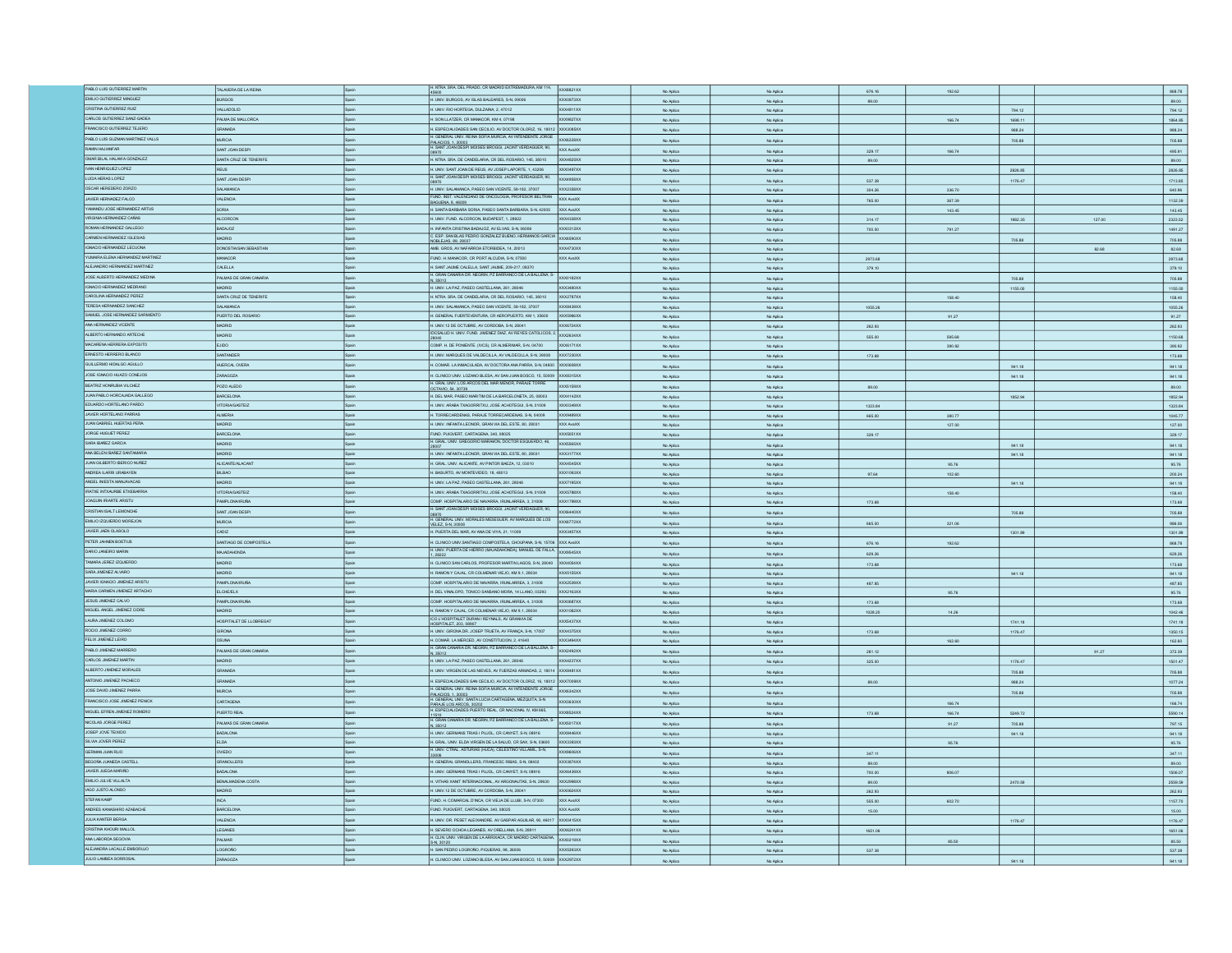| PABLO LUIS GUTIERREZ MARTIN                          |                         |              |                                                                                                                              |                        |           |           |         |        |         |        |                                                   |
|------------------------------------------------------|-------------------------|--------------|------------------------------------------------------------------------------------------------------------------------------|------------------------|-----------|-----------|---------|--------|---------|--------|---------------------------------------------------|
|                                                      | TALAVERA DE LA REINA    | Spain        | H. NTRA SRA DEL PRADO, CR MADRID EXTREMADURA, KM 114, XXX8821XX                                                              |                        | No Arling | No Anito  | 676.16  | 192.62 |         |        | 868.78                                            |
| EMILIO GUTIERREZ MINGUEZ                             | <b>BURGOS</b>           | Spain        | H. UNIV. BURGOS, AV ISLAS BALEARES, S-N, 09006                                                                               | <b>XXX0873XX</b>       | No Aplica | No Aplica | 89.00   |        |         |        | 89.00                                             |
| CRISTINA GUTIERREZ RUIZ                              | VALLADOLID              | Spain        | H. UNIV. RIO HORTEGA, DULZAINA, 2, 47012                                                                                     | XXX4811XX              | No Aplica | No Aplica |         |        | 794.12  |        | 794.12                                            |
| CARLOS GUTIERREZ SANZ-GADEA                          | ALMA DE MALLORCA        |              | 1. SON LLATZER, CR MANACOR, KM 4, 07198                                                                                      | XX9827XX               | No Aplica | No Aplica |         | 166.74 | 1698.11 |        | 1864.85                                           |
| FRANCISCO GUTIERREZ TEJERO                           | GRANADA                 |              | I. ESPECIALIDADES SAN CECILIO, AV DOCTOR OLORIZ, 16, 18012 XXX3085XX                                                         |                        |           |           |         |        |         |        |                                                   |
|                                                      |                         |              | GENERAL UNIV. REINA SOFIA MURCIA, AV INTENDENTE JORGE XXX6228XX                                                              |                        | No Aplica | No Aplica |         |        | 988.24  |        | 988.24                                            |
| PABLO LUIS GUZMAN MARTINEZ VALLS                     | <b>MURCIA</b>           |              | PALACIOS. 1. 30003<br>H. SANT JOAN DESPI MOISES BROGGI, JACINT VERDAGUER, 90,                                                |                        | No Aplica | No Aplica |         |        | 705.88  |        | 705.88                                            |
| RAMIN HAJIANFAR                                      | SANT JOAN DESP          |              |                                                                                                                              | XXX AvaXX              | No Aplica | No Aplica | 329.17  | 166.74 |         |        | 495.91                                            |
| OMAR BILAL HALAWA GONZALEZ                           | SANTA CRUZ DE TENERIFI  | Spain        | H. NTRA SRA DE CANDELARIA, CR DEL ROSARIO, 145, 38010                                                                        | XXX4820XX              | No Aplica | No Aplica | 89.00   |        |         |        | 89.00                                             |
| IVAN HENRIQUEZ LOPEZ                                 | <b>REUS</b>             | Snair        | H. UNIV. SANT JOAN DE REUS, AV JOSEP LAPORTE, 1, 43206                                                                       | XXX0497XX              | No Aplica | No Aplica |         |        | 2826.85 |        | 2826.85                                           |
| LUCIA HERAS LOPEZ                                    | SANT JOAN DESP          | Spain        | H. SANT JOAN DESPI MOISES BROGGI, JACINT VERDAGUER, 90,                                                                      | XXX4958XX              |           |           |         |        |         |        |                                                   |
| OSCAR HEREDERO ZORZO                                 |                         |              |                                                                                                                              |                        | No Aplica | No Aplica | 537.38  |        | 1176.47 |        | 1713.85                                           |
|                                                      | SALAMANCA               | Spain        | H. UNIV. SALAMANCA, PASEO SAN VICENTE, 58-182, 37007                                                                         | XXX2358XX              | No Aplica | No Aplica | 304.26  | 336.70 |         |        | 640.96                                            |
| JAVIER HERNADEZ FALCO                                | <b>VALENCIA</b>         | Spain        | FUND. INST. VALENCIANO DE ONCOLOGIA, PROFESOR BELTRAN<br>AGUENA, 8, 46009                                                    | XXX AvaXX              | No Aplica | No Aplica | 765.00  | 367.39 |         |        | 1132.39                                           |
| YAMANDU JOSE HERNANDEZ ARTUS                         | SORIA                   | Spain        | H. SANTA BARBARA SORIA, PASEO SANTA BARBARA, S-N, 42005                                                                      | XXX AvaXX              | No Aplica | No Aplica |         | 143.45 |         |        | 143.45                                            |
| VIRGINIA HERNANDEZ CAÑAS                             | <b>ALCORCON</b>         | Spain        | H. UNIV. FUND. ALCORCON, BUDAPEST, 1, 28922                                                                                  | <b>XXX4338XX</b>       | No Aplica | No Aplica | 314.17  |        | 1882.35 | 127.00 | 2323.52                                           |
| ROMAN HERNANDEZ GALLEGO                              | BADAJOZ                 | Spain        | H. INFANTA CRISTINA BADAJOZ, AV ELVAS, S-N, 06006                                                                            | 000312XX               | No Aplica | No Aplica | 700.00  | 791.27 |         |        | 1491.27                                           |
| CARMEN HERNANDEZ IGLESIAS                            | MADRID                  |              | C. ESP. SAN BLAS PEDRO GONZALEZ BUENO, HERMANOS GARCI                                                                        | <b>OCX6590XX</b>       |           |           |         |        |         |        | 705.88                                            |
| IGNACIO HERNANDEZ LECUONA                            |                         |              | NOBLEJAS, 89, 28037                                                                                                          |                        | No Aplica | No Aplica |         |        | 705.88  |        |                                                   |
|                                                      | DONOSTIA/SAN SEBASTIAN  | Spain        | AMB. GROS, AV NAFARROA ETORBIDEA, 14, 20013                                                                                  | XXX4730XX              | No Aplica | No Aplica |         |        |         | 82.68  | 82.68                                             |
| YUMAIRA ELENA HERNANDEZ MARTINEZ                     | MANACOR                 | Spain        | FUND. H. MANACOR, CR PORT ALCUDIA, S-N, 07500                                                                                | XXX AvaXX              | No Aplica | No Aplica | 2973.68 |        |         |        | 2973.68                                           |
| ALEJANDRO HERNANDEZ MARTINEZ                         | CALELLA                 | Spain        | H. SANT JAUME CALELLA, SANT JAUME, 209-217, 0837                                                                             |                        | No Aplica | No Aplica | 379.10  |        |         |        | 379.10                                            |
| JOSE ALBERTO HERNANDEZ MEDINA                        | PALMAS DE GRAN CANARIA  | Spain        | GRAN CANARIA DR. NEGRIN, PZ BARRANCO DE LA BALLENA, S- XXXID182XX<br>V, 35012                                                |                        | No Aplica | No Aplica |         |        | 705.88  |        | 705.88                                            |
| IGNACIO HERNANDEZ MEDRANO                            | MADRID                  | Spain        | H. UNIV. LA PAZ, PASEO CASTELLANA, 261, 28046                                                                                | XXX3480XX              | No Aplica | No Aplica |         |        | 1155.00 |        | 1155.00                                           |
| CAROLINA HERNANDEZ PEREZ                             | SANTA CRUZ DE TENERIFE  | Spain        | H. NTRA SRA DE CANDELARIA, CR DEL ROSARIO, 145, 38010                                                                        | XXX2787XX              | No Aplica | No Aplica |         | 158.40 |         |        | 158.40                                            |
| TERESA HERNANDEZ SANCHEZ                             | SALAMANCA               |              | H. UNIV. SALAMANCA, PASEO SAN VICENTE, 58-182, 37007                                                                         | OCXB439XX              |           |           |         |        |         |        |                                                   |
| SAMUEL JOSE HERNANDEZ SARMIENTO                      | PUERTO DEL ROSARIO      |              |                                                                                                                              | XXX5966XX              | No Aplica | No Aplica | 1055.26 |        |         |        | 1055.26                                           |
|                                                      |                         | Spain        | H. GENERAL FUERTEVENTURA, CR AEROPUERTO, KM 1, 35600                                                                         |                        | No Aplica | No Aplica |         | 91.27  |         |        | 91.27                                             |
| ANA HERNANDEZ VICENTE                                | <b>MADRID</b>           | Spain        | H. UNIV.12 DE OCTUBRE, AV CORDOBA, S-N, 28041                                                                                | XXX6724XX              | No Aplica | No Aplica | 262.93  |        |         |        | 262.93                                            |
| ALBERTO HERNANDO ARTECHE                             | <b>MADRID</b>           |              | IDCSALUD H. UNIV. FUND. JIMENEZ DIAZ, AV REYES CATOLICOS, 2. XXX2634XX                                                       |                        | No Aplica | No Aplica | 555.00  | 595.68 |         |        | 1150.68                                           |
| MACARENA HERRERA EXPOSITO                            | <b>COLE</b>             |              | COMP. H. DE PONIENTE. (IVCS), CR ALMERIMAR, S-N, 04700                                                                       | XXX6171XX              | No Aplica | No Aplica |         | 390.92 |         |        | 390.92                                            |
| ERNESTO HERRERO BLANCO                               | SANTANDER               | Spain        | H. UNIV. MARQUES DE VALDECILLA, AV VALDECILLA, S-N, 39008 XXX7230XX                                                          |                        | No Aplica | No Aplica | 173.68  |        |         |        | 173.68                                            |
| GUILLERMO HIDALGO AGULLO                             | HUERCAL OVERA           | Spain        | H. COMAR. LA INMACULADA, AV DOCTORA ANA PARRA, S-N, 04600 XXX0608XX                                                          |                        |           |           |         |        | 941.18  |        |                                                   |
| JOSE IGNACIO HIJAZO CONEJOS                          |                         |              |                                                                                                                              |                        | No Aplica | No Aplica |         |        |         |        | 941.18                                            |
|                                                      | ZARAGOZA                | Spain        | I. CLINICO UNIV. LOZANO BLESA, AV SAN JUAN BOSCO, 15, 50009 XXXB315XX<br>H. GRAL UNIV. LOS ARCOS DEL MAR MENOR. PARAJE TORRE |                        | No Aplica | No Aplica |         |        | 941.18  |        | 941.18                                            |
| BEATRIZ HONRUBIA VILCHEZ                             | POZO ALEDO              | Spain        | CTAVIO, 54, 30739                                                                                                            | XXX5159XX              | No Aplica | No Aplica | 89.00   |        |         |        | 89.00                                             |
| JUAN PABLO HORCAJADA GALLEGO                         | BARCELONA               | Spain        | H. DEL MAR. PASEO MARITIM DE LA BARCELONETA. 25. 08003                                                                       | XXX4142XX              | No Aplica | No Aplica |         |        | 1852.94 |        | 1852.94                                           |
| EDUARDO HORTELANO PARDO                              | <b>VITORIA/GASTEIZ</b>  |              | . UNIV. ARABA TXAGORRITXU, JOSE ACHOTEGUI, S-N, 01009                                                                        | XXX0349XX              | No Aplica | No Aplica | 1323.84 |        |         |        | 1323.84                                           |
| JAVIER HORTELANO PARRAS                              | <b>ALMERIA</b>          | Spain        | H. TORRECARDENAS, PARAJE TORRECARDENAS, S-N. 04009                                                                           | XXX9489XX              | No Aplica | No Aplica | 665.00  | 380.77 |         |        | 1045.77                                           |
| JUAN GABRIEL HUERTAS PEÑA                            | <b>CIRCAM</b>           | Spain        | H. UNIV. INFANTA LEONOR, GRAN VIA DEL ESTE, 80, 28031                                                                        | XXX AvaXX              | No Aplica | No Aplica |         | 127.00 |         |        | 127.00                                            |
| JORGE HUGUET PEREZ                                   | BARCELONA               | Spain        | FUND. PUIGVERT, CARTAGENA, 340, 08025                                                                                        | <b>DCX5051XX</b>       |           |           | 329.17  |        |         |        | 329.17                                            |
|                                                      |                         |              | H. GRAL. UNIV. GREGORIO MARAKON, DOCTOR ESQUERDO, 46,                                                                        | XXX5565XX              | No Aplica | No Aplica |         |        |         |        |                                                   |
| SARA IBAÑEZ GARCIA                                   | MADRID                  | Spain        |                                                                                                                              |                        | No Aplica | No Aplica |         |        | 941.18  |        | 941.18                                            |
| ANA BELEN IBAÑEZ SANTAMARIA                          | MADRID                  | Spain        | H. UNIV. INFANTA LEONOR, GRAN VIA DEL ESTE, 80, 28031                                                                        | XXX3177XX              | No Aplica | No Aplica |         |        | 941.18  |        | 941.18                                            |
| JUAN GILBERTO IBERICO NUÑEZ                          | ALICANTE/ALACANT        | Spain        | H. GRAL. UNV. ALICANTE, AV PINTOR BAEZA, 12, 03010                                                                           | ox4545XX               | No Aplica | No Aplica |         | 95.76  |         |        | 95.76                                             |
| ANDREA LARRI URABAYEN                                | BILBAO                  |              | H. BASURTO, AV MONTEVIDEO, 18, 48013                                                                                         | XXX1093XX              | No Aplica | No Aplica | 97.64   | 102.60 |         |        | 200.24                                            |
| ANGEL INESTA MANJAVACAS                              | MADRID                  | Spain        | H. UNIV. LA PAZ, PASEO CASTELLANA, 261, 28046                                                                                | XXX7195XX              | No Aplica | No Aplica |         |        | 941.18  |        | 941.18                                            |
| <b>IRATXE INTXAURBE ETXEBARRIA</b>                   | <b>VITORIA/GASTEIZ</b>  | Spain        | H. UNIV. ARABA TXAGORRITXU, JOSE ACHOTEGUI, S-N, 01009                                                                       | XXX5788XX              | No Aplica | No Aplica |         | 158.40 |         |        | 158.40                                            |
| JOAQUIN IRIARTE ARISTU                               | PAMPLONA/IRUÑA          |              | COMP. HOSPITALARIO DE NAVARRA, IRUNLARREA, 3, 31008                                                                          | XXX1799XX              | No Aplica | No Aplica | 173.68  |        |         |        | 173.68                                            |
| CRISTIAN ISALT LEMONCHE                              | SANT JOAN DESPI         | Spain        | H. SANT JOAN DESPI MOISES BROGGI, JACINT VERDAGUER, 90,                                                                      | <b>XXX6440XX</b>       |           |           |         |        |         |        |                                                   |
|                                                      |                         |              | . GENERAL UNIV. MORALES MESEGUER, AV MARQUES DE LOS                                                                          |                        | No Aplica | No Aplica |         |        | 705.88  |        | 705.88                                            |
| <b>EMLIO IZQUIERDO MOREJON</b>                       | <b>MURCIA</b>           | Spain        | <b>VELEZ, S-N, 30008</b>                                                                                                     | <b>XXX6772XX</b>       | No Aplica | No Aplica | 665.00  | 321.06 |         |        | 986.06                                            |
| JAVIER JAEN OLASOLO                                  |                         | Spain        | H. PUERTA DEL MAR, AV ANA DE VIYA, 21, 11009                                                                                 | OCX3457XX              | No Aplica | No Aplica |         |        | 1301.89 |        | 1301.89                                           |
|                                                      | CADIZ                   |              |                                                                                                                              |                        |           |           |         |        |         |        |                                                   |
| PETER JAHNEN BOETIUS                                 | SANTIAGO DE COMPOSTELA  | Spain        | I. CLINICO UNIV.SANTIAGO COMPOSTELA, CHOUPANA, S-N, 15706 XXX AvaXX                                                          |                        |           |           |         |        |         |        |                                                   |
|                                                      |                         |              | H. UNIV. PUERTA DE HERRO (MAJADAHONDA), MANUEL DE FALLA                                                                      |                        | No Aplica | No Aplica | 676.16  | 192.62 |         |        |                                                   |
| DARIO JANEIRO MARIN                                  | MAJADAHONDA             | Spain        |                                                                                                                              | 0009545XX              | No Aplica | No Aplica | 629.26  |        |         |        |                                                   |
| TAMARA JEREZ IZQUIERDO                               | <b>MADRID</b>           | Spain        | H. CLINICO SAN CARLOS, PROFESOR MARTIN LAGOS, S-N, 28040                                                                     | XXX4054XX              | No Aplica | No Aplica | 173.68  |        |         |        |                                                   |
| SARA JIMENEZ ALVARO                                  | <b>ADRID</b>            |              | H. RAMON Y CAJAL, CR COLMENAR VIEJO, KM 9,1, 28034                                                                           | XXX5155XX              | No Aplica | No Aplica |         |        | 941.18  |        |                                                   |
| JAVIER IGNACIO JIMENEZ ARISTU                        | <b>PAMPLONA/IRUÑA</b>   |              | COMP. HOSPITALARIO DE NAVARRA, IRUNLARREA, 3, 31008                                                                          | XXX2539XX              | No Aplica | No Aplica | 487.85  |        |         |        | 868.78<br>629.26<br>173.68<br>941.18<br>487.85    |
| MARIA CARMEN JIMENEZ ARTACHO                         | <b>ELCHE/ELX</b>        | Spain        | H. DEL VINALOPO, TONICO SANSANO MORA, 14 LLANO, 03293                                                                        | XXX2163XX              | No Aplica | No Aplica |         | 95.76  |         |        | 95.76                                             |
| JESUS JIMENEZ CALVO                                  | PAMPLONA/IRUÑA          |              | COMP. HOSPITALARIO DE NAVARRA, IRUNLARREA, 4, 31008                                                                          |                        | No Aplica | No Aplica | 173.68  |        |         |        |                                                   |
| MIGUEL ANGEL JIMENEZ CIDRE                           | <b>MADRID</b>           | Spain        | H. RAMON Y CAJAL, CR COLMENAR VIEJO, KM 9.1, 28034                                                                           | XXXD687XX<br>XXX1082XX | No Aplica | No Aplica | 1028.20 | 14.26  |         |        | 173.68<br>1042.46                                 |
| LAURA JIMENEZ COLOMO                                 | HOSPITALET DE LLOBREGAT |              | ICO L'HOSPITALET DURAN I REYNALS, AV GRANVIA DE                                                                              | XXX5437XX              |           |           |         |        |         |        |                                                   |
|                                                      |                         | Spain        | SPITALET. 203. 08907                                                                                                         |                        | No Aplica | No Aplica |         |        | 1741.18 |        | 1741.18                                           |
| ROCIO JIMENEZ CORRO                                  | GIRONA                  | Spain        | H. UNIV. GIRONA DR. JOSEP TRUETA, AV FRANÇA, S-N, 17007                                                                      | XXX4375XX              | No Aplica | No Aplica | 173.68  |        | 1176.47 |        | 1350.15                                           |
| FELIX JIMENEZ LEIRO                                  | OSUNA                   |              | I. COMAR. LA MERCED, AV CONSTITUCION, 2, 41640                                                                               | DCX3494XX              | No Aplica | No Aplica |         | 162.60 |         |        | 162.60                                            |
| PABLO JIMENEZ MARRERO                                | PALMAS DE GRAN CANARIA  |              | I GRAN CANARIA DR. NEGRIN, PZ BARRANCO DE LA BALLENA, S-<br>.35012                                                           | XXX2492XX              | No Aplica | No Aplica | 281.12  |        |         | 91.27  | 372.39                                            |
| CARLOS JIMENEZ MARTIN                                | MADRID                  | Spain        | H. UNIV. LA PAZ, PASEO CASTELLANA, 261, 28046                                                                                | XXX4237XX              | No Aplica | No Aplica | 325.00  |        | 1176.47 |        | 1501.47                                           |
| ALBERTO JIMENEZ MORALES                              | GRANADA                 | Scein        | H. UNIV. VIRGEN DE LAS NIEVES, AV FUERZAS ARMADAS, 2, 18014 XXX8481XX                                                        |                        | No Aplica | No Aplica |         |        | 705.88  |        | 705.88                                            |
| ANTONIO JIMENEZ PACHECO                              | GRANADA                 | Scain        | H. ESPECIALIDADES SAN CECILIO, AV DOCTOR OLORIZ, 16, 18012 XXX7009XX                                                         |                        |           |           |         |        |         |        |                                                   |
|                                                      | <b>MURCIA</b>           | Spair        |                                                                                                                              |                        | No Aplica | No Aplica | 89.00   |        | 988.24  |        | 1077.24                                           |
| JOSE DAVID JIMENEZ PARRA                             |                         |              | H. GENERAL UNIV. REINA SOFIA MURCIA, AV INTENDENTE JORGE XXX6342XX                                                           |                        | No Aplica | No Aplica |         |        | 705.88  |        | 705.88                                            |
| FRANCISCO JOSE JIMENEZ PENICK                        | CARTAGENA               | Snair        | PALACIOS, 1, 30003<br>H. GENERAL UNIV. SANTA LUCIA CARTAGENA, MEZQUITA, S-N                                                  | <b>XXX3630XX</b>       | No Aplica | No Aplica |         | 166.74 |         |        | 166.74                                            |
| MIGUEL EFREN JIMENEZ ROMERO                          | PUERTO REAL             | Spain        | PARAJE LOS ARCOS. 30202<br>H. ESPECIALIDADES PUERTO REAL, CR NACIONAL IV, KM 665,                                            | XXXR524XX              | No Aplica | No Aplica | 173.68  | 166.74 | 5249.72 |        | 5590.14                                           |
| NICOLAS JORGE PEREZ                                  | PALMAS DE GRAN CANARU   | Spain        | <br>H. GRAN CANARIA DR. NEGRIN, PZ BARRANCO DE LA BALLENA, S-                                                                | <b>XXX5017XX</b>       | No Aplica | No Aplica |         | 91.27  | 705.88  |        | 797.15                                            |
| JOSEP JOVE TEIXIDO                                   | BADALONA                | Spain        | H. UNIV. GERMANS TRIAS I PLUOL, CR CANYET, S-N, 08916                                                                        | XXXB446XX              | No Aplica |           |         |        | 941.18  |        | 941.18                                            |
|                                                      | ELDA                    | Spain        | H. GRAL. UNV. ELDA VIRGEN DE LA SALUD, CR SAX, S-N, 03600                                                                    | XXX3393XX              |           | No Aplica |         |        |         |        |                                                   |
| SILVIA JOVER PEREZ                                   |                         |              |                                                                                                                              |                        | No Aplica | No Aplica |         | 95.76  |         |        | 95.76                                             |
| GERMAN JUAN RUO                                      | OVIEDO                  | Spain        | H. UNIV. CTRAL. ASTURIAS (HUCA), CELESTINO VILLAMIL, S-N,                                                                    | XXX9606XX              | No Aplica | No Aplica | 347.11  |        |         |        | 347.11                                            |
| BEGOÑA JUANEDA CASTELL                               | <b>GRANOLLERS</b>       | Spain        | H. GENERAL GRANOLLERS, FRANCESC RIBAS, S-N, 08402                                                                            | XXX3874XX              | No Aplica | No Aplica | 89.00   |        |         |        |                                                   |
| JAVIER JUEGA MARIÑ                                   | BADALONA                | Spain        | H. UNIV. GERMANS TRIAS I PUJOL. CR CANYET. S-N. 08916                                                                        | XXX6439XX              | No Aplica | No Aplica | 700.00  | 806.07 |         |        |                                                   |
| EMILIO JULVE VILLALTA                                | BENALMADENA COSTA       |              | VITHAS XANIT INTERNACIONAL, AV ARGONAUTAS, S-N, 29630                                                                        | XXX2998XX              | No Aplica | No Aplica | 89.00   |        | 2470.59 |        |                                                   |
| <b>JAGO JUSTO ALONSO</b>                             | MADRID                  | Spain        | H. UNIV.12 DE OCTUBRE, AV CORDOBA, S-N, 28041                                                                                | <b>CONFIDENT</b>       | No Aplica | No Aplica | 262.93  |        |         |        | 262.93                                            |
| STEFAN KAMP                                          | <b>INCA</b>             | Spain        | FUND. H. COMARCAL D'INCA, CR VIEJA DE LLUBI, S-N, 07300                                                                      | XXX AvaXX              | No Arling | No Aplica | 555.00  | 602.70 |         |        |                                                   |
| ANDRES KANASHIRO AZABACHE                            | BARCELONA               | <b>Spair</b> | FUND. PUIGVERT, CARTAGENA, 340, 08025                                                                                        | XXX AvaXX              | No Aplica | No Aplica | 15.00   |        |         |        | 15.00                                             |
| JULIA KANTER BERGA                                   | VALENCIA                |              |                                                                                                                              |                        |           |           |         |        |         |        |                                                   |
|                                                      |                         | Spain        | H. UNIV. DR. PESET ALEIXANDRE, AV GASPAR AGUILAR, 90, 46017 XXX0415XX                                                        |                        | No Aplica | No Aplica |         |        | 1176.47 |        | 89.00<br>1506.07<br>2559.59<br>1157.70<br>1176.47 |
| CRISTINA KHOURI MALLOL                               | LEGANES                 | Spain        | H. SEVERO OCHOA LEGANES, AV ORELLANA, S-N, 28911                                                                             | XXX6241XX              | No Aplica | No Aplica | 1651.06 |        |         |        | 1651.06                                           |
| ANA LABORDA SEGOVIA                                  | PALMAR                  | Spain        | H. CLIN. UNIV. VIRGEN DE LA ARRIXACA, CR MADRID CARTAGENA,<br>S-N, 30120                                                     | XXX0219XX              | No Aplica | No Aplica |         | 85.50  |         |        | 85.50                                             |
| ALEJANDRA LACALLE EMBORIJIO<br>JULIO LAMBEA SORROSAL | CORONO<br>ZARAGOZA      | <b>Boain</b> | H. SAN PEDRO LOGROÑO, PIQUERAS, 98, 26006<br>H. CLINICO UNIV. LOZANO BLESA, AV SAN JUAN BOSCO, 15, 50009 XXX2972XX           | XXX5393XX              | No Aplica | No Aplica | 537.38  |        |         |        | 537.38<br>941.18                                  |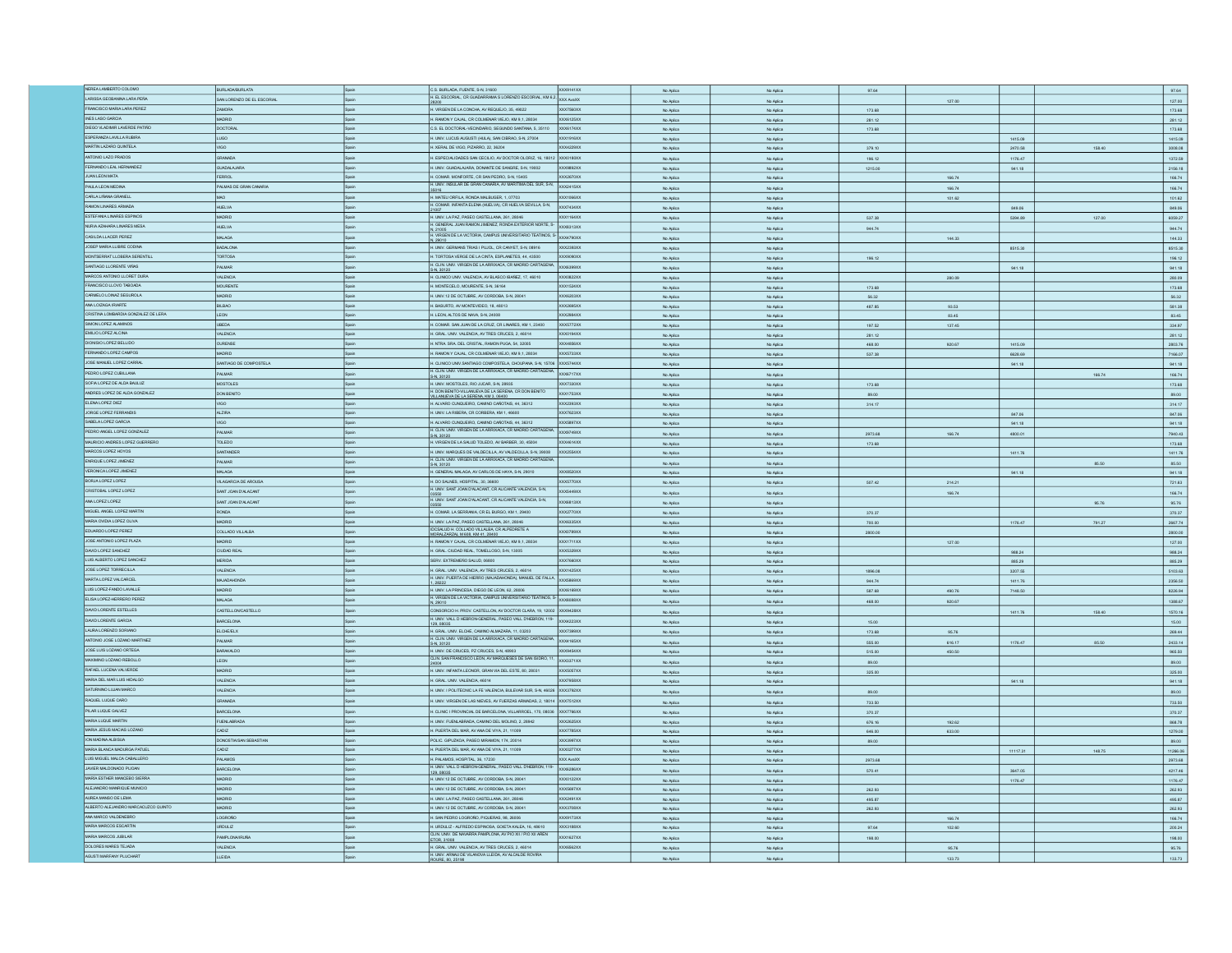|                                     | BURLADA/BURLATA                   |              | C.S. BURLADA, FUENTE, S-N, 31600                                                          | XXX9141XX              |           |           |           |        |          |        | 97.64    |
|-------------------------------------|-----------------------------------|--------------|-------------------------------------------------------------------------------------------|------------------------|-----------|-----------|-----------|--------|----------|--------|----------|
| NEREA LAMBERTO COLOMO               |                                   |              | H. EL ESCORIAL, CR GUADARRAMA S LORENZO ESCORIAL, KM 6,2, XXX AvaXX                       |                        | No Aplica | No Aplica | 97.64     |        |          |        |          |
| LARISSA GEOBANNA LARA PEÑA          | <b>SAN LORENZO DE EL ESCORIAL</b> |              |                                                                                           |                        | No Aplica | No Aplica |           | 127.00 |          |        | 127.00   |
| FRANCISCO MARIA LARA PEREZ          | ZAMORA                            |              | H. VIRGEN DE LA CONCHA, AV REQUEJO, 35, 49022                                             | XXX7560XX              | No Aplica | No Aplica | 173.68    |        |          |        | 173.68   |
| INES LASO GARCIA                    | ORID                              |              | FAMON Y CAJAL, CR COLMENAR VIEJO, KM 9,1, 28034                                           | XXX6125XX              |           |           | 281.12    |        |          |        |          |
| DIEGO VLADIMIR LAVERDE PATIÑO       |                                   |              |                                                                                           |                        | No Aplica | No Aplica |           |        |          |        | 281.12   |
|                                     | OCTORAL                           |              | C.S. EL DOCTORAL-VECINDARIO, SEGUNDO SANTANA, 5, 35110                                    | XXX6174XX              | No Aplica | No Aplica | 173.68    |        |          |        | 173.68   |
| ESPERANZA LAVILLA RUBIRA            | LUGO                              | Spain        | H. UNIV. LUCUS AUGUSTI (HULA), SAN CIBRAO, S-N, 27004                                     | <b>XXX1916XX</b>       | No Aplica | No Aplica |           |        | 1415.09  |        | 1415.09  |
| MARTIN LAZARO QUINTELA              | opiv                              |              | .<br>XERAL DE VIGO, PIZARRO, 22, 36204                                                    | XXX4229XX              | No Aplica | No Aplica | 379.10    |        | 2470.58  | 158.40 | 3008.08  |
| ANTONIO LAZO PRADOS                 | RANADA                            |              | H. ESPECIALIDADES SAN CECILIO, AV DOCTOR OLORIZ, 16, 18012 XXX0180XX                      |                        |           |           |           |        |          |        |          |
|                                     |                                   |              |                                                                                           |                        | No Aplica | No Aplica | 196.12    |        | 1176.47  |        | 1372.59  |
| FERNANDO LEAL HERNANDEZ             | <b>JUADALAJARA</b>                |              | H. UNIV. GUADALAJARA, DONANTE DE SANGRE, S-N, 19002                                       | XXX9892XX              | No Aplica | No Aplica | 1215.00   |        | 941.18   |        | 2156.18  |
| JUAN LEON MATA                      | ERROL                             | Spain        | H. COMAR, MONFORTE, CR SAN PEDRO, S-N, 15405                                              | <b>XXX2670XX</b>       | No Aplica | No Aplica |           | 166.74 |          |        | 166.74   |
| PAULA LEON MEDINA                   | PALMAS DE GRAN CANARIA            | Spain        | H. UNIV. INSULAR DE GRAN CANARIA, AV MARITIMA DEL SUR, S-N,                               | XXX2415XX              |           |           |           | 166.74 |          |        | 166.74   |
| CARLA LIÑANA GRANELI                |                                   |              |                                                                                           |                        | No Aplica | No Aplica |           |        |          |        |          |
|                                     |                                   |              | .<br>MATEU ORFILA, RONDA MALBUGER, 1, 07703                                               | XXX1066XX              | No Aplica | No Aplica |           | 101.62 |          |        | 101.62   |
| RAMON LINARES ARMADA                | HUELVA                            |              | H. COMAR. INFANTA ELENA (HUELVA), CR HUELVA SEVILLA, S-N,                                 | XXX7434XX              | No Aplica | No Aplica |           |        | 849.06   |        | 849.06   |
| ESTEFANIA LINARES ESPINOS           | ADRID                             |              | I. UNIV. LA PAZ, PASEO CASTELLANA, 261, 28046                                             | XXX1164XX              | No Aplica | No Aplica | 537.38    |        | 5394.89  | 127.00 | 6059.27  |
| NURIA AZAHARA LINARES MESA          | <b>HUELVA</b>                     |              | H. GENERAL JUAN RAMON JIMENEZ, RONDA EXTERIOR NORTE, S-                                   | <b>XXXB313XX</b>       |           |           |           |        |          |        |          |
|                                     |                                   |              |                                                                                           |                        | No Aplica | No Aplica | 944.74    |        |          |        | 944.74   |
| CASILDA LLACER PEREZ                | MALAGA                            |              | V. 21005<br>1. VIRGEN DE LA VICTORIA, CAMPUS UNIVERSITARIO TEATINOS, S-<br>−XXX4790XX     |                        | No Aplica | No Aplica |           | 144.33 |          |        | 144.33   |
| JOSEP MARIA LLIBRE CODINA           | <b>BADALONA</b>                   |              | H. UNIV. GERMANS TRIAS I PUJOL, CR CANYET, S-N, 08916                                     | XXX2393XX              | No Aplica | No Aplica |           |        | 8515.30  |        | 8515.30  |
| MONTSERRAT LLOBERA SERENTILL        | TORTOSA                           | cain         | H. TORTOSA VERGE DE LA CINTA, ESPLANETES, 44, 43500                                       | XXX9090XX              | No Aplica | No Aplica | 196.12    |        |          |        | 196.12   |
|                                     |                                   |              | H. CLIN, UNIV. VIRGEN DE LA ARRIXACA, CR MADRID CARTAGENA                                 |                        |           |           |           |        |          |        |          |
| SANTIAGO LLORENTE VIÑAS             | PALMAR                            |              | S-N, 30120                                                                                | XXX6399XX              | No Arling | No Anito  |           |        | 941.18   |        | 941.18   |
| MARCOS ANTONIO LLORET DURA          | VALENCIA                          |              | H. CLINICO UNIV. VALENCIA, AV BLASCO IBAÑEZ, 17, 46010                                    | XXX0822XX              | No Aplica | No Aplica |           | 280.09 |          |        | 280.09   |
| FRANCISCO LLOVO TABOADA             | <b>MOURENTE</b>                   | Spain        | H. MONTECELO, MOURENTE, S-N, 36164                                                        | XXX1524XX              | No Aplica | No Aplica | 173.68    |        |          |        | 173.68   |
| CARMELO LOINAZ SEGUROLA             | <b>OIRD</b>                       |              | I. UNIV.12 DE OCTUBRE, AV CORDOBA, S-N, 28041                                             | XXX6203XX              | No Aplica | No Aplica | 56.32     |        |          |        | 56.32    |
| ANA LOIZAGA IRIARTE                 |                                   |              |                                                                                           |                        |           |           |           |        |          |        |          |
|                                     | BILBAO                            |              | H. BASURTO, AV MONTEVIDEO, 18, 48013                                                      | XXX2695XX              | No Aplica | No Aplica | 487.85    | 93.53  |          |        | 581.38   |
| CRISTINA LOMBARDIA GONZALEZ DE LERA | <b>LEON</b>                       | Spain        | H. LEON, ALTOS DE NAVA, S-N, 24008                                                        | <b>XXX2984XX</b>       | No Aplica | No Aplica |           | 83.45  |          |        | 83.45    |
| SIMON LOPEZ ALAMINOS                | UBEDA                             |              | H. COMAR. SAN JUAN DE LA CRUZ, CR LINARES, KM 1, 23400                                    | <b>XXX5772XX</b>       | No Aplica | No Aplica | 197.52    | 137.45 |          |        | 334.97   |
| EMILIO LOPEZ ALCINA                 | VALENCIA                          |              | I. GRAL. UNV. VALENCIA, AV TRES CRUCES, 2, 46014                                          | XXX0194XX              | No Aplica |           | 281.12    |        |          |        | 281.12   |
|                                     |                                   |              |                                                                                           |                        |           | No Aplica |           |        |          |        |          |
| DIONISIO LOPEZ BELLIDO              | <b>OURENSE</b>                    | Spain        | H. NTRA. SRA. DEL CRISTAL, RAMON PUGA, 54, 32005                                          | <b>XXX4856XX</b>       | No Aplica | No Aplica | 468.00    | 920.67 | 1415.09  |        | 2803.76  |
| FERNANDO LOPEZ CAMPOS               | <b>ORID</b>                       |              | RAMON Y CAJAL, CR COLMENAR VIEJO, KM 9,1, 28034                                           | XXX5733XX              | No Aplica | No Aplica | 537.38    |        | 6628.69  |        | 7166.07  |
| JOSE MANUEL LOPEZ CARRAL            | NTIAGO DE COMPOSTELA              |              | I. CLINICO UNIV.SANTIAGO COMPOSTELA, CHOUPANA, S-N, 15706 XXX5744XX                       |                        | No Aplica | No Aplica |           |        | 941.18   |        | 941.18   |
| PEDRO LOPEZ CUBILLANA               |                                   |              | H. CLIN, UNIV. VIRGEN DE LA ARRIXACA, CR MADRID CARTAGENA,                                |                        |           |           |           |        |          |        |          |
|                                     | <b>ALMAR</b>                      |              | S-N. 30120                                                                                | XXX6717XX              | No Aplica | No Aplica |           |        |          | 166.74 | 166.74   |
| SOFIA LOPEZ DE ALDA BAULUZ          | <b>AOSTOLES</b>                   |              | H. UNIV. MOSTOLES, RIO JUCAR, S-N, 28935                                                  | XXX7330XX              | No Aplica | No Aplica | 173.68    |        |          |        | 173.68   |
| ANDRES LOPEZ DE ALDA GONZALEZ       | DON BENTO                         |              | . DON BENITO-VILLANUEVA DE LA SERENA CR DON BENITO<br>ILLANJEVA DE LA SERENA, KM 3, 06400 | XXX1753XX              | No Aplica | No Aplica | 89.00     |        |          |        | 89.00    |
| ELENA LOPEZ DIEZ                    | COD                               |              |                                                                                           | <b>XXX2393XX</b>       |           |           |           |        |          |        |          |
|                                     |                                   |              | H. ALVARO CUNQUEIRO, CAMINO CAÑOTAIS, 44, 36312                                           |                        | No Aplica | No Aplice | 314.17    |        |          |        | 314.17   |
| JORGE LOPEZ FERRANDIS               | <b>ALZIRA</b>                     | <b>Boain</b> | H. UNIV. LA RIBERA, CR CORBERA, KM 1, 46600                                               | XXX7623XX              | No Aplic  | No Aplic  |           |        | 847.06   |        | 847.06   |
| SABELA LOPEZ GARCIA                 | <b>GO</b>                         |              | H. ALVARO CUNQUEIRO, CAMINO CAÑOTAIS, 44, 36312                                           | XXX5897XX              | No Aplica | No Aplica |           |        | 941.18   |        | 941.18   |
| PEDRO ANGEL LOPEZ GONZALEZ          | PALMAR                            |              | H. CLIN, UNIV. VIRGEN DE LA ARRIXACA, CR MADRID CARTAG                                    | XXX9749XX              | No Aplica | No Aplica | 2973.68   | 166.74 | 4800.01  |        | 7940.43  |
| MAURICIO ANDRES LOPEZ GUERRERO      |                                   |              | S-N, 30120                                                                                |                        |           |           |           |        |          |        |          |
|                                     | TOLEDO                            | Spain        | H. VIRGEN DE LA SALUD TOLEDO, AV BARBER, 30, 45004                                        | XXX4614XX              | No Aplica | No Aplica | 173.68    |        |          |        | 173.68   |
| MARCOS LOPEZ HOYOS                  | <b>INTANDER</b>                   |              | I. UNIV. MARQUES DE VALDECILLA, AV VALDECILLA, S-N, 39008 XXX2554XX                       |                        | No Aplica | No Aplica |           |        | 1411.76  |        | 1411.76  |
| ENRIQUE LOPEZ JIMENEZ               | ALMAR                             |              | H. CLIN. UNIV. VIRGEN DE LA ARRIXACA, CR MADRID CARTAGEN                                  |                        | No Aplica | No Aplica |           |        |          | 85.50  | 85.50    |
| VERONICA LOPEZ JIMENEZ              | MALAGA                            |              | S-N. 30120<br>H. GENERAL MALAGA, AV CARLOS DE HAYA, S-N, 29010                            | XXX8520XX              |           |           |           |        |          |        |          |
|                                     |                                   |              |                                                                                           |                        |           |           |           |        |          |        | 941.18   |
|                                     |                                   |              |                                                                                           |                        | No Aplica | No Aplica |           |        | 941.18   |        |          |
| BORJALOPEZ LOPEZ                    | VILAGARCIA DE AROUSA              |              | H. DO SALNES, HOSPITAL, 30, 36600                                                         | XXX5770XX              | No Aplica | No Aplica | 507.42    | 214.21 |          |        | 721.63   |
| CRISTOBAL LOPEZ LOPEZ               | SANT JOAN D'ALACANT               |              | H. UNIV. SANT JOAN D'ALACANT. CR ALICANTE VALENCIA. S-N.                                  | XXX5449XX              |           |           |           |        |          |        |          |
|                                     |                                   |              | H. UNIV. SANT JOAN D'ALACANT. CR ALICANTE VALENCIA, S-N.                                  |                        | No Aplica | No Aplica |           | 166.74 |          |        | 166.74   |
| ANA LOPEZ LOPEZ                     | SANT JOAN D'ALACANT               |              |                                                                                           | <b>XXX6813XX</b>       | No Aplica | No Aplica |           |        |          | 95.76  | 95.76    |
| MIGUEL ANGEL LOPEZ MARTIN           | RONDA                             |              | H. COMAR, LA SERRANIA, CR. EL BURGO, KM 1, 29400                                          | <b>XXX2770XX</b>       | No Arlina | No Anlica | 370.37    |        |          |        | 370.37   |
| MARIA OVIDIA LOPEZ OLIVA            | <b>MADRID</b>                     |              | H. UNIV. LA PAZ, PASEO CASTELLANA, 261, 2804                                              | XXX6335XX              | No Aplica | No Aplica | 700.00    |        | 1176.47  | 791.27 |          |
| EDUARDO LOPEZ PEREZ                 | COLLADO VILLALBA                  |              | DCSALUD H. COLLADO VILLALBA, CR ALPEDRETE A                                               |                        |           |           |           |        |          |        | 2667.74  |
|                                     |                                   | Spain        | MORALZARZAL M 608, KM 41, 28400                                                           | <b>XXXD789XX</b>       | No Aplica | No Aplica | 2800.00   |        |          |        | 2800.00  |
| JOSE ANTONO LOPEZ PLAZA             | <b>MADRID</b>                     | Spain        | H. RAMON Y CAJAL, CR COLMENAR VIEJO, KM 9,1, 28034                                        | <b>XXX1711XX</b>       | No Aplica | No Aplica |           | 127.00 |          |        | 127.00   |
| MVID LOPEZ SANCHEZ                  | <b>JUDAD REAL</b>                 | Spain        | H. GRAL. CIUDAD REAL, TOMELLOSO, S-N, 13005                                               | <b>XXX5329XX</b>       | No Aplica | No Aplica |           |        | 988.24   |        | 988.24   |
| LUIS ALBERTO LOPEZ SANCHEZ          | <b>RIDA</b>                       |              | ERV. EXTREMEÑO SALUD, 06800                                                               |                        | No Aplica | No Aplica |           |        | 885.29   |        | 885.29   |
| JOSE LOPEZ TORRECILLA               | <b>VALENCIA</b>                   |              | H. GRAL. UNIV. VALENCIA, AV TRES CRUCES, 2, 46014                                         | XXX7660XX<br>XXX1425XX |           |           |           |        |          |        |          |
|                                     |                                   |              |                                                                                           |                        | No Aplica | No Aplica | 1896.08   |        | 3207.55  |        | 5103.63  |
| MARTA LOPEZ VALCARCEL               | MAJADAHONDA                       |              | H. UNIV. PUERTA DE HERRO (MAJADAHONDA), MANUEL DE FALLA. XXX5869XX                        |                        | No Aplica | No Aplica | 944.74    |        | 1411.76  |        | 2356.50  |
| LUIS LOPEZ-FANDO LAVALLE            | MADRID                            |              | H. UNIV. LA PRINCESA, DIEGO DE LEON, 62, 28006                                            | XXX6169XX              | No Arling | No Aniles | 587.68    | 490.76 | 7148.50  |        | 8226.94  |
| ELISA LOPEZ-HERRERO PEREZ           | MALAGA                            |              |                                                                                           |                        |           |           |           |        |          |        |          |
|                                     |                                   |              | H. VIRGEN DE LA VICTORIA, CAMPUS UNIVERSITARIO TEATINOS, S-<br>XXX8088XX<br>N, 29010      |                        | No Aplic  | No Aplic  | 468.00    | 920.67 |          |        | 1388.67  |
| DAVID LORENTE ESTELLES              | CASTELLONCASTELLO                 |              | CONSORCIO H. PROV. CASTELLON, AV DOCTOR CLARA, 19, 12002 XXX9428XX                        |                        |           | No Aplic  |           |        | 1411.76  | 158.40 | 1570.16  |
| DAVID LORENTE GARCIA                | <b>BARCELONA</b>                  |              | H. UNIV. VALL D HEBRON-GENERAL, PASEO VALL D'HEBRON, 119- XXX4223XX<br>129.08035          |                        | No Aplica | No Aplica | 15.00     |        |          |        | 15.00    |
| LAURA LORENZO SORIANO               | ELCHE/ELX                         |              | H. GRAL. UNIV. ELCHE, CAMINO ALMAZARA, 11, 03203                                          | XXX7399XX              | No Aplica | No Aplica | 173.68    | 95.76  |          |        | 269.44   |
| ANTONIO JOSE LOZANO MARTINEZ        |                                   |              |                                                                                           |                        |           |           |           |        |          |        |          |
|                                     | PALMAR                            | Spain        | H. CLIN. UNIV. VIRGEN DE LA ARRIXACA, CR MADRID CARTAGE<br>S-N, 30120                     | XXX4165XX              | No Aplica | No Aplica | 555.00    | 616.17 | 1176.47  | 85.50  | 2433.14  |
| JOSE LUIS LOZANO ORTEGA             | BARAKALDO                         | Spain        | H. UNIV. DE CRUCES, PZ CRUCES, S-N, 48903                                                 | XXX9454XX              | No Aplica | No Aplica | 515.00    | 450.50 |          |        | 965.50   |
| MAXIMINO LOZANO REBOLLO             | LEON                              |              | .<br>CLIN, SAN FRANCISCO LEON, AV MARQUESES DE SAN ISIDRO, 11,<br>24004                   | XXX3371XX              | No Aplica | No Aplica | 89.00     |        |          |        | 89.00    |
| RAFAEL LUCENA VALVERDE              | <b>GIROA</b>                      | <b>Roain</b> | H. UNIV. INFANTA LEONOR, GRAN VIA DEL ESTE, 80, 28031                                     | <b>XXX5057XX</b>       |           |           |           |        |          |        |          |
|                                     |                                   |              |                                                                                           |                        | No Aplica | No Aplica | 325.00    |        |          |        | 325.00   |
| MARIA DEL MAR LUIS HIDALGO          | <b>ALENCIA</b>                    |              | GRAL. UNIV. VALENCIA, 46014                                                               | XXX7958XX              | No Aplica | No Aplica |           |        | 941.18   |        | 941.18   |
| SATURNINO LI UAN MARCO              | ALENCIA                           |              | I. UNIV. I POLITECNIC LA FE VALENCIA, BULEVAR SUR, S-N, 46026 XXX3792XX                   |                        | No Aplica | No Aplica | 89.00     |        |          |        | 89.00    |
| RAQUEL LUQUE CARO                   | <b>RANADA</b>                     |              | I. UNIV. VIRGEN DE LAS NIEVES, AV FUERZAS ARMADAS, 2, 18014 XXX7512XX                     |                        |           |           |           |        |          |        |          |
|                                     |                                   |              |                                                                                           |                        | No Aplica | No Aplica | 733.50    |        |          |        | 733.50   |
| PILAR LUQUE GALVEZ                  | ARCELONA                          |              | I. CLINIC I PROVINCIAL DE BARCELONA, VILLARROEL, 170, 08036 XXX7766XX                     |                        | No Aplica | No Aplica | 370.37    |        |          |        | 370.37   |
| MARIA LUQUE MARTIN                  | <b>FUENLABRADA</b>                |              | H. UNIV. FUENLABRADA, CAMINO DEL MOLINO, 2, 28942                                         | <b>XXX2625XX</b>       | No Aplica | No Aplica | 676.16    | 192.62 |          |        | 868.78   |
| MARIA JESUS MACIAS LOZANO           | CADIZ                             |              | H. PUERTA DEL MAR, AV ANA DE VIYA, 21, 11009                                              | XXX7785XX              | No Aplica | No Aplica | 646.00    | 633.00 |          |        | 1279.00  |
|                                     |                                   |              |                                                                                           |                        |           |           |           |        |          |        |          |
| <b>ION MADINA ALBISUA</b>           | DONOSTIA/SAN SEBASTIAN            |              | POLIC. GIPLIZKOA, PASEO MIRAMON, 174, 20014                                               | XXX3997XX              | No Aplica | No Aplica | 89.00     |        |          |        | 89.00    |
| MARIA BLANCA MADURGA PATUEL         | SIDAC                             |              | H. PUERTA DEL MAR, AV ANA DE VIYA, 21, 11009                                              | XXX0277XX              | No Aplica | No Aplica |           |        | 11117.31 | 148.75 | 11266.06 |
| LUIS MIGUEL MALCA CABALLERO         | PALAMOS                           | Spain        | H. PALAMOS, HOSPITAL, 36, 17230                                                           | XXX AvaXX              | No Aplica | No Aplica | 2973.68   |        |          |        | 2973.68  |
| JAVIER MALDONADO PIJOAN             | ARCELONA                          |              | H. UNIV. VALL D HEBRON-GENERAL, PASEO VALL D'HEBRON, 119                                  | XXX6286XX              |           |           |           |        |          |        |          |
|                                     |                                   |              | 129, 08035                                                                                |                        | No Aplica | No Aplica | 570.41    |        | 3647.05  |        | 4217.46  |
| MARÍA ESTHER MANCEBO SIERRA         | <b>DRID</b>                       |              | I. UNIV.12 DE OCTUBRE, AV CORDOBA, S-N, 28041                                             | XXX0122XX              | No Aplica | No Aplica |           |        | 1176.47  |        | 1176.47  |
| ALEJANDRO MANRIQUE MUNICIO          | <b>ADRID</b>                      |              | I. UNIV.12 DE OCTUBRE, AV CORDOBA, S-N, 28041                                             | XXX5697XX              | No Aplica | No Aplica | 262.93    |        |          |        | 262.93   |
| ALREA MANSO DE LEMA                 | <b>MADRID</b>                     | Spain        | H. UNIV. LA PAZ, PASEO CASTELLANA, 261, 28046                                             | XXX2491XX              | No Aplica | No Aplic  | 495.87    |        |          |        | 495.87   |
| ALBERTO ALEJANDRO MARCACUZCO QUINTO | MADRID                            |              | H. UNIV.12 DE OCTUBRE, AV CORDOBA, S-N, 28041                                             | XXX3708XX              | No Aplica | No Aplica | 262.93    |        |          |        |          |
| ANA MARCO VALDENEBRO                | CORONO                            |              |                                                                                           | XXX9173XX              |           |           |           |        |          |        | 262.93   |
|                                     |                                   |              | H. SAN PEDRO LOGROÑO, PIQUERAS, 98, 26006                                                 |                        | No Aplica | No Aplica |           | 166.74 |          |        | 166.74   |
| MARIA MARCOS ESCARTIN               | RDULIZ                            |              | H. URDULIZ - ALFREDO ESPINOSA, GOIETA KALEA, 16, 48610                                    | XXX3188XX              | No Aplica | No Aplica | $97.64\,$ | 102.60 |          |        | 200.24   |
| MARIA MARCOS JUBILAR                | <b>AMPLONA/IRUÑA</b>              |              | CLIN, UNIV. DE NAVARRA PAMPLONA, AV PIO XII / PIO XII AREN<br><b>ETOR, 31008</b>          | XXX1627XX              | No Aplica | No Aplica | 198.00    |        |          |        | 198.00   |
| DOLORES MARES TEJADA                | LENCIA                            |              | GRAL. UNV. VALENCIA, AV TRES CRUCES, 2, 46014                                             | XXX6562XX              | No Aplica | No Aplica |           | 95.76  |          |        | 95.76    |
| AGUSTI MARFANY PLUCHART             | EIDA                              |              | H. UNIV. ARNAU DE VILANOVA LLEIDA, AV ALCALDE ROV                                         |                        | No Aplica | No Aplica |           | 133.73 |          |        | 133.73   |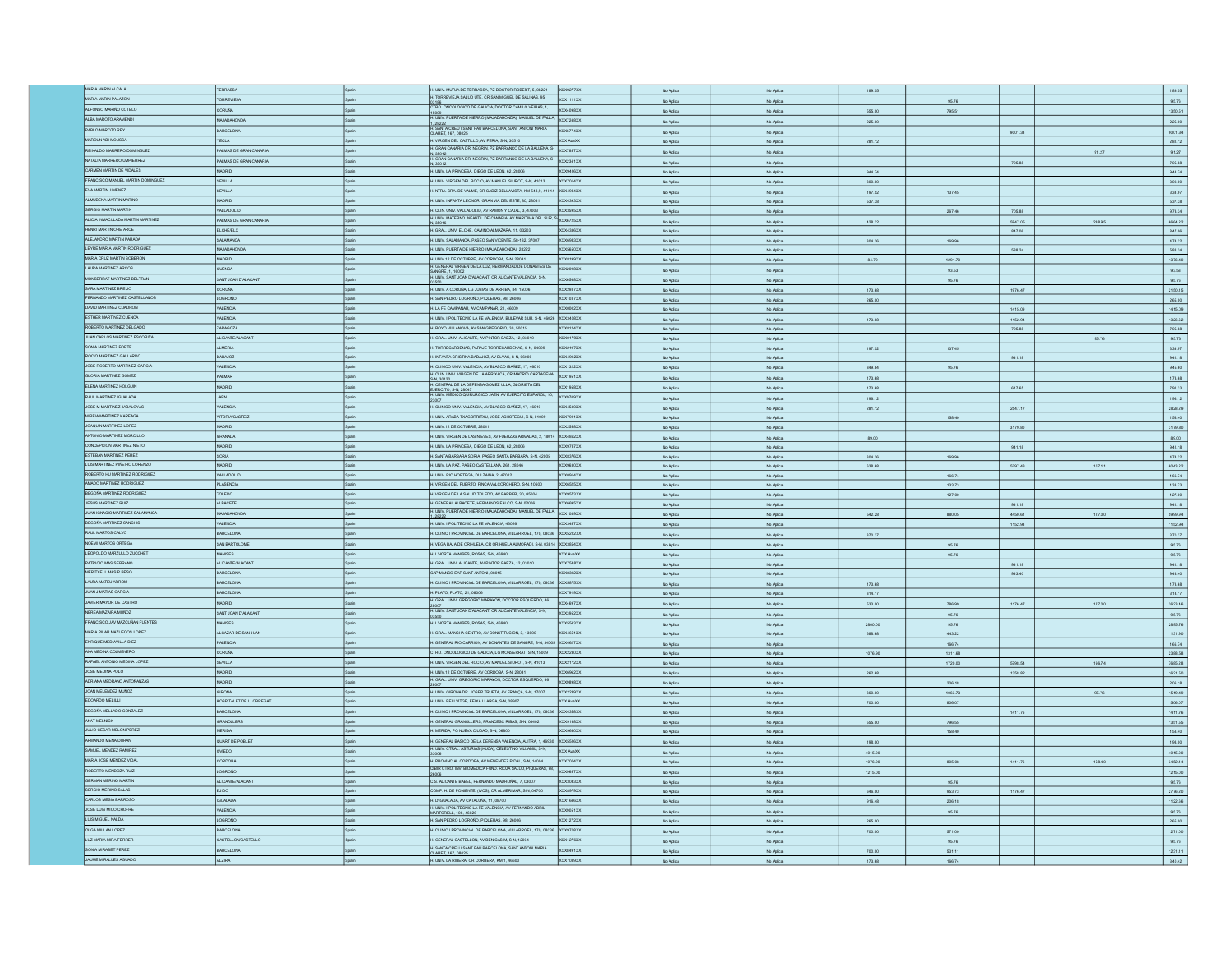| MARIA MARIN ALCALA                         | TERRASSA                  |              | H. UNIV. MUTUA DE TERRASSA, PZ DOCTOR ROBERT, 5, 08221<br>XXX9277XX                                                                    |                        |                        |                  |                  |         |        | 189.55                       |
|--------------------------------------------|---------------------------|--------------|----------------------------------------------------------------------------------------------------------------------------------------|------------------------|------------------------|------------------|------------------|---------|--------|------------------------------|
| MARIA MARIN PALAZON                        |                           |              | H. TORREVIEJA SALUD UTE, CR SAN MIGUEL DE SALINAS, 95,                                                                                 | No Aplica              | No Aplica              | 189.55           |                  |         |        |                              |
|                                            | <b>TORREVIEJA</b>         |              | XXX1111XX                                                                                                                              | No Aplica              | No Aplica              |                  | 95.76            |         |        | 95.76                        |
| ALFONSO MARIÑO COTELO                      | <b>DORUÑA</b>             | spain        | TRO. ONCOLOGICO DE GALICIA, DOCTOR CAMILO VEIRAS, 1,<br>XXX4098XX                                                                      | No Aplica              | No Aplica              | 555.00           | 795.51           |         |        | 1350.51                      |
| ALBA MAROTO ARAMENDI                       | MAJADAHONDA               | Spain        | HOUGH<br>H. UNIV. PUERTA DE HERRO (MAJADAHONDA), MANUEL DE FALLA, XXX7248XX                                                            | No Aplica              | No Aplica              | 225.00           |                  |         |        | 225.00                       |
| PABLO MAROTO REY                           | BARCELONA                 | Spain        | H. SANTA CREU I SANT PAU BARCELONA, SANT ANTONI MARIA<br>CLARET. 167. 08025<br>XXX6774XX                                               |                        |                        |                  |                  |         |        |                              |
|                                            |                           |              |                                                                                                                                        | No Aplica              | No Aplica              |                  |                  | 9001.34 |        | 9001.34                      |
| MAROUN ABI MOUSSA                          | YECLA                     | Spain        | H. VIRGEN DEL CASTILLO, AV FERIA, S-N, 30510<br>XXX AvaXX                                                                              | No Aplica              | No Aplica              | 281.12           |                  |         |        | 281.12                       |
| REINALDO MARRERO DOMINGUEZ                 | PALMAS DE GRAN CANARUA    |              | H. GRAN CANARIA DR. NEGRIN, PZ BARRANCO DE LA BALLENA, S-<br><b>XXX7857XX</b>                                                          | No Aplica              | No Aplica              |                  |                  |         | 91.27  | 91.27                        |
| NATALIA MARRERO UMPIERREZ                  | PALMAS DE GRAN CANARIA    | a<br>Prain   | V, 35012<br>H. GRAN CANARIA DR. NEGRIN, PZ BARRANCO DE LA BALLENA, S-<br>XXX2341XX                                                     | No Aplica              | No Aplica              |                  |                  | 705.88  |        | 705.88                       |
| CARMEN MARTIN DE VIDALES                   | <b>GIROM</b>              | ainas        | H. UNIV. LA PRINCESA, DIEGO DE LEON, 62, 28006<br>XXX9416XX                                                                            | No Aplica              |                        | 944.74           |                  |         |        | 944.74                       |
|                                            |                           |              |                                                                                                                                        |                        | No Aplica              |                  |                  |         |        |                              |
| FRANCISCO MANUEL MARTIN DOMINGUEZ          | <b>SEVILLA</b>            |              | H. UNIV. VIRGEN DEL ROCIO, AV MANUEL SIUROT, S-N, 41013<br>XXX7014XX                                                                   | No Aplica              | No Aplica              | 300.00           |                  |         |        | 300.00                       |
| EVA MARTIN JIMENEZ                         | SEVILLA                   | a<br>Prain   | H. NTRA. SRA. DE VALME, CR CADIZ BELLAVISTA, KM 548,9, 41014 XXX4984XX                                                                 | No Aplica              | No Aplica              | 197.52           | 137.45           |         |        | 334.97                       |
| ALMUDENA MARTIN MARINO                     | <b>MADRID</b>             | Spain        | H. UNIV. INFANTA LEONOR, GRAN VIA DEL ESTE, 80, 28031<br>XXX4393XX                                                                     | No Aplica              | No Aplica              | 537.38           |                  |         |        | 537.38                       |
| SERGIO MARTIN MARTIN                       | VALLADOLID                | Spain        | H. CLIN, UNIV, VALLADOLID, AV RAMON Y CAJAL, 3, 47003<br>XXX3595XX                                                                     | No Aplica              | No Aplica              |                  | 267.46           | 705.88  |        | 973.34                       |
| ALICIA INMACULADA MARTIN MARTINEZ          | PALMAS DE GRAN CANARUA    |              | H. CLIn, unit, VALLENCHI, FL. CANARIA, AV MARITIMA DEL SUR, S.<br>H. UNIV, MATERNO INFANTIL DE CANARIA, AV MARITIMA DEL SUR, S.        |                        |                        |                  |                  |         |        |                              |
|                                            |                           |              | V, 35016                                                                                                                               | No Aplica              | No Aplica              | 428.22           |                  | 5947.05 | 288.95 | 6664.22                      |
| HENRI MARTIN ORE ARCE                      | ELCHE/ELX                 |              | H. GRAL. UNV. ELCHE, CAMINO ALMAZARA, 11, 03203<br>XXX4336XX                                                                           | No Aplica              | No Aplica              |                  |                  | 847.06  |        | 847.06                       |
| ALEJANDRO MARTIN PARADA                    | SALAMANCA                 | Spain        | H. UNIV. SALAMANCA, PASEO SAN VICENTE, 58-182, 37007<br>XXX6983XX                                                                      | No Aplica              | No Aplica              | 304.26           | 169.96           |         |        | 474.22                       |
| LEYRE MARIA MARTIN RODRIGUEZ               | ACKOHADAM                 | ainas        | I. UNIV. PUERTA DE HERRO (MAJADAHONDA), 28222<br>XXX5650XX                                                                             | No Aplica              | No Aplica              |                  |                  | 588.24  |        | 588.24                       |
| MARIA CRUZ MARTIN SOBERON                  | <b>MADRID</b>             |              | H. UNIV.12 DE OCTUBRE, AV CORDOBA, S-N, 28041<br>XXXB199XX                                                                             | No Aplica              | No Aplica              | 84.70            | 1291.70          |         |        | 1376.40                      |
| LAURA MARTINEZ ARCOS                       | <b>CUENCA</b>             | .<br>Shain   | XXX2098XX                                                                                                                              |                        |                        |                  |                  |         |        |                              |
|                                            |                           |              | H. GENERAL VIRGEN DE LA LUZ, HERMANDAD DE DONANTES DE<br>SANGRE, 1, 16002<br>H. UNIV. SANT JOAN D'ALACANT, CR. ALICANTE VALENCIA, S-N, | No Aplica              | No Aplica              |                  | 93.53            |         |        | 93.53                        |
| MONSERRAT MARTINEZ BELTRAN                 | <b>SANT JOAN D'ALACAN</b> |              | <b>XXX6548XX</b>                                                                                                                       | No Aplica              | No Aplica              |                  | 95.76            |         |        | 95.76                        |
| SARA MARTINEZ BREIJO                       | <b>CORUÑA</b>             | Scein        | H. UNIV. A CORUÑA, LG JUBIAS DE ARRIBA, 84, 15006<br><b>XXX2937XX</b>                                                                  | No Aplica              | No Aplica              | 173.68           |                  | 1976.47 |        | 2150.15                      |
| FERNANDO MARTINEZ CASTELLANOS              | LOGROÑO                   | Spain        | XXX1037XX<br>H. SAN PEDRO LOGROÑO, PIQUERAS, 98, 26006                                                                                 | No Aplica              | No Aplica              | 265.00           |                  |         |        | 265.00                       |
| DAVID MARTINEZ CUADRON                     | <b>VALENCIA</b>           | <b>Spain</b> | H. LA FE CAMPANAR, AV CAMPANAR, 21, 46009<br>XXX0002XX                                                                                 | No Aplica              | No Aplica              |                  |                  | 1415.09 |        | 1415.09                      |
| ESTHER MARTINEZ CUENCA                     | <b>VALENCIA</b>           | <b>Spain</b> |                                                                                                                                        |                        |                        |                  |                  |         |        |                              |
|                                            |                           |              | H. UNIV. I POLITECNIC LA FE VALENCIA, BULEVAR SUR, S-N, 46026 XXX3408XX                                                                | No Aplica              | No Aplica              | 173.68           |                  | 1152.94 |        | 1326.62                      |
| ROBERTO MARTINEZ DEL GADO                  | ZARAGOZA                  | Spain        | H. ROYO VILLANOVA, AV SAN GREGORIO, 30, 50015<br>XXXB124XX                                                                             | No Aplica              | No Aplica              |                  |                  | 705.88  |        | 705.88                       |
| JUAN CARLOS MARTINEZ ESCORIZA              | ALICANTE/ALACANT          |              | H. GRAL. UNV. ALICANTE, AV PINTOR BAEZA, 12, 03010<br>XXX0179XX                                                                        | No Aplica              | No Aplica              |                  |                  |         | 95.76  | 95.76                        |
| SONIA MARTINEZ FORTE                       | ALMERIA                   | .<br>Shain   | H. TORRECARDENAS, PARAJE TORRECARDENAS, S-N, 04009<br>XXX2197XX                                                                        | No Aplica              | No Aplica              | 197.52           | 137.45           |         |        | 334.97                       |
| ROCIO MARTINEZ GALLARDO                    | BADAJOZ                   | Spain        | H. INFANTA CRISTINA BADAJOZ. AV ELVAS. S-N. 06006<br>XXX4902XX                                                                         | No Aplica              | No Aplica              |                  |                  | 941.18  |        | 941.18                       |
| JOSE ROBERTO MARTINEZ GARCIA               | VALENCIA                  |              | H. CLINICO UNIV. VALENCIA, AV BLASCO IBAÑEZ, 17, 46010<br>XXX1322XX                                                                    | No Aplica              | No Aplica              | 849.84           | 95.76            |         |        |                              |
| GLORIA MARTINEZ GOMEZ                      |                           |              | H. CLIN. UNIV. VIRGEN DE LA ARRIXACA, CR MADRID CARTAGE                                                                                |                        |                        |                  |                  |         |        | 945.60                       |
|                                            | PALMAR                    |              | XXX1951XX<br>I-N, 30120<br>I. CENTRAL DE LA DEFENSA GOMEZ ULLA, GLORIETA DEL                                                           | No Aplica              | No Aplica              | 173.68           |                  |         |        | 173.68                       |
| ELENA MARTINEZ HOLGUIN                     | MADRID                    | <b>Spain</b> | XXX1958XX                                                                                                                              | No Aplica              | No Aplica              | 173.68           |                  | 617.65  |        | 791.33                       |
| RAUL MARTINEZ IGUALADA                     | JAEN                      | spain        | EJERCITO, S-N, 28047<br>H. UNIV. MEDICO QUIRURGICO JAEN, AV EJERCITO ESPAÑOL, 10,<br>XXX9709XX                                         | No Aplica              | No Aplica              | 196.12           |                  |         |        | 196.12                       |
| JOSE M MARTINEZ JABALOYAS                  | <b>VALENCIA</b>           | Spain        | H. CLINICO UNIV. VALENCIA, AV BLASCO IBAÑEZ, 17, 46010<br><b>XXX4530XX</b>                                                             |                        |                        |                  |                  |         |        |                              |
|                                            |                           |              |                                                                                                                                        | No Aplica              | No Aplica              | 281.12           |                  | 2547.17 |        | 2828.29                      |
| MIREIA MARTINEZ KAREAGA                    | <b>ITORIA/GASTEIZ</b>     |              | H. UNIV. ARABA TXAGORRITXU, JOSE ACHOTEGUI, S-N, 01009<br>XXX7911XX                                                                    | No Aplica              | No Aplica              |                  | 158.40           |         |        | 158.40                       |
| JOAQUIN MARTINEZ LOPEZ                     | <b>MADRID</b>             |              | <b>XXX2558XX</b><br>I. UNV.12 DE OCTUBRE, 28041                                                                                        | No Aplica              | No Aplica              |                  |                  | 3179.80 |        | 3179.80                      |
| ANTONIO MARTINEZ MORGILLO                  | GRANADA                   | .<br>Section | H. UNIV. VIRGEN DE LAS NIEVES, AV FUERZAS ARMADAS, 2, 18014 XXX4862XX                                                                  | No Aplica              | No Aplica              | 89.00            |                  |         |        | 89.00                        |
| CONCEPCION MARTINEZ NIETO                  | <b>GIROM</b>              | .<br>Shain   | H. UNIV. LA PRINCESA, DIEGO DE LEON, 62, 28006<br><b>XXX9787XX</b>                                                                     |                        |                        |                  |                  | 941.18  |        | 941.18                       |
| ESTEBAN MARTINEZ PEREZ                     | SORIA                     | Spain        | H. SANTA BARBARA SORIA, PASEO SANTA BARBARA, S-N, 42005<br>XXXB376XX                                                                   | No Aplica<br>No Arlina | No Aplica              | 304.26           | 169.96           |         |        | 474.22                       |
| LUIS MARTINEZ PIÑEIRO LORENZO              |                           |              |                                                                                                                                        |                        | No Anked               |                  |                  |         |        |                              |
|                                            | MADRID                    | <b>Spain</b> | H. UNIV. LA PAZ, PASEO CASTELLANA, 261, 28046<br>XXX9630XX                                                                             | No Aplica              | No Aplica              | 638.68           |                  | 5297.43 | 107.11 | 6043.22                      |
| ROBERTO HU MARTINEZ RODRIGUEZ              | VALLADOLID                | Spain        | H. UNIV. RIO HORTEGA, DULZAINA, 2, 47012<br>XXX0914XX                                                                                  | No Aplica              | No Aplica              |                  | 166.74           |         |        | 166.74                       |
| AMADO MARTINEZ RODRIGUEZ                   | LASENCIA                  | Spain        | H. VIRGEN DEL PUERTO, FINCA VALCORCHERO, S-N, 10600<br>XXX6525XX                                                                       | No Aplica              | No Aplica              |                  | 133.73           |         |        | 133.73                       |
| BEGONA MARTINEZ RODRIGUEZ                  | TOLEDO                    |              | H. VIRGEN DE LA SALUD TOLEDO, AV BARBER, 30, 45004<br>XXX9573XX                                                                        | No Aplica              | No Aplica              |                  | 127.00           |         |        | 127.00                       |
| JESUS MARTINEZ RUIZ                        | <b>ALBACETE</b>           | Spain        | H. GENERAL ALBACETE, HERMANOS FALCO, S-N, 02006<br>XXX6695XX                                                                           | No Aplica              | No Aplica              |                  |                  | 941.18  |        | 941.18                       |
| JUAN IGNACIO MARTINEZ SALAMANCA            | MAJADAHONDA               | Spain        | H. UNIV. PUERTA DE HERRO (MAJADAHONDA), MANUEL DE FALLA. XXX1089XX                                                                     |                        |                        |                  |                  |         |        |                              |
|                                            |                           |              |                                                                                                                                        | No Aplica              | No Aplica              | 542.28           | 880.05           | 4450.61 | 127.00 | 5999.94                      |
| BEGOÑA MARTINEZ SANCHIS                    | VALENCIA                  | Spain        | XXX3457XX<br>H. UNIV. I POLITECNIC LA FE VALENCIA, 46026                                                                               | No Aplica              | No Aplica              |                  |                  | 1152.94 |        | 1152.94                      |
| RAUL MARTOS CALVO                          | BARCELONA                 | Spain        | H. CLINIC I PROVINCIAL DE BARCELONA, VILLARROEL, 170, 08036 XXX5212XX                                                                  | No Aplica              | No Aplica              | 370.37           |                  |         |        | 370.37                       |
| NOEMI MARTOS ORTEGA                        | SAN BARTOLOME             | <b>Spain</b> | H. VEGA BAJA DE ORIHUELA, CR ORIHUELA ALMORADI, S-N, 03314 XXX3854XX                                                                   | No Aplica              | No Aplica              |                  | <b>95.76</b>     |         |        | 95.76                        |
| LEOPOLDO MARZULLO ZUCCHET                  | MANISES                   |              | H. L'HORTA MANISES, ROSAS, S-N, 46940<br>XXX AvaXX                                                                                     |                        |                        |                  |                  |         |        | 95.76                        |
|                                            |                           |              |                                                                                                                                        | No Aplica              | No Aplica              |                  | 95.76            |         |        |                              |
| PATRICIO MAS SERRANO                       | ALICANTE/ALACANT          | Spain        | H. GRAL, UNV. ALICANTE, AV PINTOR BAEZA, 12, 03010<br>XXX7548XX                                                                        | No Aplica              | No Aplica              |                  |                  | 941.18  |        | 941.18                       |
| MERITXELL MASIP BESO                       | ARCELONA                  |              | CAP MANSO-EAP SANT ANTONI, 08015<br>XXX8302XX                                                                                          | No Aplica              | No Aplica              |                  |                  | 943.40  |        | 943.40                       |
| I ALRA MATELLARROM                         | ARCELONA                  |              | H. CLINIC I PROVINCIAL DE BARCELONA, VILLARROEL, 170, 08036<br><b>XXX5875XX</b>                                                        | No Aplica              | No Aplica              | 173.68           |                  |         |        | 173.68                       |
| JUAN J MATIAS GARCIA                       | <b>ARCELONA</b>           |              | H. PLATO, PLATO, 21, 08006<br>XXX7919XX                                                                                                | No Aplica              | No Aplica              | 314.17           |                  |         |        | 314.17                       |
| JAVIER MAYOR DE CASTRO                     | <b>GIROM</b>              | Spain        | H GRAI UNIV GREGORIO MARAKON DOCTOR ESQUERDO 46<br>XXX4697XX                                                                           |                        |                        |                  |                  |         |        |                              |
|                                            |                           |              | H. UNIV. SANT JOAN D'ALACANT, CR ALICANTE VALENCIA, S-N,                                                                               | No Aplica              | No Aplica              | 533.00           | 786.99           | 1176.47 | 127.00 | 2623.46                      |
| NEREA MAZAIRA MUÑOZ                        | SANT JOAN D'ALACANT       | Snain        | <b>XXX3952XX</b>                                                                                                                       | No Aplica              | No Aplica              |                  | 95.76            |         |        | 95.76                        |
| FRANCISCO JAV MAZCUÑAN FUENTES             | MANISES                   | Spain        | H. L'HORTA MANISES, ROSAS, S-N, 46940<br>XXX5543XX                                                                                     | No Aplica              | No Aplica              | 2800.00          | 95.76            |         |        | 2895.76                      |
| MARIA PILAR MAZUECOS LOPEZ                 | ALCAZAR DE SAN JUAN       | Spain        | H. GRAL. MANCHA CENTRO, AV CONSTITUCION, 3, 13600<br>XXX4651XX                                                                         | No Aplica              |                        | 688.68           | 443.22           |         |        | 1131.90                      |
| ENRIQUE MEDIAVILLA DIEZ                    |                           |              |                                                                                                                                        |                        | No Aplica              |                  |                  |         |        |                              |
| ANA MEDINA COLMENERO                       | PALENCIA                  |              | H. GENERAL RIO CARRION, AV DONANTES DE SANGRE, S-N, 34005 XXX4627XX                                                                    |                        |                        |                  |                  |         |        |                              |
|                                            |                           |              |                                                                                                                                        | No Aplica              | No Aplica              |                  | 166.74           |         |        | 166.74                       |
|                                            | <b>CORUÑA</b>             | Spain        | CTRO. ONCOLOGICO DE GALICIA, LG MONSERRAT, S-N, 15009<br><b>XXX2230XX</b>                                                              | No Aplica              | No Aplica              | 1076.90          | 1311.68          |         |        | 2388.58                      |
| RAFAEL ANTONO MEDINA LOPEZ                 | SEVILLA                   | Spain        | H. UNIV. VIRGEN DEL ROCIO, AV MANUEL SIUROT, S-N, 41013<br>XXX2172XX                                                                   | No Aplica              | No Aplica              |                  | 1720.00          | 5798.54 | 166.74 | 7685.28                      |
| JOSE MEDINA POLO                           | MADRID                    |              | H. UNIV.12 DE OCTUBRE, AV CORDOBA, S-N, 28041<br>XXX6962XX                                                                             | No Aplica              | No Aplica              | 262.68           |                  | 1358.82 |        | 1621.50                      |
| ADRIANA MEDRANO ANTOÑANZAS                 | <b>MADRID</b>             |              | H. GRAL. UNIV. GREGORIO MARAWON, DOCTOR ESQUERDO, 46,<br>XXX9898XX                                                                     | No Aplica              | No Aplica              |                  | 206.18           |         |        | 206.18                       |
| JOAN MELENDEZ MUÑOZ                        | <b>GIRONA</b>             | .<br>Shain   | <b>XXX2239XX</b>                                                                                                                       |                        |                        |                  |                  |         |        |                              |
|                                            |                           | Spain        | H. UNIV. GIRONA DR. JOSEP TRUETA, AV FRANÇA, S-N, 17007                                                                                | No Aplica              | No Aplica              | 360.00           | 1063.73          |         | 95.76  | 1519.49                      |
| EDOARDO MELILLI                            | HOSPITALET DE LLOBREGAT   |              | H. UNIV. BELLVITGE, FEIXA LLARGA, S-N, 08907<br>XXX AvaXX                                                                              | No Aplica              | No Aplica              | 700.00           | 806.07           |         |        | 1506.07                      |
| BEGOÑA MELLADO GONZALEZ                    | BARCELONA                 |              | H. CLINIC I PROVINCIAL DE BARCELONA, VILLARROEL, 170, 08036 XXX4358XX                                                                  | No Aplica              | No Aplica              |                  |                  | 1411.76 |        | 1411.76                      |
| ANAT MELNICK                               | GRANOLLERS                |              | H. GENERAL GRANOLLERS, FRANCESC RIBAS, S-N, 08402<br>XXX9148XX                                                                         | No Aplica              | No Aplica              | 555.00           | 796.55           |         |        |                              |
| JULIO CESAR MELON PEREZ                    | MERIDA                    | <b>Boain</b> | H. MERIDA, PG NUEVA CIUDAD, S-N, 06800<br>XXX9630XX                                                                                    | No Aplica              | No Aplica              |                  | 158.40           |         |        |                              |
| ARMANDO MENA-DURAN                         | <b>QUART DE POBLET</b>    | <b>Spain</b> | H. GENERAL BASICO DE LA DEFENSA VALENCIA, ALITRA, 1, 46930 XXX5516XX                                                                   |                        |                        |                  |                  |         |        |                              |
|                                            |                           |              | H. UNIV. CTRAL. ASTURIAS (HUCA), CELESTINO VILLAMIL, S-N,                                                                              | No Aplica              | No Aplica              | 198.00           |                  |         |        | 198.00                       |
| SAMUEL MENDEZ RAMIREZ                      | <b>MEDO</b>               | soain        | XXX AvaXX                                                                                                                              | No Aplica              | No Aplica              | 4015.00          |                  |         |        |                              |
| MARIA JOSE MENDEZ VIDAL                    | <b>ORDOBA</b>             |              | XXX7004XX<br>H. PROVINCIAL CORDOBA, AV MENENDEZ PIDAL, S-N, 14004                                                                      | No Aplica              | No Aplica              | 1076.90          | 805.08           | 1411.76 | 158.40 | 3452.14                      |
| ROBERTO MENDOZA RUIZ                       | OGROÑO                    |              | CIBIR CTRO. INV. BIOMEDICA FUND. RIOJA SALUD, PIQUERAS, 98<br>XXX9657XX                                                                | No Aplica              | No Aplica              | 1215.00          |                  |         |        | 1215.00                      |
| GERMAN MERINO MARTIN                       | ALICANTE/ALACAN           |              | C.S. ALICANTE BABEL, FERNANDO MADROÑAL, 7, 03007<br>XXX3043XX                                                                          | No Aplica              | No Aplica              |                  | 95.76            |         |        | 95.76                        |
| SERGIO MERINO SALAS                        | EJIDO                     | Spain        | COMP. H. DE PONIENTE. (IVCS), CR ALMERIMAR, S-N, 04700<br>XXX8979XX                                                                    |                        |                        |                  |                  |         |        |                              |
| CARLOS MESIA BARROSO                       |                           | Spain        |                                                                                                                                        | No Aplica              | No Aplica              | 646.00           | 953.73           | 1176.47 |        | 2776.20                      |
|                                            | AGA.JAUG                  |              | H. D1GUALADA, AV CATALUÑA, 11, 08700<br>XXX1646XX                                                                                      | No Aplica              | No Aplica              | 916.48           | 206.18           |         |        | 158.40<br>4015.00<br>1122.66 |
| JOSE LUIS MICO CHOFRE                      | VALENCIA                  |              | H. UNIV. I POLITECNIC LA FE VALENCIA, AV FERNANDO ABRIL.<br>MARTORELL, 106, 46026<br>XXX9051XX                                         | No Aplica              | No Aplica              |                  | 95.76            |         |        | 95.76                        |
| LUIS MIGUEL NALDA                          | LOGRONO                   |              | H. SAN PEDRO LOGROÑO, PIQUERAS, 98, 26006<br>XXX1272XX                                                                                 | No Aplica              | No Aplica              | 265.00           |                  |         |        | 265.00                       |
| OLGA MILLAN LOPEZ                          | BARCELONA                 | spain        | H. CLINIC I PROVINCIAL DE BARCELONA, VILLARROEL, 170, 08036 XXX9708XX                                                                  | No Aplica              | No Aplica              | 700.00           | 571.00           |         |        |                              |
| LUZ MARIA MIRA FERRER                      | CASTELLON/CASTELLO        | Spain        | H. GENERAL CASTELLON, AV BENICASIM, S-N. 12004<br>XXX1276XX                                                                            |                        |                        |                  |                  |         |        |                              |
|                                            |                           |              | H. SANTA CREU I SANT PAU BARCELONA, SANT ANTONI MARIA                                                                                  | No Aplica              | No Aplica              |                  | 95.76            |         |        | 1351.55<br>1271.00<br>95.76  |
| SONA MRABET PEREZ<br>JAUME MIRALLES AGUADO | ARCELONA<br><b>LZIRA</b>  |              | XXX8491XX<br>CLARET. 167. 08025<br>H. UNIV. LA RIBERA, CR CORBERA, KM 1, 46600<br>XXX7039XX                                            | No Aplica<br>No Aplica | No Aplica<br>No Aplica | 700.00<br>173.68 | 531.11<br>166.74 |         |        | 1231.11<br>340.42            |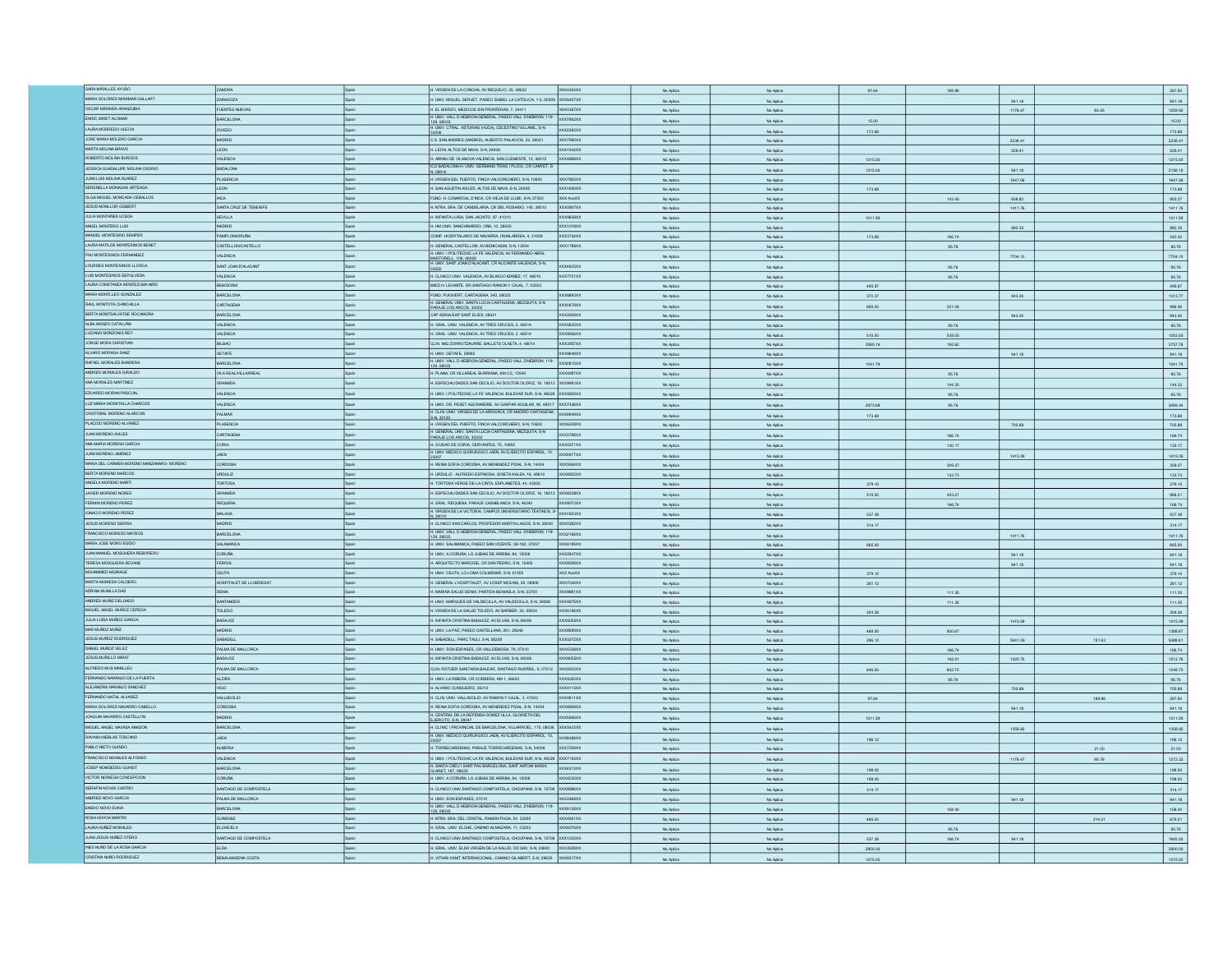| SARA MIRALLES AYUSO                                    | ZAMORA                       |              | H. VIRGEN DE LA CONCHA, AV REQUEJO, 35, 49022                                                                                             | XXX4324XX        | No Aplica              | No Aplica              | 97.64              | 169.96 |         |        | 267.60                                 |
|--------------------------------------------------------|------------------------------|--------------|-------------------------------------------------------------------------------------------------------------------------------------------|------------------|------------------------|------------------------|--------------------|--------|---------|--------|----------------------------------------|
| MARIA DOLORES MIRAMAR GALLART                          | ZARAGOZA                     | Spain        | H. UNIV. MIGUEL SERVET, PASEO ISABEL LA CATOLICA, 1-3, 50009 XXX6457XX                                                                    |                  | No Aplica              | No Aplica              |                    |        | 941.18  |        | 941.18                                 |
| OSCAR MIRANDA ARANZUBIA                                | <b>FUENTES NUEVAS</b>        | Spain        | H. EL BIERZO, MEDICOS SIN FRONTERAS, 7, 24411                                                                                             | XXX0367XX        | No Aplica              | No Aplica              |                    |        | 1176.47 | 83.45  | 1259.92                                |
| ENRIC MIRET ALOMAR                                     |                              |              | I. UNIV. VALL D HEBRON-GENERAL, PASEO VALL D'HEBRON, 119-                                                                                 |                  |                        |                        |                    |        |         |        |                                        |
|                                                        | <b>BARCELONA</b>             | Spain        |                                                                                                                                           | OCX7892XX        | No Aplica              | No Aplica              | 15.00              |        |         |        | 15.00                                  |
| LAURA MODREGO ULECIA                                   | OVIEDO                       |              | 129, 08035<br>H. UNIV. CTRAL. ASTURIAS (HUCA), CELESTINO VILLAMIL, S-N.<br>33006                                                          | XXX2282XX        | No Aplica              | No Aplica              | 173.68             |        |         |        | 173.68                                 |
| JOSE MARIA MOLERO GARCIA                               | <b>MADRID</b>                | Spain        | C.S. SAN ANDRES (MADRID), ALBERTO PALACIOS, 22, 28021                                                                                     | <b>XXX7580XX</b> | No Aplica              | No Aplica              |                    |        | 2236.41 |        | 2236.41                                |
| MARTA MOLINA BRAVO                                     |                              |              |                                                                                                                                           |                  |                        |                        |                    |        |         |        |                                        |
|                                                        | LEON                         |              | H. LEON, ALTOS DE NAVA, S-N, 2400                                                                                                         | OCX1542XX        | No Aplica              | No Aplica              |                    |        | 529.41  |        | 529.41                                 |
| ROBERTO MOLINA BURGOS                                  | <b>VALENCIA</b>              | Spain        | H. ARNAU DE VILANOVA VALENCIA, SAN CLEMENTE, 12, 46015                                                                                    | <b>XXX4RRRXX</b> | No Aplica              | No Aplica              | 1215.00            |        |         |        | 1215.00                                |
| JESSICA GUADALUPE MOLINA OSORIO                        | BADALONA                     | scair        | ICO BADALONA-H, UNIV. GERMANS TRIAS I PLUOL, CR CANYET, S-<br>N, 08916                                                                    |                  | No Aplica              | No Aplica              | 1215.00            |        | 941.18  |        | 2156.18                                |
| JUAN LUIS MOLINA SUAREZ                                | PLASENCIA                    | Spain        | H. VIRGEN DEL PUERTO, FINCA VALCORCHERO, S-N, 10600                                                                                       | <b>XXX7855XX</b> | No Aplica              | No Aplica              |                    |        | 1647.06 |        | 1647.06                                |
|                                                        |                              |              |                                                                                                                                           |                  |                        |                        |                    |        |         |        |                                        |
| SERENELLA MONAGAS ARTEAGA                              | LEON                         |              | H. SAN AGUSTIN AVILES, ALTOS DE NAVA, S-N, 24008                                                                                          | XXX1690XX        | No Aplica              | No Aplica              | 173.68             |        |         |        | 173.68                                 |
| OLGA MIGUEL MONCADA CEBALLOS                           | <b>INCA</b>                  | Spain        | FUND. H. COMARCAL D'INCA, CR VIEJA DE LLUBI, S-N, 07300                                                                                   | XXX AvaXX        | No Aplica              | No Aplica              |                    | 143.45 | 658.82  |        | 802.27                                 |
| JESUS MONLLOR GISBERT                                  | <b>ANTA CRUZ DE TENERIFE</b> | Spain        | H. NTRA, SRA, DE CANDELARIA, CR DEL ROSARIO, 145, 38010                                                                                   | OCX0807XX        | No Aplica              | No Aplica              |                    |        | 1411.76 |        | 1411.76                                |
| JULIA MONTAÑES UCEDA                                   |                              |              |                                                                                                                                           |                  |                        |                        |                    |        |         |        |                                        |
|                                                        | SEVILLA                      | Spain        | I. INFANTA LUISA, SAN JACINTO, 87, 41010                                                                                                  | <b>DCX9628XX</b> | No Aplica              | No Aplica              | 1011.59            |        |         |        | 1011.59                                |
| ANGEL MONTERO LUIS                                     | <b>MADRID</b>                | Spain        | H. HM UNIV. SANCHINARRO, OÑA, 10, 28050                                                                                                   | XXX1018XX        | No Aplica              | No Aplica              |                    |        | 882.35  |        | 882.35                                 |
| MANUEL MONTESINO SEMPER                                | <b>PAMPLONA/IRUÑA</b>        | Spain        | COMP. HOSPITALARIO DE NAVARRA, IRUNLARREA, 4, 31008                                                                                       | XXX3734XX        | No Aplica              | No Aplica              | 173.68             | 166.74 |         |        | 340.42                                 |
| LAURA MATLDE MONTESINOS BENET                          | CASTELLONCASTELLO            |              | H. GENERAL CASTELLON, AV BENICASIM, S-N, 12004                                                                                            | <b>XXX1786XX</b> |                        |                        |                    |        |         |        |                                        |
|                                                        |                              | Spain        | H. UNIV. I POLITECNIC LA FE VALENCIA, AV FERNANDO ABRIL                                                                                   |                  | No Aplica              | No Aplica              |                    | 95.76  |         |        | 95.76                                  |
| PAU MONTESINOS FERNANDEZ                               | VALENCIA                     | Spain        |                                                                                                                                           |                  | No Aplica              | No Aplica              |                    |        | 7704.10 |        | 7704.10                                |
| LOURDES MONTESINOS LLORCA                              | SANT JOAN D'ALACANT          | Spain        | MARTORELL. 106. 46026<br>H. UNIV. SANT JOAN D'ALACANT, CR ALICANTE VALENCIA, S-N,                                                         | <b>XXX4R25XX</b> | No Aplica              | No Aplica              |                    | 95.76  |         |        | 95.76                                  |
| LUIS MONTESINOS SEPULVEDA                              |                              |              |                                                                                                                                           |                  |                        |                        |                    |        |         |        |                                        |
|                                                        | <b>VALENCIA</b>              | Spain        | H. CLINICO UNIV. VALENCIA AV BLASCO IBAÑEZ. 17. 46010                                                                                     | XXX7701XX        | No Aplica              | No Aplica              |                    | 95.76  |         |        | 95.76                                  |
| LAURA CONSTANZA MONTEZUMA NIÑO                         | BENDORM                      | Spain        | IMED H. LEVANTE, DR SANTIAGO RAMON Y CAJAL, 7, 03503                                                                                      |                  | No Aplica              | No Aplica              | 495.87             |        |         |        | 495.87                                 |
| MARIA MONTLLEO GONZALEZ                                | BARCELONA                    | Spain        | FUND. PUIGVERT, CARTAGENA, 340, 08025                                                                                                     | XXX6893XX        | No Aplica              | No Aplica              | 370.37             |        | 943.40  |        | 1313.77                                |
| RAUL MONTOYA CHINCHILLA                                |                              |              | H. GENERAL UNIV. SANTA LUCIA CARTAGENA, MEZQUITA, S-N                                                                                     |                  |                        |                        |                    |        |         |        |                                        |
|                                                        | CARTAGENA                    | Spain        | ARAJE LOS ARCOS, 30202                                                                                                                    | XXXD678XX        | No Aplica              | No Aplica              | 665.00             | 321.06 |         |        | 986.06                                 |
| BERTA MONTSALVATGE ROCAMORA                            | <b>BARCELONA</b>             | Spain        | CAP ADRIA-EAP SANT ELIES, 08021                                                                                                           | XXX2839XX        | No Aplica              | No Aplica              |                    |        | 943.40  |        | 943.40                                 |
| ALBA MONZO CATALUÑA                                    | <b>VALENCIA</b>              | Spain        | H. GRAL. UNV. VALENCIA, AV TRES CRUCES, 2, 46014                                                                                          | XXX5625XX        | No Aplica              | No Aplica              |                    | 95.76  |         |        | 95.76                                  |
| LUCIANO MONZONIS REY                                   |                              |              |                                                                                                                                           |                  |                        |                        |                    |        |         |        |                                        |
|                                                        | <b>VALENCIA</b>              | Spain        | H. GRAL. UNIV. VALENCIA, AV TRES CRUCES, 2, 46014                                                                                         | XXX9066XX        | No Aplica              | No Aplica              | 515.00             | 538.05 |         |        | 1053.05                                |
| JORGE MORA CHRISTIAN                                   | <b>BILBAD</b>                | Spain        | CLIN IMO ZORROTZAURRE, BALLETS OLAETA, 4, 48014                                                                                           | <b>XXX3957XX</b> | No Aplica              | No Aplica              | 3565.16            | 192.62 |         |        | 3757.78                                |
| ALVARO MORAGA SANZ                                     | GETAFE                       |              | I. UNIV. GETAFE, 28905                                                                                                                    | XX9649XX         | No Aplica              | No Aplica              |                    |        | 941.18  |        | 941.18                                 |
| RAFAEL MORALES BARRERA                                 |                              |              | H. UNIV. VALL D HEBRON-GENERAL, PASEO VALL D'HEBRON, 119                                                                                  |                  |                        |                        |                    |        |         |        |                                        |
|                                                        | BARCELONA                    | Spain        | 129,08035                                                                                                                                 | <b>DCXD815XX</b> | No Aplica              | No Aplica              | 1041.78            |        |         |        | 1041.78                                |
| ANDRES MORALES GIRALDO                                 | VILA REAL/VILLARREA          | Spain        | H. PLANA, CR VILLAREAL BURRIANA, KM 0,5, 12540                                                                                            | OCX4987XX        | No Aplica              | No Aplica              |                    | 95.76  |         |        | 95.76                                  |
| ANA MORALES MARTINEZ                                   | GRANADA                      | Scair        | H. ESPECIALIDADES SAN CECILIO, AV DOCTOR OLORIZ, 16, 18012 XXX9881XX                                                                      |                  |                        |                        |                    |        |         |        |                                        |
|                                                        |                              |              |                                                                                                                                           |                  | No Aplica              | No Aplica              |                    | 144.33 |         |        | 144.33                                 |
| EDUARDO MORAN PASCUAL                                  | <b>VALENCIA</b>              | Spain        | UNIV. I POLITECNIC LA FE VALENCIA, BULEVAR SUR, S-N, 46026 XXX5803XX                                                                      |                  | No Aplica              | No Aplica              |                    | 95.76  |         |        | 95.76                                  |
| LUZ MARIA MORATALLA CHARCOS                            | <b>VALENCIA</b>              | Spain        | I. UNIV. DR. PESET ALEIXANDRE, AV GASPAR AGUILAR, 90, 46017 XXX7436XX                                                                     |                  | No Aplica              | No Aplica              | 2973.68            | 95.76  |         |        | 3069.44                                |
| CRISTOBAL MORENO ALARCON                               |                              |              | H. CLIN, UNIV. VIRGEN DE LA ARRIXACA, CR MADRID CARTAGENA.                                                                                |                  |                        |                        |                    |        |         |        |                                        |
|                                                        | PALMAR                       | Spain        | S-N, 30120                                                                                                                                | XXX9949XX        | No Aplica              | No Aplica              | 173.68             |        |         |        | 173.68                                 |
| PLACIDO MORENO ALVAREZ                                 | PLASENCIA                    | Spain        | H. VIRGEN DEL PUERTO, FINCA VALCORCHERO, S-N, 10600                                                                                       | XXX6238XX        | No Aplica              | No Aplica              |                    |        | 705.88  |        | 705.88                                 |
| JUAN MORENO AVILES                                     | CARTAGENA                    | scair        | H. GENERAL UNIV. SANTA LUCIA CARTAGENA, MEZQUITA, S-N                                                                                     | <b>XXX3798XX</b> |                        |                        |                    |        |         |        |                                        |
|                                                        |                              |              | PARAJE LOS ARCOS, 30202                                                                                                                   |                  | No Aplica              | No Aplica              |                    | 166.74 |         |        | 166.74                                 |
| ANA MARIA MORENO GARCIA                                | CORIA                        | Spain        | H. CIUDAD DE CORIA, CERVANTES, 75, 10800                                                                                                  | OCX0271XX        | No Aplica              | No Aplica              |                    | 130.17 |         |        | 130.17                                 |
| JUAN MORENO JIMENEZ                                    | JAEN                         | Spain        | H. UNIV. MEDICO QUIRURGICO JAEN, AV EJERCITO ESPAÑOL, 10. XXXS977XX                                                                       |                  | No Aplica              | No Aplica              |                    |        | 1415.09 |        | 1415.09                                |
| MARIA DEL CARMEN MORENO MANZANARO- MORENO              | CORDOBA                      |              | H. REINA SOFIA CORDOBA, AV MENENDEZ PIDAL, S-N, 14004                                                                                     |                  |                        |                        |                    |        |         |        |                                        |
|                                                        |                              | Spain        |                                                                                                                                           | XXX5954XX        | No Aplica              | No Aplica              |                    | 309.27 |         |        | 309.27                                 |
| BERTA MORENO MARCOS                                    | <b>URDULIZ</b>               | Spain        | H. URDULIZ - ALFREDO ESPINOSA, GOIETA KALEA, 16, 48610                                                                                    | XXXB552XX        | No Aplica              | No Aplica              |                    | 133.73 |         |        | 133.73                                 |
| ANGELA MORENO MARTI                                    | TORTOSA                      | <b>Spain</b> | H. TORTOSA VERGE DE LA CINTA, ESPLANETES, 44, 43500                                                                                       |                  | No Aplica              | No Aplica              | 379.10             |        |         |        | 379.10                                 |
| JAVIER MORENO NORES                                    |                              |              |                                                                                                                                           |                  |                        |                        |                    |        |         |        |                                        |
|                                                        | GRANADA                      |              | H. ESPECIALIDADES SAN CECILIO, AV DOCTOR OLORIZ, 16, 18012 XXX8208XX                                                                      |                  | No Aplica              | No Aplica              | 515.00             | 453.21 |         |        | 968.21                                 |
| FERMIN MORENO PEREZ                                    | REQUENA                      |              | H. GRAL, REQUENA, PARAJE CASABLANCA, S-N, 46340                                                                                           | XXX8573XX        | No Aplica              | No Aplica              |                    | 166.74 |         |        | 166.74                                 |
| IGNACIO MORENO PEREZ                                   | MALAGA                       | Spain        | H. VIRGEN DE LA VICTORIA, CAMPUS UNIVERSITARIO TEATINOS, S-                                                                               | XXX1923XX        | No Aplica              | No Aplica              | 537.38             |        |         |        | 537.38                                 |
| JESUS MORENO SIERRA                                    |                              |              | .29010                                                                                                                                    |                  |                        |                        |                    |        |         |        |                                        |
|                                                        | MADRID                       | Spain        | H. CLINCO SAN CARLOS, PROFESOR MARTIN LAGOS, S-N, 28040                                                                                   | XXX0282XX        | No Aplica              | No Aplica              | 314.17             |        |         |        | 314.17                                 |
| FRANCISCO MORESO MATEOS                                | BARCELONA                    | Spain        | H. UNV. VALL D HEBRON-GENERAL, PASEO VALL D'HEBRON, 119-                                                                                  | XXX2166XX        | No Aplica              | No Aplica              |                    |        | 1411.76 |        | 1411.76                                |
| MARIA JOSE MORO EGIDO                                  | SALAMANCA                    | Spain        | H. UNIV. SALAMANCA, PASEO SAN VICENTE, 58-182, 37007                                                                                      | XXX6195XX        |                        |                        |                    |        |         |        |                                        |
|                                                        |                              |              |                                                                                                                                           |                  | No Aplica              | No Aplica              | 665.00             |        |         |        | 665.00                                 |
| JUAN MANJEL MOSQUERA REBOREDO                          | <b>CORUÑA</b>                | Spain        | H. UNIV. A CORUÑA, LG JUBIAS DE ARRIBA, 84, 15006                                                                                         | XXX2547XX        | No Aplica              | No Aplica              |                    |        | 941.18  |        | 941.18                                 |
| TERESA MOSQUERA SEGANE                                 | <b>FERROL</b>                | Spain        | H. ARQUITECTO MARCIDE, CR SAN PEDRO, S-N, 15405                                                                                           | XXXB559XX        | No Aplica              | No Aplica              |                    |        | 941.18  |        | 941.18                                 |
| MOHAMMED MQIRAGE                                       | <b>CEUTA</b>                 | Spain        | H. UNIV. CEUTA, LG LOMA COLMENAR, S-N, 51005                                                                                              | XXX AvaXX        | No Aplica              | No Aplica              | 379.10             |        |         |        | 379.10                                 |
| MARTA MUNESA CALDERO                                   | HOSPITALET DE LLOBREGAT      | Spain        |                                                                                                                                           | XXX7034XX        |                        |                        |                    |        |         |        |                                        |
|                                                        |                              |              | H. GENERAL L'HOSPITALET, AV JOSEP MOLINS, 29, 08906                                                                                       |                  | No Aplica              | No Aplica              | 281.12             |        |         |        | 281.12                                 |
| ADRIAN MUNILLA DAS                                     | DENIA                        |              | MARINA SALUD DENIA, PARTIDA BENIADLA, S-N, 03700                                                                                          | XXX9881XX        | No Aplica              | No Aplica              |                    | 111.35 |         |        | 111.35                                 |
| ANDRES MUÑIZ DELGADO                                   | SANTANDER                    | Spain        | H. UNIV. MARQUES DE VALDECILLA, AV VALDECILLA, S-N, 39008                                                                                 | <b>XXX4875XX</b> | No Aplica              | No Aplica              |                    | 111.35 |         |        | 111.35                                 |
| MIGUEL ANGEL MUÑOZ CEPEDA                              | TOLEDO                       | Spain        | H. VIRGEN DE LA SALUD TOLEDO, AV BARBER, 30, 45004                                                                                        | XXX6196XX        |                        |                        |                    |        |         |        |                                        |
|                                                        |                              |              |                                                                                                                                           |                  | No Arling              | No Aniec               | 304.26             |        |         |        | 304.26                                 |
| JULIA LUISA MUÑOZ GARCIA                               | BADAJOZ                      | Spain        | H. INFANTA CRISTINA BADAJOZ, AV ELVAS, S-N, 06006                                                                                         | <b>XXX5055XX</b> | No Aplica              | No Aplica              |                    |        | 1415.09 |        | 1415.09                                |
| MAR MUÑOZ MUÑIZ                                        | MADRID                       | Spain        | H. UNIV. LA PAZ. PASEO CASTELLANA, 261, 28046                                                                                             | XXXB5B9XX        | No Aplica              | No Aplica              | 468.00             | 920.67 |         |        | 1388.67                                |
| JESUS MUÑOZ RODRIGUEZ                                  | SABADELL                     | Spain        | . SABADELL, PARC TAULI, S-N, 08208                                                                                                        | 0065272XX        | No Aplica              | No Aplica              | 296.12             |        | 5041.06 | 151.63 | 5488.81                                |
| DANIEL MUNOZ VELEZ                                     | PALMA DE MALLORCA            |              |                                                                                                                                           | XXX5328XX        |                        |                        |                    |        |         |        |                                        |
|                                                        |                              |              | I. UNIV. SON ESPASES, CR VALLDEMOSA, 79, 07010                                                                                            |                  | No Aplica              | No Aplica              |                    | 166.74 |         |        | 166.74                                 |
| JESUS MURILLO MIRAT                                    | BADAJOZ                      | Scair        | H. INFANTA CRISTINA BADAJOZ, AV ELVAS, S-N, 06006                                                                                         | XXX9055XX        | No Aplica              | No Aplica              |                    | 192.01 | 1320.75 |        | 1512.76                                |
| ALFREDO MUS MANLLEU                                    | PALMA DE MALLORCA            | Spain        | CLIN ROTGER SANITARIA BALEAR, SANTIAGO RUSIÑOL, 9, 07012                                                                                  | XXX0923XX        | No Aplica              | No Aplica              | 646.00             | 602.70 |         |        | 1248.70                                |
| FERNANDO NARANJO DE LA PUERTA                          | <b>ALZIRA</b>                | Spain        | H. UNIV. LA RIBERA, CR CORBERA, KM 1, 46600                                                                                               | XXX5020XX        |                        |                        |                    |        |         |        |                                        |
|                                                        |                              |              |                                                                                                                                           |                  | No Aplica              | No Aplica              |                    | 95.76  |         |        | 95.76                                  |
| ALEJANDRA NARANJO SANCHEZ                              | vigo                         | Spain        | H. ALVARO CUNQUEIRO, 36312                                                                                                                | XXX4113XX        | No Aplica              | No Aplica              |                    |        | 705.88  |        | 705.88                                 |
| FERNANDO NATAL ALVAREZ                                 | VALLADOLID                   | Spain        | H. CLIN. UNIV. VALLADOLID, AV RAMON Y CAJAL, 3, 47003                                                                                     | XXX4811XX        | No Aplica              | No Aplica              | 97.64              |        |         | 169.96 | 267.60                                 |
| MARIA DOLORES NAVARRO CABELLO                          | CORDOBA                      | Spain        | H. REINA SOFIA CORDOBA, AV MENENDEZ PIDAL, S-N, 14004                                                                                     | XXX8809XX        | No Aplica              | No Aplica              |                    |        | 941.18  |        | 941.18                                 |
| JOAQUIN NAVARRO CASTELLON                              |                              |              | H. CENTRAL DE LA DEFENSA GOMEZ ULLA, GLORIETA DEL                                                                                         |                  |                        |                        |                    |        |         |        |                                        |
|                                                        |                              |              |                                                                                                                                           | OCX5566XX        | No Aplica              | No Aplica              | 1011.59            |        |         |        | 1011.59                                |
|                                                        | MADRID                       |              | EJERCITO, S-N 28047                                                                                                                       |                  |                        |                        |                    |        |         |        |                                        |
| MIGUEL ANGEL NAVASA ANADON                             | BARCELONA                    | Spain        | H. CLINIC I PROVINCIAL DE BARCELONA, VILLARROEL, 170, 08036 XXX5423XX                                                                     |                  | No Aplica              | No Aplica              |                    |        | 1358.82 |        |                                        |
|                                                        |                              |              |                                                                                                                                           |                  |                        |                        |                    |        |         |        | 1358.82                                |
| DAVINIA NEBLAS TOSCANO                                 | JAEN                         |              | H. UNIV. MEDICO QUIRURGICO JAEN, AV EJERCITO ESPAÑOL, 10. XXX8486XX                                                                       |                  | No Aplica              | No Aplica              | 196.12             |        |         |        |                                        |
| PABLO NIETO GUINDO                                     | <b>ALMERIA</b>               | Spain        | H. TORRECARDENAS, PARAJE TORRECARDENAS, S-N, 04009                                                                                        | XXX7259XX        | No Aplica              | No Aplica              |                    |        |         | 21.00  | 21.00                                  |
| FRANCISCO NOHALES ALFONSO                              | VALENCIA                     | Spain        | H. UNIV. I POLITECNIC LA FE VALENCIA. BULEVAR SUR. S-N. 46026 XXX7193XX                                                                   |                  |                        |                        |                    |        |         |        |                                        |
|                                                        |                              |              |                                                                                                                                           |                  | No Aplica              | No Aplica              |                    |        | 1176.47 | 95.76  |                                        |
| JOSEP NOMDEDEU GUINOT                                  | BARCELONA                    | Scein        | H. SANTA CREU I SANT PAU BARCELONA, SANT ANTONI MARIA<br>CLARET, 167, 08025                                                               | XXX4513XX        | No Aplica              | No Aplica              | 198.00             |        |         |        | 198.00                                 |
| VICTOR NORIEGA CONCEPCION                              | <b>CORUÑA</b>                | Spain        | H. UNIV. A CORUÑA, LG JUBIAS DE ARRIBA, 84, 15006                                                                                         | <b>XXX4230XX</b> |                        |                        |                    |        |         |        |                                        |
|                                                        |                              |              |                                                                                                                                           |                  | No Aplica              | No Aplica              | 198.00             |        |         |        | 196.12<br>1272.23<br>198.00            |
| SERAFIN NOVAS CASTRO                                   | SANTIAGO DE COMPOSTELA       | Spair        | H. CLINICO UNIV.SANTIAGO COMPOSTELA, CHOUPANA, S-N, 15706                                                                                 | <b>XXX8986XX</b> | No Aplica              | No Aplica              | 314.17             |        |         |        | 314.17                                 |
| ANDRES NOVO GARCIA                                     | PALMA DE MALLORCA            | Spain        | H. UNIV. SON ESPASES, 07010                                                                                                               | OCX2468XX        | No Aplica              | No Aplica              |                    |        | 941.18  |        | 941.18                                 |
|                                                        |                              | <b>Scain</b> | H. UNIV. VALL D HEBRON-GENERAL, PASEO VALL D'HEBRON, 119-                                                                                 | XXX9128XX        | No Arling              | No Anito               |                    |        |         |        |                                        |
| ENEKO NOVO SUKIA                                       | BARCELONA                    |              | 129,08035                                                                                                                                 |                  |                        |                        |                    | 158.40 |         |        | 158.40                                 |
| ROSA NOVOA MARTIN                                      | OURENSE                      |              | H. NTRA SRA DEL CRISTAL, RAMON PUGA, 54, 32005                                                                                            | XXX4921XX        | No Aplica              | No Aplica              | 465.00             |        |         | 214.21 | 679.21                                 |
| LAURA NUÑEZ MORALES                                    | <b>ELCHE/ELX</b>             | Spain        | H. GRAL. UNV. ELCHE, CAMINO ALMAZARA, 11, 03203                                                                                           | <b>XXX6576XX</b> | No Aplica              | No Aplica              |                    | 95.76  |         |        |                                        |
| <b>JUAN JESUS NUÑEZ OTERO</b>                          | SANTIAGO DE COMPOSTELA       | Spain        | I. CLINICO UNIV.SANTIAGO COMPOSTELA, CHOUPANA, S-N, 15706 XXX1023XX                                                                       |                  |                        |                        |                    |        |         |        |                                        |
|                                                        |                              |              |                                                                                                                                           |                  | No Aplica              | No Aplica              | 537.38             | 166.74 | 941.18  |        |                                        |
| INES NUÑO DE LA ROSA GARCIA<br>CRISTINA NUÑO RODRIGUEZ | ELDA<br>BENALMADENA COSTA    |              | 4. GRAL. UNIV. ELDA VIRGEN DE LA SALUD, CR SAX, S-N, 03600 XXX3529XX<br>VITHAS XANIT INTERNACIONAL, CAMINO GILABERT, S-N, 29630 XXX6517XX |                  | No Aplica<br>No Aplica | No Aplica<br>No Aplica | 2800.00<br>1215.00 |        |         |        | 95.76<br>1645.30<br>2800.00<br>1215.00 |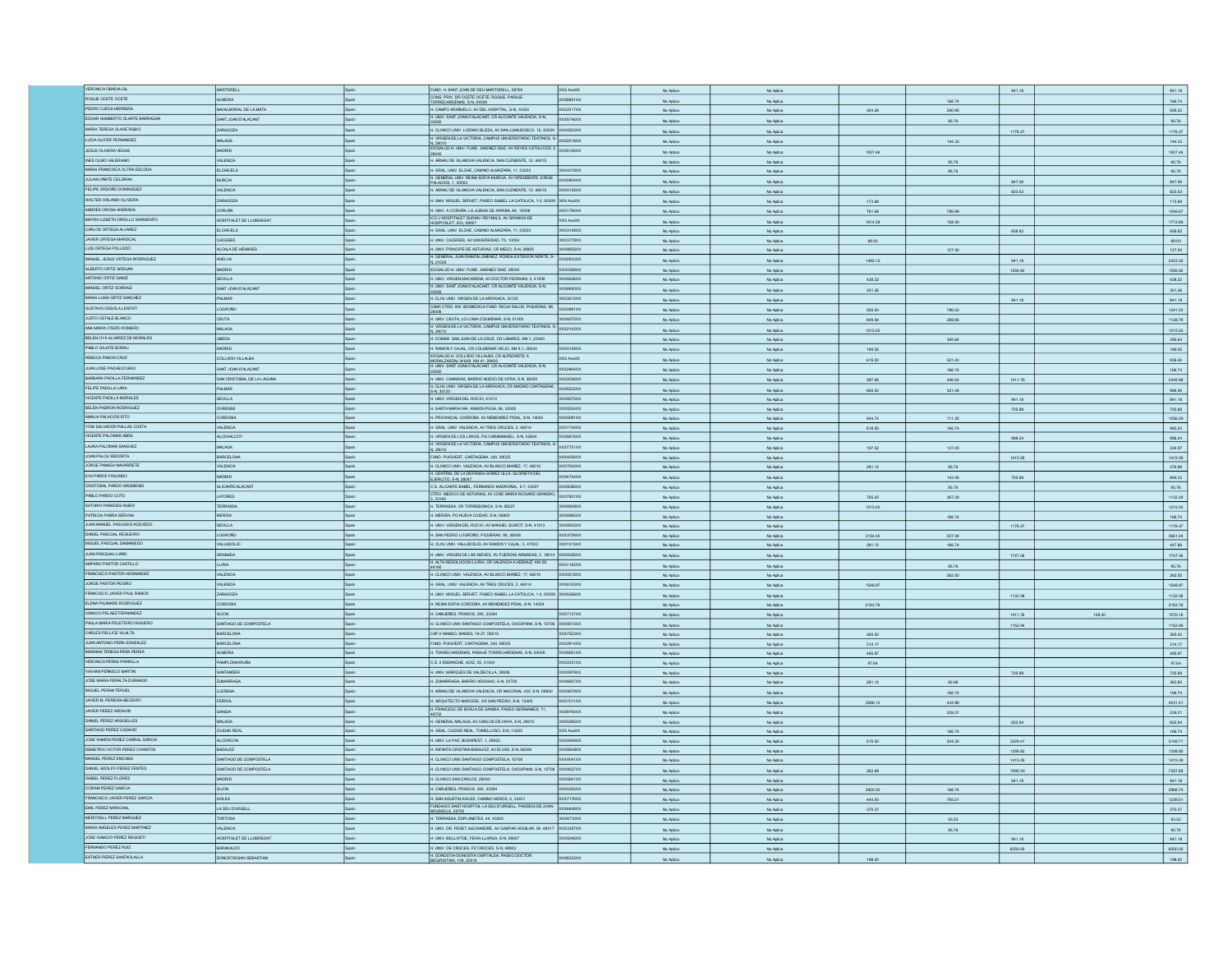| VERONICA OBADIA GIL             | MARTORELL                  |              | FUND. H. SANT JOAN DE DEU MARTORELL. 08760                                                  | XXX AvaXX        | No Aplica | No Aplica |         |              | 941.18  |        | 941.18  |
|---------------------------------|----------------------------|--------------|---------------------------------------------------------------------------------------------|------------------|-----------|-----------|---------|--------------|---------|--------|---------|
| ROQUE OCETE OCETE               | <b>ALMERIA</b>             |              | CONS. PRIV. DR OCETE OCETE; ROQUE, PARAJE                                                   | XXXB891XX        | No Aplica | No Aplica |         | 166.74       |         |        | 166.74  |
| PEDRO OJEDA HERRERA             | NAVALMORAL DE LA MATA      | Spain        | TORRECARDENAS, S-N, 04009<br>H. CAMPO ARAÑUELO, AV DEL HOSPITAL, S-N, 10300                 | XXX2317XX        |           |           |         |              |         |        |         |
|                                 |                            |              | H. UNIV. SANT JOAN D'ALACANT. CR ALICANTE VALENCIA, S-N.                                    |                  | No Aplica | No Aplica | 304.26  | 290.96       |         |        | 595.22  |
| EDGAR HUMBERTO OLARTE BARRAGAN  | SANT JOAN D'ALACANT        |              |                                                                                             | OCX5746XX        | No Aplica | No Aplica |         | 95.76        |         |        | 95.76   |
| MARIA TERESA OLAVE RUBIO        | ZARAGOZA                   |              | H. CLINICO UNIV. LOZANO BLESA, AV SAN JUAN BOSCO, 15, 50009                                 | XXX4523XX        | No Aplica | No Aplica |         |              | 1176.47 |        | 1176.47 |
| LUCIA OLIFER FERNANDEZ          | MALAGA                     |              | H. VIRGEN DE LA VICTORIA, CAMPUS UNIVERSITARIO TEATINOS, S-                                 | <b>XXX2518XX</b> |           |           |         |              |         |        |         |
|                                 |                            |              | N, 29010<br>IDCSALUD H. UNIV. FUND. JIMENEZ DIAZ, AV REYES CATOLICOS, 2.                    |                  | No Aplica | No Aplica |         | 144.33       |         |        | 144.33  |
| JESUS OLIVERA VEGAS             | <b>CIPIOAM</b>             |              | 28040                                                                                       | XXX5106XX        | No Aplica | No Aplica | 1507.46 |              |         |        | 1507.46 |
| INES OLMO VALERIANO             | VALENCIA                   |              | H. ARNAU DE VILANOVA VALENCIA, SAN CLEMENTE, 12, 46015                                      |                  | No Aplica | No Aplica |         | 95.76        |         |        | 95.76   |
| MARIA FRANCISCA OLTRA ESCODA    |                            |              |                                                                                             |                  |           |           |         |              |         |        |         |
|                                 | ELCHE/ELX                  |              | H. GRAL. UNV. ELCHE, CAMINO ALMAZARA, 11, 03203                                             | XXX4218XX        | No Aplica | No Aplica |         | 95.76        |         |        | 95.76   |
| JULIAN ORATE CELDRAN            | <b>MURCIA</b>              | Snain        | H. GENERAL UNIV. REINA SOFIA MURCIA, AV INTENDENTE JORGE<br>PALACIOS, 1, 30003              | xxxnonaxx        | No Aplica | No Aplica |         |              | 847.06  |        | 847.06  |
| FELIPE ORDOÑO DOMINGUEZ         | <b>VALENCIA</b>            | Spain        | H. ARNAU DE VILANOVA VALENCIA, SAN CLEMENTE, 12, 46015                                      | <b>XXX413BXX</b> |           |           |         |              | 823.53  |        |         |
|                                 |                            |              |                                                                                             |                  | No Aplica | No Aplica |         |              |         |        | 823.53  |
| WALTER ORLANDI OLIVEIRA         | ZARAGOZA                   | Spain        | H. UNIV. MIGUEL SERVET, PASEO ISABEL LA CATOLICA, 1-3, 50009                                | <b>XXX AvaXX</b> | No Aplica | No Aplica | 173.68  |              |         |        | 173.68  |
| ANDREA OROSA ANDRADA            | <b>CORUÑA</b>              | Spain        | H. UNIV. A CORUÑA, LG JUBIAS DE ARRIBA, 84, 15006                                           | XXX1784XX        | No Aplica | No Aplica | 761.68  | 786.99       |         |        | 1548.67 |
| MAYRA LIZBETH ORRILLO SARMIENTO |                            |              | ICO L'HOSPITALET DURAN I REYNALS, AV GRANVIA DE                                             | XXX AvaXX        |           |           |         |              |         |        |         |
|                                 | HOSPITALET DE LLOBREGAT    |              | OSPITALET, 203, 08907                                                                       |                  | No Arling | No Aplica | 1614.28 | 158.40       |         |        | 1772.68 |
| CARLOS ORTEGA ALVAREZ           | ELCHE/ELX                  |              | H. GRAL. UNV. ELCHE, CAMINO ALMAZARA, 11, 03203                                             | XXX3139XX        | No Aplica | No Aplica |         |              | 658.82  |        | 658.82  |
| JAVIER ORTEGA MARISCAL          | CACERES                    | Spain        | H. UNIV. CACERES, AV UNIVERSIDAD, 75, 10004                                                 | <b>XXX3778XX</b> | No Aplica | No Aplica | 89.00   |              |         |        | 89.00   |
| LUIS ORTEGA POLLEDO             | ALCALA DE HENARES          |              | H. UNIV. PRINCIPE DE ASTURIAS, CR MECO, S-N, 28805                                          | <b>OX8852XX</b>  |           |           |         |              |         |        |         |
|                                 |                            |              |                                                                                             |                  | No Aplica | No Aplica |         | 127.00       |         |        | 127.00  |
| MANUEL JESUS ORTEGA RODRIGUEZ   | HUELVA                     |              | GENERAL JUAN RAMON JIMENEZ, RONDA EXTERIOR NORTE, S-<br>N, 21005                            | XXX2833XX        | No Aplica | No Aplica | 1482.12 |              | 941.18  |        | 2423.30 |
| ALBERTO ORTIZ ARDUAN            | <b>ADRID</b>               |              | IDCSALUD H. UNIV. FUND. JIMENEZ DIAZ, 28040                                                 | <b>OCXD358XX</b> | No Aplica | No Aplica |         |              | 1556.60 |        | 1556.60 |
| ANTONIO ORTIZ GAMIZ             |                            |              |                                                                                             |                  |           |           |         |              |         |        |         |
|                                 | <b>SEVILLA</b>             | Spain        | H. UNIV. VIRGEN MACARENA, AV DOCTOR FEDRIAN, 3, 41009                                       | XXX6836XX        | No Aplica | No Aplica | 428.22  |              |         |        | 428.22  |
| MANUEL ORTIZ GORRAIZ            | SANT JOAN D'ALACANT        | Spain        | H. UNIV. SANT JOAN D'ALACANT. CR ALICANTE VALENCIA, S-N.                                    | XXX9893XX        | No Aplica | No Aplica | 351.36  |              |         |        | 351.36  |
| MARIA LUISA ORTIZ SANCHEZ       | PALMAR                     |              | H. CLIN. UNIV. VIRGEN DE LA ARRIXACA, 30120                                                 | XXX3613XX        | No Arling | No Antico |         |              | 941.18  |        | 941.18  |
|                                 |                            |              | CIBIR CTRO. INV. BIOMEDICA FUND. RIQUA SALUD, PIQUERAS, 98,                                 |                  |           |           |         |              |         |        |         |
| GUSTAVO OSSOLA LENTATI          | LOGRONO                    | Spain        |                                                                                             | XXX3991XX        | No Arlin  | No Arião  | 555.00  | 786.02       |         |        | 1341.02 |
| JUSTO OSTALE BLANCO             | CEUTA                      |              | H. UNIV. CEUTA, LG LOMA COLMENAR, S-N, 51005                                                | <b>OCX6075XX</b> | No Aplica | No Aplica | 849.84  | 288.95       |         |        | 1138.79 |
| ANA MARIA OTERO ROMERO          | MALAGA                     | Spain        | H. VIRGEN DE LA VICTORIA, CAMPUS UNIVERSITARIO TEATINOS, S-                                 | XXX2102XX        |           |           |         |              |         |        |         |
|                                 |                            |              | N, 29010                                                                                    |                  | No Aplica | No Aplica | 1215.00 |              |         |        | 1215.00 |
| BELEN OYA ALVAREZ DE MORALES    | UBEDA                      | Spain        | H. COMAR. SAN JUAN DE LA CRUZ, CR LINARES, KM 1, 23400                                      |                  | No Aplica | No Aplica |         | 395.64       |         |        | 395.64  |
| PABLO GAJATE BORAU              | <b>GIRDA</b>               |              | H. RAMON Y CAJAL, CR COLMENAR VIEJO, KM 9,1, 28034                                          | XXX5129XX        | No Aplica | No Aplica | 189.55  |              |         |        | 189.55  |
| REBECA PABON CRUZ               |                            |              | IDCSALUD H. COLLADO VILLALBA, CR ALPEDRETE A                                                |                  |           |           |         |              |         |        |         |
|                                 | COLLADO VILLALBA           |              | MORALZARZAL M 608. KM 41. 28400<br>H. UNIV. SANT JOAN D'ALACANT, CR ALICANTE VALENCIA, S-N, | <b>XXX AvaXX</b> | No Aplica | No Aplica | 615.00  | 321.40       |         |        | 936.40  |
| JUAN JOSE PACHECO BRI           | <b>JANT JOAN D'ALACAN</b>  |              |                                                                                             | OCX2864XX        | No Aplica | No Aplica |         | 166.74       |         |        | 166.74  |
| BARBARA PADILLA FERNANDEZ       | SAN CRISTOBAL DE LA LAGUNA |              | H. UNIV. CANARIAS, BARRIO NUEVO DE OFRA, S-N, 38320                                         | XXX2036XX        | No Aplica | No Aplica | 587.68  | 446.54       | 1411.76 |        | 2445.98 |
|                                 |                            |              | I. CLIN. UNIV. VIRGEN DE LA ARRIXACA, CR MADRID CARTAGEI                                    |                  |           |           |         |              |         |        |         |
| FELIPE PADILLA LARA             | PALMAR                     | Spain        | S-N. 30120                                                                                  | <b>XXX5522XX</b> | No Aplica | No Aplica | 665.00  | 321.06       |         |        | 986.06  |
| VICENTE PADILLA MORALES         | <b>SEVILLA</b>             | Spain        | H. UNIV. VIRGEN DEL ROCIO, 41013                                                            | XXXB075XX        | No Aplica | No Aplica |         |              | 941.18  |        | 941.18  |
| BELEN PADRON RODRIGUEZ          | OURENSE                    |              | H. SANTA MARIA NAI, RAMON PUGA, 56, 32005                                                   | XXX5534XX        | No Aplica | No Aplica |         |              | 705.88  |        | 705.88  |
|                                 |                            |              |                                                                                             |                  |           |           |         |              |         |        |         |
| AMALIA PALACIOS EITO            | CORDOBA                    |              | H. PROVINCIAL CORDOBA, AV MENENDEZ PIDAL, S-N, 14004                                        | XXX5991XX        | No Aplica | No Aplica | 944.74  | 111.35       |         |        | 1056.09 |
| YONI SALVADOR PALLAS COSTA      | <b>VALENCIA</b>            | Spain        | H. GRAL. UNV. VALENCIA, AV TRES CRUCES, 2, 46014                                            | XXX1744XX        | No Aplica | No Aplica | 818.50  | 166.74       |         |        | 985.24  |
| VICENTE PALOMAR ABRI            | <b>ALCOHALCOY</b>          | Spain        | H. VIRGEN DE LOS LIRIOS, PG CARAMANXEL, S-N, 03804                                          | XX28815XX        | No Aplica | No Aplica |         |              | 988.24  |        | 988.24  |
|                                 |                            |              | VIRGEN DE LA VICTORIA, CAMPUS UNIVERSITARIO TEATINOS, S                                     |                  |           |           |         |              |         |        |         |
| LAURA PALOMAR SANCHEZ           | ALAGA                      |              | N, 29010                                                                                    | XXX7751XX        | No Aplica | No Aplica | 197.52  | 137.45       |         |        | 334.97  |
| JOAN PALOU REDORTA              | BARCELONA                  |              | FUND. PUIGVERT, CARTAGENA, 340, 08025                                                       | OCX4206XX        | No Aplica | No Aplica |         |              | 1415.09 |        | 1415.09 |
| JORGE PANACH NAVARRETE          | <b>VALENCIA</b>            | Spain        | H. CLINICO UNIV. VALENCIA AV BLASCO IBAÑEZ. 17. 46010                                       | XXX7004XX        |           |           |         |              |         |        |         |
|                                 |                            |              | H. CENTRAL DE LA DEFENSA GOMEZ ULLA GLORIETA DEL                                            |                  | No Aplica | No Aplica | 281.12  | 95.76        |         |        | 376.88  |
| EVA PAÑOS FAGUNDO               | <b>CIPIOAM</b>             | Spain        | <b>JERCITO, S-N 28047</b>                                                                   | XXX4704XX        | No Aplica | No Aplica |         | 143.45       | 705.88  |        | 849.33  |
| CRISTOBAL PARDO ARIZMENDI       | ALICANTE/ALACANT           | Spain        | C.S. ALICANTE BABEL, FERNANDO MADROÑAL, 5-7, 03007                                          | XXXB0B5XX        | No Arling | No Anked  |         | <b>G5.76</b> |         |        | 95.76   |
| PABLO PARDO COTO                |                            |              | CTRO. MEDICO DE ASTURIAS, AV JOSE MARIA RICHARD GRAND                                       |                  |           |           |         |              |         |        |         |
|                                 | LATORES                    |              | 3, 33193                                                                                    | XXX7851XX        | No Arling | No Aniico | 705 OF  | 367.39       |         |        | 1132.39 |
| SATURIO PAREDES RUBIO           | TERRASSA                   | Spain        | H. TERRASSA, CR TORREBONICA, S-N, 08227                                                     | <b>OCXB909XX</b> | No Aplica | No Aplica | 1215.00 |              |         |        | 1215.00 |
| PATRICIA PARRA SERVAN           | <b>MERIDA</b>              | Spain        | H. MERIDA, PG NUEVA CIUDAD, S-N, 06800                                                      | <b>XXXR9R2XX</b> | No Aplica | No Aplica |         | 166.74       |         |        | 166.74  |
| JUAN MANJEL PASCASIO ACEVEDO    |                            | Spain        |                                                                                             |                  |           |           |         |              |         |        |         |
|                                 | SEVILLA                    |              | H. UNIV. VIRGEN DEL ROCIO, AV MANUEL SIUROT, S-N, 41013                                     | XXX9033XX        | No Aplica | No Aplica |         |              | 1176.47 |        | 1176.47 |
| DANIEL PASCUAL REGUEIRO         | LOGROÑO                    |              | SAN PEDRO LOGROÑO, PIQUERAS, 98, 26006                                                      | XXX3759XX        | No Aplica | No Aplica | 3154.00 | 507.04       |         |        | 3661.04 |
| MIGUEL PASCUAL SAMANIEGO        | VALLADOLID                 | Spain        | H. CLIN. UNIV. VALLADOLID, AV RAMON Y CAJAL, 3, 47003                                       | <b>XXX1315XX</b> | No Aplica | No Aplica | 281.12  | 166.74       |         |        | 447.86  |
| JUAN PASQUAU LIAÑO              | GRANADA                    | <b>Shain</b> | H. UNIV. VIRGEN DE LAS NIEVES, AV FUERZAS ARMADAS, 2, 18014                                 |                  |           |           |         |              |         |        |         |
|                                 |                            |              |                                                                                             | XXX4055XX        | No Aplica | No Aplica |         |              | 1747.06 |        | 1747.06 |
| AMPARO PASTOR CASTILLO          | LLIRIA                     |              | H. ALTA RESOLUCION LLIRIA, CR VALENCIA A ADEMUZ, KM 28,                                     | <b>XXX1182XX</b> | No Aplica | No Aplica |         | 95.76        |         |        | 95.76   |
| FRANCISCO PASTOR HERNANDEZ      | <b>VALENCIA</b>            | Spain        | H. CLINICO UNIV. VALENCIA, AV BLASCO IBAÑEZ, 17, 46010                                      | XXX0518XX        |           |           |         |              |         |        |         |
|                                 |                            |              |                                                                                             |                  | No Aplica | No Aplica |         | 262.50       |         |        | 262.50  |
| JORGE PASTOR PEIDRO             | <b>VALENCIA</b>            | Spain        | H. GRAL. UNV. VALENCIA, AV TRES CRUCES, 2, 46014                                            | XXX6105XX        | No Aplica | No Aplica | 1548.97 |              |         |        | 1548.97 |
| FRANCISCO JAVIER PAUL RAMOS     | ZARAGOZA                   | Spain        | H. UNIV. MIGUEL SERVET, PASEO ISABEL LA CATOLICA, 1-3, 50009 XXX6366XX                      |                  | No Aplica | No Aplica |         |              | 1132.08 |        | 1132.08 |
| ELENA PAUMARD RODRIGUEZ         | CORDOBA                    | Spain        |                                                                                             |                  |           |           |         |              |         |        |         |
|                                 |                            |              | H. REINA SOFIA CORDOBA, AV MENENDEZ PIDAL, S-N, 14004                                       |                  | No Aplica | No Aplica | 2163.76 |              |         |        | 2163.76 |
| IGNACIO PELAEZ FERNANDEZ        | GIJON                      |              | H. CABUEÑES, PRADOS, 395, 33394                                                             | <b>XXX7137XX</b> | No Aplica | No Aplica |         |              | 1411.76 | 158.40 | 1570.16 |
| PAULA MARIA PELETEIRO HIGUERO   | MATIAGO DE COMPOSTELA      |              | I. CLINICO UNIV.SANTIAGO COMPOSTELA, CHOUPANA, S-N, 15706                                   | XXX9513XX        | No Aplica | No Aplica |         |              | 1152.94 |        | 1152.94 |
| CARLES PELLICE VILALTA          | BARCELONA                  |              | AP II MANSO, MANSO, 19-27, 08015                                                            | <b>XX7523XX</b>  |           |           |         |              |         |        |         |
|                                 |                            |              |                                                                                             |                  | No Aplica | No Aplica | 265.00  |              |         |        | 265.00  |
| JUAN ANTONIO PEÑA GONZALEZ      | <b>BARCELONA</b>           | Spain        | FUND. PUIGVERT, CARTAGENA, 340, 08025                                                       | XXX2914XX        | No Aplica | No Aplica | 314.17  |              |         |        | 314.17  |
| MARIANA TERESA PEÑA PEREA       | <b>ALMERIA</b>             | Spain        | 1. TORRECARDENAS, PARAJE TORRECARDENAS, S-N, 04009                                          | XXX6921XX        | No Aplic  | No Aplic  | 495.87  |              |         |        | 495.87  |
| VERONICA PEÑAS PARRILLA         | PAMPLONA/IRUÑA             |              | C.S. II ENSANCHE, ADIZ, 35, 31004                                                           | XXX2231XX        | No Aplica | No Aplica | 97.64   |              |         |        | 97.64   |
| YHMAN PEÑASCO MARTIN            |                            |              |                                                                                             |                  |           |           |         |              |         |        |         |
|                                 | SANTANDER                  | Spain        | H. UNIV. MARQUES DE VALDECILLA, 39008                                                       | XXX0879XX        | No Aplica | No Aplica |         |              | 705.88  |        | 705.88  |
| JOSE MARIA PERALTA DURANGO      | ZUMARRAGA                  |              | H. ZUMARRAGA, BARRIO ARGIXAO, S-N, 20700                                                    | <b>XX6827XX</b>  | No Aplica | No Aplica | 281.12  | 82.68        |         |        | 363.80  |
| MIGUEL PERAN TERUE              | LERENA                     |              | ARNAU DE VILANOVA VALENCIA, CR NACIONAL 432, S-N, 06900                                     | XXX9678XX        | No Aplica | No Aplica |         | 166.74       |         |        | 166.74  |
|                                 |                            |              |                                                                                             |                  |           |           |         |              |         |        |         |
| JAVIER M. PEREIRA BECEIRO       | FERROL                     |              | H. ARQUITECTO MARCIDE, CR SAN PEDRO, S-N, 15405                                             | XXX7011XX        | No Aplica | No Aplica | 3596.12 | 434.89       |         |        | 4031.01 |
| JAVIER PEREZ ARDAVIN            | <b>GANDIA</b>              | Spain        | H. FRANCESC DE BORJA DE GANDIA, PASEO GERMANIES, 71,                                        | XXX9764XX        | No Aplica | No Aplica |         | 239.21       |         |        | 239.21  |
| DANIEL PEREZ ARGÜELLES          | MALAGA                     | Spain        | H. GENERAL MALAGA, AV CARLOS DE HAYA, S-N, 29010                                            | <b>XXX5265XX</b> | No Aplica |           |         |              | 652.94  |        | 652.94  |
|                                 |                            |              |                                                                                             |                  |           | No Aplica |         |              |         |        |         |
| SANTIAGO PEREZ CADAMD           | CIUDAD REAL                | Spain        | H. GRAL. CIUDAD REAL, TOMELLOSO, S-N, 13005                                                 | XXX AvaXX        | No Aplica | No Aplica |         | 166.74       |         |        | 166.74  |
| JOSE RAMON PEREZ CARRAL GARCIA  | <b>ALCORCON</b>            |              | H. UNIV. LA PAZ, BUDAPEST, 1, 28922                                                         | XXX5406XX        | No Aplica | No Aplica | 515.00  | 304.30       | 2329.41 |        | 3148.71 |
| DEMETRIO VICTOR PEREZ CIVANTOS  | BADAJOZ                    |              | H. INFANTA CRISTINA BADAJOZ, AV ELVAS, S-N, 06006                                           | XXX8848XX        | No Aplica | No Aplica |         |              | 1358.82 |        | 1358.82 |
| MUEL PEREZ ENCINAS              |                            |              |                                                                                             |                  |           |           |         |              |         |        |         |
|                                 | SANTIAGO DE COMPOSTELA     | Spain        | H. CLINICO UNIV.SANTIAGO COMPOSTELA, 15706                                                  | OCX4041XX        | No Aplica | No Aplica |         |              | 1415.09 |        | 1415.09 |
| DANIEL ADOLFO PEREZ FENTES      | ANTIAGO DE COMPOSTELA      |              | . CLINICO UNIV.SANTIAGO COMPOSTELA, CHOUPANA, S-N, 15706                                    | XXX9527XX        | No Aplica | No Aplica | 262.68  |              | 7095.00 |        | 7357.68 |
| ISABEL PEREZ FLORES             | <b>ADRID</b>               |              | CLINICO SAN CARLOS, 28040                                                                   | XX5061XX         |           |           |         |              |         |        | 941.18  |
|                                 |                            |              |                                                                                             |                  | No Aplica | No Aplica |         |              | 941.18  |        |         |
| CORINA PEREZ GARCIA             | GUON                       | Spain        | H. CABUEÑES, PRADOS, 395, 33394                                                             | XXX4300XX        | No Aplica | No Aplica | 2800.00 | 166.74       |         |        | 2966.74 |
| FRANCISCO JAVIER PEREZ GARCIA   | AVILES                     | Snain        | H. SAN AGUSTIN AVILES, CAMINO HEROS, 4, 33401                                               | <b>XXX7176XX</b> | No Aplica | No Aplica | 444.00  | 795.51       |         |        | 1239.51 |
| EMIL PEREZ MARICHAL             | LA SEU D'URGELL            |              | FUNDACIO SANT HOSPITAL LA SEU D'URGELL, PASSEIG DE JOAN                                     | XXX4849XX        | No Arlic  | No Aniin  |         |              |         |        |         |
|                                 |                            |              | BRUDIEU,8, 25700                                                                            |                  |           |           | 370.37  |              |         |        | 370.37  |
| MERITXELL PEREZ MARQUEZ         |                            |              | H. TERRASSA, ESPLANETES, 44, 43500                                                          | XXX6710XX        | No Aplica | No Aplica |         | 93.53        |         |        | 93.53   |
|                                 | TORTOSA                    |              |                                                                                             |                  |           |           |         |              |         |        |         |
| MARIA ANGELES PEREZ MARTINEZ    | VALENCIA                   | Spain        | H. UNIV. DR. PESET ALEIXANDRE, AV GASPAR AGUILAR, 90, 46017 XXX3267XX                       |                  | No Aplica | No Aplica |         | 95.76        |         |        | 95.76   |
|                                 |                            |              |                                                                                             |                  |           |           |         |              |         |        |         |
| JOSE IGNACIO PEREZ REGGETI      | HOSPITALET DE LLOBREGAT    | Spain        | H. UNIV. BELLVITGE, FEIXA LLARGA, S-N, 08907                                                | XXX5046XX        | No Aplica | No Aplica |         |              | 941.18  |        | 941.18  |
| FERNANDO PEREZ RUIZ             | ARAKALDO                   |              | I. UNIV. DE CRUCES, PZ CRUCES, S-N, 48903                                                   |                  | No Aplica | No Aplica |         |              | 6250.00 |        | 6250.00 |
| ESTHER PEREZ SANTAOLALLA        | DONOSTIA/SAN SEBASTIAN     |              | I. DONOSTIA-DONOSTIA OSPITALEA, PASEO DOCTOR<br><b>AFOOS PDI WATRIBU</b>                    | XXX8232XX        | No Aplica | No Aplica | 198.00  |              |         |        | 198.00  |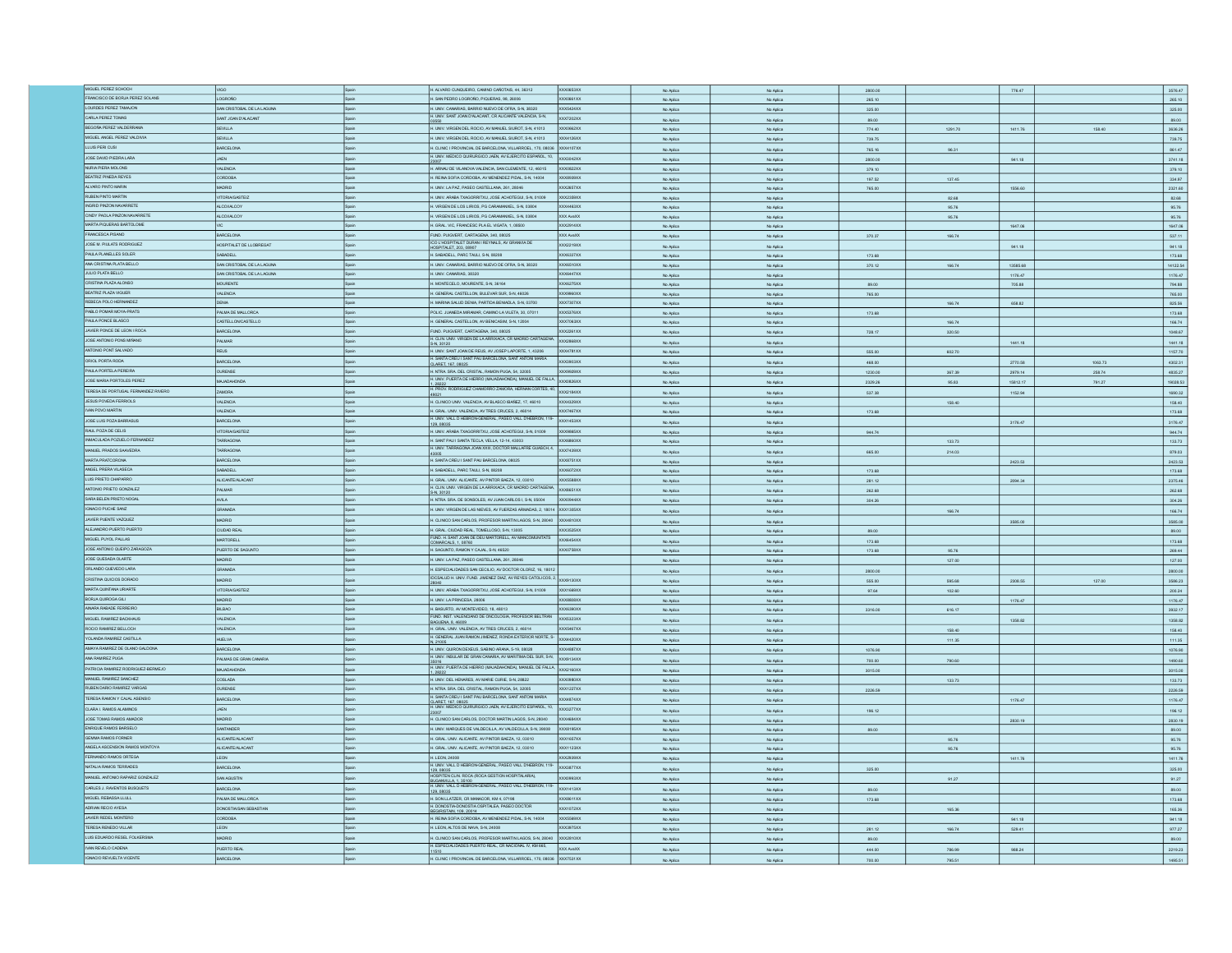| MIGUEL PEREZ SCHOCH                            |                            |              |                                                                                                                                                                                                                                                                                              |                        |                        |                  |                  |          |         |                                                                                 |
|------------------------------------------------|----------------------------|--------------|----------------------------------------------------------------------------------------------------------------------------------------------------------------------------------------------------------------------------------------------------------------------------------------------|------------------------|------------------------|------------------|------------------|----------|---------|---------------------------------------------------------------------------------|
|                                                |                            |              | H. ALVARO CUNQUEIRO, CAMINO CAÑOTAIS, 44, 36312<br>XXX0653XX                                                                                                                                                                                                                                 | No Aplica              | No Aplica              | 2800.00          |                  | 776.47   |         | 3576.47                                                                         |
| FRANCISCO DE BORJA PEREZ SOLANS                | CORON                      | Spain        | H. SAN PEDRO LOGROÑO, PIQUERAS, 98, 26006<br>XXX0661XX                                                                                                                                                                                                                                       | No Aplica              | No Aplica              | 265.10           |                  |          |         | 265.10                                                                          |
| LOURDES PEREZ TAMAJON                          | SAN CRISTOBAL DE LA LAGUNA |              | I. UNIV. CANARIAS, BARRIO NUEVO DE OFRA, S-N, 38320<br><b>XX5424XX</b>                                                                                                                                                                                                                       | No Aplica              | No Aplica              | 325.00           |                  |          |         | 325.00                                                                          |
| CARLA PEREZ TOMAS                              |                            |              | H. UNIV. SANT JOAN D'ALACANT, CR ALICANTE VALENCIA, S-N,<br>XXX7202XX                                                                                                                                                                                                                        |                        |                        |                  |                  |          |         |                                                                                 |
|                                                | SANT JOAN D'ALACANT        |              |                                                                                                                                                                                                                                                                                              | No Aplica              | No Aplica              | 89.00            |                  |          |         | 89.00                                                                           |
| BEGOÑA PEREZ VALDERRAMA                        | SEVILLA                    | Spain        | H. UNIV. VIRGEN DEL ROCIO, AV MANUEL SIUROT, S-N, 41013<br>XXX0662XX                                                                                                                                                                                                                         | No Aplica              | No Aplica              | 774.40           | 1291.70          | 1411.76  | 158.40  | 3636.26                                                                         |
| MIGUEL ANGEL PEREZ VALDIVIA                    | SEVILLA                    | Spain        | H. UNIV. VIRGEN DEL ROCIO, AV MANUEL SIUROT, S-N, 41013<br>XXX4126XX                                                                                                                                                                                                                         | No Aplica              | No Aplica              | 739.75           |                  |          |         | 739.75                                                                          |
|                                                |                            |              |                                                                                                                                                                                                                                                                                              |                        |                        |                  |                  |          |         |                                                                                 |
| LLUIS PERI CUS                                 | BARCELONA                  | Spain        | H. CLINIC I PROVINCIAL DE BARCELONA, VILLARROEL, 170, 08036<br>XXX4107XX                                                                                                                                                                                                                     | No Aplica              | No Aplica              | 765.16           | 96.31            |          |         | 861.47                                                                          |
| JOSE DAVID PIEDRA LARA                         | <b>JAEN</b>                |              | H. UNIV. MEDICO QUIRURGICO JAEN, AV EJERCITO ESPAÑOL, 10,<br>XXX3042XX                                                                                                                                                                                                                       | No Aplica              | No Aplica              | 2800.00          |                  | 941.18   |         | 3741.18                                                                         |
| NURIA PIERA MOLONS                             | <b>VALENCIA</b>            | Spain        | H. ARNAU DE VILANOVA VALENCIA, SAN CLEMENTE, 12, 46015<br>XXX0822XX                                                                                                                                                                                                                          | No Aplica              | No Aplica              | 379.10           |                  |          |         | 379.10                                                                          |
|                                                | CORDOBA                    |              | <b>XXX8939XX</b>                                                                                                                                                                                                                                                                             |                        |                        |                  |                  |          |         |                                                                                 |
| BEATRIZ PINEDA REYES                           |                            | Spain        | H. REINA SOFIA CORDOBA, AV MENENDEZ PIDAL, S-N, 14004                                                                                                                                                                                                                                        | No Aplica              | No Aplica              | 197.52           | 137.45           |          |         | 334.97                                                                          |
| ALVARO PINTO MARIN                             | <b>ADRID</b>               | Spain        | H. UNIV. LA PAZ, PASEO CASTELLANA, 261, 28046<br>XXX2657XX                                                                                                                                                                                                                                   | No Aplica              | No Aplica              | 765.00           |                  | 1556.60  |         | 2321.60                                                                         |
| RUBEN PINTO MARTIN                             | <b>TORIA/GASTEIZ</b>       |              | H. UNIV. ARABA TXAGORRITXU, JOSE ACHOTEGUI, S-N, 01009<br>XXX2359XX                                                                                                                                                                                                                          | No Aplica              | No Aplica              |                  | 82.68            |          |         | 82.68                                                                           |
| INGRID PINZON NAVARRETE                        | ALCOHALCOY                 | Spain        | H. VIRGEN DE LOS LIRIOS, PG CARAMANXEL, S-N, 03804<br>XXX4463XX                                                                                                                                                                                                                              |                        |                        |                  |                  |          |         |                                                                                 |
|                                                |                            |              |                                                                                                                                                                                                                                                                                              | No Aplica              | No Aplica              |                  | 95.76            |          |         | 95.76                                                                           |
| CINDY PAOLA PINZON NAVARRETE                   | <b>ALCOUALCOY</b>          | Spain        | H. VIRGEN DE LOS LIRIOS, PG CARAMANXEL, S-N, 03804<br>XXX AvaXX                                                                                                                                                                                                                              | No Aplica              | No Aplica              |                  | 95.76            |          |         | 95.76                                                                           |
| MARTA PIQUERAS BARTOLOME                       |                            |              | H. GRAL. VIC, FRANCESC PLA EL VIGATA, 1, 08500<br>XXX2914XX                                                                                                                                                                                                                                  | No Aplica              | No Aplica              |                  |                  | 1647.06  |         | 1647.06                                                                         |
| FRANCESCA PISANO                               | BARCELONA                  | Spain        | FUND, PUIGVERT, CARTAGENA, 340, 08025<br>XXX AvaXX                                                                                                                                                                                                                                           |                        | No Aplica              | 370.37           | 166.74           |          |         | 537.11                                                                          |
|                                                |                            |              | ICO L'HOSPITALET DURAN I REYNALS, AV GRANVIA DE                                                                                                                                                                                                                                              | No Aplica              |                        |                  |                  |          |         |                                                                                 |
| JOSE M. PIULATS RODRIGUEZ                      | HOSPITALET DE LLOBREGAT    | Spain        | XXX2219XX<br>HOSPITALET, 203, 08907                                                                                                                                                                                                                                                          | No Aplica              | No Aplica              |                  |                  | 941.18   |         | 941.18                                                                          |
| PAULA PLANELLES SOLER                          | SABADELL                   |              | <b>XXX6337XX</b><br>H. SABADELL, PARC TAULI, S-N, 08208                                                                                                                                                                                                                                      | No Aplica              | No Aplica              | 173.68           |                  |          |         | 173.68                                                                          |
| ANA CRISTINA PLATA BELLO                       | SAN CRISTOBAL DE LA LAGUNA |              | H. UNIV. CANARIAS, BARRIO NUEVO DE OFRA, S-N, 38320<br>XXX6510XX                                                                                                                                                                                                                             | No Aplica              | No Aplica              | 370.12           | 166.74           | 13585.68 |         | 14122.54                                                                        |
| JULIO PLATA BELLO                              | SAN CRISTOBAL DE LA LAGUNA | <b>Spain</b> | H. UNIV. CANARIAS, 38320<br>XXX6447XX                                                                                                                                                                                                                                                        |                        |                        |                  |                  |          |         |                                                                                 |
|                                                |                            |              |                                                                                                                                                                                                                                                                                              | No Aplica              | No Aplica              |                  |                  | 1176.47  |         | 1176.47                                                                         |
| CRISTINA PLAZA ALONSO                          | <b>MOURENTE</b>            | Spain        | H. MONTECELO, MOURENTE, S-N, 36164<br>XXX6275XX                                                                                                                                                                                                                                              | No Aplica              | No Aplica              | 89.00            |                  | 705.88   |         | 794.88                                                                          |
| BEATRIZ PLAZA VIGUER                           | VALENCIA                   |              | H. GENERAL CASTELLON, BULEVAR SUR, S-N, 46026<br>XX9960XX                                                                                                                                                                                                                                    | No Aplica              | No Aplica              | 765.00           |                  |          |         | 765.00                                                                          |
| REBECA POLO HERNANDEZ                          | <b>DENIA</b>               |              | H. MARINA SALUD DENIA, PARTIDA BENIADLA, S-N, 03700<br>XXX7307XX                                                                                                                                                                                                                             |                        |                        |                  |                  |          |         |                                                                                 |
|                                                |                            |              |                                                                                                                                                                                                                                                                                              | No Aplica              | No Aplica              |                  | 166.74           | 658.82   |         | 825.56                                                                          |
| ABLO POMAR MOYA-PRATS                          | PALMA DE MALLORCA          | Spain        | POLIC. JUANEDA MIRAMAR, CAMINO LA VILETA, 30, 07011<br>XXX5376XX                                                                                                                                                                                                                             | No Aplica              | No Aplica              | 173.68           |                  |          |         | 173.68                                                                          |
| PAULA PONCE BLASCO                             | CASTELLONCASTELLO          |              | I. GENERAL CASTELLON, AV BENICASIM, S-N, 12004<br>XXX7063XX                                                                                                                                                                                                                                  | No Aplica              | No Aplica              |                  | 166.74           |          |         | 166.74                                                                          |
| JAVIER PONCE DE LEON I ROCA                    | RARCELONA                  | Snain        | FUND PUIGVERT CARTAGENA 340 08025<br>XXX2261XX                                                                                                                                                                                                                                               | No Aplica              | No Aplica              | 728.17           | 320.50           |          |         | 1048.67                                                                         |
| JOSE ANTONO PONS MIÑANO                        | PALMAR                     | .<br>Rogio   | H. CLIN. UNIV. VIRGEN DE LA ARRIXACA, CR MADRID CARTAGENA. XXX2868XX                                                                                                                                                                                                                         |                        |                        |                  |                  |          |         |                                                                                 |
|                                                |                            |              |                                                                                                                                                                                                                                                                                              | No Aplica              | No Aplica              |                  |                  | 1441.18  |         | 1441.18                                                                         |
| ANTONIO PONT SALVADO                           | REUS                       | Spain        | H. UNIV. SANT JOAN DE REUS, AV JOSEP LAPORTE, 1, 43206<br>XXX4781XX                                                                                                                                                                                                                          | No Arlina              | No Aplica              | 555.00           | 602.70           |          |         | 1157.70                                                                         |
| ORIOL PORTA RODA                               | BARCELONA                  |              | H. SANTA CREU I SANT PAU BARCELONA, SANT ANTONI MARIA<br>XXX3903XX                                                                                                                                                                                                                           | No Aplica              | No Aplica              | 468.00           |                  | 2770.58  | 1063.73 | 4302.31                                                                         |
| PAULA PORTELA PEREIRA                          | OURENSE                    |              | H. NTRA. SRA. DEL CRISTAL, RAMON PUGA, 54, 32005<br>XXX9929XX                                                                                                                                                                                                                                |                        |                        |                  |                  |          |         |                                                                                 |
|                                                |                            |              | H. UNIV. PUERTA DE HERRO (MAJADAHONDA), MANUEL DE FALLA                                                                                                                                                                                                                                      | No Aplica              | No Aplica              | 1230.00          | 367.39           | 2979.14  | 258.74  | 4835.27                                                                         |
| JOSE MARIA PORTOLES PEREZ                      | MAJADAHONDA                | Spain        | xxxxxxxx                                                                                                                                                                                                                                                                                     | No Aplica              | No Aplica              | 2329.26          | 95.83            | 15812.17 | 791.27  | 19028.53                                                                        |
| TERESA DE PORTUGAL FERNANDEZ RIVERO            | ZAMORA                     | Spain        | 1, 28222<br>H. PROV. RODRIGUEZ CHAMORRO ZAMORA, HERNAN CORTES, 40,<br>XXX2184XX                                                                                                                                                                                                              | No Aplica              | No Aplica              | 537.38           |                  | 1152.94  |         | 1690.32                                                                         |
| JESUS POVEDA FERRIOLS                          |                            |              |                                                                                                                                                                                                                                                                                              |                        |                        |                  |                  |          |         |                                                                                 |
|                                                | VALENCIA                   | Spain        | H. CLINICO UNIV. VALENCIA, AV BLASCO IBAÑEZ, 17, 46010<br>XXX4329XX                                                                                                                                                                                                                          | No Aplica              | No Aplica              |                  | 158.40           |          |         | 158.40                                                                          |
| IVAN POVO MARTIN                               | VALENCIA                   | Spain        | H. GRAL. UNV. VALENCIA, AV TRES CRUCES, 2, 46014<br>XXX7467XX                                                                                                                                                                                                                                | No Aplica              | No Aplica              | 173.68           |                  |          |         | 173.68                                                                          |
| JOSE LUIS POZA BARRASUS                        | ARCELONA                   |              | H. UNIV. VALL D HEBRON-GENERAL, PASEO VALL D'HEBRON, 119-<br>XXX1453XX                                                                                                                                                                                                                       | No Aplica              | No Aplica              |                  |                  | 3176.47  |         | 3176.47                                                                         |
| RAUL POZA DE CELIS                             | <b>TORIA/GASTEIZ</b>       |              | 129.08035<br>H. UNIV. ARABA TXAGORRITXU, JOSE ACHOTEGUI, S-N, 01009<br>XXX9865XX                                                                                                                                                                                                             |                        |                        |                  |                  |          |         |                                                                                 |
|                                                |                            |              |                                                                                                                                                                                                                                                                                              | No Aplica              | No Aplica              | 944.74           |                  |          |         | 944.74                                                                          |
| INMACULADA POZUELO FERNANDEZ                   | TARRAGONA                  | Spain        | H. SANT PAU I SANTA TECLA, VELLA, 12-14, 43003<br>XXX6860XX                                                                                                                                                                                                                                  | No Aplica              | No Aplica              |                  | 133.73           |          |         | 133.73                                                                          |
| MANUEL PRADOS SAAVEDRA                         | TARRAGONA                  | Spain        | H. UNIV. TARRAGONA JOAN XXIII, DOCTOR MALLAFRE GUASCH, 4, XXX7439XX                                                                                                                                                                                                                          | No Aplica              | No Aplica              | 665.00           | 214.03           |          |         | 879.03                                                                          |
| MARTA PRATCORONA                               | BARCELONA                  | Spain        | XXX8751XX<br>H. SANTA CREU I SANT PAU BARCELONA, 08025                                                                                                                                                                                                                                       | No Aplica              | No Aplica              |                  |                  | 2423.53  |         | 2423.53                                                                         |
|                                                |                            |              |                                                                                                                                                                                                                                                                                              |                        |                        |                  |                  |          |         |                                                                                 |
| ANGEL PRERA VILASECA                           | ABADELL                    |              | H. SABADELL, PARC TAULI, S-N, 08208<br><b>OCX6072XX</b>                                                                                                                                                                                                                                      | No Aplica              | No Aplica              | 173.68           |                  |          |         | 173.68                                                                          |
| LUIS PRIETO CHAPARRO                           | ALICANTE/ALACANT           | Spain        | H. GRAL, UNV, ALICANTE, AV PINTOR BAEZA, 12, 03010<br><b>XXX5588XX</b>                                                                                                                                                                                                                       | No Aplica              | No Aplica              | 281.12           |                  | 2094.34  |         | 2375.46                                                                         |
| ANTONIO PRIETO GONZALEZ                        | PALMAR                     | Spain        | H. CLIN, UNIV. VIRGEN DE LA ARRIXACA, CR MADRID CARTAGENA.<br>XXXB651XX                                                                                                                                                                                                                      |                        |                        |                  |                  |          |         |                                                                                 |
|                                                |                            |              | S-N. 30120                                                                                                                                                                                                                                                                                   | No Aplica              | No Aplica              | 262.68           |                  |          |         | 262.68                                                                          |
| SARA BELEN PRIETO NOGAL                        | AMLA                       |              | H. NTRA. SRA. DE SONSOLES, AV JUAN CARLOS I, S-N, 05004<br>XXX0944XX                                                                                                                                                                                                                         | No Aplica              | No Aplica              | 304.26           |                  |          |         | 304.26                                                                          |
| GNACIO PUCHE SANZ                              | AGAMAS                     |              | I. UNIV. VIRGEN DE LAS NIEVES, AV FUERZAS ARMADAS, 2, 18014 XXX1305XX                                                                                                                                                                                                                        | No Aplica              | No Aplica              |                  | 166.74           |          |         | 166.74                                                                          |
| JAVIER PUENTE VAZQUEZ                          | <b>OIRD</b>                |              | I. CLINICO SAN CARLOS, PROFESOR MARTIN LAGOS, S-N, 28040 XXX4810XX                                                                                                                                                                                                                           |                        |                        |                  |                  |          |         |                                                                                 |
|                                                |                            |              |                                                                                                                                                                                                                                                                                              | No Aplica              | No Aplica              |                  |                  | 3585.00  |         | 3585.00                                                                         |
| ALEJANDRO PUERTO PUERTO                        | CIUDAD REAL                |              | H. GRAL. CIUDAD REAL, TOMELLOSO, S-N, 13005<br><b>XXX3525XX</b>                                                                                                                                                                                                                              | No Aplica              | No Aplica              | 89.00            |                  |          |         | 89.00                                                                           |
| MIGUEL PUYOL PALLAS                            | RTORELL                    |              | FIND HISANT JOAN DE DELIMARTORELL AV MANCOM INTATS<br>XXX6454XX<br>COMARCALS, 1, 08760                                                                                                                                                                                                       | No Aplica              | No Aplica              | 173.68           |                  |          |         | 173.68                                                                          |
| JOSE ANTONIO QUEIPO ZARAGOZA                   | PUERTO DE SAGUNTO          | Spain        | H. SAGUNTO, RAMON Y CAJAL, S-N, 46520<br><b>XXX0758XX</b>                                                                                                                                                                                                                                    |                        |                        |                  |                  |          |         |                                                                                 |
| JOSE QUESADA OLARTE                            |                            | Spain        |                                                                                                                                                                                                                                                                                              | No Aplica              | No Aplica              | 173.68           | 95.76            |          |         | 269.44                                                                          |
|                                                | MADRID                     |              | H. UNV. LA PAZ, PASEO CASTELLANA, 261, 28046                                                                                                                                                                                                                                                 | No Arlina              | No Antico              |                  | 127.00           |          |         | 127.00                                                                          |
| ORLANDO QUEVEDO LARA                           | GRANADA                    | Spain        | H. ESPECIALIDADES SAN CECILIO, AV DOCTOR OLORIZ, 16, 18012                                                                                                                                                                                                                                   | No Arlina              | No Aplica              | 2800.00          |                  |          |         | 2800.00                                                                         |
| CRISTINA QUICIOS DORADO                        | MADRID                     | Spain        | IDCSALUD H. UNIV. FUND. JIMENEZ DIAZ, AV REYES CATOLICOS, 2. XXX9130XX                                                                                                                                                                                                                       | No Aplica              | No Aplica              | 555.00           | 595.68           | 2308.55  | 127.00  | 3586.23                                                                         |
|                                                |                            |              |                                                                                                                                                                                                                                                                                              |                        |                        |                  |                  |          |         |                                                                                 |
| MARTA QUINTANA URIARTE                         | <b>ITORIA/GASTEIZ</b>      | Spain        | H. UNIV. ARABA TXAGORRITXU, JOSE ACHOTEGUI, S-N, 01009<br>XXX1669XX                                                                                                                                                                                                                          | No Aplica              | No Aplica              | 97.64            | 102.60           |          |         | 200.24                                                                          |
| BORJA QUIROGA GILI                             | <b>MADRID</b>              | Spain        | H. UNIV. LA PRINCESA, 28006<br><b>XXXRADRXX</b>                                                                                                                                                                                                                                              | No Aplica              | No Aplica              |                  |                  | 1176.47  |         | 1176.47                                                                         |
| AINARA RABADE FERREIRO                         | BILBAD                     |              | H. BASURTO, AV MONTEVIDEO, 18, 48013<br>XXX6390XX                                                                                                                                                                                                                                            | No Aplica              | No Aplica              | 3316.00          | 616.17           |          |         | 3932.17                                                                         |
| MIGUEL RAMIREZ BACKHAUS                        | <b>VALENCIA</b>            |              | FUND. INST. VALENCIANO DE ONCOLOGIA, PROFESOR BELTRAN<br><b>XXX5323XX</b>                                                                                                                                                                                                                    |                        |                        |                  |                  |          |         |                                                                                 |
|                                                |                            |              | BAGUENA 8, 46009                                                                                                                                                                                                                                                                             | No Aplica              | No Aplica              |                  |                  | 1358.82  |         | 1358.82                                                                         |
| ROCIO RAMIREZ BELLOCH                          | VALENCIA                   |              | H. GRAL. UNV. VALENCIA, AV TRES CRUCES, 2, 46014<br>XXX5467XX                                                                                                                                                                                                                                | No Aplica              | No Aplica              |                  | 158.40           |          |         | 158.40                                                                          |
| YOLANDA RAMIREZ CASTILLA                       | <b>HUELVA</b>              |              | H. GENERAL JUAN RAMON JIMENEZ, RONDA EXTERIOR NORTE, S.<br>XXX4420XX                                                                                                                                                                                                                         | No Aplica              | No Aplica              |                  | 111.35           |          |         | 111.35                                                                          |
| AMAYA RAMIREZ DE OLANO GALDONA                 | BARCELONA                  | Snain        | H IINV OLIBON DEXELIS SARINO ARANA 5-19 08028<br><b>XXX4RR7XX</b>                                                                                                                                                                                                                            | No Aplica              | No Aplica              | 1076.90          |                  |          |         | 1076.90                                                                         |
|                                                | PALMAS DE GRAN CANARUA     |              | H. UNIV. INSULAR DE GRAN CANARIA, AV MARITIMA DEL SUR, S-N. 2009134XX                                                                                                                                                                                                                        |                        |                        |                  |                  |          |         |                                                                                 |
| ANA RAMIREZ PUGA                               |                            |              |                                                                                                                                                                                                                                                                                              |                        |                        |                  | 790.60           |          |         | 1490.60                                                                         |
| PATRICIA RAMIREZ RODRIGUEZ-BERMEJO             |                            | Spain        |                                                                                                                                                                                                                                                                                              | No Aplica              | No Aplica              | 700.00           |                  |          |         | 3015.00                                                                         |
|                                                | MAJADAHONDA                | Spain        |                                                                                                                                                                                                                                                                                              |                        |                        |                  |                  |          |         |                                                                                 |
|                                                |                            |              | 35016<br>H. UNIV. PUERTA DE HERRO (MAJADAHONDA), MANUEL DE FALLA.                                                                                                                                                                                                                            | No Aplica              | No Aplica              | 3015.00          |                  |          |         |                                                                                 |
| MANJEL RAMIREZ SANCHEZ                         | COSLADA                    | Spain        | H. UNIV. DEL HENARES, AV MARIE CURIE, S-N, 28822<br>XXX09BOXX                                                                                                                                                                                                                                | No Aplica              | No Aplica              |                  | 133.73           |          |         |                                                                                 |
| RUBEN DARIO RAMIREZ VARGAS                     | OURENSE                    |              | H. NTRA. SRA. DEL CRISTAL, RAMON PUGA, 54, 32005<br>XXX1227XX                                                                                                                                                                                                                                | No Aplica              | No Aplica              | 2226.59          |                  |          |         |                                                                                 |
| TERESA RAMON Y CAJAL ASENSIO                   | MACELONA                   |              | H. SANTA CREU I SANT PAU BARCELONA, SANT ANTONI MARIA<br><b>XXX4R74XX</b>                                                                                                                                                                                                                    | No Aplica              | No Aplica              |                  |                  | 1176.47  |         |                                                                                 |
| CLARA I. RAMOS ALAMINOS                        | <b>JAEN</b>                |              | CLARET. 167. 08025<br>H. UNIV. MEDICO QUIRURGICO JAEN, AV EJERCITO ESPAÑOL, 10,<br><b>XXX3277XX</b>                                                                                                                                                                                          |                        |                        |                  |                  |          |         |                                                                                 |
|                                                |                            |              |                                                                                                                                                                                                                                                                                              | No Aplica              | No Aplica              | 196.12           |                  |          |         |                                                                                 |
| JOSE TOMAS RAMOS AMADOR                        | MADRID                     | Spain        | H. CLINICO SAN CARLOS, DOCTOR MARTIN LAGOS, S-N. 28040<br>XXX4684XX                                                                                                                                                                                                                          | No Aplica              | No Aplica              |                  |                  | 2830.19  |         |                                                                                 |
| ENRIQUE RAMOS BARSELO                          | SANTANDER                  |              | H. UNIV. MARQUES DE VALDECILLA, AV VALDECILLA, S-N, 39008<br>XXXB195XX                                                                                                                                                                                                                       | No Aplica              | No Aplica              | 89.00            |                  |          |         | 89.00                                                                           |
| GEMMA RAMOS FORMER                             |                            |              | H. GRAL. UNV. ALICANTE, AV PINTOR BAEZA, 12, 03010<br>OX1657XX                                                                                                                                                                                                                               |                        |                        |                  |                  |          |         |                                                                                 |
|                                                | ALICANTE/ALACANT           |              |                                                                                                                                                                                                                                                                                              | No Aplica              | No Aplica              |                  | 95.76            |          |         |                                                                                 |
| ANGELA ASCENSION RAMOS MONTOYA                 | ALICANTE/ALACANT           | Spain        | H. GRAL, UNV. ALICANTE, AV PINTOR BAEZA, 12, 03010<br><b>XXX1123XX</b>                                                                                                                                                                                                                       | No Aplica              | No Aplica              |                  | 95.76            |          |         | 95.76                                                                           |
| FERNANDO RAMOS ORTEGA                          | <b>LEON</b>                | Spain        | H. LEON, 24008<br>XXX2939XX                                                                                                                                                                                                                                                                  | No Aplica              | No Aplica              |                  |                  | 1411.76  |         |                                                                                 |
| NATALIA RAMOS TERRADES                         | BARCELONA                  | Spain        | <b>XXX3877XX</b>                                                                                                                                                                                                                                                                             | No Aplica              | No Aplica              | 325.00           |                  |          |         | 325.00                                                                          |
| MANUEL ANTONIO RAPARIZ GONZALEZ                |                            |              |                                                                                                                                                                                                                                                                                              |                        |                        |                  |                  |          |         |                                                                                 |
|                                                | SAN AGUSTIN                | Spain        | XX0993XX                                                                                                                                                                                                                                                                                     | No Aplica              | No Aplica              |                  | 91.27            |          |         | 91.27                                                                           |
| CARLES J. RAVENTOS BUSQUETS                    | <b>BARCELONA</b>           |              | XXX1413XX                                                                                                                                                                                                                                                                                    | No Aplica              | No Aplica              | 89.00            |                  |          |         | 89.00                                                                           |
| MIGUEL REBASSA LLULL                           | PALMA DE MALLORCA          |              | H. UNIV. VALL DHEBRON-GENERAL, PASEO VALL D'HEBRON, 119-120, 08035<br>H. UNIV. VALL DHEBRON-GENERAL, PASEO VALL D'HEBRON, 119-1409/PTEN, CLIN, ROCA (ROCA GESTION HOSPITALARIA),<br>BUGANVILLA, 1, 35100<br>120, 08035<br>120, 08035<br>H. SON LLATZER, CR MANACOR, KM 4, 07198<br>0008611XX | No Aplica              | No Aplica              | 173.68           |                  |          |         | 133.73<br>2226.59<br>1176.47<br>196.12<br>2830.19<br>95.76<br>1411.76<br>173.68 |
|                                                |                            | Spain        | H. DONOSTIA-DONOSTIA OSPITALEA, PASEO DOCTOR                                                                                                                                                                                                                                                 |                        |                        |                  |                  |          |         |                                                                                 |
| ADRIAN RECIO AYESA                             | DONOSTIA/SAN SEBASTIAN     |              | XXX1072XX<br>BEGIRISTAIN, 109, 20014                                                                                                                                                                                                                                                         | No Aplica              | No Aplica              |                  | 165.36           |          |         | 165.36                                                                          |
| JAVIER REDEL MONTERO                           | ABOORD                     |              | H. REINA SOFIA CORDOBA, AV MENENDEZ PIDAL, S-N, 14004<br>XXX5569XX                                                                                                                                                                                                                           | No Aplica              | No Aplica              |                  |                  | 941.18   |         | 941.18                                                                          |
| TERESA RENEDO VILLAR                           | EON.                       |              | I. LEON, ALTOS DE NAVA, S-N, 24008<br>OCX3975XX                                                                                                                                                                                                                                              | No Aplica              | No Aplica              | 281.12           | 166.74           | 529.41   |         | 977.27                                                                          |
| LUIS EDUARDO RESEL FOLKERSMA                   | MADRID                     |              | H. CLINICO SAN CARLOS, PROFESOR MARTIN LAGOS, S-N, 28040<br>XXX2810XX                                                                                                                                                                                                                        |                        |                        |                  |                  |          |         |                                                                                 |
|                                                |                            |              |                                                                                                                                                                                                                                                                                              | No Aplica              | No Aplica              | 89.00            |                  |          |         | 89.00                                                                           |
| IVAN REVELO CADENA<br>IGNACIO REVUELTA VICENTE | PUERTO REAL<br>RCELONA     |              | H. ESPECIALIDADES PUERTO REAL, CR NACIONAL IV, KM 665,<br>XXX AvaXX<br>1510<br>H. CLINIC I PROVINCIAL DE BARCELONA, VILLARROEL, 170, 08036 XXX7531XX                                                                                                                                         | No Aplica<br>No Aplica | No Aplica<br>No Aplica | 444.00<br>700.00 | 786.99<br>795.51 | 988.24   |         | 2219.23<br>1495.51                                                              |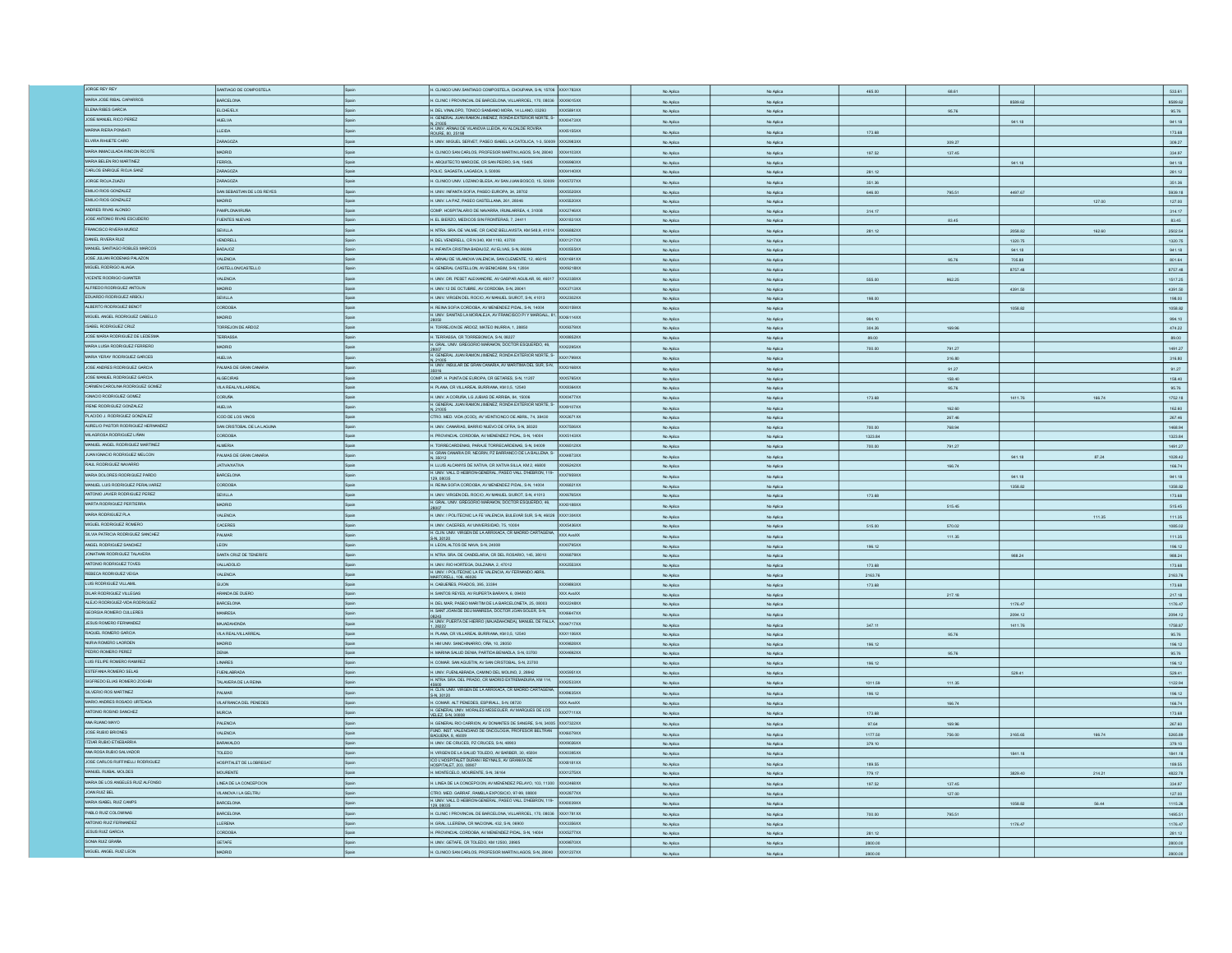| JORGE REY REY                      | SANTIAGO DE COMPOSTELA            |       | H. CLINICO UNIV.SANTIAGO COMPOSTELA, CHOUPANA, S-N, 15706 XXX1783XX                                                            |                  | No Ario                | No Anito               | 465.00            | 68.61  |         |        | 533.61                        |
|------------------------------------|-----------------------------------|-------|--------------------------------------------------------------------------------------------------------------------------------|------------------|------------------------|------------------------|-------------------|--------|---------|--------|-------------------------------|
| MARIA JOSE RIBAL CAPARROS          | BARCELONA                         | Spain | H. CLINIC I PROVINCIAL DE BARCELONA, VILLARROEL, 170, 08036 XXX9015XX                                                          |                  | No Aplic               | No Aplic               |                   |        | 8589.62 |        | 8589.62                       |
| ELENA RIBES GARCIA                 | <b>ELCHE/ELX</b>                  |       | H. DEL VINALOPO, TONICO SANSANO MORA, 14 LLANO, 03293                                                                          | XXX5891XX        | No Aplica              | No Aplica              |                   | 95.76  |         |        | 95.76                         |
| JOSE MANUEL RICO PEREZ             | <b>HUELVA</b>                     |       | H. GENERAL JUAN RAMON JIMENEZ, RONDA EXTERIOR NORTE, S-                                                                        | XXXD473XX        | No Aplica              | No Aplica              |                   |        | 941.18  |        | 941.18                        |
| MARINA RIERA PONSATI               | LLEIDA                            | Spain | N, 21005<br>H. UNIV. ARNAU DE VILANOVA LLEIDA, AV ALCALDE ROVIRA<br>ROURE. 80. 25198                                           | <b>XXX5155XX</b> | No Aplica              | No Aplica              | 173.68            |        |         |        | 173.68                        |
| ELVIRA RIHUETE CARO                | ZARAGOZA                          | Spain | H. UNIV. MIGUEL SERVET, PASEO ISABEL LA CATOLICA, 1-3, 50009 XXX2983XX                                                         |                  | No Aplica              | No Aplica              |                   | 309.27 |         |        |                               |
| MARIA INMACULADA RINCON RICOTE     | MADRID                            | Spain | H. CLINCO SAN CARLOS, PROFESOR MARTIN LAGOS, S-N, 28040 XXX4103XX                                                              |                  |                        |                        |                   |        |         |        | 309.27                        |
| MARIA BELEN RIO MARTINEZ           | <b>FERROL</b>                     |       |                                                                                                                                | XXX6960XX        | No Aplica              | No Aplica              | 197.52            | 137.45 |         |        | 334.97                        |
|                                    |                                   | Spain | H. ARQUITECTO MARCIDE, CR SAN PEDRO, S-N, 15405                                                                                |                  | No Aplica              | No Aplica              |                   |        | 941.18  |        | 941.18                        |
| CARLOS ENRIQUE RIOJA SANZ          | ZARAGOZA                          | Spain | POLIC. SAGASTA, LAGASCA, 3, 50006                                                                                              | XXX4140XX        | No Aplica              | No Aplica              | 281.12            |        |         |        | 281.12                        |
| JORGE RIOJA ZUAZU                  | ZARAGOZA                          | Spain | H. CLINICO UNIV. LOZANO BLESA, AV SAN JUAN BOSCO. 15, 50009 XXXS727XX                                                          |                  | No Aplica              | No Aplica              | 351.36            |        |         |        | 351.36                        |
| EMILIO RIOS GONZALEZ               | SAN SEBASTIAN DE LOS REYES        | Spain | H. UNIV. INFANTA SOFIA, PASEO EUROPA, 34, 28702                                                                                | XXX5520XX        | No Aplica              | No Aplica              | 646.00            | 795.51 | 4497.67 |        | 5939.18                       |
| EMILIO RIOS GONZALEZ               |                                   |       | H. UNIV. LA PAZ, PASEO CASTELLANA, 261, 28046                                                                                  | XX5520XX         | No Aplica              | No Aplica              |                   |        |         | 127.00 | 127.00                        |
| ANDRES RIVAS ALONSO                | PAMPLONA/IRUÑA                    | Spain | COMP. HOSPITALARIO DE NAVARRA, IRUNLARREA, 4, 31008                                                                            | XXX2746XX        | No Aplica              | No Aplica              | 314.17            |        |         |        | 314.17                        |
| JOSE ANTONO RIVAS ESCUDERO         | <b>FUENTES NUEVAS</b>             | Spain | H. EL BIERZO, MEDICOS SIN FRONTERAS, 7, 24411                                                                                  | XXX1831XX        | No Aplica              | No Aplica              |                   | 83.45  |         |        | 83.45                         |
| FRANCISCO RIVERA MUÑOZ             | SEVILLA                           | Spain | H. NTRA. SRA. DE VALME, CR CADIZ BELLAVISTA, KM 548,9, 41014 XXX6882XX                                                         |                  | No Aplica              | No Aplica              | 281.12            |        | 2058.82 | 162.60 | 2502.54                       |
| DANIEL RIVERA RUIZ                 | VENDRELL                          |       | H. DEL VENDRELL, CR N 340, KM 1193, 43700                                                                                      | XXX1217XX        | No Aplica              | No Aplica              |                   |        | 1320.75 |        | 1320.75                       |
| MANUEL SANTIAGO ROBLES MARCOS      | <b>BADAJOZ</b>                    | Spain | H. INFANTA CRISTINA BADAJOZ, AV ELVAS, S-N, 06006                                                                              | XXX0555XX        | No Aplica              | No Aplica              |                   |        | 941.18  |        | 941.18                        |
| JOSE JULIAN RODENAS PALAZON        | VALENCIA                          | Spain | H. ARNAU DE VILANOVA VALENCIA, SAN CLEMENTE, 12, 46015                                                                         | XXX1691XX        | No Aplica              | No Aplica              |                   | 95.76  | 705.88  |        | 801.64                        |
| MIGUEL RODRIGO ALIAGA              | CASTELLONCASTELLO                 | Spain | I. GENERAL CASTELLON, AV BENICASIM, S-N, 12004                                                                                 | OCX9218XX        | No Aplica              | No Aplica              |                   |        | 8757.48 |        | 8757.48                       |
| VICENTE RODRIGO GUIANTER           | VALENCIA                          |       | H. UNIV. DR. PESET ALEIXANDRE, AV GASPAR AGUILAR, 90, 46017                                                                    | <b>XXX2338XX</b> |                        |                        |                   |        |         |        |                               |
| ALFREDO RODRIGUEZ ANTOLIN          | <b>GIRIDA</b>                     |       | H. UNIV.12 DE OCTUBRE, AV CORDOBA, S-N, 28041                                                                                  | XXX3713XX        | No Aplica              | No Aplica              | 555.00            | 962.25 |         |        | 1517.25                       |
| EDUARDO RODRIGUEZ ARBOLI           | SEVILLA                           | Snain |                                                                                                                                | xxx2302XX        | No Aplica              | No Aplica              |                   |        | 4391.50 |        | 4391.50                       |
| ALBERTO RODRIGUEZ BENOT            | CORDOBA                           |       | H. UNIV. VIRGEN DEL ROCIO, AV MANUEL SIUROT, S-N, 41013                                                                        | XXX0159XX        | No Aplica              | No Aplica              | 198.00            |        |         |        | 198.00                        |
|                                    |                                   | Spain | H. REINA SOFIA CORDOBA, AV MENENDEZ PIDAL, S-N, 14004<br>H. UNIV. SANTAS LA MORALEJA, AV FRANCISCO PI Y MARGALL, 81. XXX6114XX |                  | No Ario                | No Aplica              |                   |        | 1058.82 |        | 1058.82                       |
| MIGUEL ANGEL RODRIGUEZ CABELLO     | MADRID                            | Spain |                                                                                                                                |                  | No Aplica              | No Aplica              | 994.10            |        |         |        | 994.10                        |
| ISABEL RODRIGUEZ CRUZ              | TORREJON DE ARDOZ                 |       | H. TORREJON DE ARDOZ, MATEO INURRIA, 1, 28850                                                                                  | OCX9379XX        | No Aplica              | No Aplica              | 304.26            | 169.96 |         |        | 474.22                        |
| JOSE MARIA RODRIGUEZ DE LEDESMA    | TERRASSA                          | Spain | H. TERRASSA, CR TORREBONICA, S-N, 08227                                                                                        | XXXBB52XX        | No Aplica              | No Aplica              | 89.00             |        |         |        | 89.00                         |
| MARIA LUISA RODRIGUEZ FERRERO      | <b>MADRID</b>                     | Spain | H. GRAL. UNV. GREGORIO MARAYON, DOCTOR ESQUERDO, 46.                                                                           | XXX2295XX        | No Aplica              | No Aplica              | 700.00            | 791.27 |         |        | 1491.27                       |
| MARIA YERAY RODRIGUEZ GARCES       | <b>HUELVA</b>                     | Spain | H. GENERAL JUAN RAMON JIMENEZ, RONDA EXTERIOR NORTE, S-                                                                        | XXX1799XX        | No Aplica              | No Aplica              |                   | 316.80 |         |        | 316.80                        |
| JOSE ANDRES RODRIGUEZ GARCIA       | PALMAS DE GRAN CANARIA            | Spain | N, 21005<br>H. UNIV. INSULAR DE GRAN CANARIA, AV MARITIMA DEL SUR, S-N.                                                        | XXX3168XX        | No Aplica              | No Aplica              |                   | 91.27  |         |        | 91.27                         |
| JOSE MANJEL RODRIGUEZ GARCIA       | <b>ALGECIRAS</b>                  | Spain | COMP. H. PUNTA DE EUROPA, CR GETARES, S-N, 11207                                                                               | <b>XXX5765XX</b> | No Aplica              | No Aplica              |                   | 158.40 |         |        | 158.40                        |
| CARMEN CAROLINA RODRIGUEZ GOMEZ    | VILA REAL/VILLARREAL              | Spain | H. PLANA, CR VILLAREAL BURRIANA, KM 0,5, 12540                                                                                 | XXXB364XX        | No Aplica              | No Aplica              |                   | 95.76  |         |        | 95.76                         |
| IGNACIO RODRIGUEZ GOMEZ            | <b>CORUÑA</b>                     |       | H. UNIV. A CORUÑA, LG JUBIAS DE ARRIBA, 84, 15006                                                                              | XXXD477XX        |                        |                        |                   |        | 1411.76 | 166.74 | 1752.18                       |
| IRENE RODRIGUEZ GONZALEZ           | <b>HIFLM</b>                      | Snain | H. GENERAL JUAN RAMON JIMENEZ, RONDA EXTERIOR NORTE, S.                                                                        | XXX9107XX        | No Aplica              | No Aplica              | 173.68            |        |         |        |                               |
| PLACIDO J. RODRIGUEZ GONZALEZ      |                                   |       |                                                                                                                                |                  | No Aplica              | No Aplica              |                   | 162.60 |         |        | 162.60                        |
|                                    | ICOD DE LOS VINOS                 | Spain | CTRO, MED. VIDA (ICOD), AV VEINTICINCO DE ABRIL, 74, 38430                                                                     | XXX2671XX        | No Aplica              | No Aplica              |                   | 267.46 |         |        | 267.46                        |
| AURELIO PASTOR RODRIGUEZ HERNANDEZ | SAN CRISTOBAL DE LA LAGUNA        | Spain | H. UNIV. CANARIAS, BARRIO NUEVO DE OFRA, S-N, 38320                                                                            | XXX7506XX        | No Aplica              | No Aplica              | 700.00            | 768.94 |         |        | 1468.94                       |
| MILAGROSA RODRIGUEZ LIÑAN          | <b>ABOCRD</b>                     |       | H. PROVINCIAL CORDOBA, AV MENENDEZ PIDAL, S-N, 14004                                                                           | XXX5143XX        | No Aplica              | No Aplica              | 1323.84           |        |         |        | 1323.84                       |
| MANUEL ANGEL RODRIGUEZ MARTINEZ    | <b>ALMERIA</b>                    | Spain | H. TORRECARDENAS, PARAJE TORRECARDENAS, S-N, 04009<br>H. GRAN CANARIA DR. NEGRIN, PZ BARRANCO DE LA BALLENA, S-                | XXX6512XX        | No Aplica              | No Aplica              | 700.00            | 791.27 |         |        | 1491.27                       |
| JUAN IGNACIO RODRIGUEZ MELCON      | PALMAS DE GRAN CANARIA            | Spain | N. 35012                                                                                                                       | XXX4R73XX        | No Aplica              | No Aplica              |                   |        | 941.18  | 87.24  | 1028.42                       |
| RAUL RODRIGUEZ NAVA                | <b>ATIVAXATIVA</b>                | Spain | H. LLUIS ALCANYIS DE XATIVA, CR XATIVA SILLA, KM 2, 46800                                                                      | XXX6242XX        | No Aplica              | No Aplica              |                   | 166.74 |         |        | 166.74                        |
| RIA DOLORES RODRIGUEZ PARDO        | ARCELONA                          | Spain | H. UNIV. VALL D HEBRON-GENERAL, PASEO VALL D'HEBRON, 119-<br>129,08035                                                         | XXX7959XX        | No Aplica              | No Aplica              |                   |        | 941.18  |        | 941.18                        |
| MANUEL LUIS RODRIGUEZ PERALVAREZ   | DRDOBA                            | Spain | H. REINA SOFIA CORDOBA, AV MENENDEZ PIDAL, S-N, 14004                                                                          | XXX6821XX        | No Aplica              | No Aplica              |                   |        | 1358.82 |        | 1358.82                       |
| ANTONIO JAVIER RODRIGUEZ PEREZ     | SEVILLA                           | Spain | H. UNIV. VIRGEN DEL ROCIO, AV MANUEL SIUROT, S-N, 41013                                                                        | XXX6765XX        | No Aplica              | No Aplica              | 173.68            |        |         |        | 173.68                        |
| MARTA RODRIGUEZ PERTIERRA          | <b>GIROM</b>                      | Spain | H. GRAL. UNV. GREGORIO MARAWON, DOCTOR ESQUERDO, 46,                                                                           | XXX0188XX        | No Aplica              | No Aplica              |                   | 515.45 |         |        | 515.45                        |
| MARIA RODRIGUEZ PLA                | VALENCIA                          | Spain | H. UNIV. I POLITECNIC LA FE VALENCIA, BULEVAR SUR, S-N, 46026 XXX1304XX                                                        |                  |                        |                        |                   |        |         |        |                               |
| MIGUEL RODRIGUEZ ROMERO            | <b>CACERES</b>                    | Spain | H. UNIV. CACERES, AV UNIVERSIDAD, 75, 10004                                                                                    | XXX5436XX        | No Aplica              | No Aplica              |                   |        |         | 111.35 | 111.35                        |
| SILVIA PATRICIA RODRIGUEZ SANCHEZ  |                                   |       | H. CLIN, UNIV. VIRGEN DE LA ARRIXACA, CR MADRID CARTAGENA.                                                                     |                  | No Aplica              | No Aplica              | 515.00            | 570.02 |         |        | 1085.02                       |
|                                    | PALMAR                            | Scein | S-N. 30120                                                                                                                     | XXX AvaXX        | No Aplica              | No Aplica              |                   | 111.35 |         |        | 111.35                        |
| ANGEL RODRIGUEZ SANCHEZ            | LEON                              | Spain | H. LEON, ALTOS DE NAVA, S-N. 24008                                                                                             | <b>XX20795XX</b> | No Arling              | No Aniec               | 196.12            |        |         |        | 196.12                        |
| JONATHAN RODRIGUEZ TALAVERA        | SANTA CRUZ DE TENERIFE            | Spain | H. NTRA. SRA. DE CANDELARIA, CR. DEL ROSARIO, 145, 38010                                                                       | XXX6879XX        | No Aplica              | No Aplica              |                   |        | 988.24  |        | 988.24                        |
| ANTONIO RODRIGUEZ TOVES            | VALLADOLID                        | Spain | H. UNIV. RIO HORTEGA, DULZAINA, 2, 47012                                                                                       | XXX2553XX        | No Aplica              | No Aplica              | 173.68            |        |         |        | 173.68                        |
| REBECA RODRIGUEZ VEIGA             | <b>VALENCIA</b>                   | Spain |                                                                                                                                |                  |                        |                        |                   |        |         |        |                               |
| LUIS RODRIGUEZ VILLAMI             | <b>MOLID</b>                      |       |                                                                                                                                |                  |                        |                        |                   |        |         |        |                               |
| DILAR RODRIGUEZ VILLEGAS           |                                   | Spain | H. UNIV. I POLITECNIC LA FE VALENCIA, AV FERNANDO ABRIL.<br>MARTORELL. 106. 46026<br>H. CABUEÑES, PRADOS, 395, 33394           | XX20893XX        | No Aplica              | No Aplica              | 2163.76           |        |         |        | 2163.76<br>173.68             |
|                                    |                                   | Spain | H. SANTOS REYES, AV RUPERTA BARAYA, 6, 09400                                                                                   | XXX AvaXX        | No Aplica<br>No Aplica | No Aplica<br>No Aplica | 173.68            | 217.18 |         |        | 217.18                        |
| ALEJO RODRIGUEZ-VIDA RODRIGUEZ     | <b>ANDA DE DUERO</b><br>BARCELONA |       | H. DEL MAR, PASEO MARITIM DE LA BARCELONETA, 25, 08003                                                                         | <b>XXX2248XX</b> | No Aplica              | No Aplica              |                   |        | 1176.47 |        | 1176.47                       |
| GEORGIA ROMERO CULLERES            | MANRESA                           | Spain | H. SANT JOAN DE DEU MANRESA, DOCTOR JOAN SOLER, S-N,                                                                           | XXX6647XX        |                        |                        |                   |        |         |        |                               |
| JESUS ROMERO FERNANDEZ             | MAJADAHONDA                       |       | H. UNIV. PUERTA DE HERRO (MAJADAHONDA), MANUEL DE FALLA,                                                                       | XXX4717XX        | No Aplica              | No Aplica              |                   |        | 2094.12 |        | 2094.12                       |
|                                    |                                   |       |                                                                                                                                |                  | No Aplica              | No Aplica              | 347.11            |        | 1411.76 |        | 1758.87                       |
| RAQUEL ROMERO GARCIA               | VILA REAL/VILLARREAL              | Spain | H. PLANA, CR VILLAREAL BURRIANA, KM 0,5, 12540                                                                                 | XXX1106XX        | No Aplica              | No Aplica              |                   | 95.76  |         |        | 95.76                         |
| NURIA ROMERO LAORDEN               | MADRID                            | Spain | H. HM UNIV. SANCHINARRO, OÑA, 10, 28050                                                                                        | XXX9828XX        | No Aplica              | No Aplica              | 196.12            |        |         |        | 196.12                        |
| PEDRO ROMERO PEREZ                 | <b>DENIA</b>                      |       | H. MARINA SALUD DENIA, PARTIDA BENIADLA, S-N, 03700                                                                            | XXX4692XX        | No Aplica              | No Aplica              |                   | 95.76  |         |        | 95.76                         |
| LUIS FELIPE ROMERO RAMIREZ         | LINARES                           | Spain | H. COMAR. SAN AGUSTIN, AV SAN CRISTOBAL, S-N, 23700                                                                            |                  | No Aplica              | No Aplica              | 196.12            |        |         |        | 196.12                        |
| ESTEFANIA ROMERO SELAS             | <b>FUENLABRADA</b>                | Spain | H. UNIV. FUENLABRADA, CAMINO DEL MOLINO, 2, 28942                                                                              | XXX5951XX        | No Aplica              | No Aplica              |                   |        | 529.41  |        | 529.41                        |
| SIGFREDO ELIAS ROMERO ZOGHB        | TALAVERA DE LA REINA              | Spain | H. NTRA SRA DEL PRADO, CR MADRID EXTREMADURA, KM 114,                                                                          | XXX2533XX        | No Aplica              | No Aplica              | 1011.59           | 111.35 |         |        | 1122.94                       |
| SILVERIO ROS MARTINEZ              | PALMAR                            |       | 45600<br>H. CLIN, UNIV, VIRGEN DE LA ARRIXACA, CR MADRID CARTAGENA<br>S-N, 30120                                               | <b>OCX9635XX</b> | No Aplica              | No Aplica              | 196.12            |        |         |        | 196.12                        |
| MARIO ANDRES ROSADO URTEAGA        | VILAFRANCA DEL PENEDES            | Spain | H. COMAR. ALT PENEDES, ESPIRALL, S-N, 08720                                                                                    | XXX AvaXX        | No Aplica              | No Aplica              |                   | 166.74 |         |        | 166.74                        |
| ANTONIO ROSINO SANCHEZ             | <b>IURCIA</b>                     |       | RAL UNIV. MORALES MESEGUER, AV MARQUES DE LOS                                                                                  | x x 7711         | No Aplica              | No Aplica              | 173.68            |        |         |        | 173.68                        |
| ANA RUANO MAYO                     | PALENCIA                          |       | H. GENERAL UNIV. MA<br>H. GENERAL RIO CARRION, AV DONANTES DE SANGRE, S-N, 34005 XXX7322XX                                     |                  |                        |                        | 97.64             |        |         |        | 267.60                        |
| <b>JOSE RUBIO BRIONES</b>          |                                   |       | FUND. INST. VALENCIANO DE ONCOLOGIA, PROFESOR BELTRAN                                                                          |                  | No Aplica              | No Aplica              |                   | 169.96 |         |        |                               |
| ITZIAR RUBIO ETXEBARRIA            | VALENCIA                          |       | BAGUENA, 8, 46009                                                                                                              | XX6079XX         | No Aplica              | No Aplica              | 1177.50           | 756.00 | 3165.65 | 166.74 | 5265.89                       |
|                                    | <b>ARAKALDO</b>                   |       | H. UNIV. DE CRUCES, PZ CRUCES, S-N, 48903                                                                                      | OCX9026XX        | No Aplica              | No Aplica              | 379.10            |        |         |        | 379.10                        |
| ANA ROSA RUBIO SALVADOR            | TOLEDO                            | Spain | H. VIRGEN DE LA SALUD TOLEDO, AV BARBER, 30, 45004<br>ICO L'HOSPITALET DURAN I REYNALS, AV GRANVIA DE                          | XXX0395XX        | No Aplica              | No Aplica              |                   |        | 1841.18 |        |                               |
| JOSE CARLOS RUFFINELLI RODRIGUEZ   | HOSPITALET DE LLOBREGAT           | Spain | HOSPITALET. 203. 08907                                                                                                         | <b>XXX8181XX</b> | No Aplica              | No Aplica              | 189.55            |        |         |        | 189.55                        |
| MANUEL RUIBAL MOLDES               | <b>MOURENTE</b>                   | Spain | H. MONTECELO, MOURENTE, S-N, 36164                                                                                             | XXX1275XX        | No Aplica              | No Aplica              | 779.17            |        | 3829.40 | 214.21 |                               |
| MARIA DE LOS ANGELES RUIZ ALFONSO  | LINEA DE LA CONCEPCION            | Spain | H. LINEA DE LA CONCEPCION, AV MENENDEZ PELAYO, 103, 11300 XXX2468XX                                                            |                  | No Aplica              | No Aplica              | 197.52            | 137.45 |         |        | 334.97                        |
| JOAN RUIZ BEL                      | VILANOVA I LA GELTRU              | Spain | CTRO, MED. GARRAF, RAMBLA EXPOSICIO, 97-99, 08800                                                                              | XXX2877XX        | No Aplica              | No Aplica              |                   | 127.00 |         |        | 127.00                        |
| MARIA ISABEL RUIZ CAMPS            | BARCELONA                         | Spain |                                                                                                                                | XXXD039XX        | No Aplica              | No Aplica              |                   |        | 1058.82 | 56.44  | 1115.26                       |
| PABLO RUIZ COLOMNAS                | BARCELONA                         | Spain | H. UNIV. VALL D HEBRON-GENERAL, PASEO VALL D'HEBRON, 119-<br>H. CLINC I PROVINCIAL DE BARCELONA, VILLARROEL, 170, 08036        | XXX1781XX        | No Aplica              | No Aplica              | 700.00            | 795.51 |         |        | 1495.51                       |
| ANTONIO RUIZ FERNANDEZ             | LLERENA                           | Spain | H. GRAL. LLERENA, CR NACIONAL 432, S-N, 06900                                                                                  | XXX3356XX        | No Aplica              | No Aplica              |                   |        | 1176.47 |        | 1841.18<br>4822.78<br>1176.47 |
| JESUS RUIZ GARCIA                  | CORDOBA                           | Spain | H. PROVINCIAL CORDOBA, AV MENENDEZ PIDAL, S-N, 14004                                                                           | <b>XXX5277XX</b> |                        |                        |                   |        |         |        |                               |
| SONIA RUIZ GRAÑA                   | GETAFE                            |       | I. UNIV. GETAFE, CR TOLEDO, KM 12500, 28905                                                                                    | XXX9870XX        | No Aplica              | No Aplica              | 281.12<br>2800.00 |        |         |        | 281.12<br>2800.00             |
| MIGUEL ANGEL RUIZ LEON             | <b>ADRID</b>                      |       | H. CLINICO SAN CARLOS, PROFESOR MARTIN LAGOS, S-N, 28040 XXX1237XX                                                             |                  | No Aplica<br>No Aplica | No Aplica<br>No Aplica | 2800.00           |        |         |        | 2800.00                       |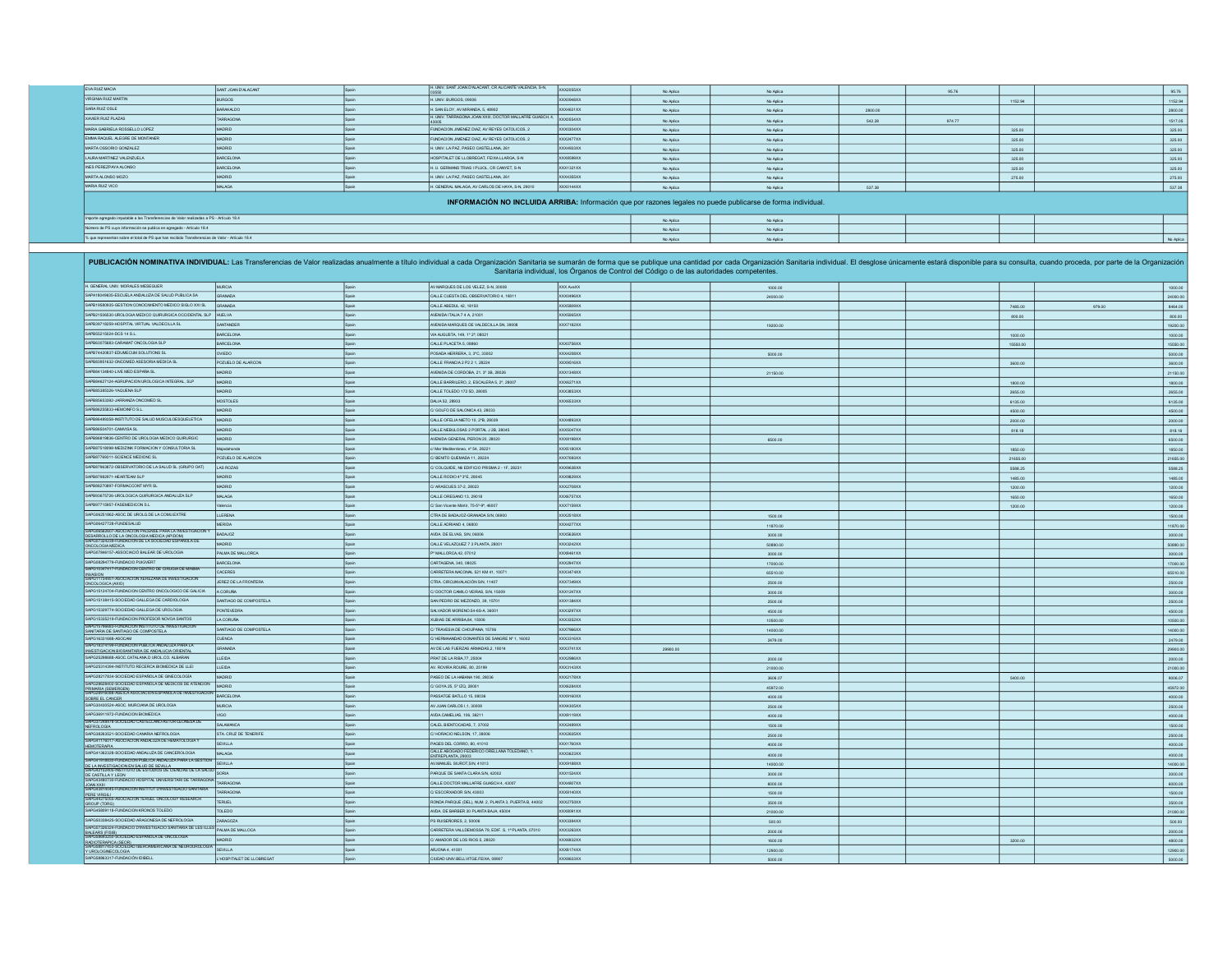| SANT JOAN D'ALACANT | Spain                                                                                                                                                                                                                                                               |                                                  | XXX2055XX                                                | No Aplica                                                                                                                                                                               | No Aplica |                                                                                                              | 95.76                  |         | 95.76     |
|---------------------|---------------------------------------------------------------------------------------------------------------------------------------------------------------------------------------------------------------------------------------------------------------------|--------------------------------------------------|----------------------------------------------------------|-----------------------------------------------------------------------------------------------------------------------------------------------------------------------------------------|-----------|--------------------------------------------------------------------------------------------------------------|------------------------|---------|-----------|
| <b>BURGOS</b>       |                                                                                                                                                                                                                                                                     | H. UNIV. BURGOS, 09006                           |                                                          | No Aplica                                                                                                                                                                               | No Aplica |                                                                                                              |                        | 1152.94 | 1152.94   |
| BARAKALDO           |                                                                                                                                                                                                                                                                     | H. SAN ELOY, AV MIRANDA, 5, 48902                |                                                          | No Aplica                                                                                                                                                                               | No Aplica | 2800.00                                                                                                      |                        |         | 2800.00   |
| TARRAGONA           |                                                                                                                                                                                                                                                                     |                                                  |                                                          | No Aplica                                                                                                                                                                               | No Aplica | 542.28                                                                                                       | 974.77                 |         | 1517.05   |
| MADRID              |                                                                                                                                                                                                                                                                     | FUNDACION JIMENEZ DIAZ. AV REYES CATOLICOS. 2    |                                                          | No Aplica                                                                                                                                                                               | No Aplica |                                                                                                              |                        | 325.00  | 325.00    |
| MADRID              |                                                                                                                                                                                                                                                                     | FUNDACION JIMENEZ DIAZ. AV REYES CATOLICOS. 2    |                                                          | No Aplica                                                                                                                                                                               | No Aplica |                                                                                                              |                        | 325.00  | 325.00    |
| MADRID              |                                                                                                                                                                                                                                                                     | H. UNIV. LA PAZ. PASEO CASTELLANA, 261           |                                                          | No Aplica                                                                                                                                                                               | No Aplica |                                                                                                              |                        | 325.00  | 325.00    |
| BARCELONA           |                                                                                                                                                                                                                                                                     | HOSPITALET DE LLOBREGAT, FEIXA LLARGA, S-N       |                                                          | No Aplica                                                                                                                                                                               | No Aplica |                                                                                                              |                        | 325.00  | 325.00    |
| BARCELONA           |                                                                                                                                                                                                                                                                     | H. U. GERMANS TRIAS I PUJOL. CR CANYET. S-N      |                                                          | No Aplica                                                                                                                                                                               | No Aplica |                                                                                                              |                        | 325.00  | 325.00    |
| MADRID              |                                                                                                                                                                                                                                                                     | H. UNIV. LA PAZ. PASEO CASTELLANA, 261           |                                                          | No Aplica                                                                                                                                                                               | No Aplica |                                                                                                              |                        | 275.00  | 275.00    |
| MALAGA              | Spain                                                                                                                                                                                                                                                               | H. GENERAL MALAGA, AV CARLOS DE HAYA, S-N, 29010 |                                                          | No Aplica                                                                                                                                                                               | No Aplica | 537.38                                                                                                       |                        |         | 537.38    |
|                     |                                                                                                                                                                                                                                                                     |                                                  |                                                          |                                                                                                                                                                                         |           |                                                                                                              |                        |         |           |
|                     |                                                                                                                                                                                                                                                                     |                                                  |                                                          | No Aplica                                                                                                                                                                               | No Aplica |                                                                                                              |                        |         |           |
|                     |                                                                                                                                                                                                                                                                     |                                                  |                                                          | No Aplica                                                                                                                                                                               | No Aplica |                                                                                                              |                        |         |           |
|                     |                                                                                                                                                                                                                                                                     |                                                  |                                                          |                                                                                                                                                                                         |           |                                                                                                              |                        |         | No Aplica |
|                     | Importe agregado imputable a las Transferencias de Valor realizadas a PS - Artículo 18.4<br>Número de PS cuya información se publica en agregado - Artículo 18.4<br>% que representan sobre el total de PS que han recibido Transferencias de Valor - Artículo 18.4 |                                                  | H. UNIV. SANT JOAN D'ALACANT. CR ALICANTE VALENCIA. S-N. | XXX0948XX<br>XXX4631XX<br>H. UNV. TARRAGONA JOAN XXIII, DOCTOR MALLAFRE GUASCH, 4. XXX0554XX<br>XXX0304XX<br>XXX2477XX<br>XXX4933XX<br>XXX8599XX<br>XXX1321XX<br>XXX4355XX<br>XXX0144XX |           | INFORMACIÓN NO INCLUIDA ARRIBA: Información que por razones legales no puede publicarse de forma individual. | No Aplica<br>No Aplica |         |           |

PUBLICACION NOMINATIVA INDIVIDUAL: Las Transferencias de Valor realizadas anualmente a título individual a cada Organización Sanitaria individual, los Órganos de Control del Código o de las autoridades competentes.<br>Sanitar

| H. GENERAL UNIV. MORALES MESEGUER                                                                                    | <b>MURCIA</b>             |       | AV MARQUES DE LOS VELEZ, S-N, 30008                                | XXX AvaXX        |          | 1000.00  |  |                |        | 1000.00  |
|----------------------------------------------------------------------------------------------------------------------|---------------------------|-------|--------------------------------------------------------------------|------------------|----------|----------|--|----------------|--------|----------|
| SAPA18049635-ESCUELA ANDALUZA DE SALUD PUBLICA SA                                                                    | GRANADA                   |       | CALLE CUESTA DEL OBSERVATORIO 4, 18011                             | <b>XXX0495XX</b> |          | 24000.00 |  |                |        | 24000.00 |
| SAPB19580935-GESTION CONDCIMIENTO MEDICO SIGLO XXI SL                                                                | <b>GRANADA</b>            |       | CALLE ABEDUL 42, 18150                                             | XXX5809XX        |          |          |  | 7485.00        | 979.00 | 8464.00  |
| SAPB21506530-UROLOGIA MEDICO QUIRURGICA OCCIDENTAL SLP HUELVA                                                        |                           |       | AVENIDA ITALIA 7 4 A, 21001                                        | XXX5065XX        |          |          |  | 800.00         |        | 800.00   |
| SAPB39718259-HOSPITAL VIRTUAL VALDECILLA SL                                                                          | <b>SANTANDER</b>          |       | AVENIDA MARQUES DE VALDECILLA SN. 39008                            | XXX7182XX        |          | 19200.00 |  |                |        | 19200.00 |
| SAPB55215024-DCS 14 S.L.                                                                                             | BARCELONA                 |       | VIA AUGUSTA, 149, 1º 2º, 08021                                     |                  |          |          |  | 1000.00        |        | 1000.00  |
| SAPB63075683-CARAMAT ONCOLOGIA SLP                                                                                   | <b>BARCELONA</b>          | Spain | CALLE PLACETA 5, 08860                                             | XXX0756XX        |          |          |  | 15550.00       |        | 15550.00 |
| SAPB74420837-EDUMECUM SOLUTIONS SL                                                                                   | OUBLO                     |       | POSADA HERRERA, 3, 3°C, 33002                                      | XXX4208XX        |          | 5000.00  |  |                |        | 5000.00  |
| SAPB83951632-ONCOMED ASESORIA MEDICA SL                                                                              | POZUELO DE ALARCON        |       | CALLE FRANCIA 2 P2 2 1, 28224                                      | XXX9516XX        |          |          |  | 3600.00        |        | 3600.00  |
| SAPB84134840-LIVE MED ESPAÑA SL                                                                                      | MADRID                    |       | AVENIDA DE CORDOBA, 21. 3° 38, 28026                               | XXX1348XX        |          |          |  |                |        | 21150.00 |
| SAPB84627124-AGRUPACION UROLOGICA INTEGRAL, SLP                                                                      | <b>MADRID</b>             |       |                                                                    | XXX6271XX        |          | 21150.00 |  |                |        |          |
| SAPB85385326-YAQUENA SLP                                                                                             |                           |       | CALLE BARRILERO, 2, ESCALERA 5, 2°, 28007                          |                  |          |          |  | 1800.00        |        | 1800.00  |
| SAPB85653392-JARRANZA ONCOMED SL                                                                                     | MADRID<br>MOSTOLES.       |       | CALLE TOLEDO 172 5D, 28005                                         | XXX3853XX        |          |          |  | 2655.00        |        | 2655.00  |
| SAPB86255833-HEMOINFO S.L.                                                                                           |                           | Spain | DALIA 52, 28933                                                    | XXX6533XX        |          |          |  | 6135.00        |        | 6135.00  |
|                                                                                                                      | <b>MADRID</b>             |       | C/ GOLFO DE SALONICA 43, 28033                                     |                  |          |          |  | 4500.00        |        | 4500.00  |
| SAPB86489358-INSTITUTO DE SALUD MUSCULOESQUELETICA                                                                   | MADRID                    | Snain | CALLE OFELIA NETO 10, 2ºB, 28039                                   | <b>XXX4RQ3XX</b> |          |          |  | 2000.00        |        | 2000.00  |
| SAPB86504701-CAMVISA SL                                                                                              | MADRID:                   | Snain | CALLE NEBULOSAS 2 PORTAL J 2B, 28045                               | <b>XXX5047XX</b> |          |          |  | 818.18         |        | 818.18   |
| SAPB86819836-CENTRO DE UROLOGIA MEDICO QUIRURGIC                                                                     | MADRID.                   |       | AVENIDA GENERAL PERON 20, 28020                                    | XXXR19RXX        |          | 6500.00  |  |                |        | 6500.00  |
| SAPB87518098-MEDIZINK FORMACION Y CONSULTORIA SL                                                                     | Maladahonda               |       | o/ Mar Mediterráneo, nº 54, 28221                                  | <b>XXX5180XX</b> |          |          |  | 1850.00        |        | 1850.00  |
| SAPB87769311-SCIENCE MEDIONC SL                                                                                      | POZUELO DE ALARCON        |       | C/ BENITO QUEMADA 11, 28224                                        | <b>XXX7693XX</b> |          |          |  | 21655.00       |        | 21655.00 |
| SAPB87963872-OBSERVATORIO DE LA SALUD SL (GRUPO OAT)                                                                 | LAS ROZAS                 |       | C/COLQUIDE, N6 EDIFICIO PRISMA 2 - 1F, 28231                       | XXX9638XX        |          |          |  | <b>5588.25</b> |        | 5588.25  |
| SAPB87982971-HEARTEAM SLP                                                                                            | <b>MADRID</b>             |       | CALLE RODIO 4° 3°E. 28045                                          | XXX9829XX        |          |          |  | 1485.00        |        | 1485.00  |
| SAPB88270897-FORMACCONT MYR SL                                                                                       | <b>MADRID</b>             |       | C/ ARASCUES 37-2, 28023                                            | XXX2708XX        |          |          |  | 1200.00        |        | 1200.00  |
| SAPB93675726-UROLOGICA QUIRURGICA ANDALUZA SLP                                                                       | MALAGA                    |       | CALLE OREGANO 13, 29018                                            | XXX6757XX        |          |          |  | 1650.00        |        | 1650.00  |
| SAPB97715957-FASEMEDICON S.L.                                                                                        | Valencia                  | Spain | C/ San Vicente Mártir, 75-5°-9", 46007                             | XXX7159XX        |          |          |  | 1200.00        |        | 1200.00  |
| SAPG06251862-ASOC.DE UROLG.DE LA COMU EXTRE                                                                          | LLERENA                   |       | CTRA DE BADAJOZ-GRANADA S/N, 06900                                 | XXX2518XX        |          | 1500.00  |  |                |        | 1500.00  |
| SAPG06427728-FUNDESALUD                                                                                              | <b>MERIDA</b>             | Spain | CALLE ADRIANO 4, 06800                                             | XXX4277XX        |          | 11870.00 |  |                |        | 11870.00 |
| SAPG06562607-ASOCIACION PACENSE PARA LA INVESTIGACION                                                                | BADAJOZ                   |       | AVDA, DE ELVAS, S/N, 06006                                         | XXX5626XX        |          | 3000.00  |  |                |        | 3000.00  |
| DESARROLLO DE LA ONCOLOGIA MEDICA (APIDOM)<br>SAPG07324239-FUNDACION DE LA SOCIEDAD ESPANOLA DE<br>ONCOLOGIA MEDICA  | MADRID                    |       | CALLE VELAZQUEZ 7 3 PLANTA, 28001                                  | XXX3242XX        |          | 50890.00 |  |                |        | 50890.00 |
| SAPG07846157-ASSOCIACIÓ BALEAR DE UROLOGIA                                                                           | PALMA DE MALLORCA         | Snain | P° MALLORCA 42, 07012                                              | XXX8461XX        |          | 3000.00  |  |                |        | 3000.00  |
| SAPG08294779-FUNDACIO PUIGVERT                                                                                       | <b>BARCELONA</b>          |       | CARTAGENA, 340, 08025                                              | XXX2947XX        |          | 17000.00 |  |                |        | 17000.00 |
| SAPG10347417-FUNDACION CENTRO DE CIRUGIA DE MINIMA                                                                   | CACERES                   |       | CARRETERA NACONAL 521 KM 41, 10071                                 | XXX3474XX        |          | 65510.00 |  |                |        | 65510.00 |
| INVASION<br>SAPG11734951-ASOCIACION XEREZANA DE INVESTIGACION                                                        | JEREZ DE LA FRONTERA      | Snain | CTRA, CIRCI MANI ACIÓN S/N, 11407.                                 | XXX7349XX        |          | 2500.00  |  |                |        | 2500.00  |
| ONCOLOGICA (AXIO)<br>SAPG15124704-FUNDACION CENTRO ONCOLOGICO DE GALICIA                                             | A CORLIÑA                 |       | C/ DOCTOR CAMILO VEIRAS, S/N, 15009                                | XXX1247XX        |          | 3000.00  |  |                |        | 3000.00  |
| SAPG15138415-SOCIEDAD GALLEGA DE CARDIOLOGIA                                                                         | SANTIAGO DE COMPOSTELA    |       | SAN PEDRO DE MEZONZO 39 15701                                      | XXX13R4XX        |          | 2500.00  |  |                |        | 2500.00  |
| SAPG15329774-SOCIEDAD GALLEGA DE UROLOGIA                                                                            | <b>PONTEVEDRA</b>         |       | SALVADOR MORENO.54-6S-A, 36001                                     | XXX3297XX        |          | 4500.00  |  |                |        | 4500.00  |
| SAPG15335219-FUNDACION PROFESOR NOVOA SANTOS                                                                         | LA CORLIÑA                |       | XLRIAS DE ARRIBA SA 15006                                          | <b>XXX3352XX</b> |          | 10500.00 |  |                |        | 10500.00 |
| SAPG15796683-FUNDACION INSTITUTO DE INVESTIGACION<br>SANITARIA DE SANTIAGO DE COMPOSTELA                             | SANTIAGO DE COMPOSTELA    | Snain | C/ TRAVESIA DE CHOUPANA 15706                                      | XXX7966XX        |          |          |  |                |        |          |
| SAPG16331688-ASOCAM                                                                                                  | <b>CUENCA</b>             |       | C/ HERMAANDAD DONANTES DE SANGRE Nº 1, 16002                       | XXX3316XX        |          | 14000.00 |  |                |        | 14000.00 |
| SAPG18374199-FUNDACION PUBLICA ANDALUZA PARA LA<br>INVESTIGACION BIOSANITARIA DE ANDALUCIA ORIENTAL                  |                           |       |                                                                    |                  |          | 2479.00  |  |                |        | 2479.00  |
| SAPG25298688-ASOC.CATALANA.D UROL.CO. ALBARAN                                                                        | <b>GRANADA</b>            |       | AV DE LAS FUERZAS ARMADAS 2, 18014                                 | XXX3741XX        | 29900.00 |          |  |                |        | 29900.00 |
|                                                                                                                      | LLEIDA                    |       | PRAT DE LA RIBA, 77, 25004                                         | XXX2986XX        |          | 2000.00  |  |                |        | 2000.00  |
| SAPG25314394-INSTITUTO RECERCA BIOMEDICA DE LLEI<br>SAPG28217834-SOCIEDAD ESPAÑOLA DE GINECOLOGÍA                    | LLEIDA                    |       | AV. ROVIRA ROURE, 80, 25199                                        | XXX3143XX        |          | 21000.00 |  |                |        | 21000.00 |
| SAPG28628402-SOCIEDAD ESPAÑOLA DE MEDICOS DE ATENCION                                                                | <b>MADRID</b>             |       | PASEO DE LA HABANA 190, 28036                                      | XXX2178XX        |          | 3606.07  |  | 5400.00        |        | 9006.07  |
| PRIMARIA (SEMERGEN)<br>SAPG28916088-ASEICA ASOCIACION ESPANOLA DE INVESTIGACION                                      | <b>MADRID</b>             |       | C/ GOYA 25, 5° IZQ, 28001                                          | XXX6284XX        |          | 45972.00 |  |                |        | 45972.00 |
| SOBRE EL CANCER                                                                                                      | <b>BARCELONA</b>          |       | PASSATGE BATLLO 15, 08036                                          | XXX9160XX        |          | 4000.00  |  |                |        | 4000.00  |
| SAPG30430524-ASOC, MURCIANA DE UROLOGIA                                                                              | <b>MURCIA</b>             | Spain | AV JUAN CARLOS I.1, 30008                                          | <b>XXX4305XX</b> |          | 2500.00  |  |                |        | 2500.00  |
| SAPG36911972-FUNDACION BIOMEDICA<br>SAPG37248978-SOCIEDAD CASTELLANO-ASTUR-LEONESA DE                                | 0.001                     |       | AVDA CAMELIAS, 106, 36211                                          | XXX9119XX        |          | 4000.00  |  |                |        | 4000.00  |
| NEFROLOGIA                                                                                                           | SALAMANCA                 |       | CALEL BIENTOCADAS, 7, 37002                                        | XXX2489XX        |          | 1500.00  |  |                |        | 1500.00  |
| SAPG38263521-SOCIEDAD CANARIA NEFROLOGIA                                                                             | STA, CRUZ DE TENERIFE     | Donin | C/HORACIO NELSON, 17, 38006                                        | <b>XXX2635XX</b> |          | 2500.00  |  |                |        | 2500.00  |
| SAPG41176017-ASOCIACION ANDALUZA DE HEMATOLOGIA<br><b>HEMOTERAPIA</b>                                                | <b>SEVILLA</b>            | Snain | PAGES DEL CORRO, 80, 41010                                         | XXX1760XX        |          | 4000.00  |  |                |        | 4000.00  |
| SAPG41362328-SOCIEDAD ANDALUZA DE CANCEROLOGIA                                                                       | MALAGA                    |       | CALLE ABOGADO FEDERICO ORELLANA TOLEDANO, 1.<br>ENTREPLANTA, 29003 | XXX3623XX        |          | 4000.00  |  |                |        | 4000.00  |
| SAPG41918830-FUNDACION PUBLICA ANDALUZA PARA LA GESTION                                                              | SEVILLA                   |       | AV.MANUEL SIUROT, S/N, 41013                                       | XXX9188XX        |          | 14000.00 |  |                |        | 14000.00 |
| DE LA INVESTIGACIÓN EN SALUD DE SEVILLA<br>SAPG42152405-INSTITUTO DE ESTUDIOS DE CIENCIAS DE LA SALUI                | SORIA                     |       | PARQUE DE SANTA CLARA S/N, 42002                                   | XXX1524XX        |          | 3000.00  |  |                |        | 3000.00  |
| DE CASTILLA Y LEON<br>SAPG43480730-FUNDACIO HOSPITAL UNIVERSITARI DE TARRAGO                                         | TARRAGONA                 |       | CALLE DOCTOR MALLAFRE GUASCH 4, 43007                              | XXX4807XX        |          | 6000.00  |  |                |        | 6000.00  |
| JOAN XXIII<br>SAPG43814045-FUNDACION INSTITUT D'INVESTIGACIO SANITARIA                                               | TARRAGONA                 |       | C/ESCORXADOR S/N, 43003                                            | XXXB140XX        |          | 1500.00  |  |                |        | 1500.00  |
| PERE VIRGILI<br>SAPG44275055-ASOCIACION TERLEL ONCOLOGY RESEARCH<br>GROUP (TORG)                                     | <b>TERUEL</b>             |       | RONDA PARQUE (DEL), NUM. 2, PLANTA 3, PUERTA B, 44002              | XXX2750XX        |          | 3500.00  |  |                |        | 3500.00  |
| SAPG45809118-FUNDACION KRONOS TOLEDO                                                                                 | TOLEDO                    |       | AVDA DE BARBER 30 PLANTA BAJA, 45004                               | XXX8091XX        |          | 21000.00 |  |                |        | 21000.00 |
| SAPG50338425-SOCIEDAD ARAGONESA DE NEFROLOGIA                                                                        | ZARAGOZA                  | Snain | PS RUISEÑORES, 2, 50006                                            | XXX3384XX        |          | 500.00   |  |                |        | 500.00   |
| SAPG57326324-FUNDACIO D'INVESTIGACIO SANTARIA DE LES ILLES PALMA DE MALLOCA                                          |                           | Snain | CARRETERA VALLDEMOSSA 79, EDIF, S. 1º PLANTA, 07010                | <b>XXX3263XX</b> |          | 2000.00  |  |                |        | 2000.00  |
| BALEARS (FISIB)<br>SAALEARS (FISIB)<br>APOIOTERAPICA (SECR)<br>SAPOIS817453-SOCIEDAD IBERONMERICANA DE NEUROUROLOGIA | <b>CIRCAM</b>             |       | C/ AMADOR DE LOS RIOS 5, 28020                                     | XXX6932XX        |          | 1600.00  |  | 3200.00        |        | 4800.00  |
|                                                                                                                      | <b>SEVILLA</b>            |       | ARJONA 4, 41001                                                    | <b>XXX8174XX</b> |          | 12900.00 |  |                |        | 12900.00 |
| Y UROLOGINECOLOGIA<br>SAPG58863317-FUNDACIÓN IDIBELL                                                                 | L'HOSPITALET DE LLOBREGAT |       | CIUDAD UNIV.BELLVITGE.FEIXA, 08907                                 | XXXB633XX        |          | 5000.00  |  |                |        | 5000.00  |
|                                                                                                                      |                           |       |                                                                    |                  |          |          |  |                |        |          |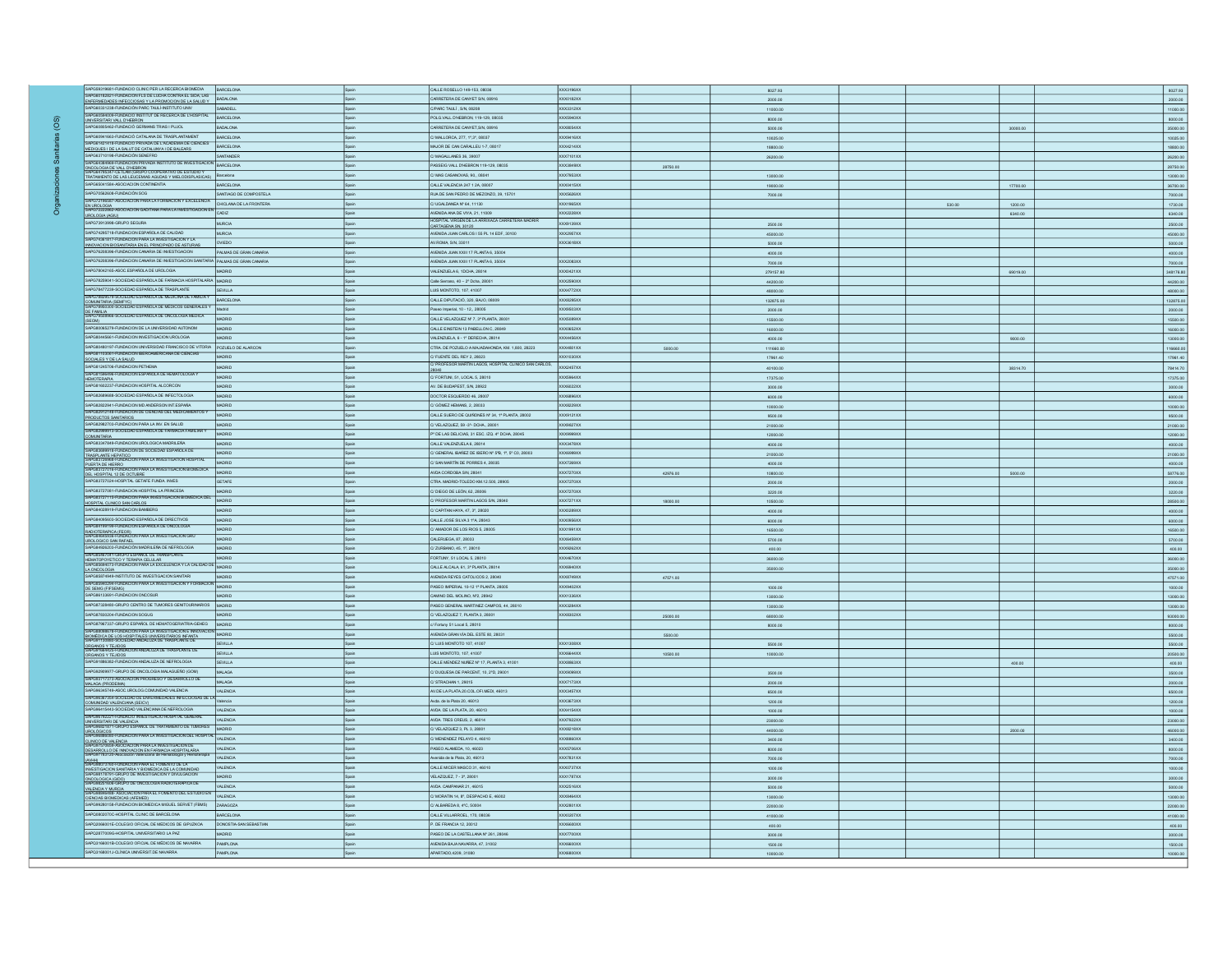| SAPG59319681-FUNDACIO CLINIC PER LA RECERCA BIOMEDIA                                                                                                                                                                         | BARCELONA              |              | CALLE ROSELLO 149-153, 08036                                                         | XXX3196XX        |          | 8027.93   |        |          | 8027.93             |
|------------------------------------------------------------------------------------------------------------------------------------------------------------------------------------------------------------------------------|------------------------|--------------|--------------------------------------------------------------------------------------|------------------|----------|-----------|--------|----------|---------------------|
| SAPGE0182821-FUNDACION FLS DE LUCHA CONTRA EL SIDA LAS<br>ENFERMEDADES INFECCIOSAS Y LA PROMOCION DE LA SALUD Y BADALONA                                                                                                     |                        |              | CARRETERA DE CANYET S/N, 08916                                                       | XXX0182XX        |          | 2000.00   |        |          | 2000.00             |
| SAPG60331238-FUNDACIÓN PARC TAULÍ-INSTITUTO UNIV                                                                                                                                                                             | SABADELL               | Spain        | C/PARC TAULI, S/N, 08208                                                             | XXX3312XX        |          | 1000.00   |        |          | 11000.00            |
| SAPG60594009-FUNDACIO INSTITUT DE RECERCA DE L'HOSPITAL BARCELONA<br>UNVERSITARI VALL D'HEBRON                                                                                                                               |                        | Spain        | POLG.VALL D'HEBRON, 119-129, 08035                                                   | XXX5940XX        |          | 8000.00   |        |          | 8000.00             |
| SAPG60805462-FUNDACIÓ GERMANS TRIAS I PUJOL                                                                                                                                                                                  | BADALONA               |              | CARRETERA DE CANYET, S/N, 08916                                                      | XXX8054XX        |          | 5000.00   |        | 30000.00 | 35000.00            |
| SAPG60941663-FUNDACIÓ CATALANA DE TRASPLANTAMENT                                                                                                                                                                             | BARCELONA              | Spain        | C/ MALLORCA, 277, 1º,3º, 08037                                                       | XXX9416XX        |          | 10025.00  |        |          | 10025.00            |
| SAPG61421418-FUNDACIO PRIVADA DE L'ACADEMIA DE CIENCIES BARCELONA                                                                                                                                                            |                        |              | MAJOR DE CAN CARALLEU 1-7, 08017                                                     | XXX4214XX        |          | 18800.00  |        |          | 18800.00            |
| SAPG63710198-FUNDACIÓN SENEFRO                                                                                                                                                                                               | SANTANDER              |              | C/ MAGALLANES 36, 39007                                                              | XXX7101XX        |          | 26200.00  |        |          | 26200.00            |
| SAPG64384969-FUNDACION PRIVADA INSTITUTO DE INVESTIGACION BARCELONA                                                                                                                                                          |                        | Spain        | PASSEIG VALL D'HEBRON 119-129, 08035                                                 | XXX3849XX        |          |           |        |          |                     |
| ONCOLOGIA DE VALL D'HEBRON<br>SAPG64795347-CETLAM (GRUPO COOPERATIVO DE ESTUDIO Y<br>TRATAMIENTO DE LAS LEUCEMIAS AGUDAS Y MELODISPLASICAS)                                                                                  | Barcelona              | Spain        | C/ MAS CASANOVAS, 90., 08041                                                         | XXX7953XX        | 28750.00 |           |        |          | 28750.00            |
| SAPG65041584-ASOCIACION CONTINENTIA                                                                                                                                                                                          |                        |              |                                                                                      |                  |          | 13000.00  |        |          | 13000.00            |
|                                                                                                                                                                                                                              | BARCELONA              | Spain        | CALLE VALENCIA 247 1 2A, 08007                                                       | XXX0415XX        |          | 19000.00  |        | 17700.00 | 36700.00            |
| SAPG70562608-FUNDACIÓN SOG<br>SAPOTE 196587-ASOCIACION PARA LA FORMACION Y EXCELENCIA CHICLANA DE LA FRONTERA                                                                                                                | SANTIAGO DE COMPOSTELA | Spain        | RUA DE SAN PEDRO DE MEZONZO, 39, 15701                                               | XXX5626XX        |          | 7000.00   |        |          | 7000.00             |
| EN UROLOGIA<br>EN UROLOGIA<br>SAPG72222862-ASOCIACION GADITANA PARA LA INVESTIGACION EN CADIZ                                                                                                                                |                        | Spain        | C/UGALDANEA Nº 64, 11130                                                             | XXX1965XX        |          |           | 530.00 | 1200.00  | 1730.00             |
| UROLOGIA (AGIU)                                                                                                                                                                                                              |                        |              | AVENIDA ANA DE VIYA, 21, 11009                                                       | XXX2228XX        |          |           |        | 6340.00  | 6340.00             |
| SAPG73913998-GRUPO SEGURA                                                                                                                                                                                                    | <b>MURCIA</b>          | Spain        | HOSPITAL VIRGEN DE LA ARRIXACA CARRETERA MADRIR<br>CARTAGENA SN, 30120               | <b>XXX9139XX</b> |          | 2500.00   |        |          | 2500.00             |
| SAPG74295718-FUNDACION ESPAÑOLA DE CALIDAD                                                                                                                                                                                   | <b>MURCIA</b>          | Spain        | AVENIDA JUAN CARLOS I 55 PL 14 EDF, 30100                                            | <b>XXX2957XX</b> |          | 45000.00  |        |          | 45000.00            |
| SAPG74361817-FUNDACION PARA LA INVESTIGACION Y LA<br>INNOVACION BIOSANITARIA EN EL PRINCIPADO DE ASTURIAS                                                                                                                    | OVIEDO                 | Spain        | AV.ROMA, S/N, 33011                                                                  | XXX3618XX        |          | 5000.00   |        |          | 5000.00             |
| SAPG76208396-FUNDACION CANARIA DE INVESTIGACION                                                                                                                                                                              | PALMAS DE GRAN CANARIA | Spain        | AVENIDA JUAN XXIII 17 PLANTA 6, 35004                                                |                  |          | 4000.00   |        |          | 4000.00             |
| SAPG76208395-FUNDACION CANARIA DE INVESTIGACION SANITARIA PALMAS DE GRAN CANARIA                                                                                                                                             |                        | Spain        | AVENIDA JUAN XXIII 17 PLANTA 6, 35004                                                | <b>XXX2083XX</b> |          | 7000.00   |        |          | 7000.00             |
| SAPG78042165-ASOC ESPAÑOLA DE UROLOGIA                                                                                                                                                                                       | MADRID                 | Spain        | VALENZUELA 6, 1DCHA, 28014                                                           | XXXD421XX        |          | 279157.80 |        | 69019.00 | 348176.80           |
| SAPG78259041-SOCIEDAD ESPAÑOLA DE FARMACIA HOSPITALARIA                                                                                                                                                                      |                        | Spain        | Calle Serrano, 40 - 2º Dcha, 28001                                                   | XXX2590XX        |          | 44200.00  |        |          | 44200.00            |
| SAPG78477239-SOCIEDAD ESPAÑOLA DE TRASPLANTE                                                                                                                                                                                 | SEVILLA                | Spain        | LUIS MONTOTO, 107, 41007                                                             | XXX4772XX        |          | 48000.00  |        |          | 48000.00            |
| SAPG78829579-SOCIEDAD ESPAÑOLA DE MEDICINA DE FAMILIA Y BARCELONA                                                                                                                                                            |                        | Spain        | CALLE DIPUTACIÓ, 320, BAJO, 08009                                                    | XXX8295XX        |          | 132875.00 |        |          | 132875.00           |
| COMUNITARIA (SEMFYC)<br>SAPG78950300-SOCIEDAD ESPANOLA DE MEDICOS GENERALES Y                                                                                                                                                | Madrid                 | Spain        | Paseo Imperial, 10 - 12., 28005                                                      | <b>XXX9503XX</b> |          | 2000.00   |        |          | 2000.00             |
| OR FAMILIA<br>DE FAMILIA<br>SAPG79508966-SOCIEDAD ESPANOLA DE ONCOLOGIA MEDICA                                                                                                                                               | <b>MADRID</b>          | Spain        | CALLE VELAZQUEZ Nº 7, 3º PLANTA, 28001                                               | XXX5089XX        |          | 15500.00  |        |          |                     |
| SAPG80065279-FUNDACION DE LA UNIVERSIDAD AUTONOM                                                                                                                                                                             | MADRID                 | Spain        | CALLE EINSTEIN 13 PABELLON C, 28049                                                  | XXX0652XX        |          |           |        |          | 15500.00            |
| SAPG80445661-FUNDACION INVESTIGACION UROLOGIA                                                                                                                                                                                | <b>MADRID</b>          | Spain        |                                                                                      | <b>XXX4456XX</b> |          | 16000.00  |        |          | 16000.00            |
| SAPG80480197-FUNDACION UNIVERSIDAD FRANCISCO DE VITORIA POZUELO DE ALARCON                                                                                                                                                   |                        | Spain        | VALENZUELA, 6 - 1º DERECHA, 28014                                                    |                  |          | 4000.00   |        | 9000.00  | 13000.00            |
| SAPG81103061-FUNDACION IBERGAMERICANA DE CIENCIAS                                                                                                                                                                            |                        |              | CTRA. DE POZUELO A MAJADAHONDA, KM. 1,800, 28223                                     | XXX4801XX        | 5000.00  | 111660.00 |        |          | 116660.00           |
| SOCIALES Y DE LA SALUD                                                                                                                                                                                                       | MADRID                 | Spain        | C/ FUENTE DEL REY 2, 28023<br>C/ PROFESOR MARTIN LAGOS, HOSPITAL CLINICO SAN CARLOS, | XXX1030XX        |          | 17961.40  |        |          | 17961.40            |
| SAPG81245706-FUNDACION PETHEMA                                                                                                                                                                                               | MADRID                 | Spain        |                                                                                      | XXX2457XX        |          | 40100.00  |        | 38314.70 | 78414.70            |
| SAPGS1596496-FUNDACIÓN ESPAÑOLA DE HEMATOLOGIA Y<br>HEMOTERAPIA                                                                                                                                                              | MADRID                 | Spain        | C/ FORTUNI, 51, LOCAL 5, 28010                                                       | XXX5964XX        |          | 17375.00  |        |          | 17375.00            |
| SAPG81602237-FUNDACION HOSPITAL ALCORCON                                                                                                                                                                                     | MADRID                 | Spain        | AV. DE BUDAPEST, S/N, 28922                                                          | <b>XXX6022XX</b> |          | 3000.00   |        |          | 3000.00             |
| SAPG82689688-SOCIEDAD ESPAÑOLA DE INFECTOLOGIA                                                                                                                                                                               | MADRID                 | Spain        | DOCTOR ESQUERDO 46, 28007                                                            | XXX6896XX        |          | 6000.00   |        |          | 6000.00             |
| SAPG82822941-FUNDACION MD ANDERSON INT.ESPAÑA                                                                                                                                                                                | MADRID                 | Spain        | C/ GÓMEZ HEMANS, 2, 28033                                                            | XXX8229XX        |          | 10000.00  |        |          | 10000.00            |
| SAPG82912148-FUNDACION DE CIENCIAS DEL MEDICAMENTOS Y<br>PRODUCTOS SANITARIOS                                                                                                                                                | MADRID                 | Spain        | CALLE SUERO DE QUIÑONES Nº 34, 1º PLANTA, 28002                                      | XXX9121XX        |          | 9500.00   |        |          | 9500.00             |
| SAPG82982703-FUNDACION PARA LA INV. EN SALUD                                                                                                                                                                                 | MADRID                 | Spain        | C/VELAZQUEZ, 59 -3°- DCHA., 28001                                                    | XXX9827XX        |          | 21000.00  |        |          | 21000.00            |
| SAPGE2999913-SOCIEDAD ESPANOLA DE FARMACIA FAMILIAR Y<br>COMUNITARIA                                                                                                                                                         | MADRID                 | Spain        | P' DE LAS DELICIAS, 31 ESC. IZQ. 4° DCHA, 28045                                      | <b>XXX9999XX</b> |          | 12000.00  |        |          | 12000.00            |
| SAPG83347849-FUNDACION UROLOGICA MADRILEÑA                                                                                                                                                                                   | MADRID                 | Spain        | CALLE VALENZUELA 6, 28014                                                            | XXX3478XX        |          | 4000.00   |        |          | 4000.00             |
| SAPG83699918-FUNDACION DE SOCIEDAD ESPAÑOLA DE                                                                                                                                                                               | MADRID                 | Spain        | C/ GENERAL IBAÑEZ DE IBERO Nº 5ºB, 1º, 5º C0, 28003                                  | XXX6999XX        |          | 21000.00  |        |          | 21000.00            |
| TRASPLANTE HEPATICO<br>SAPGES726968-FUNDACION PARA LA INVESTIGATION HOSPITAL                                                                                                                                                 | MADRID                 | Spain        | C/ SAN MARTÍN DE PORRES 4, 28035                                                     | XXX7269XX        |          | 4000.00   |        |          | 4000.00             |
| PUERTA DE HIERRO<br> SAPGES727016-FUNDACION PARA LA INVESTIGACION BIOMEDICA<br>DEL HOSPITAL 12 DE OCTUBRE                                                                                                                    | MADRID                 | Spain        | AVDA CORDOBA S/N, 28041                                                              | XXX7270XX        | 42976.00 | 10800.00  |        | 5000.00  | 58776.00            |
| SAPG83727024-HOSPITAL GETAFE FUNDA INVES                                                                                                                                                                                     | <b>GETAFE</b>          | Spain        | CTRA MADRID-TOLEDO KM.12.500, 28905                                                  | XXX7270XX        |          | 2000.00   |        |          | 2000.00             |
| SAPG83727081-FUNSACION HOSPITAL LA PRINCESA                                                                                                                                                                                  | MADRID                 | Spain        | C/ DIEGO DE LEÓN, 62, 28006                                                          | XXX7270XX        |          | 3220.00   |        |          | 3220.00             |
| SAPG83727115-FUNDACION PARA INVESTIGACION BIOMEDICA DEL                                                                                                                                                                      | MADRID                 | Spain        | C/ PROFESOR MARTIN LAGOS S/N, 28040                                                  | XXX7271XX        | 18000.00 | 10500.00  |        |          | 28500.00            |
| HOSPITAL CLINICO SAN CARLOS<br>SAPG84028919-FUNDACION BAMBERG                                                                                                                                                                | MADRID                 | Spain        | C/ CAPITAN HAYA, 47, 3°, 28020                                                       | XXX0289XX        |          | 4000.00   |        |          | 4000.00             |
| SAPG84095603-SOCIEDAD ESPAÑOLA DE DIRECTIVOS                                                                                                                                                                                 | MADRID                 | Spain        | CALLE JOSE SILVA 3 1ºA, 28043                                                        | XXX0956XX        |          |           |        |          | 6000.00             |
| SAPG84199199-FUNDACION ESPANOLA DE ONCOLOGIA                                                                                                                                                                                 | MADRID                 | Spain        | C/ AMADOR DE LOS RIOS 5, 28005                                                       | XXX1991XX        |          | 6000.00   |        |          |                     |
| RADIOTERAPICA (FEOR)<br>RADIOTERAPICA (FEOR)<br>SAPGB4645936-FUNDACION PARA LA INVESTIGACION GRL                                                                                                                             | MADRID                 | Spain        | CALERUEGA, 87, 28033                                                                 | XXX6459XX        |          | 16500.00  |        |          | 16500.00<br>5700.00 |
| UROLOGICO SAN RAFAEL<br>SAPG84926203-FUNDACIÓN MADRILEÑA DE NEFROLOGIA                                                                                                                                                       | MADRID                 |              |                                                                                      | <b>XXX9262XX</b> |          | 5700.00   |        |          |                     |
| SAPG85467041-GRUPO ESPANOL DE TRANSPLANTE                                                                                                                                                                                    |                        | Spain        | C/ ZURBANO, 45, 1º, 28010                                                            |                  |          | 400.00    |        |          | 400.00              |
| HEMATOPOYETICO Y TERAPIA CELULAR<br>HEMATOPOYETICO Y TERAPIA CELULAR<br>I SAPGISEGI4073-FUNDACION PARA LA EXCELENCIA Y LA CALIDAD DI                                                                                         | MADRID                 | Spain        | FORTUNY, 51 LOCAL 5, 28010                                                           | XXX4670XX        |          | 36000.00  |        |          | 36000.00            |
| LA ONCOLOGIA                                                                                                                                                                                                                 | MADRID                 | <b>Spain</b> | CALLE ALCALA, 61, 3ª PLANTA, 28014                                                   | XXX6940XX        |          | 35000.00  |        |          | 35000.00            |
| SAPG85874949-INSTITUTO DE INVESTIGACION SANITARI<br>SAPG85940294-FUNDACIÓN PARA LA INVESTIGACIÓN Y FORMACIÓN                                                                                                                 | MADRID                 | Spain        | AVENIDA REYES CATOLICOS 2, 28040                                                     | XXX8749XX        | 47571.00 |           |        |          | 47571.00            |
| DE SEMG (FIFSEMG)                                                                                                                                                                                                            | MADRID                 | Spain        | PASEO IMPERIAL 10-12 1º PLANTA, 28005                                                | XXX9402XX        |          | 1000.00   |        |          | 1000.00             |
| SAPG86133691-FUNDACION ONCOSUR                                                                                                                                                                                               | MADRID                 | Spain        | CAMINO DEL MOLINO, Nº2, 28942                                                        | XXX1336XX        |          | 13000.00  |        |          | 13000.00            |
| SAPG87328480-GRUPO CENTRO DE TUMORES GENITOURINARIOS MADRID                                                                                                                                                                  |                        | Spain        | PASEO GENERAL MARTINEZ CAMPOS, 44, 28010                                             | XXX3284XX        |          | 13000.00  |        |          | 13000.00            |
| SAPG87830204-FUNDACION SOGUG                                                                                                                                                                                                 | MADRID                 | Spain        | C/VELAZQUEZ 7, PLANTA 3, 28001                                                       | XXX8302XX        | 25000.00 | 68000.00  |        |          | 93000.00            |
| SAPG87967337-GRUPO ESPAÑOL DE HEMATOGERIATRIA-GEHEG                                                                                                                                                                          | MADRID                 | Spain        | o/ Fortuny 51 Local 5, 28010                                                         |                  |          | 8000.00   |        |          | 8000.00             |
| SAPOSISSISTE FUNDADION PARA LA INVESTIGACION E INNOVACION<br>SAPOSSOSSETS FUNDADION PARA LA INVESTIGACION E INFANTA<br>BIOMÉDICA DE LOS HOSPITALES UNIVERSITARIOS INFANTA<br>SAPO91130880-SOCIEDAD ANDALUZA DE TRASPLANTE DE |                        |              | AVENIDA GRAN VÍA DEL ESTE 80, 28031                                                  |                  | 5500.00  |           |        |          | 5500.00             |
|                                                                                                                                                                                                                              | SEVILLA                | Spain        | C/LUS MONTOTO 107, 41007                                                             | XXX1308XX        |          | 5500.00   |        |          | 5500.00             |
| ORGANOS Y TEJIDOS<br>SAPG91664425-FUNDACION ANDALUZA DE TRASPLANTE DE<br>ORGANOS Y TEJIDOS                                                                                                                                   | SEVILLA                | Spain        | LUIS MONTOTO, 107, 41007                                                             | XXX6644XX        | 10500.00 | 10000.00  |        |          | 20500.00            |
| SAPG91886382-FUNDACION ANDALUZA DE NEFROLOGIA                                                                                                                                                                                | SEVILLA                | Spain        | CALLE MENDEZ NUÑEZ Nº 17, PLANTA 3, 41001                                            | XXX8863XX        |          |           |        | 400.00   | 400.00              |
| SAPG92909977-GRUPO DE ONCOLOGIA MALAGUEÑO (GOM)                                                                                                                                                                              | <b>MALAGA</b>          | Spain        | C/ DUQUESA DE PARCENT, 10, 2ºD, 29001                                                | XXX9099XX        |          | 3500.00   |        |          | 3500.00             |
| SAPG03717373-ASOCIACION PROGRESO Y DESARROLLO DE MALAGA (PRODEIMA)                                                                                                                                                           | MALAGA                 | pain         | C/ STRACHAN 1, 29015                                                                 | XXX7173XX        |          | 2000.00   |        |          | 2000.00             |
| SAPG96345749-ASOC.UROLOG.COMUNIDAD VALENCIA                                                                                                                                                                                  | <b>VALENCIA</b>        | Spain        | AV.DE LA PLATA 20.COL.OFI.MEDI, 46013                                                | XXX3457XX        |          | 6500.00   |        |          | 6500.00             |
| SAPG06367354-SOCIEDAD DE ENFERMEDADES INFECCIOSAS DE LA<br>COMUNIDAD VALENCIANA (SEICV)                                                                                                                                      | Valencia               | Spain        | Avda. de la Plata 20, 46013                                                          | XXX3673XX        |          | 1200.00   |        |          | 1200.00             |
| SAPG96415443-SOCIEDAD VALENCIANA DE NEFROLOGIA                                                                                                                                                                               | <b>VALENCIA</b>        | Spain        | AVDA DE LA PLATA, 20, 46013                                                          | XXX4154XX        |          | 1000.00   |        |          | 1000.00             |
| SAPGI6792221-FUNDACIO INVESTIGACIO HOSPITAL GENERAL<br>UNIVERSITARI DE VALENCIA<br>SAPGI6821871-GRUPO ESPANOL DE TRATAMIENTO DE TUMORES                                                                                      | VALENCIA               | Spain        | AVDA TRES CREUS, 2, 46014                                                            | XXX7922XX        |          | 23000.00  |        |          | 23000.00            |
|                                                                                                                                                                                                                              | MADRID                 | Spain        | C/ VELAZQUEZ 3, PL 3, 28001                                                          | XXXB218XX        |          | 44000.00  |        | 2000.00  | 46000.00            |
| UROLÓGICOS<br>ISAPGRESEGEO-FUNDACIÓN PARA LA INVESTIGACIÓN DEL HOSPITA                                                                                                                                                       | VALENCIA               | Spain        | C/MENENDEZ PELAYO 4, 46010                                                           | XXXB860XX        |          | 3400.00   |        |          | 3400.00             |
| CLINICO DE VALENCIA<br>SAPG97570659-ASOCIACION PARA LA INVESTIGACION DE                                                                                                                                                      | <b>VALENCIA</b>        | Spain        |                                                                                      | XXX5706XX        |          |           |        |          |                     |
| DESARROLLO DE INNOVACION EN FARMACIA HOSPITALARIA<br>SAPO97783120-Asociación Valenciana de Hematología y Hemoterapia                                                                                                         | <b>VALENCIA</b>        | Spain        | PASEO ALAMEDA, 10, 46023<br>Avenida de la Plata, 20, 46013                           | <b>XXX7831XX</b> |          | 8000.00   |        |          | 8000.00             |
| (AVHH)<br>SAPG98073760-FUNDACION PARA EL FOMENTO DE LA                                                                                                                                                                       | <b>VALENCIA</b>        | Spain        | CALLE MICER MASCO 31, 46010                                                          | XXX0737XX        |          | 7000.00   |        |          | 7000.00             |
| INVESTIGACION SANITARIA Y BIOMEDICA DE LA COMUNIDAD<br>SAPGIB178791-GRUPO DE INVESTIGACION Y DIVULGACION                                                                                                                     |                        |              |                                                                                      |                  |          | 1000.00   |        |          | 1000.00             |
| ONCOLOGICA (GIDO)<br>SAPG98251606-GRUPO DE ONCOLOGIA RADIOTERAPICA DE                                                                                                                                                        | MADRID                 | Spain        | VELAZQUEZ, 7 - 3º, 28001                                                             | XXX1787XX        |          | 3000.00   |        |          | 3000.00             |
| VALENCIA Y MURCIA<br>ISAPGI6846488-ASOCIACION PARA EL FOMENTO DEL ESTUDIO EN                                                                                                                                                 | <b>VALENCIA</b>        | Spain        | AVDA, CAMPANAR 21, 46015                                                             | XXX2516XX        |          | 5000.00   |        |          | 5000.00             |
| CIENCIAS BIOMEDICAS (AFEMED)                                                                                                                                                                                                 | VALENCIA               |              | C/ MORATIN 14, 8°, DESPACHO E, 46002                                                 | XXXB464XX        |          | 13000.00  |        |          | 13000.00            |
| SAPG99280158-FUNDACION BIOMEDICA MIGUEL SERVET (FBMS) ZARAGOZA                                                                                                                                                               |                        | Spain        | C/ ALBAREDA 8, 4°C, 50004                                                            | XXX2801XX        |          | 22000.00  |        |          | 22000.00            |
| SAPQ0802070C-HOSPITAL CLINIC DE BARCELONA                                                                                                                                                                                    | <b>BARCELONA</b>       | Spain        | CALLE VILLARROEL, 170, 08036                                                         | XXX0207XX        |          | 41000.00  |        |          | 41000.00            |
| SAPQ2066001E-COLEGIO OFICIAL DE MEDICOS DE GIPUZKOA                                                                                                                                                                          | DONOSTIA-SAN SEBASTIAN | Spain        | P. DE FRANCIA 12, 20012                                                              | XXX6600XX        |          | 400.00    |        |          | 400.00              |
| SAPQ2877009G-HOSPITAL UNIVERSITARIO LA PAZ                                                                                                                                                                                   | MADRID                 | Spain        | PASEO DE LA CASTELLANA Nº 261, 28046                                                 | XXX7700XX        |          | 3000.00   |        |          | 3000.00             |
| SAPQ3166001B-COLEGIO OFICIAL DE MÉDICOS DE NAVARRA                                                                                                                                                                           | PAMPLONA               | Spain        | AVENIDA BAJA NAVARRA, 47, 31002                                                      | XXX6600XX        |          | 1500.00   |        |          | 1500.00             |
| SAPQ3168001J-CLÍNICA UNVERSIT.DE NAVARRA                                                                                                                                                                                     | PAMPLONA               |              | APARTADO, 4209, 31080                                                                | XXX6800XX        |          | 10000.00  |        |          | 10000.00            |
|                                                                                                                                                                                                                              |                        |              |                                                                                      |                  |          |           |        |          |                     |